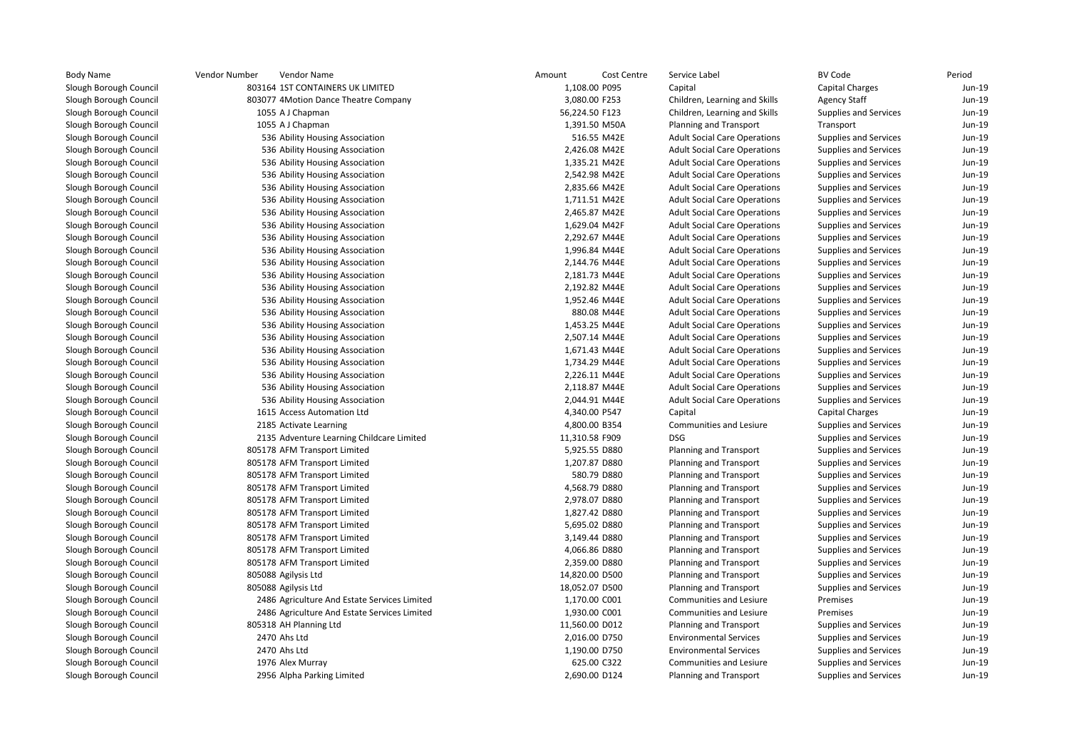| <b>Body Name</b>       | Vendor Number<br>Vendor Name                 | Amount         | Cost Centre | Service Label                       | <b>BV Code</b>               | Period |
|------------------------|----------------------------------------------|----------------|-------------|-------------------------------------|------------------------------|--------|
| Slough Borough Council | 803164 1ST CONTAINERS UK LIMITED             | 1,108.00 P095  |             | Capital                             | Capital Charges              | Jun-19 |
| Slough Borough Council | 803077 4Motion Dance Theatre Company         | 3,080.00 F253  |             | Children, Learning and Skills       | <b>Agency Staff</b>          | Jun-19 |
| Slough Borough Council | 1055 A J Chapman                             | 56,224.50 F123 |             | Children, Learning and Skills       | Supplies and Services        | Jun-19 |
| Slough Borough Council | 1055 A J Chapman                             | 1,391.50 M50A  |             | <b>Planning and Transport</b>       | Transport                    | Jun-19 |
| Slough Borough Council | 536 Ability Housing Association              | 516.55 M42E    |             | <b>Adult Social Care Operations</b> | <b>Supplies and Services</b> | Jun-19 |
| Slough Borough Council | 536 Ability Housing Association              | 2,426.08 M42E  |             | <b>Adult Social Care Operations</b> | <b>Supplies and Services</b> | Jun-19 |
| Slough Borough Council | 536 Ability Housing Association              | 1,335.21 M42E  |             | <b>Adult Social Care Operations</b> | Supplies and Services        | Jun-19 |
| Slough Borough Council | 536 Ability Housing Association              | 2,542.98 M42E  |             | <b>Adult Social Care Operations</b> | Supplies and Services        | Jun-19 |
| Slough Borough Council | 536 Ability Housing Association              | 2,835.66 M42E  |             | <b>Adult Social Care Operations</b> | Supplies and Services        | Jun-19 |
| Slough Borough Council | 536 Ability Housing Association              | 1,711.51 M42E  |             | <b>Adult Social Care Operations</b> | <b>Supplies and Services</b> | Jun-19 |
| Slough Borough Council | 536 Ability Housing Association              | 2,465.87 M42E  |             | <b>Adult Social Care Operations</b> | <b>Supplies and Services</b> | Jun-19 |
| Slough Borough Council | 536 Ability Housing Association              | 1,629.04 M42F  |             | <b>Adult Social Care Operations</b> | <b>Supplies and Services</b> | Jun-19 |
| Slough Borough Council | 536 Ability Housing Association              | 2,292.67 M44E  |             | <b>Adult Social Care Operations</b> | Supplies and Services        | Jun-19 |
| Slough Borough Council | 536 Ability Housing Association              | 1,996.84 M44E  |             | <b>Adult Social Care Operations</b> | Supplies and Services        | Jun-19 |
| Slough Borough Council | 536 Ability Housing Association              | 2,144.76 M44E  |             | <b>Adult Social Care Operations</b> | Supplies and Services        | Jun-19 |
| Slough Borough Council | 536 Ability Housing Association              | 2,181.73 M44E  |             | <b>Adult Social Care Operations</b> | <b>Supplies and Services</b> | Jun-19 |
| Slough Borough Council | 536 Ability Housing Association              | 2,192.82 M44E  |             | <b>Adult Social Care Operations</b> | Supplies and Services        | Jun-19 |
| Slough Borough Council | 536 Ability Housing Association              | 1,952.46 M44E  |             | <b>Adult Social Care Operations</b> | Supplies and Services        | Jun-19 |
| Slough Borough Council | 536 Ability Housing Association              | 880.08 M44E    |             | <b>Adult Social Care Operations</b> | Supplies and Services        | Jun-19 |
| Slough Borough Council | 536 Ability Housing Association              | 1,453.25 M44E  |             | <b>Adult Social Care Operations</b> | Supplies and Services        | Jun-19 |
| Slough Borough Council | 536 Ability Housing Association              | 2,507.14 M44E  |             | <b>Adult Social Care Operations</b> | <b>Supplies and Services</b> | Jun-19 |
| Slough Borough Council | 536 Ability Housing Association              | 1,671.43 M44E  |             | <b>Adult Social Care Operations</b> | <b>Supplies and Services</b> | Jun-19 |
| Slough Borough Council | 536 Ability Housing Association              | 1,734.29 M44E  |             | <b>Adult Social Care Operations</b> | <b>Supplies and Services</b> | Jun-19 |
| Slough Borough Council | 536 Ability Housing Association              | 2,226.11 M44E  |             | <b>Adult Social Care Operations</b> | <b>Supplies and Services</b> | Jun-19 |
| Slough Borough Council | 536 Ability Housing Association              | 2,118.87 M44E  |             | <b>Adult Social Care Operations</b> | Supplies and Services        | Jun-19 |
| Slough Borough Council | 536 Ability Housing Association              | 2,044.91 M44E  |             | <b>Adult Social Care Operations</b> | Supplies and Services        | Jun-19 |
| Slough Borough Council | 1615 Access Automation Ltd                   | 4,340.00 P547  |             | Capital                             | <b>Capital Charges</b>       | Jun-19 |
| Slough Borough Council | 2185 Activate Learning                       | 4,800.00 B354  |             | Communities and Lesiure             | <b>Supplies and Services</b> | Jun-19 |
| Slough Borough Council | 2135 Adventure Learning Childcare Limited    | 11,310.58 F909 |             | <b>DSG</b>                          | <b>Supplies and Services</b> | Jun-19 |
| Slough Borough Council | 805178 AFM Transport Limited                 | 5,925.55 D880  |             | Planning and Transport              | <b>Supplies and Services</b> | Jun-19 |
| Slough Borough Council | 805178 AFM Transport Limited                 | 1,207.87 D880  |             | Planning and Transport              | <b>Supplies and Services</b> | Jun-19 |
| Slough Borough Council | 805178 AFM Transport Limited                 | 580.79 D880    |             | Planning and Transport              | Supplies and Services        | Jun-19 |
| Slough Borough Council | 805178 AFM Transport Limited                 | 4,568.79 D880  |             | Planning and Transport              | <b>Supplies and Services</b> | Jun-19 |
| Slough Borough Council | 805178 AFM Transport Limited                 | 2,978.07 D880  |             | Planning and Transport              | <b>Supplies and Services</b> | Jun-19 |
| Slough Borough Council | 805178 AFM Transport Limited                 | 1,827.42 D880  |             | Planning and Transport              | <b>Supplies and Services</b> | Jun-19 |
| Slough Borough Council | 805178 AFM Transport Limited                 | 5,695.02 D880  |             | Planning and Transport              | Supplies and Services        | Jun-19 |
| Slough Borough Council | 805178 AFM Transport Limited                 | 3,149.44 D880  |             | Planning and Transport              | Supplies and Services        | Jun-19 |
| Slough Borough Council | 805178 AFM Transport Limited                 | 4,066.86 D880  |             | Planning and Transport              | Supplies and Services        | Jun-19 |
| Slough Borough Council | 805178 AFM Transport Limited                 | 2,359.00 D880  |             | Planning and Transport              | <b>Supplies and Services</b> | Jun-19 |
| Slough Borough Council | 805088 Agilysis Ltd                          | 14,820.00 D500 |             | Planning and Transport              | <b>Supplies and Services</b> | Jun-19 |
| Slough Borough Council | 805088 Agilysis Ltd                          | 18,052.07 D500 |             | Planning and Transport              | <b>Supplies and Services</b> | Jun-19 |
| Slough Borough Council | 2486 Agriculture And Estate Services Limited | 1,170.00 C001  |             | <b>Communities and Lesiure</b>      | Premises                     | Jun-19 |
| Slough Borough Council | 2486 Agriculture And Estate Services Limited | 1,930.00 C001  |             | Communities and Lesiure             | Premises                     | Jun-19 |
| Slough Borough Council | 805318 AH Planning Ltd                       | 11,560.00 D012 |             | Planning and Transport              | Supplies and Services        | Jun-19 |
| Slough Borough Council | 2470 Ahs Ltd                                 | 2,016.00 D750  |             | <b>Environmental Services</b>       | <b>Supplies and Services</b> | Jun-19 |
| Slough Borough Council | 2470 Ahs Ltd                                 | 1,190.00 D750  |             | <b>Environmental Services</b>       | <b>Supplies and Services</b> | Jun-19 |
| Slough Borough Council | 1976 Alex Murray                             | 625.00 C322    |             | <b>Communities and Lesiure</b>      | <b>Supplies and Services</b> | Jun-19 |
| Slough Borough Council | 2956 Alpha Parking Limited                   | 2,690.00 D124  |             | Planning and Transport              | <b>Supplies and Services</b> | Jun-19 |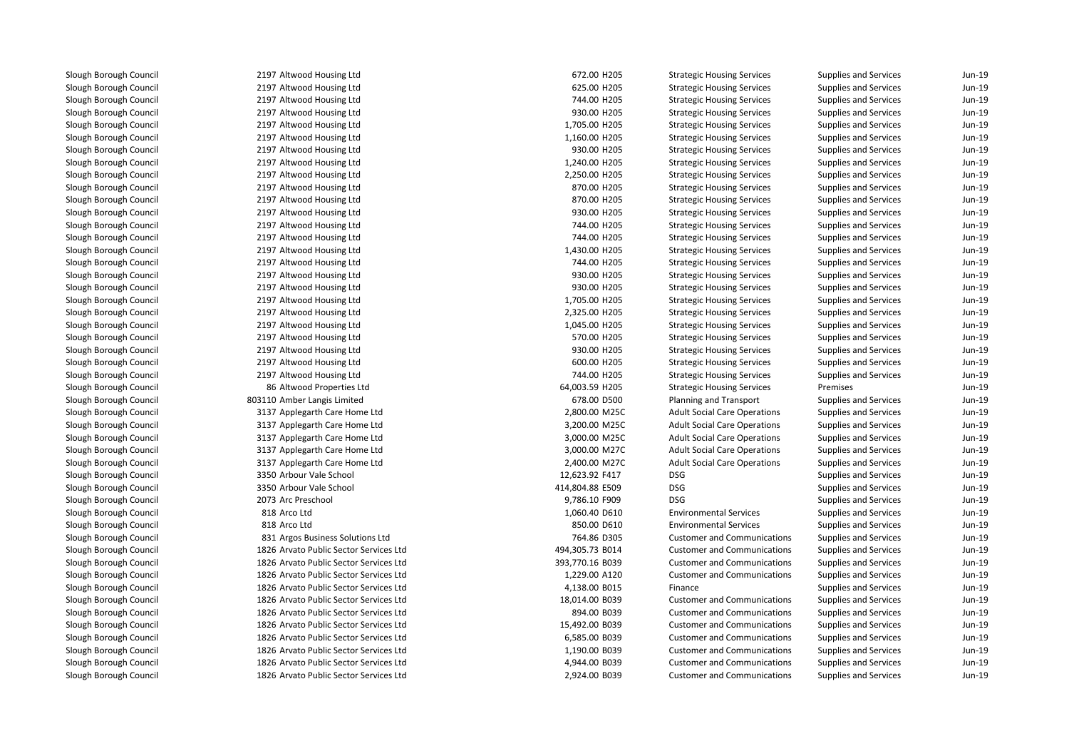2197 Altwood Housing Ltd 2197 Altwood Housing Ltd 2197 Altwood Housing Ltd 2197 Altwood Housing Ltd 2197 Altwood Housing Ltd 2197 Altwood Housing Ltd 2197 Altwood Housing Ltd 2197 Altwood Housing Ltd 2197 Altwood Housing Ltd 2197 Altwood Housing Ltd 2197 Altwood Housing Ltd 2197 Altwood Housing Ltd 2197 Altwood Housing Ltd 2197 Altwood Housing Ltd 2197 Altwood Housing Ltd 2197 Altwood Housing Ltd 2197 Altwood Housing Ltd 2197 Altwood Housing Ltd 2197 Altwood Housing Ltd 2197 Altwood Housing Ltd 2197 Altwood Housing Ltd 2197 Altwood Housing Ltd 2197 Altwood Housing Ltd 2197 Altwood Housing Ltd 2197 Altwood Housing Ltd 8686 Altwood Properties Ltd 803110 Amber Langis Limited 3137 Applegarth Care Home Ltd 3137 Applegarth Care Home Ltd 3137 Applegarth Care Home Ltd 3137 Applegarth Care Home Ltd 3137 Applegarth Care Home Ltd 3350 Arbour Vale School 12,623.92 F417 DSG 3350 Arbour Vale School 414,804.88 E509 DSG2073 Arc Preschool Arc Preschool 2008 DSG 2009 DSG 2009 DSG 2009 DSG 2009 DSG 2009 DSG 2009 DSG 2009 DSG 2009 DSG 2009 DSG 2009 D 818 Arco Ltd 818 Arco Ltd 831 Argos Business Solutions Ltd 1826 Arvato Public Sector Services Ltd 1826 Arvato Public Sector Services Ltd 1826 Arvato Public Sector Services Ltd 1826 Arvato Public Sector Services Ltd 1826 Arvato Public Sector Services Ltd 1826 Arvato Public Sector Services Ltd 1826 Arvato Public Sector Services Ltd 1826 Arvato Public Sector Services Ltd 1826 Arvato Public Sector Services Ltd 1826 Arvato Public Sector Services Ltd1826 Arvato Public Sector Services Ltd

| d Housing Ltd                     | 672.00 H205     | <b>Strategic Housing Services</b>   | <b>Supplies and Services</b> | Jun-19 |
|-----------------------------------|-----------------|-------------------------------------|------------------------------|--------|
| d Housing Ltd                     | 625.00 H205     | <b>Strategic Housing Services</b>   | Supplies and Services        | Jun-19 |
| d Housing Ltd                     | 744.00 H205     | <b>Strategic Housing Services</b>   | <b>Supplies and Services</b> | Jun-19 |
| d Housing Ltd                     | 930.00 H205     | <b>Strategic Housing Services</b>   | <b>Supplies and Services</b> | Jun-19 |
| d Housing Ltd                     | 1,705.00 H205   | <b>Strategic Housing Services</b>   | <b>Supplies and Services</b> | Jun-19 |
| d Housing Ltd                     | 1,160.00 H205   | <b>Strategic Housing Services</b>   | <b>Supplies and Services</b> | Jun-19 |
| d Housing Ltd                     | 930.00 H205     | <b>Strategic Housing Services</b>   | <b>Supplies and Services</b> | Jun-19 |
| d Housing Ltd                     | 1,240.00 H205   | <b>Strategic Housing Services</b>   | <b>Supplies and Services</b> | Jun-19 |
| d Housing Ltd                     | 2,250.00 H205   | <b>Strategic Housing Services</b>   | Supplies and Services        | Jun-19 |
| d Housing Ltd                     | 870.00 H205     | <b>Strategic Housing Services</b>   | <b>Supplies and Services</b> | Jun-19 |
| d Housing Ltd                     | 870.00 H205     | <b>Strategic Housing Services</b>   | Supplies and Services        | Jun-19 |
| d Housing Ltd                     | 930.00 H205     | <b>Strategic Housing Services</b>   | <b>Supplies and Services</b> | Jun-19 |
| d Housing Ltd                     | 744.00 H205     | <b>Strategic Housing Services</b>   | <b>Supplies and Services</b> | Jun-19 |
| d Housing Ltd                     | 744.00 H205     | <b>Strategic Housing Services</b>   | <b>Supplies and Services</b> | Jun-19 |
| d Housing Ltd                     | 1,430.00 H205   | <b>Strategic Housing Services</b>   | <b>Supplies and Services</b> | Jun-19 |
| d Housing Ltd                     | 744.00 H205     | <b>Strategic Housing Services</b>   | Supplies and Services        | Jun-19 |
| d Housing Ltd                     | 930.00 H205     | <b>Strategic Housing Services</b>   | <b>Supplies and Services</b> | Jun-19 |
| d Housing Ltd                     | 930.00 H205     | <b>Strategic Housing Services</b>   | Supplies and Services        | Jun-19 |
| d Housing Ltd                     | 1,705.00 H205   | <b>Strategic Housing Services</b>   | <b>Supplies and Services</b> | Jun-19 |
| d Housing Ltd                     | 2,325.00 H205   | <b>Strategic Housing Services</b>   | Supplies and Services        | Jun-19 |
| d Housing Ltd                     | 1,045.00 H205   | <b>Strategic Housing Services</b>   | Supplies and Services        | Jun-19 |
| d Housing Ltd                     | 570.00 H205     | <b>Strategic Housing Services</b>   | <b>Supplies and Services</b> | Jun-19 |
| d Housing Ltd                     | 930.00 H205     | <b>Strategic Housing Services</b>   | <b>Supplies and Services</b> | Jun-19 |
| d Housing Ltd                     | 600.00 H205     | <b>Strategic Housing Services</b>   | <b>Supplies and Services</b> | Jun-19 |
| d Housing Ltd                     | 744.00 H205     | <b>Strategic Housing Services</b>   | <b>Supplies and Services</b> | Jun-19 |
| d Properties Ltd                  | 64,003.59 H205  | <b>Strategic Housing Services</b>   | Premises                     | Jun-19 |
| Langis Limited                    | 678.00 D500     | Planning and Transport              | Supplies and Services        | Jun-19 |
| arth Care Home Ltd                | 2,800.00 M25C   | <b>Adult Social Care Operations</b> | <b>Supplies and Services</b> | Jun-19 |
| arth Care Home Ltd                | 3,200.00 M25C   | <b>Adult Social Care Operations</b> | <b>Supplies and Services</b> | Jun-19 |
| arth Care Home Ltd                | 3,000.00 M25C   | <b>Adult Social Care Operations</b> | <b>Supplies and Services</b> | Jun-19 |
| arth Care Home Ltd                | 3,000.00 M27C   | <b>Adult Social Care Operations</b> | <b>Supplies and Services</b> | Jun-19 |
| arth Care Home Ltd                | 2,400.00 M27C   | <b>Adult Social Care Operations</b> | <b>Supplies and Services</b> | Jun-19 |
| Vale School                       | 12,623.92 F417  | <b>DSG</b>                          | Supplies and Services        | Jun-19 |
| Vale School                       | 414,804.88 E509 | <b>DSG</b>                          | <b>Supplies and Services</b> | Jun-19 |
| school                            | 9,786.10 F909   | <b>DSG</b>                          | Supplies and Services        | Jun-19 |
| d                                 | 1,060.40 D610   | <b>Environmental Services</b>       | <b>Supplies and Services</b> | Jun-19 |
| d                                 | 850.00 D610     | <b>Environmental Services</b>       | Supplies and Services        | Jun-19 |
| Business Solutions Ltd            | 764.86 D305     | <b>Customer and Communications</b>  | Supplies and Services        | Jun-19 |
| Public Sector Services Ltd        | 494,305.73 B014 | <b>Customer and Communications</b>  | Supplies and Services        | Jun-19 |
| <b>Public Sector Services Ltd</b> | 393,770.16 B039 | <b>Customer and Communications</b>  | <b>Supplies and Services</b> | Jun-19 |
| Public Sector Services Ltd        | 1,229.00 A120   | <b>Customer and Communications</b>  | <b>Supplies and Services</b> | Jun-19 |
| Public Sector Services Ltd        | 4,138.00 B015   | Finance                             | <b>Supplies and Services</b> | Jun-19 |
| Public Sector Services Ltd        | 18,014.00 B039  | <b>Customer and Communications</b>  | <b>Supplies and Services</b> | Jun-19 |
| Public Sector Services Ltd        | 894.00 B039     | <b>Customer and Communications</b>  | <b>Supplies and Services</b> | Jun-19 |
| Public Sector Services Ltd        | 15,492.00 B039  | <b>Customer and Communications</b>  | Supplies and Services        | Jun-19 |
| Public Sector Services Ltd        | 6,585.00 B039   | <b>Customer and Communications</b>  | <b>Supplies and Services</b> | Jun-19 |
| Public Sector Services Ltd        | 1,190.00 B039   | <b>Customer and Communications</b>  | <b>Supplies and Services</b> | Jun-19 |
| Public Sector Services Ltd        | 4,944.00 B039   | <b>Customer and Communications</b>  | <b>Supplies and Services</b> | Jun-19 |
| Public Sector Services Ltd        | 2,924.00 B039   | <b>Customer and Communications</b>  | <b>Supplies and Services</b> | Jun-19 |
|                                   |                 |                                     |                              |        |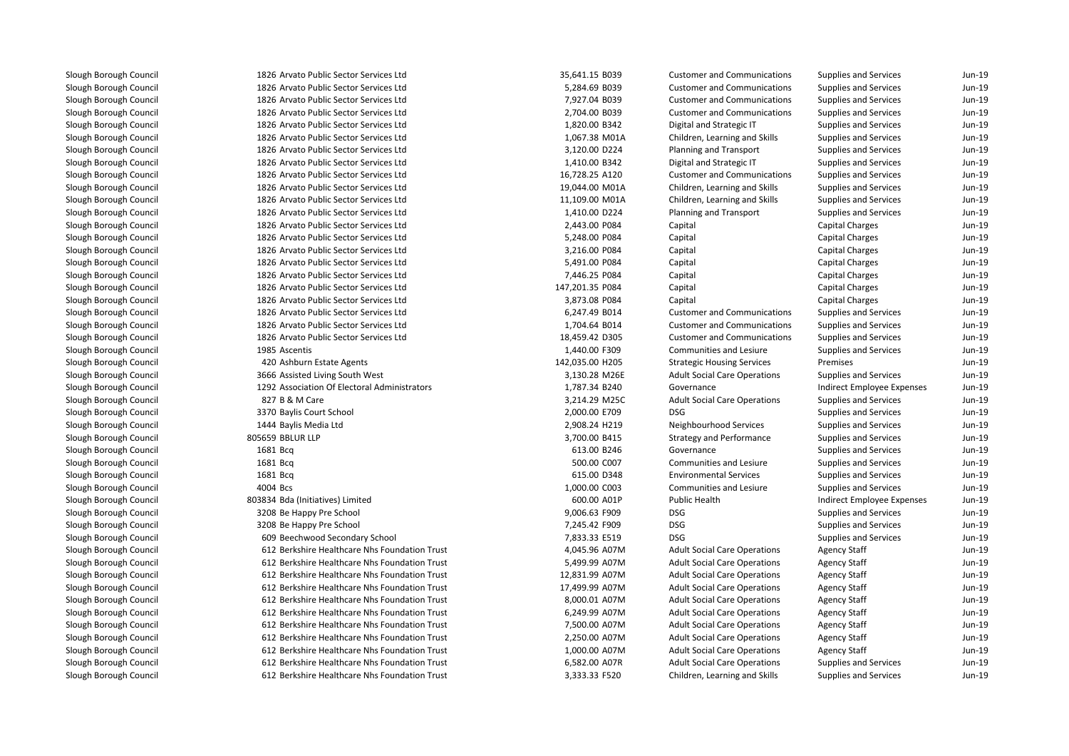| 1826 Arvato Public Sector Services Ltd        | 35,641.15 B039  | <b>Customer and Communications</b>  | Supplies and Services      | Jun-19    |
|-----------------------------------------------|-----------------|-------------------------------------|----------------------------|-----------|
| 1826 Arvato Public Sector Services Ltd        | 5,284.69 B039   | <b>Customer and Communications</b>  | Supplies and Services      | Jun-19    |
| 1826 Arvato Public Sector Services Ltd        | 7,927.04 B039   | <b>Customer and Communications</b>  | Supplies and Services      | Jun-19    |
| 1826 Arvato Public Sector Services Ltd        | 2,704.00 B039   | <b>Customer and Communications</b>  | Supplies and Services      | Jun-19    |
| 1826 Arvato Public Sector Services Ltd        | 1,820.00 B342   | Digital and Strategic IT            | Supplies and Services      | Jun-19    |
| 1826 Arvato Public Sector Services Ltd        | 1,067.38 M01A   | Children, Learning and Skills       | Supplies and Services      | Jun-19    |
| 1826 Arvato Public Sector Services Ltd        | 3,120.00 D224   | Planning and Transport              | Supplies and Services      | Jun-19    |
| 1826 Arvato Public Sector Services Ltd        | 1,410.00 B342   | Digital and Strategic IT            | Supplies and Services      | Jun-19    |
| 1826 Arvato Public Sector Services Ltd        | 16,728.25 A120  | <b>Customer and Communications</b>  | Supplies and Services      | Jun-19    |
| 1826 Arvato Public Sector Services Ltd        | 19,044.00 M01A  | Children, Learning and Skills       | Supplies and Services      | Jun-19    |
| 1826 Arvato Public Sector Services Ltd        | 11,109.00 M01A  | Children, Learning and Skills       | Supplies and Services      | Jun-19    |
| 1826 Arvato Public Sector Services Ltd        | 1,410.00 D224   | Planning and Transport              | Supplies and Services      | Jun-19    |
| 1826 Arvato Public Sector Services Ltd        | 2,443.00 P084   | Capital                             | Capital Charges            | Jun-19    |
| 1826 Arvato Public Sector Services Ltd        | 5,248.00 P084   | Capital                             | Capital Charges            | Jun-19    |
| 1826 Arvato Public Sector Services Ltd        | 3,216.00 P084   | Capital                             | Capital Charges            | Jun-19    |
| 1826 Arvato Public Sector Services Ltd        | 5,491.00 P084   | Capital                             | Capital Charges            | Jun-19    |
| 1826 Arvato Public Sector Services Ltd        | 7,446.25 P084   | Capital                             | Capital Charges            | Jun-19    |
| 1826 Arvato Public Sector Services Ltd        | 147,201.35 P084 | Capital                             | Capital Charges            | Jun-19    |
| 1826 Arvato Public Sector Services Ltd        | 3,873.08 P084   | Capital                             | Capital Charges            | Jun-19    |
| 1826 Arvato Public Sector Services Ltd        | 6,247.49 B014   | <b>Customer and Communications</b>  | Supplies and Services      | Jun-19    |
| 1826 Arvato Public Sector Services Ltd        | 1,704.64 B014   | <b>Customer and Communications</b>  | Supplies and Services      | Jun-19    |
| 1826 Arvato Public Sector Services Ltd        | 18,459.42 D305  | <b>Customer and Communications</b>  | Supplies and Services      | Jun-19    |
| 1985 Ascentis                                 | 1,440.00 F309   | <b>Communities and Lesiure</b>      | Supplies and Services      | Jun-19    |
| 420 Ashburn Estate Agents                     | 142,035.00 H205 | <b>Strategic Housing Services</b>   | Premises                   | Jun-19    |
| 3666 Assisted Living South West               | 3,130.28 M26E   | <b>Adult Social Care Operations</b> | Supplies and Services      | Jun-19    |
| 1292 Association Of Electoral Administrators  | 1,787.34 B240   | Governance                          | Indirect Employee Expenses | Jun-19    |
| 827 B & M Care                                | 3,214.29 M25C   | <b>Adult Social Care Operations</b> | Supplies and Services      | Jun-19    |
| 3370 Baylis Court School                      | 2,000.00 E709   | <b>DSG</b>                          | Supplies and Services      | Jun-19    |
| 1444 Baylis Media Ltd                         | 2,908.24 H219   | Neighbourhood Services              | Supplies and Services      | Jun-19    |
| 805659 BBLUR LLP                              | 3,700.00 B415   | <b>Strategy and Performance</b>     | Supplies and Services      | Jun-19    |
| 1681 Bcq                                      | 613.00 B246     | Governance                          | Supplies and Services      | Jun-19    |
| 1681 Bcg                                      | 500.00 C007     | Communities and Lesiure             | Supplies and Services      | Jun-19    |
| 1681 Bcg                                      | 615.00 D348     | <b>Environmental Services</b>       | Supplies and Services      | Jun-19    |
| 4004 Bcs                                      | 1,000.00 C003   | <b>Communities and Lesiure</b>      | Supplies and Services      | Jun-19    |
| 803834 Bda (Initiatives) Limited              | 600.00 A01P     | Public Health                       | Indirect Employee Expenses | Jun-19    |
| 3208 Be Happy Pre School                      | 9,006.63 F909   | <b>DSG</b>                          | Supplies and Services      | Jun-19    |
| 3208 Be Happy Pre School                      | 7,245.42 F909   | <b>DSG</b>                          | Supplies and Services      | Jun-19    |
| 609 Beechwood Secondary School                | 7,833.33 E519   | <b>DSG</b>                          | Supplies and Services      | Jun-19    |
| 612 Berkshire Healthcare Nhs Foundation Trust | 4,045.96 A07M   | <b>Adult Social Care Operations</b> | <b>Agency Staff</b>        | Jun-19    |
| 612 Berkshire Healthcare Nhs Foundation Trust | 5,499.99 A07M   | <b>Adult Social Care Operations</b> | <b>Agency Staff</b>        | Jun-19    |
| 612 Berkshire Healthcare Nhs Foundation Trust | 12,831.99 A07M  | <b>Adult Social Care Operations</b> | <b>Agency Staff</b>        | Jun-19    |
| 612 Berkshire Healthcare Nhs Foundation Trust | 17,499.99 A07M  | <b>Adult Social Care Operations</b> | <b>Agency Staff</b>        | Jun-19    |
| 612 Berkshire Healthcare Nhs Foundation Trust | 8,000.01 A07M   | <b>Adult Social Care Operations</b> | <b>Agency Staff</b>        | Jun-19    |
| 612 Berkshire Healthcare Nhs Foundation Trust | 6,249.99 A07M   | <b>Adult Social Care Operations</b> | <b>Agency Staff</b>        | Jun-19    |
| 612 Berkshire Healthcare Nhs Foundation Trust | 7,500.00 A07M   | <b>Adult Social Care Operations</b> | <b>Agency Staff</b>        | Jun-19    |
| 612 Berkshire Healthcare Nhs Foundation Trust | 2,250.00 A07M   | <b>Adult Social Care Operations</b> | <b>Agency Staff</b>        | Jun-19    |
| 612 Berkshire Healthcare Nhs Foundation Trust | 1,000.00 A07M   | <b>Adult Social Care Operations</b> | <b>Agency Staff</b>        | Jun-19    |
| 612 Berkshire Healthcare Nhs Foundation Trust | 6,582.00 A07R   | <b>Adult Social Care Operations</b> | Supplies and Services      | Jun-19    |
| 612 Berkshire Healthcare Nhs Foundation Trust | 3.333.33 F520   | Children, Learning and Skills       | Supplies and Services      | $l$ un-19 |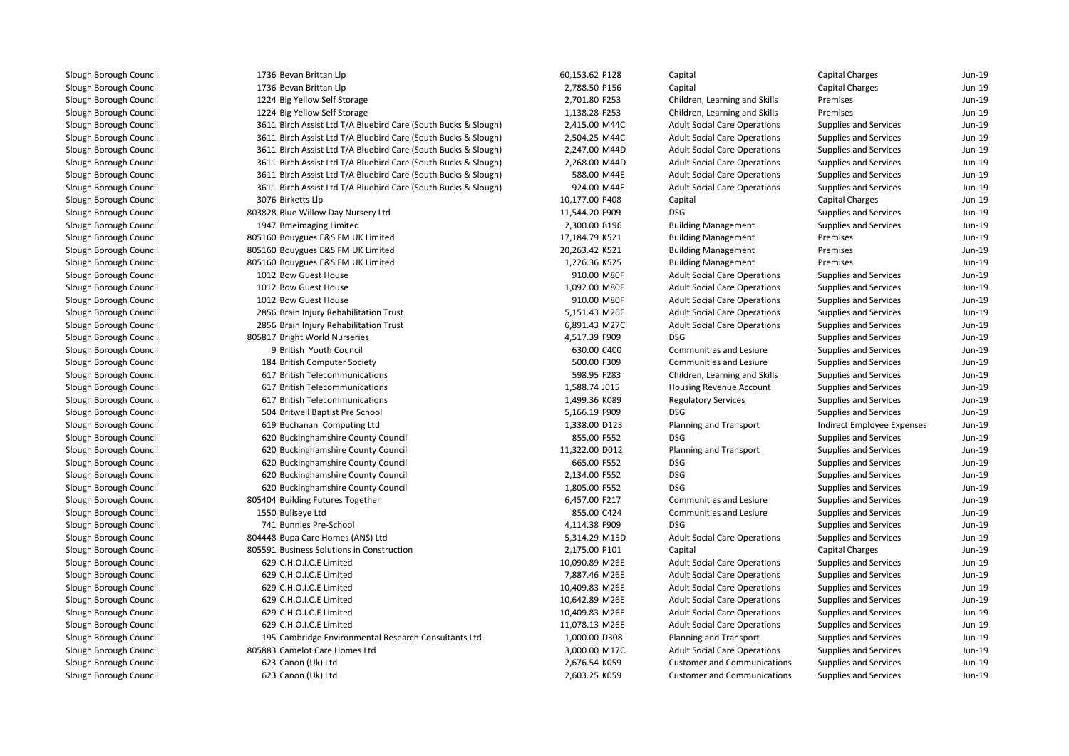| Slough Borough Council | 1736 Bevan Brittan Llp                                         | 60,153.62 P128 | Capital                             | <b>Capital Charges</b>       | Jun-19 |
|------------------------|----------------------------------------------------------------|----------------|-------------------------------------|------------------------------|--------|
| Slough Borough Council | 1736 Bevan Brittan Llp                                         | 2,788.50 P156  | Capital                             | Capital Charges              | Jun-19 |
| Slough Borough Council | 1224 Big Yellow Self Storage                                   | 2,701.80 F253  | Children, Learning and Skills       | Premises                     | Jun-19 |
| Slough Borough Council | 1224 Big Yellow Self Storage                                   | 1,138.28 F253  | Children, Learning and Skills       | Premises                     | Jun-19 |
| Slough Borough Council | 3611 Birch Assist Ltd T/A Bluebird Care (South Bucks & Slough) | 2,415.00 M44C  | <b>Adult Social Care Operations</b> | <b>Supplies and Services</b> | Jun-19 |
| Slough Borough Council | 3611 Birch Assist Ltd T/A Bluebird Care (South Bucks & Slough) | 2,504.25 M44C  | <b>Adult Social Care Operations</b> | <b>Supplies and Services</b> | Jun-19 |
| Slough Borough Council | 3611 Birch Assist Ltd T/A Bluebird Care (South Bucks & Slough) | 2,247.00 M44D  | <b>Adult Social Care Operations</b> | <b>Supplies and Services</b> | Jun-19 |
| Slough Borough Council | 3611 Birch Assist Ltd T/A Bluebird Care (South Bucks & Slough) | 2,268.00 M44D  | <b>Adult Social Care Operations</b> | <b>Supplies and Services</b> | Jun-19 |
| Slough Borough Council | 3611 Birch Assist Ltd T/A Bluebird Care (South Bucks & Slough) | 588.00 M44E    | <b>Adult Social Care Operations</b> | <b>Supplies and Services</b> | Jun-19 |
| Slough Borough Council | 3611 Birch Assist Ltd T/A Bluebird Care (South Bucks & Slough) | 924.00 M44E    | <b>Adult Social Care Operations</b> | Supplies and Services        | Jun-19 |
| Slough Borough Council | 3076 Birketts Llp                                              | 10,177.00 P408 | Capital                             | Capital Charges              | Jun-19 |
| Slough Borough Council | 803828 Blue Willow Day Nursery Ltd                             | 11,544.20 F909 | <b>DSG</b>                          | <b>Supplies and Services</b> | Jun-19 |
| Slough Borough Council | 1947 Bmeimaging Limited                                        | 2,300.00 B196  | <b>Building Management</b>          | <b>Supplies and Services</b> | Jun-19 |
| Slough Borough Council | 805160 Bouygues E&S FM UK Limited                              | 17,184.79 K521 | <b>Building Management</b>          | Premises                     | Jun-19 |
| Slough Borough Council | 805160 Bouygues E&S FM UK Limited                              | 20,263.42 K521 | <b>Building Management</b>          | Premises                     | Jun-19 |
| Slough Borough Council | 805160 Bouygues E&S FM UK Limited                              | 1,226.36 K525  | <b>Building Management</b>          | Premises                     | Jun-19 |
| Slough Borough Council | 1012 Bow Guest House                                           | 910.00 M80F    | <b>Adult Social Care Operations</b> | <b>Supplies and Services</b> | Jun-19 |
| Slough Borough Council | 1012 Bow Guest House                                           | 1,092.00 M80F  | <b>Adult Social Care Operations</b> | Supplies and Services        | Jun-19 |
| Slough Borough Council | 1012 Bow Guest House                                           | 910.00 M80F    | <b>Adult Social Care Operations</b> | Supplies and Services        | Jun-19 |
| Slough Borough Council | 2856 Brain Injury Rehabilitation Trust                         | 5,151.43 M26E  | <b>Adult Social Care Operations</b> | <b>Supplies and Services</b> | Jun-19 |
| Slough Borough Council | 2856 Brain Injury Rehabilitation Trust                         | 6,891.43 M27C  | <b>Adult Social Care Operations</b> | Supplies and Services        | Jun-19 |
| Slough Borough Council | 805817 Bright World Nurseries                                  | 4,517.39 F909  | <b>DSG</b>                          | <b>Supplies and Services</b> | Jun-19 |
| Slough Borough Council | 9 British Youth Council                                        | 630.00 C400    | Communities and Lesiure             | <b>Supplies and Services</b> | Jun-19 |
| Slough Borough Council | 184 British Computer Society                                   | 500.00 F309    | Communities and Lesiure             | <b>Supplies and Services</b> | Jun-19 |
| Slough Borough Council | 617 British Telecommunications                                 | 598.95 F283    | Children, Learning and Skills       | <b>Supplies and Services</b> | Jun-19 |
| Slough Borough Council | 617 British Telecommunications                                 | 1,588.74 J015  | <b>Housing Revenue Account</b>      | <b>Supplies and Services</b> | Jun-19 |
| Slough Borough Council | 617 British Telecommunications                                 | 1,499.36 K089  | <b>Regulatory Services</b>          | <b>Supplies and Services</b> | Jun-19 |
| Slough Borough Council | 504 Britwell Baptist Pre School                                | 5,166.19 F909  | <b>DSG</b>                          | <b>Supplies and Services</b> | Jun-19 |
| Slough Borough Council | 619 Buchanan Computing Ltd                                     | 1,338.00 D123  | Planning and Transport              | Indirect Employee Expenses   | Jun-19 |
| Slough Borough Council | 620 Buckinghamshire County Council                             | 855.00 F552    | <b>DSG</b>                          | Supplies and Services        | Jun-19 |
| Slough Borough Council | 620 Buckinghamshire County Council                             | 11,322.00 D012 | Planning and Transport              | Supplies and Services        | Jun-19 |
| Slough Borough Council | 620 Buckinghamshire County Council                             | 665.00 F552    | <b>DSG</b>                          | Supplies and Services        | Jun-19 |
| Slough Borough Council | 620 Buckinghamshire County Council                             | 2,134.00 F552  | <b>DSG</b>                          | <b>Supplies and Services</b> | Jun-19 |
| Slough Borough Council | 620 Buckinghamshire County Council                             | 1,805.00 F552  | <b>DSG</b>                          | <b>Supplies and Services</b> | Jun-19 |
| Slough Borough Council | 805404 Building Futures Together                               | 6,457.00 F217  | <b>Communities and Lesiure</b>      | <b>Supplies and Services</b> | Jun-19 |
| Slough Borough Council | 1550 Bullseye Ltd                                              | 855.00 C424    | Communities and Lesiure             | <b>Supplies and Services</b> | Jun-19 |
| Slough Borough Council | 741 Bunnies Pre-School                                         | 4,114.38 F909  | <b>DSG</b>                          | Supplies and Services        | Jun-19 |
| Slough Borough Council | 804448 Bupa Care Homes (ANS) Ltd                               | 5,314.29 M15D  | <b>Adult Social Care Operations</b> | Supplies and Services        | Jun-19 |
| Slough Borough Council | 805591 Business Solutions in Construction                      | 2,175.00 P101  | Capital                             | Capital Charges              | Jun-19 |
| Slough Borough Council | 629 C.H.O.I.C.E Limited                                        | 10,090.89 M26E | <b>Adult Social Care Operations</b> | Supplies and Services        | Jun-19 |
| Slough Borough Council | 629 C.H.O.I.C.E Limited                                        | 7,887.46 M26E  | <b>Adult Social Care Operations</b> | Supplies and Services        | Jun-19 |
| Slough Borough Council | 629 C.H.O.I.C.E Limited                                        | 10,409.83 M26E | <b>Adult Social Care Operations</b> | Supplies and Services        | Jun-19 |
| Slough Borough Council | 629 C.H.O.I.C.E Limited                                        | 10,642.89 M26E | <b>Adult Social Care Operations</b> | Supplies and Services        | Jun-19 |
| Slough Borough Council | 629 C.H.O.I.C.E Limited                                        | 10,409.83 M26E | <b>Adult Social Care Operations</b> | <b>Supplies and Services</b> | Jun-19 |
| Slough Borough Council | 629 C.H.O.I.C.E Limited                                        | 11,078.13 M26E | <b>Adult Social Care Operations</b> | <b>Supplies and Services</b> | Jun-19 |
| Slough Borough Council | 195 Cambridge Environmental Research Consultants Ltd           | 1,000.00 D308  | <b>Planning and Transport</b>       | <b>Supplies and Services</b> | Jun-19 |
| Slough Borough Council | 805883 Camelot Care Homes Ltd                                  | 3,000.00 M17C  | <b>Adult Social Care Operations</b> | <b>Supplies and Services</b> | Jun-19 |
| Slough Borough Council | 623 Canon (Uk) Ltd                                             | 2,676.54 K059  | <b>Customer and Communications</b>  | <b>Supplies and Services</b> | Jun-19 |
| Slough Borough Council | 623 Canon (Uk) Ltd                                             | 2,603.25 K059  | <b>Customer and Communications</b>  | <b>Supplies and Services</b> | Jun-19 |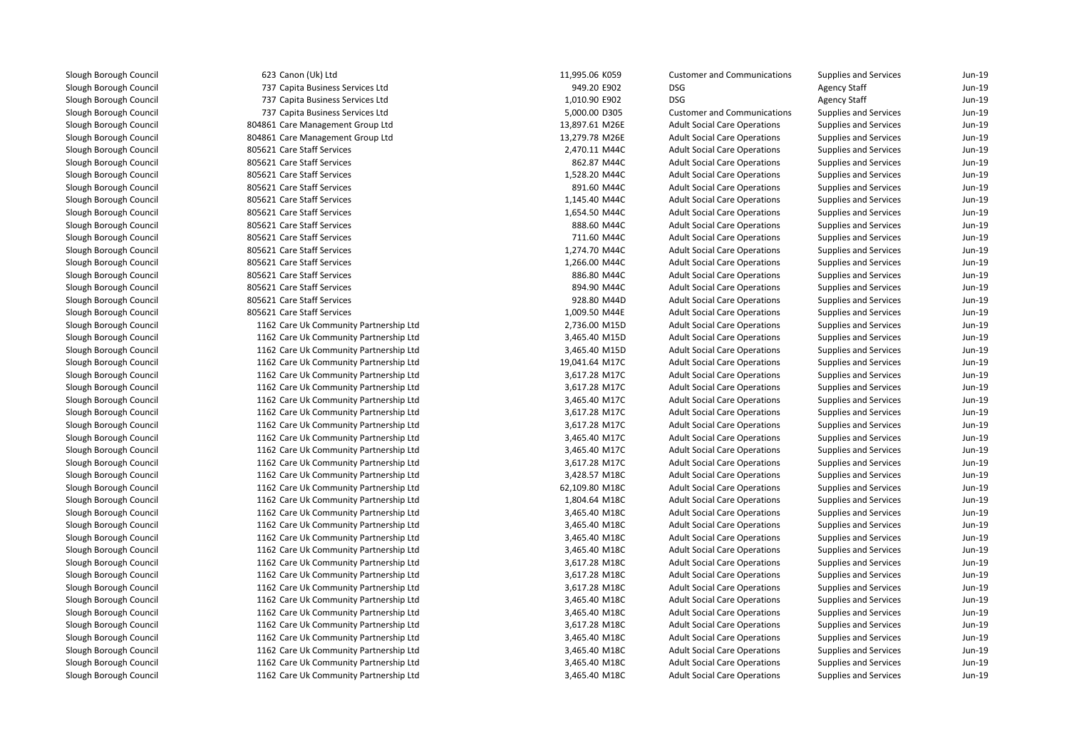623 Canon (Uk) Ltd 737 Capita Business Services Ltd 737 Capita Business Services Ltd 737 Capita Business Services Ltd 804861 Care Management Group Ltd 804861 Care Management Group Ltd 805621 Care Staff Services 2,470.11 M44C**1** 805621 Care Staff Services 862.87 M44C **1** 805621 Care Staff Services **1,528.20 M44C**  805621 Care Staff Services 891.60 M44C**805621 Care Staff Services** 1,145.40 M44C **805621 Care Staff Services** 1,654.50 M44C 805621 Care Staff Services 888.60 M44C 805621 Care Staff Services 711.60 M44C**1** 805621 Care Staff Services **1,274.70 M44C**  805621 Care Staff Services 1,266.00 M44C 805621 Care Staff Services 886.80 M44C 805621 Care Staff Services 894.90 M44C 805621 Care Staff Services 928.80 M44D805621 Care Staff Services 1162 Care Uk Community Partnership Ltd 1162 Care Uk Community Partnership Ltd 1162 Care Uk Community Partnership Ltd 1162 Care Uk Community Partnership Ltd 1162 Care Uk Community Partnership Ltd 1162 Care Uk Community Partnership Ltd 1162 Care Uk Community Partnership Ltd 1162 Care Uk Community Partnership Ltd 1162 Care Uk Community Partnership Ltd 1162 Care Uk Community Partnership Ltd 1162 Care Uk Community Partnership Ltd 1162 Care Uk Community Partnership Ltd 1162 Care Uk Community Partnership Ltd 1162 Care Uk Community Partnership Ltd 1162 Care Uk Community Partnership Ltd 1162 Care Uk Community Partnership Ltd 1162 Care Uk Community Partnership Ltd 1162 Care Uk Community Partnership Ltd 1162 Care Uk Community Partnership Ltd 1162 Care Uk Community Partnership Ltd 1162 Care Uk Community Partnership Ltd 1162 Care Uk Community Partnership Ltd 1162 Care Uk Community Partnership Ltd 1162 Care Uk Community Partnership Ltd 1162 Care Uk Community Partnership Ltd 1162 Care Uk Community Partnership Ltd 1162 Care Uk Community Partnership Ltd 1162 Care Uk Community Partnership Ltd1162 Care Uk Community Partnership Ltd

| 3 Canon (Uk) Ltd                    | 11,995.06 K059 | <b>Customer and Communications</b>  | Supplies and Services        | Jun-19 |
|-------------------------------------|----------------|-------------------------------------|------------------------------|--------|
| 7 Capita Business Services Ltd      | 949.20 E902    | <b>DSG</b>                          | <b>Agency Staff</b>          | Jun-19 |
| 7 Capita Business Services Ltd      | 1,010.90 E902  | <b>DSG</b>                          | <b>Agency Staff</b>          | Jun-19 |
| 7 Capita Business Services Ltd      | 5,000.00 D305  | <b>Customer and Communications</b>  | <b>Supplies and Services</b> | Jun-19 |
| 1 Care Management Group Ltd         | 13,897.61 M26E | <b>Adult Social Care Operations</b> | Supplies and Services        | Jun-19 |
| 1 Care Management Group Ltd         | 13,279.78 M26E | <b>Adult Social Care Operations</b> | Supplies and Services        | Jun-19 |
| 1 Care Staff Services               | 2,470.11 M44C  | <b>Adult Social Care Operations</b> | Supplies and Services        | Jun-19 |
| 1 Care Staff Services               | 862.87 M44C    | <b>Adult Social Care Operations</b> | Supplies and Services        | Jun-19 |
| 1 Care Staff Services               | 1,528.20 M44C  | <b>Adult Social Care Operations</b> | Supplies and Services        | Jun-19 |
| 1 Care Staff Services               | 891.60 M44C    | <b>Adult Social Care Operations</b> | Supplies and Services        | Jun-19 |
| 1 Care Staff Services               | 1,145.40 M44C  | <b>Adult Social Care Operations</b> | Supplies and Services        | Jun-19 |
| 1 Care Staff Services               | 1,654.50 M44C  | <b>Adult Social Care Operations</b> | Supplies and Services        | Jun-19 |
| 1 Care Staff Services               | 888.60 M44C    | <b>Adult Social Care Operations</b> | Supplies and Services        | Jun-19 |
| 1 Care Staff Services               | 711.60 M44C    | <b>Adult Social Care Operations</b> | Supplies and Services        | Jun-19 |
| 1 Care Staff Services               | 1,274.70 M44C  | <b>Adult Social Care Operations</b> | Supplies and Services        | Jun-19 |
| 1 Care Staff Services               | 1,266.00 M44C  | <b>Adult Social Care Operations</b> | Supplies and Services        | Jun-19 |
| 1 Care Staff Services               | 886.80 M44C    | <b>Adult Social Care Operations</b> | Supplies and Services        | Jun-19 |
| 1 Care Staff Services               | 894.90 M44C    | <b>Adult Social Care Operations</b> | Supplies and Services        | Jun-19 |
| 1 Care Staff Services               | 928.80 M44D    | <b>Adult Social Care Operations</b> | Supplies and Services        | Jun-19 |
| 1 Care Staff Services               | 1,009.50 M44E  | <b>Adult Social Care Operations</b> | Supplies and Services        | Jun-19 |
| 2 Care Uk Community Partnership Ltd | 2,736.00 M15D  | <b>Adult Social Care Operations</b> | Supplies and Services        | Jun-19 |
| 2 Care Uk Community Partnership Ltd | 3,465.40 M15D  | <b>Adult Social Care Operations</b> | Supplies and Services        | Jun-19 |
| 2 Care Uk Community Partnership Ltd | 3,465.40 M15D  | <b>Adult Social Care Operations</b> | Supplies and Services        | Jun-19 |
| 2 Care Uk Community Partnership Ltd | 19,041.64 M17C | <b>Adult Social Care Operations</b> | Supplies and Services        | Jun-19 |
| 2 Care Uk Community Partnership Ltd | 3,617.28 M17C  | <b>Adult Social Care Operations</b> | <b>Supplies and Services</b> | Jun-19 |
| 2 Care Uk Community Partnership Ltd | 3,617.28 M17C  | <b>Adult Social Care Operations</b> | Supplies and Services        | Jun-19 |
| 2 Care Uk Community Partnership Ltd | 3,465.40 M17C  | <b>Adult Social Care Operations</b> | Supplies and Services        | Jun-19 |
| 2 Care Uk Community Partnership Ltd | 3,617.28 M17C  | <b>Adult Social Care Operations</b> | Supplies and Services        | Jun-19 |
| 2 Care Uk Community Partnership Ltd | 3,617.28 M17C  | <b>Adult Social Care Operations</b> | Supplies and Services        | Jun-19 |
| 2 Care Uk Community Partnership Ltd | 3,465.40 M17C  | <b>Adult Social Care Operations</b> | Supplies and Services        | Jun-19 |
| 2 Care Uk Community Partnership Ltd | 3,465.40 M17C  | <b>Adult Social Care Operations</b> | Supplies and Services        | Jun-19 |
| 2 Care Uk Community Partnership Ltd | 3,617.28 M17C  | <b>Adult Social Care Operations</b> | Supplies and Services        | Jun-19 |
| 2 Care Uk Community Partnership Ltd | 3,428.57 M18C  | <b>Adult Social Care Operations</b> | <b>Supplies and Services</b> | Jun-19 |
| 2 Care Uk Community Partnership Ltd | 62,109.80 M18C | <b>Adult Social Care Operations</b> | Supplies and Services        | Jun-19 |
| 2 Care Uk Community Partnership Ltd | 1,804.64 M18C  | <b>Adult Social Care Operations</b> | Supplies and Services        | Jun-19 |
| 2 Care Uk Community Partnership Ltd | 3,465.40 M18C  | <b>Adult Social Care Operations</b> | Supplies and Services        | Jun-19 |
| 2 Care Uk Community Partnership Ltd | 3,465.40 M18C  | <b>Adult Social Care Operations</b> | Supplies and Services        | Jun-19 |
| 2 Care Uk Community Partnership Ltd | 3,465.40 M18C  | <b>Adult Social Care Operations</b> | Supplies and Services        | Jun-19 |
| 2 Care Uk Community Partnership Ltd | 3,465.40 M18C  | <b>Adult Social Care Operations</b> | Supplies and Services        | Jun-19 |
| 2 Care Uk Community Partnership Ltd | 3,617.28 M18C  | <b>Adult Social Care Operations</b> | Supplies and Services        | Jun-19 |
| 2 Care Uk Community Partnership Ltd | 3,617.28 M18C  | <b>Adult Social Care Operations</b> | Supplies and Services        | Jun-19 |
| 2 Care Uk Community Partnership Ltd | 3,617.28 M18C  | <b>Adult Social Care Operations</b> | Supplies and Services        | Jun-19 |
| 2 Care Uk Community Partnership Ltd | 3,465.40 M18C  | <b>Adult Social Care Operations</b> | Supplies and Services        | Jun-19 |
| 2 Care Uk Community Partnership Ltd | 3,465.40 M18C  | <b>Adult Social Care Operations</b> | <b>Supplies and Services</b> | Jun-19 |
| 2 Care Uk Community Partnership Ltd | 3,617.28 M18C  | <b>Adult Social Care Operations</b> | Supplies and Services        | Jun-19 |
| 2 Care Uk Community Partnership Ltd | 3,465.40 M18C  | <b>Adult Social Care Operations</b> | Supplies and Services        | Jun-19 |
| 2 Care Uk Community Partnership Ltd | 3,465.40 M18C  | <b>Adult Social Care Operations</b> | Supplies and Services        | Jun-19 |
| 2 Care Uk Community Partnership Ltd | 3,465.40 M18C  | <b>Adult Social Care Operations</b> | <b>Supplies and Services</b> | Jun-19 |
| 2 Care Uk Community Partnership Ltd | 3,465.40 M18C  | <b>Adult Social Care Operations</b> | <b>Supplies and Services</b> | Jun-19 |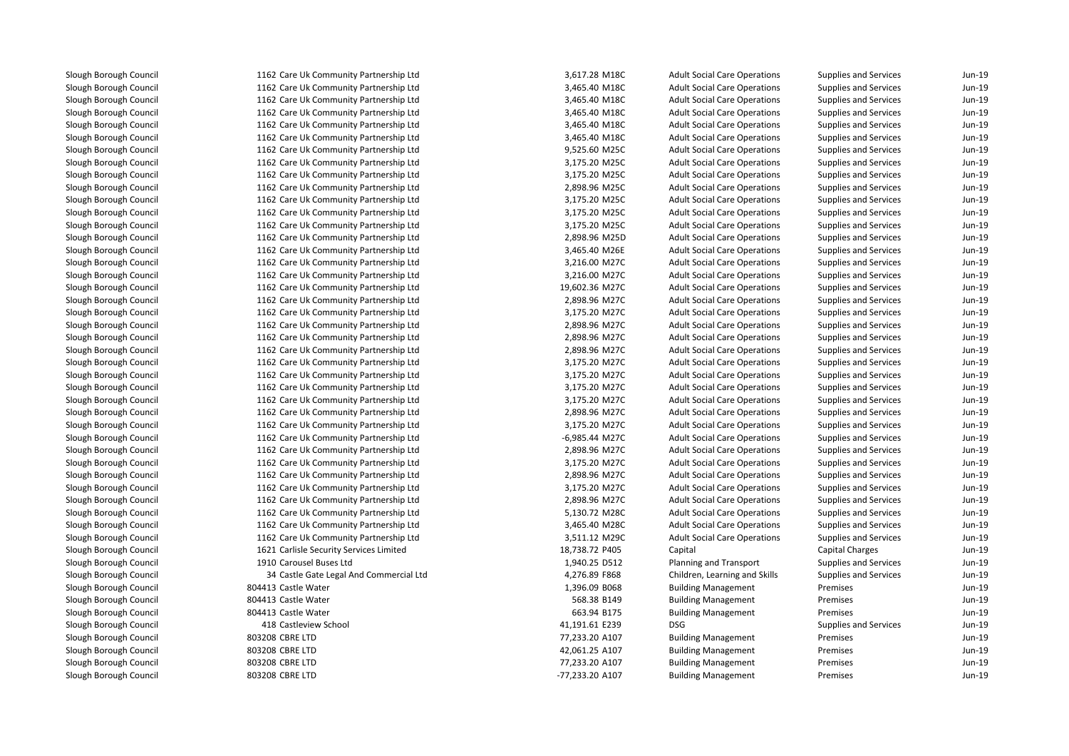1162 Care Uk Community Partnership Ltd 1162 Care Uk Community Partnership Ltd 1162 Care Uk Community Partnership Ltd 1162 Care Uk Community Partnership Ltd 1162 Care Uk Community Partnership Ltd 1162 Care Uk Community Partnership Ltd 1162 Care Uk Community Partnership Ltd 1162 Care Uk Community Partnership Ltd 1162 Care Uk Community Partnership Ltd 1162 Care Uk Community Partnership Ltd 1162 Care Uk Community Partnership Ltd 1162 Care Uk Community Partnership Ltd 1162 Care Uk Community Partnership Ltd 1162 Care Uk Community Partnership Ltd 1162 Care Uk Community Partnership Ltd 1162 Care Uk Community Partnership Ltd 1162 Care Uk Community Partnership Ltd 1162 Care Uk Community Partnership Ltd 1162 Care Uk Community Partnership Ltd 1162 Care Uk Community Partnership Ltd 1162 Care Uk Community Partnership Ltd 1162 Care Uk Community Partnership Ltd 1162 Care Uk Community Partnership Ltd 1162 Care Uk Community Partnership Ltd 1162 Care Uk Community Partnership Ltd 1162 Care Uk Community Partnership Ltd 1162 Care Uk Community Partnership Ltd 1162 Care Uk Community Partnership Ltd 1162 Care Uk Community Partnership Ltd 1162 Care Uk Community Partnership Ltd 1162 Care Uk Community Partnership Ltd 1162 Care Uk Community Partnership Ltd 1162 Care Uk Community Partnership Ltd 1162 Care Uk Community Partnership Ltd 1162 Care Uk Community Partnership Ltd 1162 Care Uk Community Partnership Ltd 1162 Care Uk Community Partnership Ltd 1162 Care Uk Community Partnership Ltd 1621 Carlisle Security Services Limited 1910 Carousel Buses Ltd 3434 Castle Gate Legal And Commercial Ltd 804413 Castle Water 804413 Castle Water 804413 Castle Water 418 Castleview School 41,191.61 E239 DSG 803208 CBRE LTD 803208 CBRE LTD 803208 CBRE LTD803208 CBRE LTD

| 2 Care Uk Community Partnership Ltd    | 3,617.28 M18C   | <b>Adult Social Care Operations</b> | Supplies and Services        | Jun-19 |
|----------------------------------------|-----------------|-------------------------------------|------------------------------|--------|
| 2 Care Uk Community Partnership Ltd    | 3,465.40 M18C   | <b>Adult Social Care Operations</b> | <b>Supplies and Services</b> | Jun-19 |
| 2 Care Uk Community Partnership Ltd    | 3,465.40 M18C   | <b>Adult Social Care Operations</b> | Supplies and Services        | Jun-19 |
| 2 Care Uk Community Partnership Ltd    | 3,465.40 M18C   | <b>Adult Social Care Operations</b> | <b>Supplies and Services</b> | Jun-19 |
| 2 Care Uk Community Partnership Ltd    | 3,465.40 M18C   | <b>Adult Social Care Operations</b> | Supplies and Services        | Jun-19 |
| 2 Care Uk Community Partnership Ltd    | 3,465.40 M18C   | <b>Adult Social Care Operations</b> | Supplies and Services        | Jun-19 |
| 2 Care Uk Community Partnership Ltd    | 9,525.60 M25C   | <b>Adult Social Care Operations</b> | <b>Supplies and Services</b> | Jun-19 |
| 2 Care Uk Community Partnership Ltd    | 3,175.20 M25C   | <b>Adult Social Care Operations</b> | <b>Supplies and Services</b> | Jun-19 |
| 2 Care Uk Community Partnership Ltd    | 3,175.20 M25C   | <b>Adult Social Care Operations</b> | <b>Supplies and Services</b> | Jun-19 |
|                                        |                 |                                     |                              | Jun-19 |
| 2 Care Uk Community Partnership Ltd    | 2,898.96 M25C   | <b>Adult Social Care Operations</b> | Supplies and Services        |        |
| 2 Care Uk Community Partnership Ltd    | 3,175.20 M25C   | <b>Adult Social Care Operations</b> | Supplies and Services        | Jun-19 |
| 2 Care Uk Community Partnership Ltd    | 3,175.20 M25C   | <b>Adult Social Care Operations</b> | Supplies and Services        | Jun-19 |
| 2 Care Uk Community Partnership Ltd    | 3,175.20 M25C   | <b>Adult Social Care Operations</b> | <b>Supplies and Services</b> | Jun-19 |
| 2 Care Uk Community Partnership Ltd    | 2,898.96 M25D   | <b>Adult Social Care Operations</b> | Supplies and Services        | Jun-19 |
| 2 Care Uk Community Partnership Ltd    | 3,465.40 M26E   | <b>Adult Social Care Operations</b> | Supplies and Services        | Jun-19 |
| 2 Care Uk Community Partnership Ltd    | 3,216.00 M27C   | <b>Adult Social Care Operations</b> | Supplies and Services        | Jun-19 |
| 2 Care Uk Community Partnership Ltd    | 3,216.00 M27C   | <b>Adult Social Care Operations</b> | <b>Supplies and Services</b> | Jun-19 |
| 2 Care Uk Community Partnership Ltd    | 19,602.36 M27C  | <b>Adult Social Care Operations</b> | Supplies and Services        | Jun-19 |
| 2 Care Uk Community Partnership Ltd    | 2,898.96 M27C   | <b>Adult Social Care Operations</b> | Supplies and Services        | Jun-19 |
| 2 Care Uk Community Partnership Ltd    | 3,175.20 M27C   | <b>Adult Social Care Operations</b> | Supplies and Services        | Jun-19 |
| 2 Care Uk Community Partnership Ltd    | 2,898.96 M27C   | <b>Adult Social Care Operations</b> | Supplies and Services        | Jun-19 |
| 2 Care Uk Community Partnership Ltd    | 2,898.96 M27C   | <b>Adult Social Care Operations</b> | Supplies and Services        | Jun-19 |
| 2 Care Uk Community Partnership Ltd    | 2,898.96 M27C   | <b>Adult Social Care Operations</b> | <b>Supplies and Services</b> | Jun-19 |
| 2 Care Uk Community Partnership Ltd    | 3,175.20 M27C   | <b>Adult Social Care Operations</b> | Supplies and Services        | Jun-19 |
| 2 Care Uk Community Partnership Ltd    | 3,175.20 M27C   | <b>Adult Social Care Operations</b> | <b>Supplies and Services</b> | Jun-19 |
| 2 Care Uk Community Partnership Ltd    | 3,175.20 M27C   | <b>Adult Social Care Operations</b> | Supplies and Services        | Jun-19 |
| 2 Care Uk Community Partnership Ltd    | 3,175.20 M27C   | <b>Adult Social Care Operations</b> | <b>Supplies and Services</b> | Jun-19 |
| 2 Care Uk Community Partnership Ltd    | 2,898.96 M27C   | <b>Adult Social Care Operations</b> | <b>Supplies and Services</b> | Jun-19 |
| 2 Care Uk Community Partnership Ltd    | 3,175.20 M27C   | <b>Adult Social Care Operations</b> | <b>Supplies and Services</b> | Jun-19 |
| 2 Care Uk Community Partnership Ltd    | -6,985.44 M27C  | <b>Adult Social Care Operations</b> | Supplies and Services        | Jun-19 |
| 2 Care Uk Community Partnership Ltd    | 2,898.96 M27C   | <b>Adult Social Care Operations</b> | Supplies and Services        | Jun-19 |
| 2 Care Uk Community Partnership Ltd    | 3,175.20 M27C   | <b>Adult Social Care Operations</b> | Supplies and Services        | Jun-19 |
| 2 Care Uk Community Partnership Ltd    | 2,898.96 M27C   | <b>Adult Social Care Operations</b> | Supplies and Services        | Jun-19 |
| 2 Care Uk Community Partnership Ltd    | 3,175.20 M27C   | <b>Adult Social Care Operations</b> | Supplies and Services        | Jun-19 |
| 2 Care Uk Community Partnership Ltd    | 2,898.96 M27C   | <b>Adult Social Care Operations</b> | Supplies and Services        | Jun-19 |
| 2 Care Uk Community Partnership Ltd    | 5,130.72 M28C   | <b>Adult Social Care Operations</b> | Supplies and Services        | Jun-19 |
| 2 Care Uk Community Partnership Ltd    | 3,465.40 M28C   | <b>Adult Social Care Operations</b> | Supplies and Services        | Jun-19 |
| 2 Care Uk Community Partnership Ltd    | 3,511.12 M29C   | <b>Adult Social Care Operations</b> | <b>Supplies and Services</b> | Jun-19 |
| 1 Carlisle Security Services Limited   | 18,738.72 P405  | Capital                             | Capital Charges              | Jun-19 |
| 0 Carousel Buses Ltd                   | 1,940.25 D512   | Planning and Transport              | <b>Supplies and Services</b> | Jun-19 |
| 4 Castle Gate Legal And Commercial Ltd | 4,276.89 F868   | Children, Learning and Skills       | Supplies and Services        | Jun-19 |
| 3 Castle Water                         | 1,396.09 B068   | <b>Building Management</b>          | Premises                     | Jun-19 |
| 3 Castle Water                         | 568.38 B149     | <b>Building Management</b>          | Premises                     | Jun-19 |
| 3 Castle Water                         | 663.94 B175     | <b>Building Management</b>          | Premises                     | Jun-19 |
| 8 Castleview School                    | 41,191.61 E239  | <b>DSG</b>                          | <b>Supplies and Services</b> | Jun-19 |
| 8 CBRE LTD                             | 77,233.20 A107  | <b>Building Management</b>          | Premises                     | Jun-19 |
| 8 CBRE LTD                             | 42,061.25 A107  | <b>Building Management</b>          | Premises                     | Jun-19 |
| 8 CBRE LTD                             | 77,233.20 A107  | <b>Building Management</b>          | Premises                     | Jun-19 |
| 8 CBRE LTD                             | -77,233.20 A107 | <b>Building Management</b>          | Premises                     | Jun-19 |
|                                        |                 |                                     |                              |        |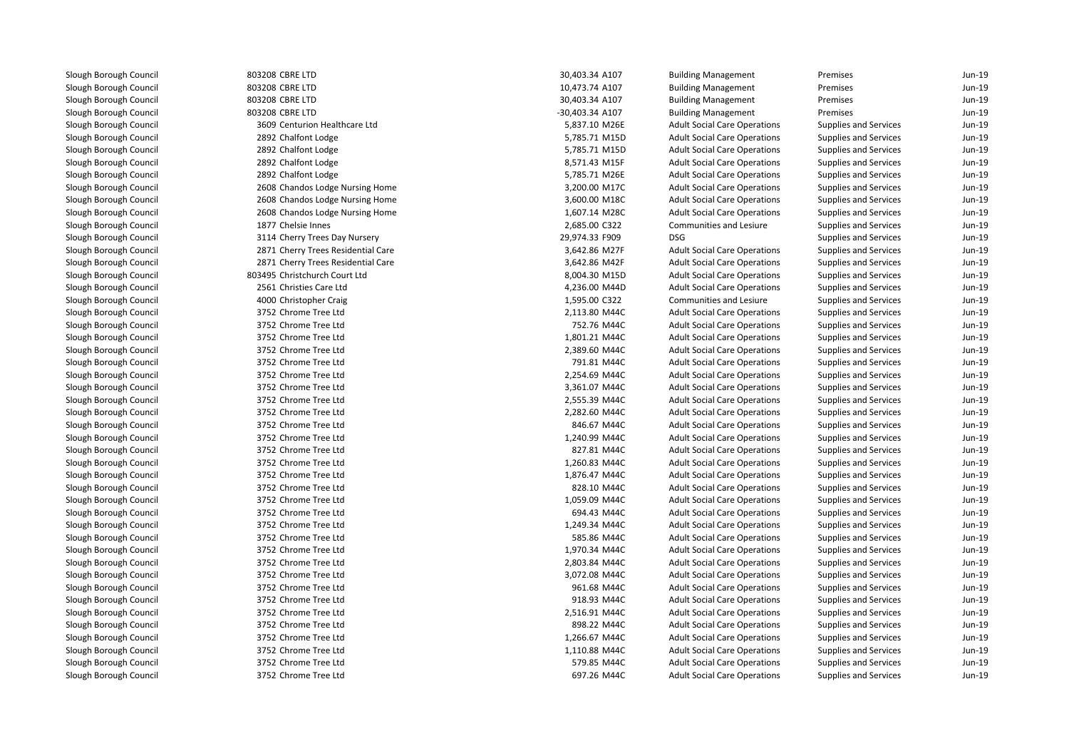| 803208 CBRE LTD                    | 30,403.34 A107  | <b>Building Management</b>          | Premises                     | Jun-19   |
|------------------------------------|-----------------|-------------------------------------|------------------------------|----------|
| 803208 CBRE LTD                    | 10,473.74 A107  | <b>Building Management</b>          | Premises                     | Jun-19   |
| 803208 CBRE LTD                    | 30,403.34 A107  | <b>Building Management</b>          | Premises                     | Jun-19   |
| 803208 CBRE LTD                    | -30,403.34 A107 | <b>Building Management</b>          | Premises                     | Jun-19   |
| 3609 Centurion Healthcare Ltd      | 5,837.10 M26E   | <b>Adult Social Care Operations</b> | Supplies and Services        | Jun-19   |
| 2892 Chalfont Lodge                | 5,785.71 M15D   | <b>Adult Social Care Operations</b> | Supplies and Services        | Jun-19   |
| 2892 Chalfont Lodge                | 5,785.71 M15D   | <b>Adult Social Care Operations</b> | Supplies and Services        | Jun-19   |
| 2892 Chalfont Lodge                | 8,571.43 M15F   | <b>Adult Social Care Operations</b> | Supplies and Services        | Jun-19   |
| 2892 Chalfont Lodge                | 5,785.71 M26E   | <b>Adult Social Care Operations</b> | Supplies and Services        | Jun-19   |
| 2608 Chandos Lodge Nursing Home    | 3,200.00 M17C   | <b>Adult Social Care Operations</b> | Supplies and Services        | Jun-19   |
| 2608 Chandos Lodge Nursing Home    | 3,600.00 M18C   | <b>Adult Social Care Operations</b> | Supplies and Services        | Jun-19   |
| 2608 Chandos Lodge Nursing Home    | 1,607.14 M28C   | <b>Adult Social Care Operations</b> | Supplies and Services        | Jun-19   |
| 1877 Chelsie Innes                 | 2,685.00 C322   | Communities and Lesiure             | Supplies and Services        | Jun-19   |
| 3114 Cherry Trees Day Nursery      | 29,974.33 F909  | <b>DSG</b>                          | Supplies and Services        | Jun-19   |
| 2871 Cherry Trees Residential Care | 3,642.86 M27F   | <b>Adult Social Care Operations</b> | Supplies and Services        | Jun-19   |
| 2871 Cherry Trees Residential Care | 3,642.86 M42F   | <b>Adult Social Care Operations</b> | Supplies and Services        | Jun-19   |
| 803495 Christchurch Court Ltd      | 8,004.30 M15D   | <b>Adult Social Care Operations</b> | Supplies and Services        | Jun-19   |
| 2561 Christies Care Ltd            | 4,236.00 M44D   | <b>Adult Social Care Operations</b> | Supplies and Services        | Jun-19   |
| 4000 Christopher Craig             | 1,595.00 C322   | <b>Communities and Lesiure</b>      | Supplies and Services        | $Jun-19$ |
| 3752 Chrome Tree Ltd               | 2,113.80 M44C   | <b>Adult Social Care Operations</b> | Supplies and Services        | Jun-19   |
| 3752 Chrome Tree Ltd               | 752.76 M44C     | <b>Adult Social Care Operations</b> | Supplies and Services        | $Jun-19$ |
| 3752 Chrome Tree Ltd               | 1,801.21 M44C   | <b>Adult Social Care Operations</b> | Supplies and Services        | $Jun-19$ |
| 3752 Chrome Tree Ltd               | 2,389.60 M44C   | <b>Adult Social Care Operations</b> | Supplies and Services        | $Jun-19$ |
| 3752 Chrome Tree Ltd               | 791.81 M44C     | <b>Adult Social Care Operations</b> | Supplies and Services        | Jun-19   |
| 3752 Chrome Tree Ltd               | 2,254.69 M44C   | <b>Adult Social Care Operations</b> | Supplies and Services        | Jun-19   |
| 3752 Chrome Tree Ltd               | 3,361.07 M44C   | <b>Adult Social Care Operations</b> | Supplies and Services        | Jun-19   |
| 3752 Chrome Tree Ltd               | 2,555.39 M44C   | <b>Adult Social Care Operations</b> | Supplies and Services        | Jun-19   |
| 3752 Chrome Tree Ltd               | 2,282.60 M44C   | <b>Adult Social Care Operations</b> | Supplies and Services        | Jun-19   |
| 3752 Chrome Tree Ltd               | 846.67 M44C     | <b>Adult Social Care Operations</b> | Supplies and Services        | Jun-19   |
| 3752 Chrome Tree Ltd               | 1,240.99 M44C   | <b>Adult Social Care Operations</b> | Supplies and Services        | Jun-19   |
| 3752 Chrome Tree Ltd               | 827.81 M44C     | <b>Adult Social Care Operations</b> | Supplies and Services        | Jun-19   |
| 3752 Chrome Tree Ltd               | 1,260.83 M44C   | <b>Adult Social Care Operations</b> | Supplies and Services        | Jun-19   |
| 3752 Chrome Tree Ltd               | 1,876.47 M44C   | <b>Adult Social Care Operations</b> | Supplies and Services        | Jun-19   |
| 3752 Chrome Tree Ltd               | 828.10 M44C     | <b>Adult Social Care Operations</b> | Supplies and Services        | Jun-19   |
| 3752 Chrome Tree Ltd               | 1,059.09 M44C   | <b>Adult Social Care Operations</b> | <b>Supplies and Services</b> | Jun-19   |
| 3752 Chrome Tree Ltd               | 694.43 M44C     | <b>Adult Social Care Operations</b> | Supplies and Services        | Jun-19   |
| 3752 Chrome Tree Ltd               | 1,249.34 M44C   | <b>Adult Social Care Operations</b> | Supplies and Services        | Jun-19   |
| 3752 Chrome Tree Ltd               | 585.86 M44C     | <b>Adult Social Care Operations</b> | Supplies and Services        | Jun-19   |
| 3752 Chrome Tree Ltd               | 1,970.34 M44C   | <b>Adult Social Care Operations</b> | Supplies and Services        | $Jun-19$ |
| 3752 Chrome Tree Ltd               | 2,803.84 M44C   | <b>Adult Social Care Operations</b> | Supplies and Services        | Jun-19   |
| 3752 Chrome Tree Ltd               | 3,072.08 M44C   | <b>Adult Social Care Operations</b> | Supplies and Services        | Jun-19   |
| 3752 Chrome Tree Ltd               | 961.68 M44C     | <b>Adult Social Care Operations</b> | Supplies and Services        | $Jun-19$ |
| 3752 Chrome Tree Ltd               | 918.93 M44C     | <b>Adult Social Care Operations</b> | Supplies and Services        | Jun-19   |
| 3752 Chrome Tree Ltd               | 2,516.91 M44C   | <b>Adult Social Care Operations</b> | Supplies and Services        | Jun-19   |
| 3752 Chrome Tree Ltd               | 898.22 M44C     | <b>Adult Social Care Operations</b> | Supplies and Services        | Jun-19   |
| 3752 Chrome Tree Ltd               | 1,266.67 M44C   | <b>Adult Social Care Operations</b> | Supplies and Services        | Jun-19   |
| 3752 Chrome Tree Ltd               | 1,110.88 M44C   | <b>Adult Social Care Operations</b> | Supplies and Services        | Jun-19   |
| 3752 Chrome Tree Ltd               | 579.85 M44C     | <b>Adult Social Care Operations</b> | Supplies and Services        | Jun-19   |
| 3752 Chrome Tree Ltd               | 697.26 M44C     | <b>Adult Social Care Operations</b> | Supplies and Services        | Jun-19   |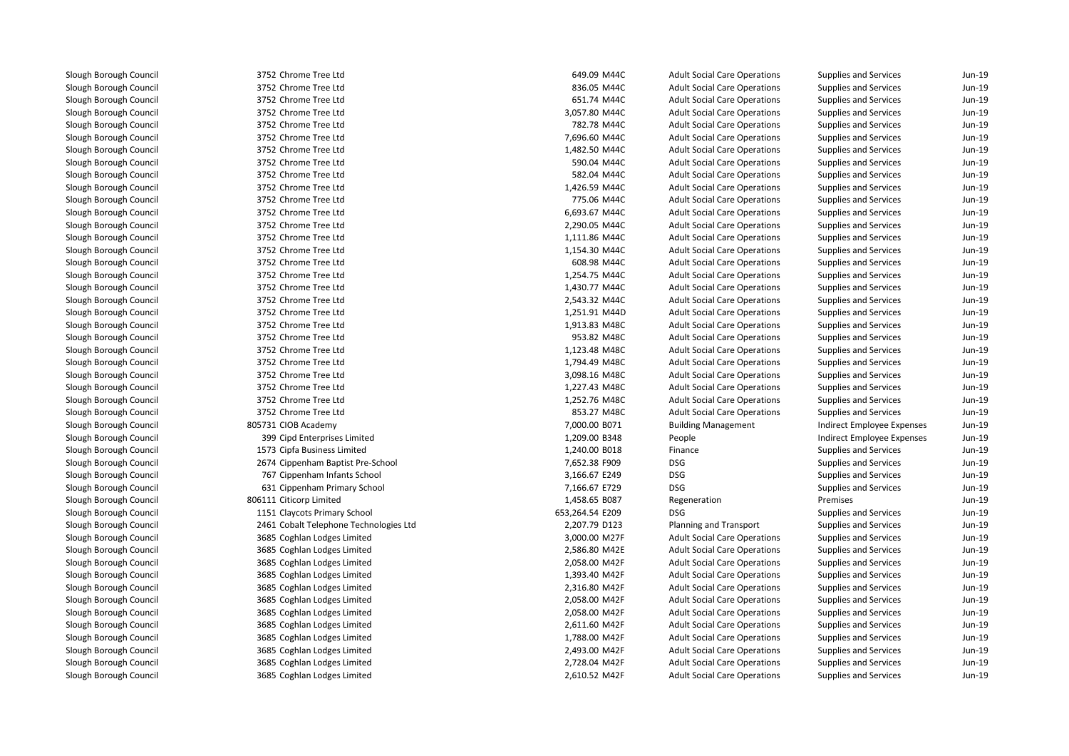3752 Chrome Tree Ltd 3752 Chrome Tree Ltd 3752 Chrome Tree Ltd 3752 Chrome Tree Ltd 3752 Chrome Tree Ltd 3752 Chrome Tree Ltd 3752 Chrome Tree Ltd 3752 Chrome Tree Ltd 3752 Chrome Tree Ltd 3752 Chrome Tree Ltd 3752 Chrome Tree Ltd 3752 Chrome Tree Ltd 3752 Chrome Tree Ltd 3752 Chrome Tree Ltd 3752 Chrome Tree Ltd 3752 Chrome Tree Ltd 3752 Chrome Tree Ltd 3752 Chrome Tree Ltd 3752 Chrome Tree Ltd 3752 Chrome Tree Ltd 3752 Chrome Tree Ltd 3752 Chrome Tree Ltd 3752 Chrome Tree Ltd 3752 Chrome Tree Ltd 3752 Chrome Tree Ltd 3752 Chrome Tree Ltd 3752 Chrome Tree Ltd 3752 Chrome Tree Ltd805731 CIOB Academy 399 Cipd Enterprises Limited 1573 Cipfa Business Limited 2674 Cippenham Baptist Pre-School 7,652.38 F909 DSG 767 Cippenham Infants School 3,166.67 E249 DSG 631 Cippenham Primary School 7,166.67 E729 DSG 806111 Citicorp Limited 1151 Claycots Primary School 653,264.54 E209 DSG 2461 Cobalt Telephone Technologies Ltd 3685 Coghlan Lodges Limited 3685 Coghlan Lodges Limited 3685 Coghlan Lodges Limited 3685 Coghlan Lodges Limited 3685 Coghlan Lodges Limited 3685 Coghlan Lodges Limited 3685 Coghlan Lodges Limited 3685 Coghlan Lodges Limited 3685 Coghlan Lodges Limited 3685 Coghlan Lodges Limited 3685 Coghlan Lodges Limited3685 Coghlan Lodges Limited

| 2 Chrome Tree Ltd<br>836.05 M44C<br><b>Adult Social Care Operations</b><br><b>Supplies and Services</b><br>2 Chrome Tree Ltd<br>651.74 M44C<br><b>Adult Social Care Operations</b><br><b>Supplies and Services</b><br>2 Chrome Tree Ltd<br>3,057.80 M44C<br><b>Adult Social Care Operations</b><br><b>Supplies and Services</b><br>2 Chrome Tree Ltd<br>782.78 M44C<br><b>Adult Social Care Operations</b><br>Supplies and Services<br>2 Chrome Tree Ltd<br>7,696.60 M44C<br><b>Adult Social Care Operations</b><br>Supplies and Services<br>2 Chrome Tree Ltd<br>1,482.50 M44C<br><b>Adult Social Care Operations</b><br>Supplies and Services<br>2 Chrome Tree Ltd<br>590.04 M44C<br><b>Adult Social Care Operations</b><br>Supplies and Services<br>2 Chrome Tree Ltd<br>582.04 M44C<br><b>Adult Social Care Operations</b><br><b>Supplies and Services</b><br>2 Chrome Tree Ltd<br>1,426.59 M44C<br><b>Adult Social Care Operations</b><br>Supplies and Services<br>2 Chrome Tree Ltd<br>775.06 M44C<br><b>Adult Social Care Operations</b><br><b>Supplies and Services</b><br>2 Chrome Tree Ltd<br>6,693.67 M44C<br><b>Adult Social Care Operations</b><br><b>Supplies and Services</b><br>2 Chrome Tree Ltd<br>2,290.05 M44C<br><b>Adult Social Care Operations</b><br>Supplies and Services<br>2 Chrome Tree Ltd<br>1,111.86 M44C<br><b>Adult Social Care Operations</b><br>Supplies and Services<br>2 Chrome Tree Ltd<br>1,154.30 M44C<br><b>Adult Social Care Operations</b><br><b>Supplies and Services</b><br>2 Chrome Tree Ltd<br>608.98 M44C<br><b>Adult Social Care Operations</b><br>Supplies and Services<br>2 Chrome Tree Ltd<br>1,254.75 M44C<br><b>Adult Social Care Operations</b><br>Supplies and Services<br>2 Chrome Tree Ltd<br>1,430.77 M44C<br><b>Adult Social Care Operations</b><br>Supplies and Services<br>2 Chrome Tree Ltd<br>2,543.32 M44C<br><b>Adult Social Care Operations</b><br><b>Supplies and Services</b><br>2 Chrome Tree Ltd<br><b>Supplies and Services</b><br>1,251.91 M44D<br><b>Adult Social Care Operations</b><br>2 Chrome Tree Ltd<br>1,913.83 M48C<br><b>Adult Social Care Operations</b><br>Supplies and Services<br>2 Chrome Tree Ltd<br>953.82 M48C<br><b>Adult Social Care Operations</b><br>Supplies and Services<br>2 Chrome Tree Ltd<br>1,123.48 M48C<br><b>Adult Social Care Operations</b><br><b>Supplies and Services</b><br>2 Chrome Tree Ltd<br>1,794.49 M48C<br><b>Adult Social Care Operations</b><br><b>Supplies and Services</b><br>2 Chrome Tree Ltd<br>3,098.16 M48C<br><b>Adult Social Care Operations</b><br><b>Supplies and Services</b><br>2 Chrome Tree Ltd<br>1,227.43 M48C<br>Supplies and Services<br><b>Adult Social Care Operations</b><br>2 Chrome Tree Ltd<br>1,252.76 M48C<br><b>Adult Social Care Operations</b><br>Supplies and Services<br>2 Chrome Tree Ltd<br>853.27 M48C<br><b>Adult Social Care Operations</b><br>Supplies and Services<br>1 CIOB Academy<br>7,000.00 B071<br><b>Building Management</b><br>Indirect Employee Expenses<br>9 Cipd Enterprises Limited<br>1,209.00 B348<br>People<br>Indirect Employee Expenses<br>3 Cipfa Business Limited<br>1,240.00 B018<br><b>Supplies and Services</b><br>Finance<br><b>DSG</b><br>4 Cippenham Baptist Pre-School<br>7,652.38 F909<br><b>Supplies and Services</b><br><b>DSG</b><br>7 Cippenham Infants School<br>3,166.67 E249<br><b>Supplies and Services</b><br>1 Cippenham Primary School<br>7,166.67 E729<br><b>DSG</b><br>Supplies and Services<br>1 Citicorp Limited<br>1,458.65 B087<br>Premises<br>Regeneration<br>1 Claycots Primary School<br>653,264.54 E209<br><b>DSG</b><br>Supplies and Services<br>1 Cobalt Telephone Technologies Ltd<br>2,207.79 D123<br>Planning and Transport<br>Supplies and Services<br>5 Coghlan Lodges Limited<br>3,000.00 M27F<br><b>Adult Social Care Operations</b><br>Supplies and Services<br>5 Coghlan Lodges Limited<br>2,586.80 M42E<br><b>Adult Social Care Operations</b><br>Supplies and Services<br>5 Coghlan Lodges Limited<br>2,058.00 M42F<br><b>Adult Social Care Operations</b><br>Supplies and Services<br>5 Coghlan Lodges Limited<br>Supplies and Services<br>1,393.40 M42F<br><b>Adult Social Care Operations</b><br>5 Coghlan Lodges Limited<br>2,316.80 M42F<br><b>Adult Social Care Operations</b><br>Supplies and Services<br>5 Coghlan Lodges Limited<br>2,058.00 M42F<br><b>Adult Social Care Operations</b><br>Supplies and Services<br>5 Coghlan Lodges Limited<br><b>Adult Social Care Operations</b><br>2,058.00 M42F<br><b>Supplies and Services</b><br>5 Coghlan Lodges Limited<br>2,611.60 M42F<br><b>Adult Social Care Operations</b><br>Supplies and Services<br>5 Coghlan Lodges Limited<br>1,788.00 M42F<br><b>Adult Social Care Operations</b><br><b>Supplies and Services</b><br>5 Coghlan Lodges Limited<br>2,493.00 M42F<br><b>Adult Social Care Operations</b><br>Supplies and Services<br>5 Coghlan Lodges Limited<br>2,728.04 M42F<br><b>Adult Social Care Operations</b><br><b>Supplies and Services</b><br>5 Coghlan Lodges Limited<br>2,610.52 M42F<br><b>Adult Social Care Operations</b><br><b>Supplies and Services</b> | 2 Chrome Tree Ltd | 649.09 M44C | <b>Adult Social Care Operations</b> | Supplies and Services | Jun-19 |
|-----------------------------------------------------------------------------------------------------------------------------------------------------------------------------------------------------------------------------------------------------------------------------------------------------------------------------------------------------------------------------------------------------------------------------------------------------------------------------------------------------------------------------------------------------------------------------------------------------------------------------------------------------------------------------------------------------------------------------------------------------------------------------------------------------------------------------------------------------------------------------------------------------------------------------------------------------------------------------------------------------------------------------------------------------------------------------------------------------------------------------------------------------------------------------------------------------------------------------------------------------------------------------------------------------------------------------------------------------------------------------------------------------------------------------------------------------------------------------------------------------------------------------------------------------------------------------------------------------------------------------------------------------------------------------------------------------------------------------------------------------------------------------------------------------------------------------------------------------------------------------------------------------------------------------------------------------------------------------------------------------------------------------------------------------------------------------------------------------------------------------------------------------------------------------------------------------------------------------------------------------------------------------------------------------------------------------------------------------------------------------------------------------------------------------------------------------------------------------------------------------------------------------------------------------------------------------------------------------------------------------------------------------------------------------------------------------------------------------------------------------------------------------------------------------------------------------------------------------------------------------------------------------------------------------------------------------------------------------------------------------------------------------------------------------------------------------------------------------------------------------------------------------------------------------------------------------------------------------------------------------------------------------------------------------------------------------------------------------------------------------------------------------------------------------------------------------------------------------------------------------------------------------------------------------------------------------------------------------------------------------------------------------------------------------------------------------------------------------------------------------------------------------------------------------------------------------------------------------------------------------------------------------------------------------------------------------------------------------------------------------------------------------------------------------------------------------------------------------------------------------------------------------------------------------------------------------------------------------------------------------------------------------------------------------------------------------------------------------------------------------------------------------------------------------------------------------------------------------------------------------------------------------------------------------------------------------------------------------------------------------------------------------------------------------------------------------------------------------------------------------------------------------------------------------------------------------------------------------------------------------------------------------------------------------------------------------------------------------------------------------------------------------------------------------------------------------------------------------------------------------------------------------------------|-------------------|-------------|-------------------------------------|-----------------------|--------|
|                                                                                                                                                                                                                                                                                                                                                                                                                                                                                                                                                                                                                                                                                                                                                                                                                                                                                                                                                                                                                                                                                                                                                                                                                                                                                                                                                                                                                                                                                                                                                                                                                                                                                                                                                                                                                                                                                                                                                                                                                                                                                                                                                                                                                                                                                                                                                                                                                                                                                                                                                                                                                                                                                                                                                                                                                                                                                                                                                                                                                                                                                                                                                                                                                                                                                                                                                                                                                                                                                                                                                                                                                                                                                                                                                                                                                                                                                                                                                                                                                                                                                                                                                                                                                                                                                                                                                                                                                                                                                                                                                                                                                                                                                                                                                                                                                                                                                                                                                                                                                                                                                                                                                                 |                   |             |                                     |                       | Jun-19 |
|                                                                                                                                                                                                                                                                                                                                                                                                                                                                                                                                                                                                                                                                                                                                                                                                                                                                                                                                                                                                                                                                                                                                                                                                                                                                                                                                                                                                                                                                                                                                                                                                                                                                                                                                                                                                                                                                                                                                                                                                                                                                                                                                                                                                                                                                                                                                                                                                                                                                                                                                                                                                                                                                                                                                                                                                                                                                                                                                                                                                                                                                                                                                                                                                                                                                                                                                                                                                                                                                                                                                                                                                                                                                                                                                                                                                                                                                                                                                                                                                                                                                                                                                                                                                                                                                                                                                                                                                                                                                                                                                                                                                                                                                                                                                                                                                                                                                                                                                                                                                                                                                                                                                                                 |                   |             |                                     |                       | Jun-19 |
|                                                                                                                                                                                                                                                                                                                                                                                                                                                                                                                                                                                                                                                                                                                                                                                                                                                                                                                                                                                                                                                                                                                                                                                                                                                                                                                                                                                                                                                                                                                                                                                                                                                                                                                                                                                                                                                                                                                                                                                                                                                                                                                                                                                                                                                                                                                                                                                                                                                                                                                                                                                                                                                                                                                                                                                                                                                                                                                                                                                                                                                                                                                                                                                                                                                                                                                                                                                                                                                                                                                                                                                                                                                                                                                                                                                                                                                                                                                                                                                                                                                                                                                                                                                                                                                                                                                                                                                                                                                                                                                                                                                                                                                                                                                                                                                                                                                                                                                                                                                                                                                                                                                                                                 |                   |             |                                     |                       | Jun-19 |
|                                                                                                                                                                                                                                                                                                                                                                                                                                                                                                                                                                                                                                                                                                                                                                                                                                                                                                                                                                                                                                                                                                                                                                                                                                                                                                                                                                                                                                                                                                                                                                                                                                                                                                                                                                                                                                                                                                                                                                                                                                                                                                                                                                                                                                                                                                                                                                                                                                                                                                                                                                                                                                                                                                                                                                                                                                                                                                                                                                                                                                                                                                                                                                                                                                                                                                                                                                                                                                                                                                                                                                                                                                                                                                                                                                                                                                                                                                                                                                                                                                                                                                                                                                                                                                                                                                                                                                                                                                                                                                                                                                                                                                                                                                                                                                                                                                                                                                                                                                                                                                                                                                                                                                 |                   |             |                                     |                       | Jun-19 |
|                                                                                                                                                                                                                                                                                                                                                                                                                                                                                                                                                                                                                                                                                                                                                                                                                                                                                                                                                                                                                                                                                                                                                                                                                                                                                                                                                                                                                                                                                                                                                                                                                                                                                                                                                                                                                                                                                                                                                                                                                                                                                                                                                                                                                                                                                                                                                                                                                                                                                                                                                                                                                                                                                                                                                                                                                                                                                                                                                                                                                                                                                                                                                                                                                                                                                                                                                                                                                                                                                                                                                                                                                                                                                                                                                                                                                                                                                                                                                                                                                                                                                                                                                                                                                                                                                                                                                                                                                                                                                                                                                                                                                                                                                                                                                                                                                                                                                                                                                                                                                                                                                                                                                                 |                   |             |                                     |                       | Jun-19 |
|                                                                                                                                                                                                                                                                                                                                                                                                                                                                                                                                                                                                                                                                                                                                                                                                                                                                                                                                                                                                                                                                                                                                                                                                                                                                                                                                                                                                                                                                                                                                                                                                                                                                                                                                                                                                                                                                                                                                                                                                                                                                                                                                                                                                                                                                                                                                                                                                                                                                                                                                                                                                                                                                                                                                                                                                                                                                                                                                                                                                                                                                                                                                                                                                                                                                                                                                                                                                                                                                                                                                                                                                                                                                                                                                                                                                                                                                                                                                                                                                                                                                                                                                                                                                                                                                                                                                                                                                                                                                                                                                                                                                                                                                                                                                                                                                                                                                                                                                                                                                                                                                                                                                                                 |                   |             |                                     |                       | Jun-19 |
|                                                                                                                                                                                                                                                                                                                                                                                                                                                                                                                                                                                                                                                                                                                                                                                                                                                                                                                                                                                                                                                                                                                                                                                                                                                                                                                                                                                                                                                                                                                                                                                                                                                                                                                                                                                                                                                                                                                                                                                                                                                                                                                                                                                                                                                                                                                                                                                                                                                                                                                                                                                                                                                                                                                                                                                                                                                                                                                                                                                                                                                                                                                                                                                                                                                                                                                                                                                                                                                                                                                                                                                                                                                                                                                                                                                                                                                                                                                                                                                                                                                                                                                                                                                                                                                                                                                                                                                                                                                                                                                                                                                                                                                                                                                                                                                                                                                                                                                                                                                                                                                                                                                                                                 |                   |             |                                     |                       | Jun-19 |
|                                                                                                                                                                                                                                                                                                                                                                                                                                                                                                                                                                                                                                                                                                                                                                                                                                                                                                                                                                                                                                                                                                                                                                                                                                                                                                                                                                                                                                                                                                                                                                                                                                                                                                                                                                                                                                                                                                                                                                                                                                                                                                                                                                                                                                                                                                                                                                                                                                                                                                                                                                                                                                                                                                                                                                                                                                                                                                                                                                                                                                                                                                                                                                                                                                                                                                                                                                                                                                                                                                                                                                                                                                                                                                                                                                                                                                                                                                                                                                                                                                                                                                                                                                                                                                                                                                                                                                                                                                                                                                                                                                                                                                                                                                                                                                                                                                                                                                                                                                                                                                                                                                                                                                 |                   |             |                                     |                       | Jun-19 |
|                                                                                                                                                                                                                                                                                                                                                                                                                                                                                                                                                                                                                                                                                                                                                                                                                                                                                                                                                                                                                                                                                                                                                                                                                                                                                                                                                                                                                                                                                                                                                                                                                                                                                                                                                                                                                                                                                                                                                                                                                                                                                                                                                                                                                                                                                                                                                                                                                                                                                                                                                                                                                                                                                                                                                                                                                                                                                                                                                                                                                                                                                                                                                                                                                                                                                                                                                                                                                                                                                                                                                                                                                                                                                                                                                                                                                                                                                                                                                                                                                                                                                                                                                                                                                                                                                                                                                                                                                                                                                                                                                                                                                                                                                                                                                                                                                                                                                                                                                                                                                                                                                                                                                                 |                   |             |                                     |                       | Jun-19 |
|                                                                                                                                                                                                                                                                                                                                                                                                                                                                                                                                                                                                                                                                                                                                                                                                                                                                                                                                                                                                                                                                                                                                                                                                                                                                                                                                                                                                                                                                                                                                                                                                                                                                                                                                                                                                                                                                                                                                                                                                                                                                                                                                                                                                                                                                                                                                                                                                                                                                                                                                                                                                                                                                                                                                                                                                                                                                                                                                                                                                                                                                                                                                                                                                                                                                                                                                                                                                                                                                                                                                                                                                                                                                                                                                                                                                                                                                                                                                                                                                                                                                                                                                                                                                                                                                                                                                                                                                                                                                                                                                                                                                                                                                                                                                                                                                                                                                                                                                                                                                                                                                                                                                                                 |                   |             |                                     |                       | Jun-19 |
|                                                                                                                                                                                                                                                                                                                                                                                                                                                                                                                                                                                                                                                                                                                                                                                                                                                                                                                                                                                                                                                                                                                                                                                                                                                                                                                                                                                                                                                                                                                                                                                                                                                                                                                                                                                                                                                                                                                                                                                                                                                                                                                                                                                                                                                                                                                                                                                                                                                                                                                                                                                                                                                                                                                                                                                                                                                                                                                                                                                                                                                                                                                                                                                                                                                                                                                                                                                                                                                                                                                                                                                                                                                                                                                                                                                                                                                                                                                                                                                                                                                                                                                                                                                                                                                                                                                                                                                                                                                                                                                                                                                                                                                                                                                                                                                                                                                                                                                                                                                                                                                                                                                                                                 |                   |             |                                     |                       | Jun-19 |
|                                                                                                                                                                                                                                                                                                                                                                                                                                                                                                                                                                                                                                                                                                                                                                                                                                                                                                                                                                                                                                                                                                                                                                                                                                                                                                                                                                                                                                                                                                                                                                                                                                                                                                                                                                                                                                                                                                                                                                                                                                                                                                                                                                                                                                                                                                                                                                                                                                                                                                                                                                                                                                                                                                                                                                                                                                                                                                                                                                                                                                                                                                                                                                                                                                                                                                                                                                                                                                                                                                                                                                                                                                                                                                                                                                                                                                                                                                                                                                                                                                                                                                                                                                                                                                                                                                                                                                                                                                                                                                                                                                                                                                                                                                                                                                                                                                                                                                                                                                                                                                                                                                                                                                 |                   |             |                                     |                       | Jun-19 |
|                                                                                                                                                                                                                                                                                                                                                                                                                                                                                                                                                                                                                                                                                                                                                                                                                                                                                                                                                                                                                                                                                                                                                                                                                                                                                                                                                                                                                                                                                                                                                                                                                                                                                                                                                                                                                                                                                                                                                                                                                                                                                                                                                                                                                                                                                                                                                                                                                                                                                                                                                                                                                                                                                                                                                                                                                                                                                                                                                                                                                                                                                                                                                                                                                                                                                                                                                                                                                                                                                                                                                                                                                                                                                                                                                                                                                                                                                                                                                                                                                                                                                                                                                                                                                                                                                                                                                                                                                                                                                                                                                                                                                                                                                                                                                                                                                                                                                                                                                                                                                                                                                                                                                                 |                   |             |                                     |                       | Jun-19 |
|                                                                                                                                                                                                                                                                                                                                                                                                                                                                                                                                                                                                                                                                                                                                                                                                                                                                                                                                                                                                                                                                                                                                                                                                                                                                                                                                                                                                                                                                                                                                                                                                                                                                                                                                                                                                                                                                                                                                                                                                                                                                                                                                                                                                                                                                                                                                                                                                                                                                                                                                                                                                                                                                                                                                                                                                                                                                                                                                                                                                                                                                                                                                                                                                                                                                                                                                                                                                                                                                                                                                                                                                                                                                                                                                                                                                                                                                                                                                                                                                                                                                                                                                                                                                                                                                                                                                                                                                                                                                                                                                                                                                                                                                                                                                                                                                                                                                                                                                                                                                                                                                                                                                                                 |                   |             |                                     |                       | Jun-19 |
|                                                                                                                                                                                                                                                                                                                                                                                                                                                                                                                                                                                                                                                                                                                                                                                                                                                                                                                                                                                                                                                                                                                                                                                                                                                                                                                                                                                                                                                                                                                                                                                                                                                                                                                                                                                                                                                                                                                                                                                                                                                                                                                                                                                                                                                                                                                                                                                                                                                                                                                                                                                                                                                                                                                                                                                                                                                                                                                                                                                                                                                                                                                                                                                                                                                                                                                                                                                                                                                                                                                                                                                                                                                                                                                                                                                                                                                                                                                                                                                                                                                                                                                                                                                                                                                                                                                                                                                                                                                                                                                                                                                                                                                                                                                                                                                                                                                                                                                                                                                                                                                                                                                                                                 |                   |             |                                     |                       | Jun-19 |
|                                                                                                                                                                                                                                                                                                                                                                                                                                                                                                                                                                                                                                                                                                                                                                                                                                                                                                                                                                                                                                                                                                                                                                                                                                                                                                                                                                                                                                                                                                                                                                                                                                                                                                                                                                                                                                                                                                                                                                                                                                                                                                                                                                                                                                                                                                                                                                                                                                                                                                                                                                                                                                                                                                                                                                                                                                                                                                                                                                                                                                                                                                                                                                                                                                                                                                                                                                                                                                                                                                                                                                                                                                                                                                                                                                                                                                                                                                                                                                                                                                                                                                                                                                                                                                                                                                                                                                                                                                                                                                                                                                                                                                                                                                                                                                                                                                                                                                                                                                                                                                                                                                                                                                 |                   |             |                                     |                       | Jun-19 |
|                                                                                                                                                                                                                                                                                                                                                                                                                                                                                                                                                                                                                                                                                                                                                                                                                                                                                                                                                                                                                                                                                                                                                                                                                                                                                                                                                                                                                                                                                                                                                                                                                                                                                                                                                                                                                                                                                                                                                                                                                                                                                                                                                                                                                                                                                                                                                                                                                                                                                                                                                                                                                                                                                                                                                                                                                                                                                                                                                                                                                                                                                                                                                                                                                                                                                                                                                                                                                                                                                                                                                                                                                                                                                                                                                                                                                                                                                                                                                                                                                                                                                                                                                                                                                                                                                                                                                                                                                                                                                                                                                                                                                                                                                                                                                                                                                                                                                                                                                                                                                                                                                                                                                                 |                   |             |                                     |                       | Jun-19 |
|                                                                                                                                                                                                                                                                                                                                                                                                                                                                                                                                                                                                                                                                                                                                                                                                                                                                                                                                                                                                                                                                                                                                                                                                                                                                                                                                                                                                                                                                                                                                                                                                                                                                                                                                                                                                                                                                                                                                                                                                                                                                                                                                                                                                                                                                                                                                                                                                                                                                                                                                                                                                                                                                                                                                                                                                                                                                                                                                                                                                                                                                                                                                                                                                                                                                                                                                                                                                                                                                                                                                                                                                                                                                                                                                                                                                                                                                                                                                                                                                                                                                                                                                                                                                                                                                                                                                                                                                                                                                                                                                                                                                                                                                                                                                                                                                                                                                                                                                                                                                                                                                                                                                                                 |                   |             |                                     |                       | Jun-19 |
|                                                                                                                                                                                                                                                                                                                                                                                                                                                                                                                                                                                                                                                                                                                                                                                                                                                                                                                                                                                                                                                                                                                                                                                                                                                                                                                                                                                                                                                                                                                                                                                                                                                                                                                                                                                                                                                                                                                                                                                                                                                                                                                                                                                                                                                                                                                                                                                                                                                                                                                                                                                                                                                                                                                                                                                                                                                                                                                                                                                                                                                                                                                                                                                                                                                                                                                                                                                                                                                                                                                                                                                                                                                                                                                                                                                                                                                                                                                                                                                                                                                                                                                                                                                                                                                                                                                                                                                                                                                                                                                                                                                                                                                                                                                                                                                                                                                                                                                                                                                                                                                                                                                                                                 |                   |             |                                     |                       | Jun-19 |
|                                                                                                                                                                                                                                                                                                                                                                                                                                                                                                                                                                                                                                                                                                                                                                                                                                                                                                                                                                                                                                                                                                                                                                                                                                                                                                                                                                                                                                                                                                                                                                                                                                                                                                                                                                                                                                                                                                                                                                                                                                                                                                                                                                                                                                                                                                                                                                                                                                                                                                                                                                                                                                                                                                                                                                                                                                                                                                                                                                                                                                                                                                                                                                                                                                                                                                                                                                                                                                                                                                                                                                                                                                                                                                                                                                                                                                                                                                                                                                                                                                                                                                                                                                                                                                                                                                                                                                                                                                                                                                                                                                                                                                                                                                                                                                                                                                                                                                                                                                                                                                                                                                                                                                 |                   |             |                                     |                       | Jun-19 |
|                                                                                                                                                                                                                                                                                                                                                                                                                                                                                                                                                                                                                                                                                                                                                                                                                                                                                                                                                                                                                                                                                                                                                                                                                                                                                                                                                                                                                                                                                                                                                                                                                                                                                                                                                                                                                                                                                                                                                                                                                                                                                                                                                                                                                                                                                                                                                                                                                                                                                                                                                                                                                                                                                                                                                                                                                                                                                                                                                                                                                                                                                                                                                                                                                                                                                                                                                                                                                                                                                                                                                                                                                                                                                                                                                                                                                                                                                                                                                                                                                                                                                                                                                                                                                                                                                                                                                                                                                                                                                                                                                                                                                                                                                                                                                                                                                                                                                                                                                                                                                                                                                                                                                                 |                   |             |                                     |                       | Jun-19 |
|                                                                                                                                                                                                                                                                                                                                                                                                                                                                                                                                                                                                                                                                                                                                                                                                                                                                                                                                                                                                                                                                                                                                                                                                                                                                                                                                                                                                                                                                                                                                                                                                                                                                                                                                                                                                                                                                                                                                                                                                                                                                                                                                                                                                                                                                                                                                                                                                                                                                                                                                                                                                                                                                                                                                                                                                                                                                                                                                                                                                                                                                                                                                                                                                                                                                                                                                                                                                                                                                                                                                                                                                                                                                                                                                                                                                                                                                                                                                                                                                                                                                                                                                                                                                                                                                                                                                                                                                                                                                                                                                                                                                                                                                                                                                                                                                                                                                                                                                                                                                                                                                                                                                                                 |                   |             |                                     |                       | Jun-19 |
|                                                                                                                                                                                                                                                                                                                                                                                                                                                                                                                                                                                                                                                                                                                                                                                                                                                                                                                                                                                                                                                                                                                                                                                                                                                                                                                                                                                                                                                                                                                                                                                                                                                                                                                                                                                                                                                                                                                                                                                                                                                                                                                                                                                                                                                                                                                                                                                                                                                                                                                                                                                                                                                                                                                                                                                                                                                                                                                                                                                                                                                                                                                                                                                                                                                                                                                                                                                                                                                                                                                                                                                                                                                                                                                                                                                                                                                                                                                                                                                                                                                                                                                                                                                                                                                                                                                                                                                                                                                                                                                                                                                                                                                                                                                                                                                                                                                                                                                                                                                                                                                                                                                                                                 |                   |             |                                     |                       | Jun-19 |
|                                                                                                                                                                                                                                                                                                                                                                                                                                                                                                                                                                                                                                                                                                                                                                                                                                                                                                                                                                                                                                                                                                                                                                                                                                                                                                                                                                                                                                                                                                                                                                                                                                                                                                                                                                                                                                                                                                                                                                                                                                                                                                                                                                                                                                                                                                                                                                                                                                                                                                                                                                                                                                                                                                                                                                                                                                                                                                                                                                                                                                                                                                                                                                                                                                                                                                                                                                                                                                                                                                                                                                                                                                                                                                                                                                                                                                                                                                                                                                                                                                                                                                                                                                                                                                                                                                                                                                                                                                                                                                                                                                                                                                                                                                                                                                                                                                                                                                                                                                                                                                                                                                                                                                 |                   |             |                                     |                       | Jun-19 |
|                                                                                                                                                                                                                                                                                                                                                                                                                                                                                                                                                                                                                                                                                                                                                                                                                                                                                                                                                                                                                                                                                                                                                                                                                                                                                                                                                                                                                                                                                                                                                                                                                                                                                                                                                                                                                                                                                                                                                                                                                                                                                                                                                                                                                                                                                                                                                                                                                                                                                                                                                                                                                                                                                                                                                                                                                                                                                                                                                                                                                                                                                                                                                                                                                                                                                                                                                                                                                                                                                                                                                                                                                                                                                                                                                                                                                                                                                                                                                                                                                                                                                                                                                                                                                                                                                                                                                                                                                                                                                                                                                                                                                                                                                                                                                                                                                                                                                                                                                                                                                                                                                                                                                                 |                   |             |                                     |                       | Jun-19 |
|                                                                                                                                                                                                                                                                                                                                                                                                                                                                                                                                                                                                                                                                                                                                                                                                                                                                                                                                                                                                                                                                                                                                                                                                                                                                                                                                                                                                                                                                                                                                                                                                                                                                                                                                                                                                                                                                                                                                                                                                                                                                                                                                                                                                                                                                                                                                                                                                                                                                                                                                                                                                                                                                                                                                                                                                                                                                                                                                                                                                                                                                                                                                                                                                                                                                                                                                                                                                                                                                                                                                                                                                                                                                                                                                                                                                                                                                                                                                                                                                                                                                                                                                                                                                                                                                                                                                                                                                                                                                                                                                                                                                                                                                                                                                                                                                                                                                                                                                                                                                                                                                                                                                                                 |                   |             |                                     |                       | Jun-19 |
|                                                                                                                                                                                                                                                                                                                                                                                                                                                                                                                                                                                                                                                                                                                                                                                                                                                                                                                                                                                                                                                                                                                                                                                                                                                                                                                                                                                                                                                                                                                                                                                                                                                                                                                                                                                                                                                                                                                                                                                                                                                                                                                                                                                                                                                                                                                                                                                                                                                                                                                                                                                                                                                                                                                                                                                                                                                                                                                                                                                                                                                                                                                                                                                                                                                                                                                                                                                                                                                                                                                                                                                                                                                                                                                                                                                                                                                                                                                                                                                                                                                                                                                                                                                                                                                                                                                                                                                                                                                                                                                                                                                                                                                                                                                                                                                                                                                                                                                                                                                                                                                                                                                                                                 |                   |             |                                     |                       | Jun-19 |
|                                                                                                                                                                                                                                                                                                                                                                                                                                                                                                                                                                                                                                                                                                                                                                                                                                                                                                                                                                                                                                                                                                                                                                                                                                                                                                                                                                                                                                                                                                                                                                                                                                                                                                                                                                                                                                                                                                                                                                                                                                                                                                                                                                                                                                                                                                                                                                                                                                                                                                                                                                                                                                                                                                                                                                                                                                                                                                                                                                                                                                                                                                                                                                                                                                                                                                                                                                                                                                                                                                                                                                                                                                                                                                                                                                                                                                                                                                                                                                                                                                                                                                                                                                                                                                                                                                                                                                                                                                                                                                                                                                                                                                                                                                                                                                                                                                                                                                                                                                                                                                                                                                                                                                 |                   |             |                                     |                       | Jun-19 |
|                                                                                                                                                                                                                                                                                                                                                                                                                                                                                                                                                                                                                                                                                                                                                                                                                                                                                                                                                                                                                                                                                                                                                                                                                                                                                                                                                                                                                                                                                                                                                                                                                                                                                                                                                                                                                                                                                                                                                                                                                                                                                                                                                                                                                                                                                                                                                                                                                                                                                                                                                                                                                                                                                                                                                                                                                                                                                                                                                                                                                                                                                                                                                                                                                                                                                                                                                                                                                                                                                                                                                                                                                                                                                                                                                                                                                                                                                                                                                                                                                                                                                                                                                                                                                                                                                                                                                                                                                                                                                                                                                                                                                                                                                                                                                                                                                                                                                                                                                                                                                                                                                                                                                                 |                   |             |                                     |                       | Jun-19 |
|                                                                                                                                                                                                                                                                                                                                                                                                                                                                                                                                                                                                                                                                                                                                                                                                                                                                                                                                                                                                                                                                                                                                                                                                                                                                                                                                                                                                                                                                                                                                                                                                                                                                                                                                                                                                                                                                                                                                                                                                                                                                                                                                                                                                                                                                                                                                                                                                                                                                                                                                                                                                                                                                                                                                                                                                                                                                                                                                                                                                                                                                                                                                                                                                                                                                                                                                                                                                                                                                                                                                                                                                                                                                                                                                                                                                                                                                                                                                                                                                                                                                                                                                                                                                                                                                                                                                                                                                                                                                                                                                                                                                                                                                                                                                                                                                                                                                                                                                                                                                                                                                                                                                                                 |                   |             |                                     |                       | Jun-19 |
|                                                                                                                                                                                                                                                                                                                                                                                                                                                                                                                                                                                                                                                                                                                                                                                                                                                                                                                                                                                                                                                                                                                                                                                                                                                                                                                                                                                                                                                                                                                                                                                                                                                                                                                                                                                                                                                                                                                                                                                                                                                                                                                                                                                                                                                                                                                                                                                                                                                                                                                                                                                                                                                                                                                                                                                                                                                                                                                                                                                                                                                                                                                                                                                                                                                                                                                                                                                                                                                                                                                                                                                                                                                                                                                                                                                                                                                                                                                                                                                                                                                                                                                                                                                                                                                                                                                                                                                                                                                                                                                                                                                                                                                                                                                                                                                                                                                                                                                                                                                                                                                                                                                                                                 |                   |             |                                     |                       | Jun-19 |
|                                                                                                                                                                                                                                                                                                                                                                                                                                                                                                                                                                                                                                                                                                                                                                                                                                                                                                                                                                                                                                                                                                                                                                                                                                                                                                                                                                                                                                                                                                                                                                                                                                                                                                                                                                                                                                                                                                                                                                                                                                                                                                                                                                                                                                                                                                                                                                                                                                                                                                                                                                                                                                                                                                                                                                                                                                                                                                                                                                                                                                                                                                                                                                                                                                                                                                                                                                                                                                                                                                                                                                                                                                                                                                                                                                                                                                                                                                                                                                                                                                                                                                                                                                                                                                                                                                                                                                                                                                                                                                                                                                                                                                                                                                                                                                                                                                                                                                                                                                                                                                                                                                                                                                 |                   |             |                                     |                       | Jun-19 |
|                                                                                                                                                                                                                                                                                                                                                                                                                                                                                                                                                                                                                                                                                                                                                                                                                                                                                                                                                                                                                                                                                                                                                                                                                                                                                                                                                                                                                                                                                                                                                                                                                                                                                                                                                                                                                                                                                                                                                                                                                                                                                                                                                                                                                                                                                                                                                                                                                                                                                                                                                                                                                                                                                                                                                                                                                                                                                                                                                                                                                                                                                                                                                                                                                                                                                                                                                                                                                                                                                                                                                                                                                                                                                                                                                                                                                                                                                                                                                                                                                                                                                                                                                                                                                                                                                                                                                                                                                                                                                                                                                                                                                                                                                                                                                                                                                                                                                                                                                                                                                                                                                                                                                                 |                   |             |                                     |                       | Jun-19 |
|                                                                                                                                                                                                                                                                                                                                                                                                                                                                                                                                                                                                                                                                                                                                                                                                                                                                                                                                                                                                                                                                                                                                                                                                                                                                                                                                                                                                                                                                                                                                                                                                                                                                                                                                                                                                                                                                                                                                                                                                                                                                                                                                                                                                                                                                                                                                                                                                                                                                                                                                                                                                                                                                                                                                                                                                                                                                                                                                                                                                                                                                                                                                                                                                                                                                                                                                                                                                                                                                                                                                                                                                                                                                                                                                                                                                                                                                                                                                                                                                                                                                                                                                                                                                                                                                                                                                                                                                                                                                                                                                                                                                                                                                                                                                                                                                                                                                                                                                                                                                                                                                                                                                                                 |                   |             |                                     |                       | Jun-19 |
|                                                                                                                                                                                                                                                                                                                                                                                                                                                                                                                                                                                                                                                                                                                                                                                                                                                                                                                                                                                                                                                                                                                                                                                                                                                                                                                                                                                                                                                                                                                                                                                                                                                                                                                                                                                                                                                                                                                                                                                                                                                                                                                                                                                                                                                                                                                                                                                                                                                                                                                                                                                                                                                                                                                                                                                                                                                                                                                                                                                                                                                                                                                                                                                                                                                                                                                                                                                                                                                                                                                                                                                                                                                                                                                                                                                                                                                                                                                                                                                                                                                                                                                                                                                                                                                                                                                                                                                                                                                                                                                                                                                                                                                                                                                                                                                                                                                                                                                                                                                                                                                                                                                                                                 |                   |             |                                     |                       | Jun-19 |
|                                                                                                                                                                                                                                                                                                                                                                                                                                                                                                                                                                                                                                                                                                                                                                                                                                                                                                                                                                                                                                                                                                                                                                                                                                                                                                                                                                                                                                                                                                                                                                                                                                                                                                                                                                                                                                                                                                                                                                                                                                                                                                                                                                                                                                                                                                                                                                                                                                                                                                                                                                                                                                                                                                                                                                                                                                                                                                                                                                                                                                                                                                                                                                                                                                                                                                                                                                                                                                                                                                                                                                                                                                                                                                                                                                                                                                                                                                                                                                                                                                                                                                                                                                                                                                                                                                                                                                                                                                                                                                                                                                                                                                                                                                                                                                                                                                                                                                                                                                                                                                                                                                                                                                 |                   |             |                                     |                       | Jun-19 |
|                                                                                                                                                                                                                                                                                                                                                                                                                                                                                                                                                                                                                                                                                                                                                                                                                                                                                                                                                                                                                                                                                                                                                                                                                                                                                                                                                                                                                                                                                                                                                                                                                                                                                                                                                                                                                                                                                                                                                                                                                                                                                                                                                                                                                                                                                                                                                                                                                                                                                                                                                                                                                                                                                                                                                                                                                                                                                                                                                                                                                                                                                                                                                                                                                                                                                                                                                                                                                                                                                                                                                                                                                                                                                                                                                                                                                                                                                                                                                                                                                                                                                                                                                                                                                                                                                                                                                                                                                                                                                                                                                                                                                                                                                                                                                                                                                                                                                                                                                                                                                                                                                                                                                                 |                   |             |                                     |                       | Jun-19 |
|                                                                                                                                                                                                                                                                                                                                                                                                                                                                                                                                                                                                                                                                                                                                                                                                                                                                                                                                                                                                                                                                                                                                                                                                                                                                                                                                                                                                                                                                                                                                                                                                                                                                                                                                                                                                                                                                                                                                                                                                                                                                                                                                                                                                                                                                                                                                                                                                                                                                                                                                                                                                                                                                                                                                                                                                                                                                                                                                                                                                                                                                                                                                                                                                                                                                                                                                                                                                                                                                                                                                                                                                                                                                                                                                                                                                                                                                                                                                                                                                                                                                                                                                                                                                                                                                                                                                                                                                                                                                                                                                                                                                                                                                                                                                                                                                                                                                                                                                                                                                                                                                                                                                                                 |                   |             |                                     |                       | Jun-19 |
|                                                                                                                                                                                                                                                                                                                                                                                                                                                                                                                                                                                                                                                                                                                                                                                                                                                                                                                                                                                                                                                                                                                                                                                                                                                                                                                                                                                                                                                                                                                                                                                                                                                                                                                                                                                                                                                                                                                                                                                                                                                                                                                                                                                                                                                                                                                                                                                                                                                                                                                                                                                                                                                                                                                                                                                                                                                                                                                                                                                                                                                                                                                                                                                                                                                                                                                                                                                                                                                                                                                                                                                                                                                                                                                                                                                                                                                                                                                                                                                                                                                                                                                                                                                                                                                                                                                                                                                                                                                                                                                                                                                                                                                                                                                                                                                                                                                                                                                                                                                                                                                                                                                                                                 |                   |             |                                     |                       | Jun-19 |
|                                                                                                                                                                                                                                                                                                                                                                                                                                                                                                                                                                                                                                                                                                                                                                                                                                                                                                                                                                                                                                                                                                                                                                                                                                                                                                                                                                                                                                                                                                                                                                                                                                                                                                                                                                                                                                                                                                                                                                                                                                                                                                                                                                                                                                                                                                                                                                                                                                                                                                                                                                                                                                                                                                                                                                                                                                                                                                                                                                                                                                                                                                                                                                                                                                                                                                                                                                                                                                                                                                                                                                                                                                                                                                                                                                                                                                                                                                                                                                                                                                                                                                                                                                                                                                                                                                                                                                                                                                                                                                                                                                                                                                                                                                                                                                                                                                                                                                                                                                                                                                                                                                                                                                 |                   |             |                                     |                       | Jun-19 |
|                                                                                                                                                                                                                                                                                                                                                                                                                                                                                                                                                                                                                                                                                                                                                                                                                                                                                                                                                                                                                                                                                                                                                                                                                                                                                                                                                                                                                                                                                                                                                                                                                                                                                                                                                                                                                                                                                                                                                                                                                                                                                                                                                                                                                                                                                                                                                                                                                                                                                                                                                                                                                                                                                                                                                                                                                                                                                                                                                                                                                                                                                                                                                                                                                                                                                                                                                                                                                                                                                                                                                                                                                                                                                                                                                                                                                                                                                                                                                                                                                                                                                                                                                                                                                                                                                                                                                                                                                                                                                                                                                                                                                                                                                                                                                                                                                                                                                                                                                                                                                                                                                                                                                                 |                   |             |                                     |                       | Jun-19 |
|                                                                                                                                                                                                                                                                                                                                                                                                                                                                                                                                                                                                                                                                                                                                                                                                                                                                                                                                                                                                                                                                                                                                                                                                                                                                                                                                                                                                                                                                                                                                                                                                                                                                                                                                                                                                                                                                                                                                                                                                                                                                                                                                                                                                                                                                                                                                                                                                                                                                                                                                                                                                                                                                                                                                                                                                                                                                                                                                                                                                                                                                                                                                                                                                                                                                                                                                                                                                                                                                                                                                                                                                                                                                                                                                                                                                                                                                                                                                                                                                                                                                                                                                                                                                                                                                                                                                                                                                                                                                                                                                                                                                                                                                                                                                                                                                                                                                                                                                                                                                                                                                                                                                                                 |                   |             |                                     |                       | Jun-19 |
|                                                                                                                                                                                                                                                                                                                                                                                                                                                                                                                                                                                                                                                                                                                                                                                                                                                                                                                                                                                                                                                                                                                                                                                                                                                                                                                                                                                                                                                                                                                                                                                                                                                                                                                                                                                                                                                                                                                                                                                                                                                                                                                                                                                                                                                                                                                                                                                                                                                                                                                                                                                                                                                                                                                                                                                                                                                                                                                                                                                                                                                                                                                                                                                                                                                                                                                                                                                                                                                                                                                                                                                                                                                                                                                                                                                                                                                                                                                                                                                                                                                                                                                                                                                                                                                                                                                                                                                                                                                                                                                                                                                                                                                                                                                                                                                                                                                                                                                                                                                                                                                                                                                                                                 |                   |             |                                     |                       | Jun-19 |
|                                                                                                                                                                                                                                                                                                                                                                                                                                                                                                                                                                                                                                                                                                                                                                                                                                                                                                                                                                                                                                                                                                                                                                                                                                                                                                                                                                                                                                                                                                                                                                                                                                                                                                                                                                                                                                                                                                                                                                                                                                                                                                                                                                                                                                                                                                                                                                                                                                                                                                                                                                                                                                                                                                                                                                                                                                                                                                                                                                                                                                                                                                                                                                                                                                                                                                                                                                                                                                                                                                                                                                                                                                                                                                                                                                                                                                                                                                                                                                                                                                                                                                                                                                                                                                                                                                                                                                                                                                                                                                                                                                                                                                                                                                                                                                                                                                                                                                                                                                                                                                                                                                                                                                 |                   |             |                                     |                       | Jun-19 |
|                                                                                                                                                                                                                                                                                                                                                                                                                                                                                                                                                                                                                                                                                                                                                                                                                                                                                                                                                                                                                                                                                                                                                                                                                                                                                                                                                                                                                                                                                                                                                                                                                                                                                                                                                                                                                                                                                                                                                                                                                                                                                                                                                                                                                                                                                                                                                                                                                                                                                                                                                                                                                                                                                                                                                                                                                                                                                                                                                                                                                                                                                                                                                                                                                                                                                                                                                                                                                                                                                                                                                                                                                                                                                                                                                                                                                                                                                                                                                                                                                                                                                                                                                                                                                                                                                                                                                                                                                                                                                                                                                                                                                                                                                                                                                                                                                                                                                                                                                                                                                                                                                                                                                                 |                   |             |                                     |                       | Jun-19 |
|                                                                                                                                                                                                                                                                                                                                                                                                                                                                                                                                                                                                                                                                                                                                                                                                                                                                                                                                                                                                                                                                                                                                                                                                                                                                                                                                                                                                                                                                                                                                                                                                                                                                                                                                                                                                                                                                                                                                                                                                                                                                                                                                                                                                                                                                                                                                                                                                                                                                                                                                                                                                                                                                                                                                                                                                                                                                                                                                                                                                                                                                                                                                                                                                                                                                                                                                                                                                                                                                                                                                                                                                                                                                                                                                                                                                                                                                                                                                                                                                                                                                                                                                                                                                                                                                                                                                                                                                                                                                                                                                                                                                                                                                                                                                                                                                                                                                                                                                                                                                                                                                                                                                                                 |                   |             |                                     |                       | Jun-19 |
|                                                                                                                                                                                                                                                                                                                                                                                                                                                                                                                                                                                                                                                                                                                                                                                                                                                                                                                                                                                                                                                                                                                                                                                                                                                                                                                                                                                                                                                                                                                                                                                                                                                                                                                                                                                                                                                                                                                                                                                                                                                                                                                                                                                                                                                                                                                                                                                                                                                                                                                                                                                                                                                                                                                                                                                                                                                                                                                                                                                                                                                                                                                                                                                                                                                                                                                                                                                                                                                                                                                                                                                                                                                                                                                                                                                                                                                                                                                                                                                                                                                                                                                                                                                                                                                                                                                                                                                                                                                                                                                                                                                                                                                                                                                                                                                                                                                                                                                                                                                                                                                                                                                                                                 |                   |             |                                     |                       | Jun-19 |
|                                                                                                                                                                                                                                                                                                                                                                                                                                                                                                                                                                                                                                                                                                                                                                                                                                                                                                                                                                                                                                                                                                                                                                                                                                                                                                                                                                                                                                                                                                                                                                                                                                                                                                                                                                                                                                                                                                                                                                                                                                                                                                                                                                                                                                                                                                                                                                                                                                                                                                                                                                                                                                                                                                                                                                                                                                                                                                                                                                                                                                                                                                                                                                                                                                                                                                                                                                                                                                                                                                                                                                                                                                                                                                                                                                                                                                                                                                                                                                                                                                                                                                                                                                                                                                                                                                                                                                                                                                                                                                                                                                                                                                                                                                                                                                                                                                                                                                                                                                                                                                                                                                                                                                 |                   |             |                                     |                       | Jun-19 |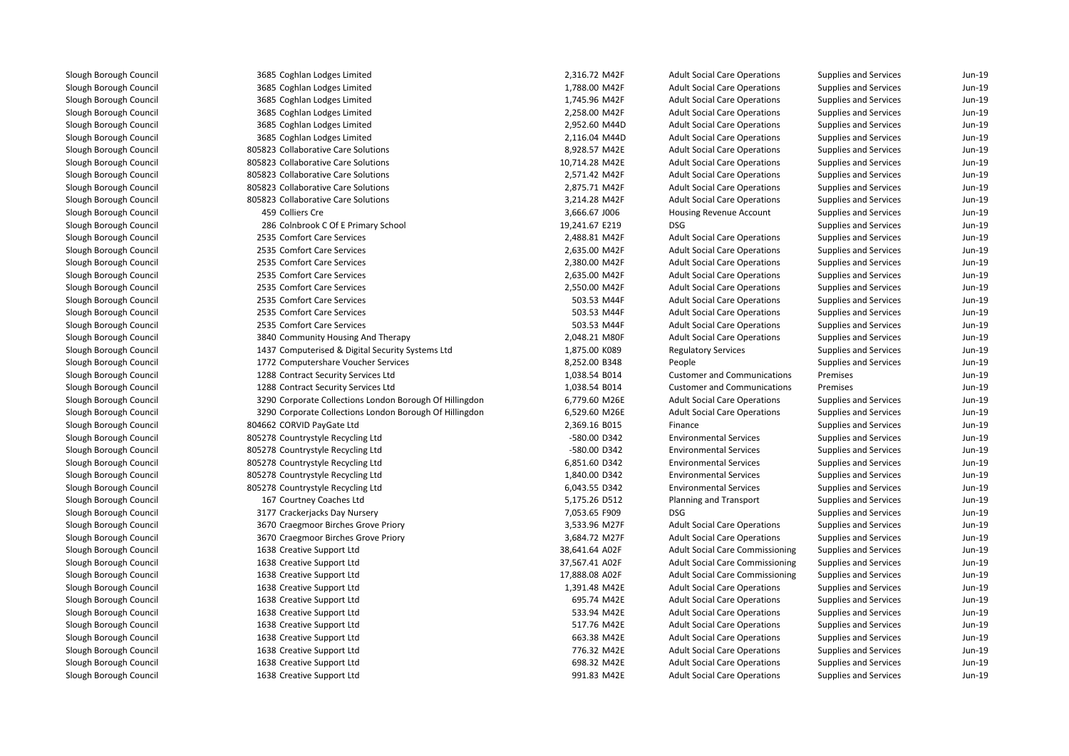| 3685 Coghlan Lodges Limited                             | 2,316.72 M42F  | <b>Adult Social Care Operations</b>    | Supplies and Services        | Jun-19   |
|---------------------------------------------------------|----------------|----------------------------------------|------------------------------|----------|
| 3685 Coghlan Lodges Limited                             | 1,788.00 M42F  | <b>Adult Social Care Operations</b>    | Supplies and Services        | $Jun-19$ |
| 3685 Coghlan Lodges Limited                             | 1,745.96 M42F  | <b>Adult Social Care Operations</b>    | Supplies and Services        | Jun-19   |
| 3685 Coghlan Lodges Limited                             | 2,258.00 M42F  | <b>Adult Social Care Operations</b>    | Supplies and Services        | Jun-19   |
| 3685 Coghlan Lodges Limited                             | 2,952.60 M44D  | <b>Adult Social Care Operations</b>    | Supplies and Services        | Jun-19   |
| 3685 Coghlan Lodges Limited                             | 2,116.04 M44D  | <b>Adult Social Care Operations</b>    | Supplies and Services        | Jun-19   |
| 805823 Collaborative Care Solutions                     | 8,928.57 M42E  | <b>Adult Social Care Operations</b>    | Supplies and Services        | Jun-19   |
| 805823 Collaborative Care Solutions                     | 10,714.28 M42E | <b>Adult Social Care Operations</b>    | Supplies and Services        | $Jun-19$ |
| 805823 Collaborative Care Solutions                     | 2,571.42 M42F  | <b>Adult Social Care Operations</b>    | Supplies and Services        | Jun-19   |
| 805823 Collaborative Care Solutions                     | 2,875.71 M42F  | <b>Adult Social Care Operations</b>    | Supplies and Services        | $Jun-19$ |
| 805823 Collaborative Care Solutions                     | 3,214.28 M42F  | <b>Adult Social Care Operations</b>    | Supplies and Services        | $Jun-19$ |
| 459 Colliers Cre                                        | 3,666.67 J006  | Housing Revenue Account                | Supplies and Services        | Jun-19   |
| 286 Colnbrook C Of E Primary School                     | 19,241.67 E219 | <b>DSG</b>                             | Supplies and Services        | Jun-19   |
| 2535 Comfort Care Services                              | 2,488.81 M42F  | <b>Adult Social Care Operations</b>    | Supplies and Services        | $Jun-19$ |
| 2535 Comfort Care Services                              | 2,635.00 M42F  | <b>Adult Social Care Operations</b>    | Supplies and Services        | Jun-19   |
| 2535 Comfort Care Services                              | 2,380.00 M42F  | <b>Adult Social Care Operations</b>    | Supplies and Services        | Jun-19   |
| 2535 Comfort Care Services                              | 2,635.00 M42F  | <b>Adult Social Care Operations</b>    | Supplies and Services        | Jun-19   |
| 2535 Comfort Care Services                              | 2,550.00 M42F  | <b>Adult Social Care Operations</b>    | Supplies and Services        | Jun-19   |
| 2535 Comfort Care Services                              | 503.53 M44F    | <b>Adult Social Care Operations</b>    | Supplies and Services        | Jun-19   |
| 2535 Comfort Care Services                              | 503.53 M44F    | <b>Adult Social Care Operations</b>    | Supplies and Services        | Jun-19   |
| 2535 Comfort Care Services                              | 503.53 M44F    | <b>Adult Social Care Operations</b>    | Supplies and Services        | Jun-19   |
| 3840 Community Housing And Therapy                      | 2,048.21 M80F  | <b>Adult Social Care Operations</b>    | Supplies and Services        | Jun-19   |
| 1437 Computerised & Digital Security Systems Ltd        | 1,875.00 K089  | <b>Regulatory Services</b>             | Supplies and Services        | Jun-19   |
| 1772 Computershare Voucher Services                     | 8,252.00 B348  | People                                 | Supplies and Services        | $Jun-19$ |
| 1288 Contract Security Services Ltd                     | 1,038.54 B014  | <b>Customer and Communications</b>     | Premises                     | Jun-19   |
| 1288 Contract Security Services Ltd                     | 1,038.54 B014  | <b>Customer and Communications</b>     | Premises                     | $Jun-19$ |
| 3290 Corporate Collections London Borough Of Hillingdon | 6,779.60 M26E  | <b>Adult Social Care Operations</b>    | Supplies and Services        | Jun-19   |
| 3290 Corporate Collections London Borough Of Hillingdon | 6,529.60 M26E  | <b>Adult Social Care Operations</b>    | Supplies and Services        | Jun-19   |
| 804662 CORVID PayGate Ltd                               | 2,369.16 B015  | Finance                                | Supplies and Services        | Jun-19   |
| 805278 Countrystyle Recycling Ltd                       | -580.00 D342   | <b>Environmental Services</b>          | Supplies and Services        | Jun-19   |
| 805278 Countrystyle Recycling Ltd                       | -580.00 D342   | <b>Environmental Services</b>          | Supplies and Services        | Jun-19   |
| 805278 Countrystyle Recycling Ltd                       | 6,851.60 D342  | <b>Environmental Services</b>          | Supplies and Services        | Jun-19   |
| 805278 Countrystyle Recycling Ltd                       | 1,840.00 D342  | <b>Environmental Services</b>          | Supplies and Services        | Jun-19   |
| 805278 Countrystyle Recycling Ltd                       | 6,043.55 D342  | <b>Environmental Services</b>          | Supplies and Services        | Jun-19   |
| 167 Courtney Coaches Ltd                                | 5,175.26 D512  | Planning and Transport                 | Supplies and Services        | Jun-19   |
| 3177 Crackerjacks Day Nursery                           | 7,053.65 F909  | <b>DSG</b>                             | Supplies and Services        | Jun-19   |
| 3670 Craegmoor Birches Grove Priory                     | 3,533.96 M27F  | <b>Adult Social Care Operations</b>    | Supplies and Services        | Jun-19   |
| 3670 Craegmoor Birches Grove Priory                     | 3,684.72 M27F  | <b>Adult Social Care Operations</b>    | Supplies and Services        | Jun-19   |
| 1638 Creative Support Ltd                               | 38,641.64 A02F | <b>Adult Social Care Commissioning</b> | Supplies and Services        | $Jun-19$ |
| 1638 Creative Support Ltd                               | 37,567.41 A02F | <b>Adult Social Care Commissioning</b> | Supplies and Services        | Jun-19   |
| 1638 Creative Support Ltd                               | 17,888.08 A02F | <b>Adult Social Care Commissioning</b> | Supplies and Services        | Jun-19   |
| 1638 Creative Support Ltd                               | 1,391.48 M42E  | <b>Adult Social Care Operations</b>    | Supplies and Services        | $Jun-19$ |
| 1638 Creative Support Ltd                               | 695.74 M42E    | <b>Adult Social Care Operations</b>    | <b>Supplies and Services</b> | Jun-19   |
| 1638 Creative Support Ltd                               | 533.94 M42E    | <b>Adult Social Care Operations</b>    | Supplies and Services        | Jun-19   |
| 1638 Creative Support Ltd                               | 517.76 M42E    | <b>Adult Social Care Operations</b>    | Supplies and Services        | Jun-19   |
| 1638 Creative Support Ltd                               | 663.38 M42E    | <b>Adult Social Care Operations</b>    | Supplies and Services        | Jun-19   |
| 1638 Creative Support Ltd                               | 776.32 M42E    | <b>Adult Social Care Operations</b>    | Supplies and Services        | Jun-19   |
| 1638 Creative Support Ltd                               | 698.32 M42E    | <b>Adult Social Care Operations</b>    | Supplies and Services        | Jun-19   |
| 1638 Creative Support Ltd                               | 991.83 M42E    | <b>Adult Social Care Operations</b>    | Supplies and Services        | $Jun-19$ |
|                                                         |                |                                        |                              |          |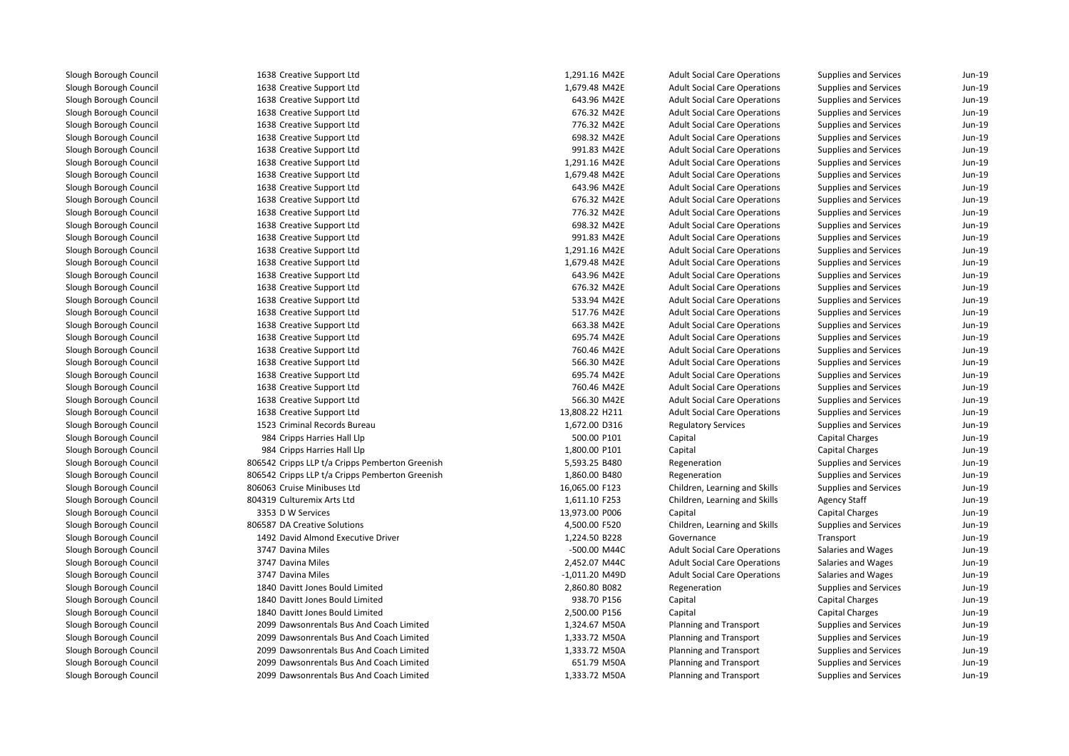| 1638 Creative Support Ltd                       | 1,291.16 M42E    | <b>Adult Social Care Operations</b> | Supplies and Services        | Jun-19   |
|-------------------------------------------------|------------------|-------------------------------------|------------------------------|----------|
| 1638 Creative Support Ltd                       | 1,679.48 M42E    | <b>Adult Social Care Operations</b> | Supplies and Services        | Jun-19   |
| 1638 Creative Support Ltd                       | 643.96 M42E      | <b>Adult Social Care Operations</b> | Supplies and Services        | Jun-19   |
| 1638 Creative Support Ltd                       | 676.32 M42E      | <b>Adult Social Care Operations</b> | Supplies and Services        | Jun-19   |
| 1638 Creative Support Ltd                       | 776.32 M42E      | <b>Adult Social Care Operations</b> | Supplies and Services        | Jun-19   |
| 1638 Creative Support Ltd                       | 698.32 M42E      | <b>Adult Social Care Operations</b> | Supplies and Services        | Jun-19   |
| 1638 Creative Support Ltd                       | 991.83 M42E      | <b>Adult Social Care Operations</b> | Supplies and Services        | Jun-19   |
| 1638 Creative Support Ltd                       | 1,291.16 M42E    | <b>Adult Social Care Operations</b> | Supplies and Services        | Jun-19   |
| 1638 Creative Support Ltd                       | 1,679.48 M42E    | <b>Adult Social Care Operations</b> | Supplies and Services        | Jun-19   |
| 1638 Creative Support Ltd                       | 643.96 M42E      | <b>Adult Social Care Operations</b> | Supplies and Services        | Jun-19   |
| 1638 Creative Support Ltd                       | 676.32 M42E      | <b>Adult Social Care Operations</b> | Supplies and Services        | Jun-19   |
| 1638 Creative Support Ltd                       | 776.32 M42E      | <b>Adult Social Care Operations</b> | Supplies and Services        | Jun-19   |
| 1638 Creative Support Ltd                       | 698.32 M42E      | <b>Adult Social Care Operations</b> | Supplies and Services        | Jun-19   |
| 1638 Creative Support Ltd                       | 991.83 M42E      | <b>Adult Social Care Operations</b> | Supplies and Services        | Jun-19   |
| 1638 Creative Support Ltd                       | 1,291.16 M42E    | <b>Adult Social Care Operations</b> | Supplies and Services        | Jun-19   |
| 1638 Creative Support Ltd                       | 1,679.48 M42E    | <b>Adult Social Care Operations</b> | Supplies and Services        | Jun-19   |
| 1638 Creative Support Ltd                       | 643.96 M42E      | <b>Adult Social Care Operations</b> | Supplies and Services        | Jun-19   |
| 1638 Creative Support Ltd                       | 676.32 M42E      | <b>Adult Social Care Operations</b> | Supplies and Services        | Jun-19   |
|                                                 | 533.94 M42E      |                                     |                              | $Jun-19$ |
| 1638 Creative Support Ltd                       | 517.76 M42E      | <b>Adult Social Care Operations</b> | Supplies and Services        | Jun-19   |
| 1638 Creative Support Ltd                       | 663.38 M42E      | <b>Adult Social Care Operations</b> | Supplies and Services        | $Jun-19$ |
| 1638 Creative Support Ltd                       | 695.74 M42E      | <b>Adult Social Care Operations</b> | Supplies and Services        | Jun-19   |
| 1638 Creative Support Ltd                       |                  | <b>Adult Social Care Operations</b> | Supplies and Services        |          |
| 1638 Creative Support Ltd                       | 760.46 M42E      | <b>Adult Social Care Operations</b> | Supplies and Services        | Jun-19   |
| 1638 Creative Support Ltd                       | 566.30 M42E      | <b>Adult Social Care Operations</b> | Supplies and Services        | Jun-19   |
| 1638 Creative Support Ltd                       | 695.74 M42E      | <b>Adult Social Care Operations</b> | Supplies and Services        | $Jun-19$ |
| 1638 Creative Support Ltd                       | 760.46 M42E      | <b>Adult Social Care Operations</b> | Supplies and Services        | Jun-19   |
| 1638 Creative Support Ltd                       | 566.30 M42E      | <b>Adult Social Care Operations</b> | Supplies and Services        | $Jun-19$ |
| 1638 Creative Support Ltd                       | 13,808.22 H211   | <b>Adult Social Care Operations</b> | Supplies and Services        | $Jun-19$ |
| 1523 Criminal Records Bureau                    | 1,672.00 D316    | <b>Regulatory Services</b>          | Supplies and Services        | Jun-19   |
| 984 Cripps Harries Hall Llp                     | 500.00 P101      | Capital                             | Capital Charges              | Jun-19   |
| 984 Cripps Harries Hall Llp                     | 1,800.00 P101    | Capital                             | Capital Charges              | Jun-19   |
| 806542 Cripps LLP t/a Cripps Pemberton Greenish | 5,593.25 B480    | Regeneration                        | Supplies and Services        | Jun-19   |
| 806542 Cripps LLP t/a Cripps Pemberton Greenish | 1,860.00 B480    | Regeneration                        | Supplies and Services        | Jun-19   |
| 806063 Cruise Minibuses Ltd                     | 16,065.00 F123   | Children, Learning and Skills       | Supplies and Services        | Jun-19   |
| 804319 Culturemix Arts Ltd                      | 1,611.10 F253    | Children, Learning and Skills       | <b>Agency Staff</b>          | Jun-19   |
| 3353 D W Services                               | 13,973.00 P006   | Capital                             | <b>Capital Charges</b>       | Jun-19   |
| 806587 DA Creative Solutions                    | 4,500.00 F520    | Children, Learning and Skills       | Supplies and Services        | Jun-19   |
| 1492 David Almond Executive Driver              | 1,224.50 B228    | Governance                          | Transport                    | Jun-19   |
| 3747 Davina Miles                               | -500.00 M44C     | <b>Adult Social Care Operations</b> | Salaries and Wages           | Jun-19   |
| 3747 Davina Miles                               | 2,452.07 M44C    | <b>Adult Social Care Operations</b> | Salaries and Wages           | $Jun-19$ |
| 3747 Davina Miles                               | $-1,011.20$ M49D | <b>Adult Social Care Operations</b> | Salaries and Wages           | $Jun-19$ |
| 1840 Davitt Jones Bould Limited                 | 2,860.80 B082    | Regeneration                        | Supplies and Services        | $Jun-19$ |
| 1840 Davitt Jones Bould Limited                 | 938.70 P156      | Capital                             | Capital Charges              | Jun-19   |
| 1840 Davitt Jones Bould Limited                 | 2,500.00 P156    | Capital                             | <b>Capital Charges</b>       | Jun-19   |
| 2099 Dawsonrentals Bus And Coach Limited        | 1,324.67 M50A    | Planning and Transport              | Supplies and Services        | Jun-19   |
| 2099 Dawsonrentals Bus And Coach Limited        | 1,333.72 M50A    | Planning and Transport              | Supplies and Services        | Jun-19   |
| 2099 Dawsonrentals Bus And Coach Limited        | 1,333.72 M50A    | Planning and Transport              | Supplies and Services        | Jun-19   |
| 2099 Dawsonrentals Bus And Coach Limited        | 651.79 M50A      | Planning and Transport              | Supplies and Services        | Jun-19   |
| 2099 Dawsonrentals Bus And Coach Limited        | 1,333.72 M50A    | Planning and Transport              | <b>Supplies and Services</b> | Jun-19   |
|                                                 |                  |                                     |                              |          |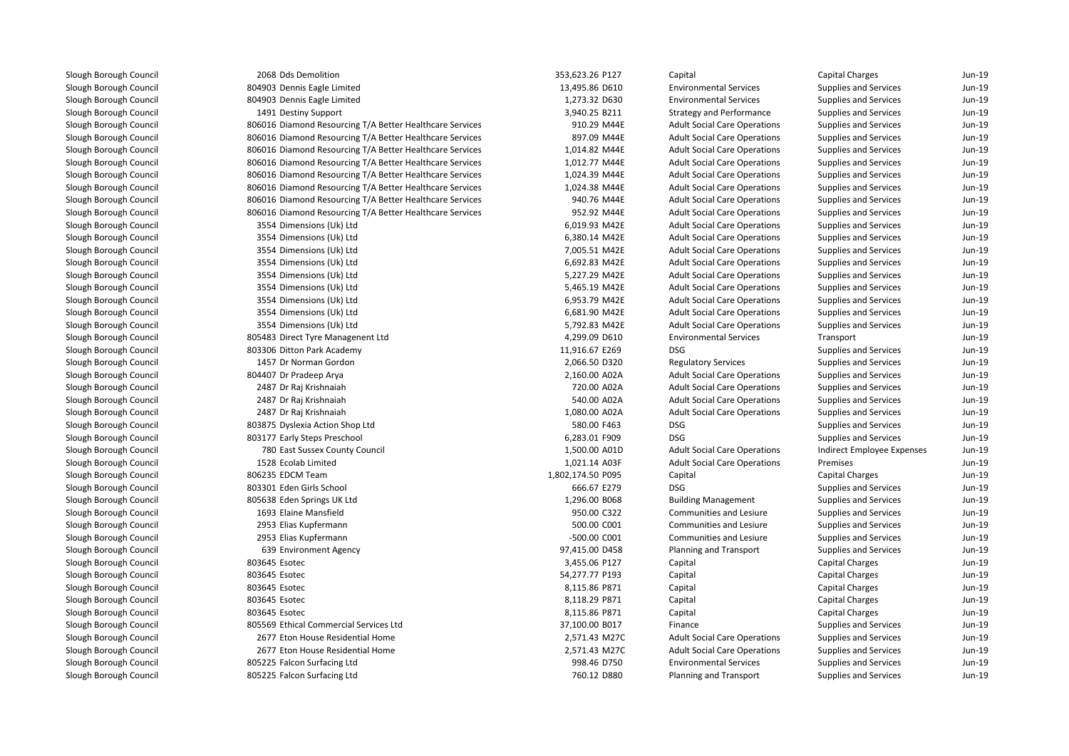Slough Borough Council 2068 Dds DemolitionSlough Borough Council 804903 Dennis Eagle LimitedSlough Borough Council 804903 Dennis Eagle LimitedSlough Borough CouncilSlough Borough CouncilSlough Borough CouncilSlough Borough CouncilSlough Borough CouncilSlough Borough CouncilSlough Borough CouncilSlough Borough CouncilSlough Borough CouncilSlough Borough Council 3554 Dimensions (Uk) LtdSlough Borough Council 3554 Dimensions (Uk) LtdSlough Borough Council 3554 Dimensions (Uk) LtdSlough Borough Council 3554 Dimensions (Uk) LtdSlough Borough Council 3554 Dimensions (Uk) LtdSlough Borough Council 3554 Dimensions (Uk) LtdSlough Borough Council 3554 Dimensions (Uk) LtdSlough Borough Council 3554 Dimensions (Uk) LtdSlough Borough Council 3554 Dimensions (Uk) LtdSlough Borough CouncilSlough Borough CouncilSlough Borough Council 1457 Dr Norman GordonSlough Borough CouncilSlough Borough Council 2487 Dr Raj KrishnaiahSlough Borough Council 2487 Dr Raj KrishnaiahSlough Borough Council 2487 Dr Raj KrishnaiahSlough Borough CouncilSlough Borough CouncilSlough Borough CouncilSlough Borough Council 1528 Ecolab LimitedSlough Borough Council 806235 EDCM TeamSlough Borough CouncilSlough Borough Council 805638 Eden Springs UK LtdSlough Borough Council 1693 Elaine MansfieldSlough Borough Council 2953 Elias KupfermannSlough Borough Council 2953 Elias KupfermannSlough Borough CouncilSlough Borough CouncilSlough Borough CouncilSlough Borough CouncilSlough Borough CouncilSlough Borough CouncilSlough Borough CouncilSlough Borough CouncilSlough Borough CouncilSlough Borough Council 805225 Falcon Surfacing LtdSlough Borough Council805225 Falcon Surfacing Ltd

| 2068 Dds Demolition                                      | 353,623.26 P127   | Capital                             | <b>Capital Charges</b>     | $Jun-19$ |
|----------------------------------------------------------|-------------------|-------------------------------------|----------------------------|----------|
| 804903 Dennis Eagle Limited                              | 13,495.86 D610    | <b>Environmental Services</b>       | Supplies and Services      | Jun-19   |
| 804903 Dennis Eagle Limited                              | 1,273.32 D630     | <b>Environmental Services</b>       | Supplies and Services      | Jun-19   |
| 1491 Destiny Support                                     | 3,940.25 B211     | <b>Strategy and Performance</b>     | Supplies and Services      | Jun-19   |
| 806016 Diamond Resourcing T/A Better Healthcare Services | 910.29 M44E       | <b>Adult Social Care Operations</b> | Supplies and Services      | Jun-19   |
| 806016 Diamond Resourcing T/A Better Healthcare Services | 897.09 M44E       | <b>Adult Social Care Operations</b> | Supplies and Services      | Jun-19   |
| 806016 Diamond Resourcing T/A Better Healthcare Services | 1,014.82 M44E     | <b>Adult Social Care Operations</b> | Supplies and Services      | Jun-19   |
| 806016 Diamond Resourcing T/A Better Healthcare Services | 1,012.77 M44E     | <b>Adult Social Care Operations</b> | Supplies and Services      | $Jun-19$ |
| 806016 Diamond Resourcing T/A Better Healthcare Services | 1,024.39 M44E     | <b>Adult Social Care Operations</b> | Supplies and Services      | $Jun-19$ |
| 806016 Diamond Resourcing T/A Better Healthcare Services | 1,024.38 M44E     | <b>Adult Social Care Operations</b> | Supplies and Services      | $Jun-19$ |
| 806016 Diamond Resourcing T/A Better Healthcare Services | 940.76 M44E       | <b>Adult Social Care Operations</b> | Supplies and Services      | $Jun-19$ |
| 806016 Diamond Resourcing T/A Better Healthcare Services | 952.92 M44E       | <b>Adult Social Care Operations</b> | Supplies and Services      | $Jun-19$ |
| 3554 Dimensions (Uk) Ltd                                 | 6,019.93 M42E     | <b>Adult Social Care Operations</b> | Supplies and Services      | $Jun-19$ |
| 3554 Dimensions (Uk) Ltd                                 | 6,380.14 M42E     | <b>Adult Social Care Operations</b> | Supplies and Services      | Jun-19   |
| 3554 Dimensions (Uk) Ltd                                 | 7,005.51 M42E     | <b>Adult Social Care Operations</b> | Supplies and Services      | $Jun-19$ |
| 3554 Dimensions (Uk) Ltd                                 | 6,692.83 M42E     | <b>Adult Social Care Operations</b> | Supplies and Services      | Jun-19   |
| 3554 Dimensions (Uk) Ltd                                 | 5,227.29 M42E     | <b>Adult Social Care Operations</b> | Supplies and Services      | Jun-19   |
| 3554 Dimensions (Uk) Ltd                                 | 5,465.19 M42E     | <b>Adult Social Care Operations</b> | Supplies and Services      | Jun-19   |
| 3554 Dimensions (Uk) Ltd                                 | 6,953.79 M42E     | <b>Adult Social Care Operations</b> | Supplies and Services      | Jun-19   |
| 3554 Dimensions (Uk) Ltd                                 | 6,681.90 M42E     | <b>Adult Social Care Operations</b> | Supplies and Services      | Jun-19   |
| 3554 Dimensions (Uk) Ltd                                 | 5,792.83 M42E     | <b>Adult Social Care Operations</b> | Supplies and Services      | Jun-19   |
| 805483 Direct Tyre Managenent Ltd                        | 4,299.09 D610     | <b>Environmental Services</b>       | Transport                  | Jun-19   |
| 803306 Ditton Park Academy                               | 11,916.67 E269    | <b>DSG</b>                          | Supplies and Services      | Jun-19   |
| 1457 Dr Norman Gordon                                    | 2,066.50 D320     | <b>Regulatory Services</b>          | Supplies and Services      | Jun-19   |
| 804407 Dr Pradeep Arya                                   | 2,160.00 A02A     | <b>Adult Social Care Operations</b> | Supplies and Services      | Jun-19   |
| 2487 Dr Raj Krishnaiah                                   | 720.00 A02A       | <b>Adult Social Care Operations</b> | Supplies and Services      | Jun-19   |
| 2487 Dr Raj Krishnaiah                                   | 540.00 A02A       | <b>Adult Social Care Operations</b> | Supplies and Services      | Jun-19   |
| 2487 Dr Raj Krishnaiah                                   | 1,080.00 A02A     | <b>Adult Social Care Operations</b> | Supplies and Services      | Jun-19   |
| 803875 Dyslexia Action Shop Ltd                          | 580.00 F463       | <b>DSG</b>                          | Supplies and Services      | Jun-19   |
| 803177 Early Steps Preschool                             | 6,283.01 F909     | <b>DSG</b>                          | Supplies and Services      | $Jun-19$ |
| 780 East Sussex County Council                           | 1,500.00 A01D     | <b>Adult Social Care Operations</b> | Indirect Employee Expenses | Jun-19   |
| 1528 Ecolab Limited                                      | 1,021.14 A03F     | <b>Adult Social Care Operations</b> | Premises                   | Jun-19   |
| 806235 EDCM Team                                         | 1,802,174.50 P095 | Capital                             | Capital Charges            | $Jun-19$ |
| 803301 Eden Girls School                                 | 666.67 E279       | DSG                                 | Supplies and Services      | Jun-19   |
| 805638 Eden Springs UK Ltd                               | 1,296.00 B068     | <b>Building Management</b>          | Supplies and Services      | Jun-19   |
| 1693 Elaine Mansfield                                    | 950.00 C322       | Communities and Lesiure             | Supplies and Services      | Jun-19   |
| 2953 Elias Kupfermann                                    | 500.00 C001       | <b>Communities and Lesiure</b>      | Supplies and Services      | Jun-19   |
| 2953 Elias Kupfermann                                    | -500.00 C001      | <b>Communities and Lesiure</b>      | Supplies and Services      | $Jun-19$ |
| 639 Environment Agency                                   | 97,415.00 D458    | Planning and Transport              | Supplies and Services      | Jun-19   |
| 803645 Esotec                                            | 3,455.06 P127     | Capital                             | <b>Capital Charges</b>     | Jun-19   |
| 803645 Esotec                                            | 54,277.77 P193    | Capital                             | <b>Capital Charges</b>     | Jun-19   |
| 803645 Esotec                                            | 8,115.86 P871     | Capital                             | <b>Capital Charges</b>     | $Jun-19$ |
| 803645 Esotec                                            | 8,118.29 P871     | Capital                             | <b>Capital Charges</b>     | Jun-19   |
| 803645 Esotec                                            | 8,115.86 P871     | Capital                             | Capital Charges            | Jun-19   |
| 805569 Ethical Commercial Services Ltd                   | 37,100.00 B017    | Finance                             | Supplies and Services      | Jun-19   |
| 2677 Eton House Residential Home                         | 2,571.43 M27C     | <b>Adult Social Care Operations</b> | Supplies and Services      | Jun-19   |
| 2677 Eton House Residential Home                         | 2,571.43 M27C     | <b>Adult Social Care Operations</b> | Supplies and Services      | Jun-19   |
| 805225 Falcon Surfacing Ltd                              | 998.46 D750       | <b>Environmental Services</b>       | Supplies and Services      | Jun-19   |
| 805225 Falcon Surfacing Ltd                              | 760.12 D880       | Planning and Transport              | Supplies and Services      | Jun-19   |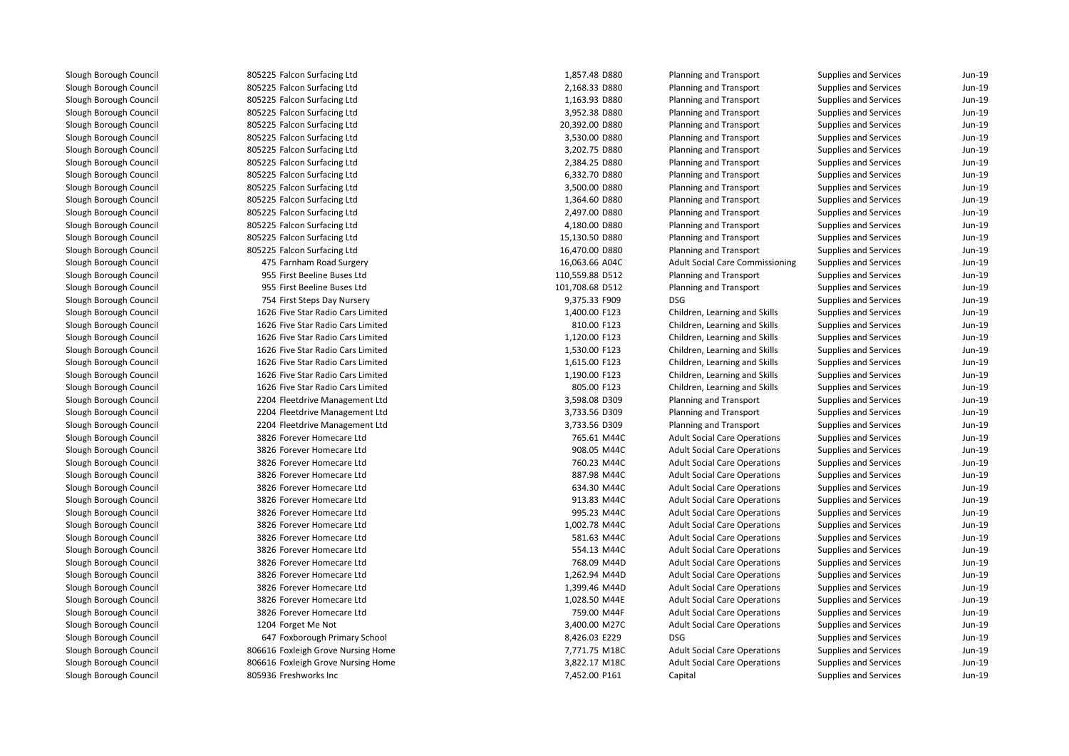805225 Falcon Surfacing Ltd 805225 Falcon Surfacing Ltd 805225 Falcon Surfacing Ltd 805225 Falcon Surfacing Ltd 805225 Falcon Surfacing Ltd 805225 Falcon Surfacing Ltd 805225 Falcon Surfacing Ltd 805225 Falcon Surfacing Ltd 805225 Falcon Surfacing Ltd 805225 Falcon Surfacing Ltd 805225 Falcon Surfacing Ltd 805225 Falcon Surfacing Ltd 805225 Falcon Surfacing Ltd 805225 Falcon Surfacing Ltd 805225 Falcon Surfacing Ltd 475 Farnham Road Surgery 16,063.66 A04C 955955 First Beeline Buses Ltd 955955 First Beeline Buses Ltd 754 First Steps Day Nursery 9,375.33 F909 DSG 1626 Five Star Radio Cars Limited 1626 Five Star Radio Cars Limited 1626 Five Star Radio Cars Limited 1626 Five Star Radio Cars Limited 1626 Five Star Radio Cars Limited 1626 Five Star Radio Cars Limited 1626 Five Star Radio Cars Limited 2204 Fleetdrive Management Ltd 2204 Fleetdrive Management Ltd 2204 Fleetdrive Management Ltd 3826 Forever Homecare Ltd 3826 Forever Homecare Ltd 3826 Forever Homecare Ltd 3826 Forever Homecare Ltd 3826 Forever Homecare Ltd 3826 Forever Homecare Ltd 3826 Forever Homecare Ltd 3826 Forever Homecare Ltd 3826 Forever Homecare Ltd 3826 Forever Homecare Ltd 3826 Forever Homecare Ltd 3826 Forever Homecare Ltd 3826 Forever Homecare Ltd 3826 Forever Homecare Ltd 3826 Forever Homecare Ltd1204 Forget Me Not 3,400.00 M27C (1204 Forget Me Not 3,400.00 M27C (1304 M) 647 Foxborough Primary School 8,426.03 E229 DSG806616 Foxleigh Grove Nursing Home 7,771.75 M18C 806616 Foxleigh Grove Nursing Home 3,822.17 M18C805936 Freshworks Inc.

| 5 Falcon Surfacing Ltd         | 1,857.48 D880   | Planning and Transport                 | Supplies and Services        | Jun-19 |
|--------------------------------|-----------------|----------------------------------------|------------------------------|--------|
| 5 Falcon Surfacing Ltd         | 2,168.33 D880   | Planning and Transport                 | Supplies and Services        | Jun-19 |
| 5 Falcon Surfacing Ltd         | 1,163.93 D880   | Planning and Transport                 | Supplies and Services        | Jun-19 |
| 5 Falcon Surfacing Ltd         | 3,952.38 D880   | Planning and Transport                 | <b>Supplies and Services</b> | Jun-19 |
| 5 Falcon Surfacing Ltd         | 20,392.00 D880  | Planning and Transport                 | Supplies and Services        | Jun-19 |
| 5 Falcon Surfacing Ltd         | 3,530.00 D880   | Planning and Transport                 | Supplies and Services        | Jun-19 |
| 5 Falcon Surfacing Ltd         | 3,202.75 D880   | Planning and Transport                 | Supplies and Services        | Jun-19 |
| 5 Falcon Surfacing Ltd         | 2,384.25 D880   | Planning and Transport                 | Supplies and Services        | Jun-19 |
| 5 Falcon Surfacing Ltd         | 6,332.70 D880   | Planning and Transport                 | Supplies and Services        | Jun-19 |
| 5 Falcon Surfacing Ltd         | 3,500.00 D880   | Planning and Transport                 | Supplies and Services        | Jun-19 |
| 5 Falcon Surfacing Ltd         | 1,364.60 D880   | Planning and Transport                 | Supplies and Services        | Jun-19 |
| 5 Falcon Surfacing Ltd         | 2,497.00 D880   | Planning and Transport                 | <b>Supplies and Services</b> | Jun-19 |
| 5 Falcon Surfacing Ltd         | 4,180.00 D880   | Planning and Transport                 | Supplies and Services        | Jun-19 |
| 5 Falcon Surfacing Ltd         | 15,130.50 D880  | Planning and Transport                 | Supplies and Services        | Jun-19 |
| 5 Falcon Surfacing Ltd         | 16,470.00 D880  | Planning and Transport                 | Supplies and Services        | Jun-19 |
| 5 Farnham Road Surgery         | 16,063.66 A04C  | <b>Adult Social Care Commissioning</b> | <b>Supplies and Services</b> | Jun-19 |
| 5 First Beeline Buses Ltd      | 110,559.88 D512 | Planning and Transport                 | <b>Supplies and Services</b> | Jun-19 |
| 5 First Beeline Buses Ltd      | 101,708.68 D512 | Planning and Transport                 | Supplies and Services        | Jun-19 |
| 4 First Steps Day Nursery      | 9,375.33 F909   | <b>DSG</b>                             | Supplies and Services        | Jun-19 |
| 6 Five Star Radio Cars Limited | 1,400.00 F123   | Children, Learning and Skills          | <b>Supplies and Services</b> | Jun-19 |
| 6 Five Star Radio Cars Limited | 810.00 F123     | Children, Learning and Skills          | Supplies and Services        | Jun-19 |
| 6 Five Star Radio Cars Limited | 1,120.00 F123   | Children, Learning and Skills          | Supplies and Services        | Jun-19 |
| 6 Five Star Radio Cars Limited | 1,530.00 F123   | Children, Learning and Skills          | Supplies and Services        | Jun-19 |
| 6 Five Star Radio Cars Limited | 1,615.00 F123   | Children, Learning and Skills          | Supplies and Services        | Jun-19 |
| 6 Five Star Radio Cars Limited | 1,190.00 F123   | Children, Learning and Skills          | Supplies and Services        | Jun-19 |
| 6 Five Star Radio Cars Limited | 805.00 F123     | Children, Learning and Skills          | Supplies and Services        | Jun-19 |
| 4 Fleetdrive Management Ltd    | 3,598.08 D309   | Planning and Transport                 | <b>Supplies and Services</b> | Jun-19 |
| 4 Fleetdrive Management Ltd    | 3,733.56 D309   | Planning and Transport                 | <b>Supplies and Services</b> | Jun-19 |
| 4 Fleetdrive Management Ltd    | 3,733.56 D309   | Planning and Transport                 | <b>Supplies and Services</b> | Jun-19 |
| 6 Forever Homecare Ltd         | 765.61 M44C     | <b>Adult Social Care Operations</b>    | Supplies and Services        | Jun-19 |
| 6 Forever Homecare Ltd         | 908.05 M44C     | <b>Adult Social Care Operations</b>    | Supplies and Services        | Jun-19 |
| 6 Forever Homecare Ltd         | 760.23 M44C     | <b>Adult Social Care Operations</b>    | <b>Supplies and Services</b> | Jun-19 |
| 6 Forever Homecare Ltd         | 887.98 M44C     | <b>Adult Social Care Operations</b>    | <b>Supplies and Services</b> | Jun-19 |
| 6 Forever Homecare Ltd         | 634.30 M44C     | <b>Adult Social Care Operations</b>    | Supplies and Services        | Jun-19 |
| 6 Forever Homecare Ltd         | 913.83 M44C     | <b>Adult Social Care Operations</b>    | Supplies and Services        | Jun-19 |
| 6 Forever Homecare Ltd         | 995.23 M44C     | <b>Adult Social Care Operations</b>    | Supplies and Services        | Jun-19 |
| 6 Forever Homecare Ltd         | 1,002.78 M44C   | <b>Adult Social Care Operations</b>    | Supplies and Services        | Jun-19 |
| 6 Forever Homecare Ltd         | 581.63 M44C     | <b>Adult Social Care Operations</b>    | Supplies and Services        | Jun-19 |
| 6 Forever Homecare Ltd         | 554.13 M44C     | <b>Adult Social Care Operations</b>    | Supplies and Services        | Jun-19 |
| 6 Forever Homecare Ltd         | 768.09 M44D     | <b>Adult Social Care Operations</b>    | Supplies and Services        | Jun-19 |
| 6 Forever Homecare Ltd         | 1,262.94 M44D   | <b>Adult Social Care Operations</b>    | Supplies and Services        | Jun-19 |
| 6 Forever Homecare Ltd         | 1,399.46 M44D   | <b>Adult Social Care Operations</b>    | Supplies and Services        | Jun-19 |
| 6 Forever Homecare Ltd         | 1,028.50 M44E   | <b>Adult Social Care Operations</b>    | Supplies and Services        | Jun-19 |
| 6 Forever Homecare Ltd         | 759.00 M44F     | <b>Adult Social Care Operations</b>    | <b>Supplies and Services</b> | Jun-19 |
| 4 Forget Me Not                | 3,400.00 M27C   | <b>Adult Social Care Operations</b>    | <b>Supplies and Services</b> | Jun-19 |
| 7 Foxborough Primary School    | 8,426.03 E229   | <b>DSG</b>                             | Supplies and Services        | Jun-19 |
| 6 Foxleigh Grove Nursing Home  | 7,771.75 M18C   | <b>Adult Social Care Operations</b>    | <b>Supplies and Services</b> | Jun-19 |
| 6 Foxleigh Grove Nursing Home  | 3,822.17 M18C   | <b>Adult Social Care Operations</b>    | <b>Supplies and Services</b> | Jun-19 |
| 6 Freshworks Inc               | 7,452.00 P161   | Capital                                | Supplies and Services        | Jun-19 |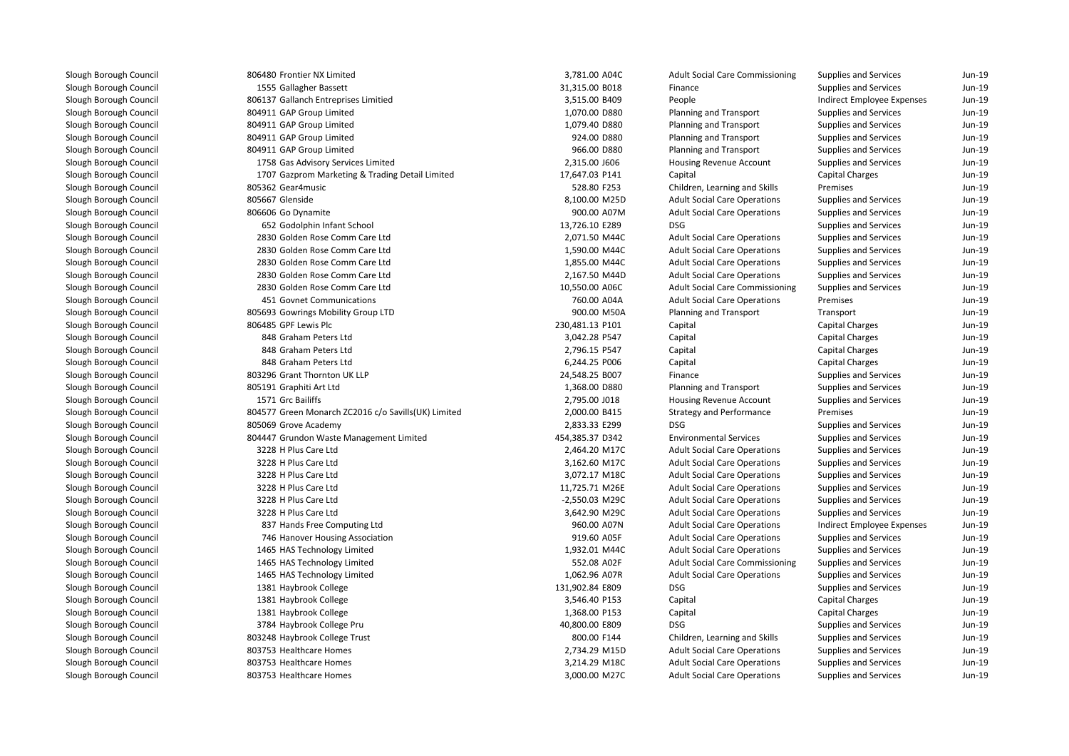806480 Frontier NX Limited 3,781.00 A04C1555 Gallagher Bassett 806137 Gallanch Entreprises Limitied 804911 GAP Group Limited 804911 GAP Group Limited 804911 GAP Group Limited 804911 GAP Group Limited 1758 Gas Advisory Services Limited 1707 Gazprom Marketing & Trading Detail Limited805362 Gear4music 805667 Glenside Glenside 8,100.00 M25Dl 1900.00 A07M 806606 Go Dynamite 1900.00 A07M 900.00 A07M 900.00 A07M 652 Godolphin Infant School 13,726.10 E289 DSG 2830 Golden Rose Comm Care Ltd 2,071.50 M44C 2830 Golden Rose Comm Care Ltdd 1,590.00 M44C 2830 Golden Rose Comm Care Ltdd 1,855.00 M44C 2830 Golden Rose Comm Care Ltd 2,167.50 M44D 2830 Golden Rose Comm Care Ltd 10,550.00 A06C 451 Govnet Communications 760.00 A04A 805693 Gowrings Mobility Group LTD806485 GPF Lewis Plc 848 Graham Peters Ltd 848 Graham Peters Ltd 848 Graham Peters Ltd 803296 Grant Thornton UK LLP 805191 Graphiti Art Ltd1571 Grc Bailiffs 804577 Green Monarch ZC2016 c/o Savills(UK) Limited 805069 Grove Academy 2,833.33 E299 DSG 804447 Grundon Waste Management Limited 3228 H Plus Care Ltdd 2,464.20 M17C 3228 H Plus Care Ltdd 3,162.60 M17C 3228 H Plus Care Ltd 3,072.17 M18C 3228 H Plus Care Ltd 3228 H Plus Care Ltd -2,550.03 M29C 3228 H Plus Care Ltd 3,642.90 M29C 837 Hands Free Computing Ltdd 960.00 A07N 746 Hanover Housing Association 1465 HAS Technology Limitedd 1,932.01 M44C 1465 HAS Technology Limited 1465 HAS Technology Limited 1,062.96 A07R 1381 Haybrook College 131,902.84 E809 DSG1381 Haybrook College 1381 Haybrook College 3784 Haybrook College Pru803248 Haybrook College Trust **1** a 2,734.29 M15D 803753 Healthcare Homes 2,888 and 2,888 and 2,734.29 M15D and 2,734.29 M15D and 2,734.29 M15D and 2,734.29 M15D and 2,734.29 M15D and 2,734.29 M15D and 2,734.29 M15D and 2,734.29 M15D and 2,734.29 M15D **1** 803753 Healthcare Homes **3**,214.29 M18C **1 803753 Healthcare Homes** 3,000.00 M27C

| 0 Frontier NX Limited                          | 3,781.00 A04C   | <b>Adult Social Care Commissioning</b> | Supplies and Services        | Jun-19 |
|------------------------------------------------|-----------------|----------------------------------------|------------------------------|--------|
| 5 Gallagher Bassett                            | 31,315.00 B018  | Finance                                | Supplies and Services        | Jun-19 |
| 7 Gallanch Entreprises Limitied                | 3,515.00 B409   | People                                 | Indirect Employee Expenses   | Jun-19 |
| 1 GAP Group Limited                            | 1,070.00 D880   | Planning and Transport                 | Supplies and Services        | Jun-19 |
| 1 GAP Group Limited                            | 1,079.40 D880   | Planning and Transport                 | <b>Supplies and Services</b> | Jun-19 |
| 1 GAP Group Limited                            | 924.00 D880     | Planning and Transport                 | Supplies and Services        | Jun-19 |
| 1 GAP Group Limited                            | 966.00 D880     | Planning and Transport                 | Supplies and Services        | Jun-19 |
| 8 Gas Advisory Services Limited                | 2,315.00 J606   | Housing Revenue Account                | <b>Supplies and Services</b> | Jun-19 |
| 7 Gazprom Marketing & Trading Detail Limited   | 17,647.03 P141  | Capital                                | <b>Capital Charges</b>       | Jun-19 |
| 2 Gear4music                                   | 528.80 F253     | Children, Learning and Skills          | Premises                     | Jun-19 |
| 7 Glenside                                     | 8,100.00 M25D   | <b>Adult Social Care Operations</b>    | Supplies and Services        | Jun-19 |
| 6 Go Dynamite                                  | 900.00 A07M     | <b>Adult Social Care Operations</b>    | <b>Supplies and Services</b> | Jun-19 |
| 2 Godolphin Infant School                      | 13,726.10 E289  | <b>DSG</b>                             | <b>Supplies and Services</b> | Jun-19 |
| 0 Golden Rose Comm Care Ltd                    | 2,071.50 M44C   | <b>Adult Social Care Operations</b>    | Supplies and Services        | Jun-19 |
| 0 Golden Rose Comm Care Ltd                    | 1,590.00 M44C   | <b>Adult Social Care Operations</b>    | Supplies and Services        | Jun-19 |
| 0 Golden Rose Comm Care Ltd                    | 1,855.00 M44C   | <b>Adult Social Care Operations</b>    | Supplies and Services        | Jun-19 |
| 0 Golden Rose Comm Care Ltd                    | 2,167.50 M44D   | <b>Adult Social Care Operations</b>    | <b>Supplies and Services</b> | Jun-19 |
| 0 Golden Rose Comm Care Ltd                    | 10,550.00 A06C  | <b>Adult Social Care Commissioning</b> | <b>Supplies and Services</b> | Jun-19 |
| 1 Govnet Communications                        | 760.00 A04A     | <b>Adult Social Care Operations</b>    | Premises                     | Jun-19 |
| 3 Gowrings Mobility Group LTD                  | 900.00 M50A     | Planning and Transport                 | Transport                    | Jun-19 |
| 5 GPF Lewis Plc                                | 230,481.13 P101 | Capital                                | Capital Charges              | Jun-19 |
| 8 Graham Peters Ltd                            | 3,042.28 P547   | Capital                                | Capital Charges              | Jun-19 |
| 8 Graham Peters Ltd                            | 2,796.15 P547   | Capital                                | Capital Charges              | Jun-19 |
| 8 Graham Peters Ltd                            | 6,244.25 P006   | Capital                                | Capital Charges              | Jun-19 |
| 6 Grant Thornton UK LLP                        | 24,548.25 B007  | Finance                                | <b>Supplies and Services</b> | Jun-19 |
| 1 Graphiti Art Ltd                             | 1,368.00 D880   | Planning and Transport                 | <b>Supplies and Services</b> | Jun-19 |
| 1 Grc Bailiffs                                 | 2,795.00 J018   | Housing Revenue Account                | <b>Supplies and Services</b> | Jun-19 |
| 7 Green Monarch ZC2016 c/o Savills(UK) Limited | 2,000.00 B415   | <b>Strategy and Performance</b>        | Premises                     | Jun-19 |
| 9 Grove Academy                                | 2,833.33 E299   | <b>DSG</b>                             | Supplies and Services        | Jun-19 |
| 7 Grundon Waste Management Limited             | 454,385.37 D342 | <b>Environmental Services</b>          | <b>Supplies and Services</b> | Jun-19 |
| 8 H Plus Care Ltd                              | 2,464.20 M17C   | <b>Adult Social Care Operations</b>    | Supplies and Services        | Jun-19 |
| 8 H Plus Care Ltd                              | 3,162.60 M17C   | <b>Adult Social Care Operations</b>    | Supplies and Services        | Jun-19 |
| 8 H Plus Care Ltd                              | 3,072.17 M18C   | <b>Adult Social Care Operations</b>    | Supplies and Services        | Jun-19 |
| 8 H Plus Care Ltd                              | 11,725.71 M26E  | <b>Adult Social Care Operations</b>    | <b>Supplies and Services</b> | Jun-19 |
| 8 H Plus Care Ltd                              | -2,550.03 M29C  | <b>Adult Social Care Operations</b>    | Supplies and Services        | Jun-19 |
| 8 H Plus Care Ltd                              | 3,642.90 M29C   | <b>Adult Social Care Operations</b>    | <b>Supplies and Services</b> | Jun-19 |
| 7 Hands Free Computing Ltd                     | 960.00 A07N     | <b>Adult Social Care Operations</b>    | Indirect Employee Expenses   | Jun-19 |
| 6 Hanover Housing Association                  | 919.60 A05F     | <b>Adult Social Care Operations</b>    | Supplies and Services        | Jun-19 |
| 5 HAS Technology Limited                       | 1,932.01 M44C   | <b>Adult Social Care Operations</b>    | Supplies and Services        | Jun-19 |
| 5 HAS Technology Limited                       | 552.08 A02F     | <b>Adult Social Care Commissioning</b> | Supplies and Services        | Jun-19 |
| 5 HAS Technology Limited                       | 1,062.96 A07R   | <b>Adult Social Care Operations</b>    | Supplies and Services        | Jun-19 |
| 1 Haybrook College                             | 131,902.84 E809 | <b>DSG</b>                             | Supplies and Services        | Jun-19 |
| 1 Haybrook College                             | 3,546.40 P153   | Capital                                | <b>Capital Charges</b>       | Jun-19 |
| 1 Haybrook College                             | 1,368.00 P153   | Capital                                | <b>Capital Charges</b>       | Jun-19 |
| 4 Haybrook College Pru                         | 40,800.00 E809  | <b>DSG</b>                             | <b>Supplies and Services</b> | Jun-19 |
| 8 Haybrook College Trust                       | 800.00 F144     | Children, Learning and Skills          | Supplies and Services        | Jun-19 |
| 3 Healthcare Homes                             | 2,734.29 M15D   | <b>Adult Social Care Operations</b>    | <b>Supplies and Services</b> | Jun-19 |
| 3 Healthcare Homes                             | 3,214.29 M18C   | <b>Adult Social Care Operations</b>    | Supplies and Services        | Jun-19 |
| 3 Healthcare Homes                             | 3,000.00 M27C   | <b>Adult Social Care Operations</b>    | <b>Supplies and Services</b> | Jun-19 |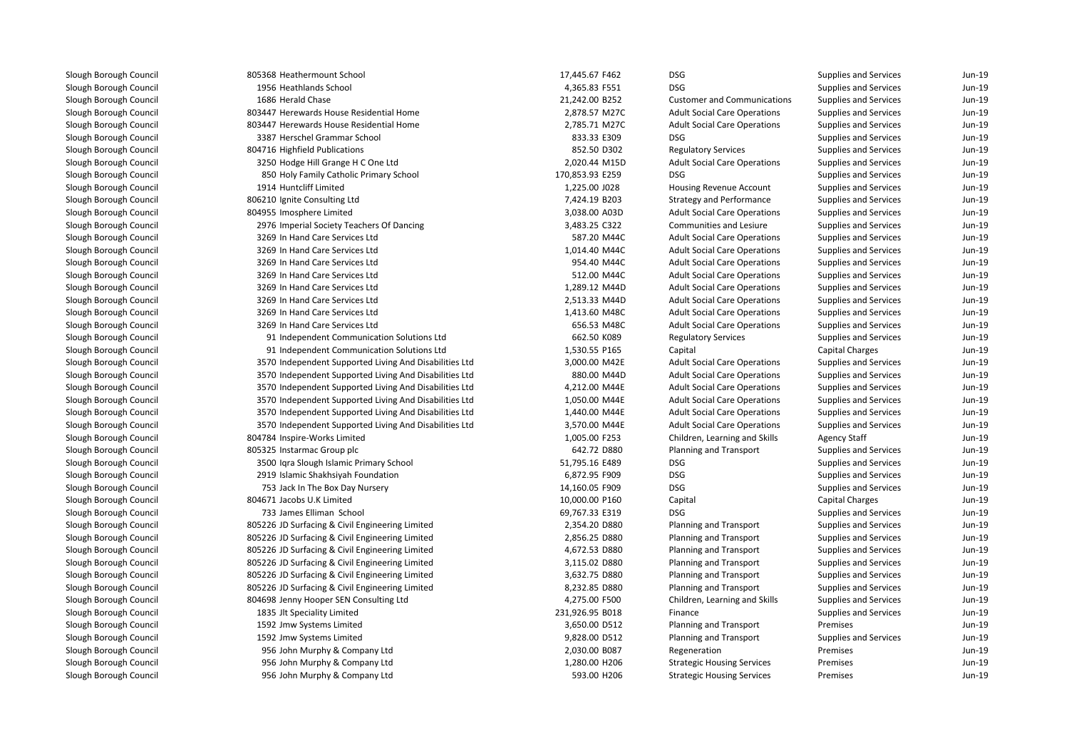| 805368 Heathermount School                             | 17,445.67 F462  | <b>DSG</b>                          | Supplies and Services  | $Jun-19$ |
|--------------------------------------------------------|-----------------|-------------------------------------|------------------------|----------|
| 1956 Heathlands School                                 | 4,365.83 F551   | <b>DSG</b>                          | Supplies and Services  | Jun-19   |
| 1686 Herald Chase                                      | 21,242.00 B252  | <b>Customer and Communications</b>  | Supplies and Services  | Jun-19   |
| 803447 Herewards House Residential Home                | 2,878.57 M27C   | <b>Adult Social Care Operations</b> | Supplies and Services  | Jun-19   |
| 803447 Herewards House Residential Home                | 2,785.71 M27C   | <b>Adult Social Care Operations</b> | Supplies and Services  | Jun-19   |
| 3387 Herschel Grammar School                           | 833.33 E309     | <b>DSG</b>                          | Supplies and Services  | Jun-19   |
| 804716 Highfield Publications                          | 852.50 D302     | <b>Regulatory Services</b>          | Supplies and Services  | Jun-19   |
| 3250 Hodge Hill Grange H C One Ltd                     | 2,020.44 M15D   | <b>Adult Social Care Operations</b> | Supplies and Services  | $Jun-19$ |
| 850 Holy Family Catholic Primary School                | 170,853.93 E259 | <b>DSG</b>                          | Supplies and Services  | $Jun-19$ |
| 1914 Huntcliff Limited                                 | 1,225.00 J028   | Housing Revenue Account             | Supplies and Services  | $Jun-19$ |
| 806210 Ignite Consulting Ltd                           | 7,424.19 B203   | <b>Strategy and Performance</b>     | Supplies and Services  | Jun-19   |
| 804955 Imosphere Limited                               | 3,038.00 A03D   | <b>Adult Social Care Operations</b> | Supplies and Services  | $Jun-19$ |
| 2976 Imperial Society Teachers Of Dancing              | 3,483.25 C322   | Communities and Lesiure             | Supplies and Services  | Jun-19   |
| 3269 In Hand Care Services Ltd                         | 587.20 M44C     | <b>Adult Social Care Operations</b> | Supplies and Services  | Jun-19   |
| 3269 In Hand Care Services Ltd                         | 1,014.40 M44C   | <b>Adult Social Care Operations</b> | Supplies and Services  | Jun-19   |
| 3269 In Hand Care Services Ltd                         | 954.40 M44C     | <b>Adult Social Care Operations</b> | Supplies and Services  | Jun-19   |
| 3269 In Hand Care Services Ltd                         | 512.00 M44C     | <b>Adult Social Care Operations</b> | Supplies and Services  | Jun-19   |
| 3269 In Hand Care Services Ltd                         | 1,289.12 M44D   | <b>Adult Social Care Operations</b> | Supplies and Services  | Jun-19   |
| 3269 In Hand Care Services Ltd                         | 2,513.33 M44D   | <b>Adult Social Care Operations</b> | Supplies and Services  | Jun-19   |
| 3269 In Hand Care Services Ltd                         | 1,413.60 M48C   | <b>Adult Social Care Operations</b> | Supplies and Services  | Jun-19   |
| 3269 In Hand Care Services Ltd                         | 656.53 M48C     | <b>Adult Social Care Operations</b> | Supplies and Services  | $Jun-19$ |
| 91 Independent Communication Solutions Ltd             | 662.50 K089     | <b>Regulatory Services</b>          | Supplies and Services  | Jun-19   |
| 91 Independent Communication Solutions Ltd             | 1,530.55 P165   | Capital                             | Capital Charges        | $Jun-19$ |
| 3570 Independent Supported Living And Disabilities Ltd | 3,000.00 M42E   | <b>Adult Social Care Operations</b> | Supplies and Services  | Jun-19   |
| 3570 Independent Supported Living And Disabilities Ltd | 880.00 M44D     | <b>Adult Social Care Operations</b> | Supplies and Services  | $Jun-19$ |
| 3570 Independent Supported Living And Disabilities Ltd | 4,212.00 M44E   | <b>Adult Social Care Operations</b> | Supplies and Services  | Jun-19   |
| 3570 Independent Supported Living And Disabilities Ltd | 1,050.00 M44E   | <b>Adult Social Care Operations</b> | Supplies and Services  | Jun-19   |
| 3570 Independent Supported Living And Disabilities Ltd | 1,440.00 M44E   | <b>Adult Social Care Operations</b> | Supplies and Services  | Jun-19   |
| 3570 Independent Supported Living And Disabilities Ltd | 3,570.00 M44E   | <b>Adult Social Care Operations</b> | Supplies and Services  | $Jun-19$ |
| 804784 Inspire-Works Limited                           | 1,005.00 F253   | Children, Learning and Skills       | <b>Agency Staff</b>    | Jun-19   |
| 805325 Instarmac Group plc                             | 642.72 D880     | Planning and Transport              | Supplies and Services  | Jun-19   |
| 3500 Iqra Slough Islamic Primary School                | 51,795.16 E489  | <b>DSG</b>                          | Supplies and Services  | Jun-19   |
| 2919 Islamic Shakhsiyah Foundation                     | 6,872.95 F909   | <b>DSG</b>                          | Supplies and Services  | Jun-19   |
| 753 Jack In The Box Day Nursery                        | 14,160.05 F909  | <b>DSG</b>                          | Supplies and Services  | Jun-19   |
| 804671 Jacobs U.K Limited                              | 10,000.00 P160  | Capital                             | <b>Capital Charges</b> | Jun-19   |
| 733 James Elliman School                               | 69,767.33 E319  | <b>DSG</b>                          | Supplies and Services  | Jun-19   |
| 805226 JD Surfacing & Civil Engineering Limited        | 2,354.20 D880   | Planning and Transport              | Supplies and Services  | Jun-19   |
| 805226 JD Surfacing & Civil Engineering Limited        | 2,856.25 D880   | Planning and Transport              | Supplies and Services  | Jun-19   |
| 805226 JD Surfacing & Civil Engineering Limited        | 4,672.53 D880   | Planning and Transport              | Supplies and Services  | Jun-19   |
| 805226 JD Surfacing & Civil Engineering Limited        | 3,115.02 D880   | Planning and Transport              | Supplies and Services  | $Jun-19$ |
| 805226 JD Surfacing & Civil Engineering Limited        | 3,632.75 D880   | Planning and Transport              | Supplies and Services  | $Jun-19$ |
| 805226 JD Surfacing & Civil Engineering Limited        | 8,232.85 D880   | Planning and Transport              | Supplies and Services  | $Jun-19$ |
| 804698 Jenny Hooper SEN Consulting Ltd                 | 4,275.00 F500   | Children, Learning and Skills       | Supplies and Services  | Jun-19   |
| 1835 Jlt Speciality Limited                            | 231,926.95 B018 | Finance                             | Supplies and Services  | Jun-19   |
| 1592 Jmw Systems Limited                               | 3,650.00 D512   | Planning and Transport              | Premises               | Jun-19   |
| 1592 Jmw Systems Limited                               | 9,828.00 D512   | Planning and Transport              | Supplies and Services  | Jun-19   |
| 956 John Murphy & Company Ltd                          | 2,030.00 B087   | Regeneration                        | Premises               | Jun-19   |
| 956 John Murphy & Company Ltd                          | 1,280.00 H206   | <b>Strategic Housing Services</b>   | Premises               | Jun-19   |
| 956 John Murphy & Company Ltd                          | 593.00 H206     | <b>Strategic Housing Services</b>   | Premises               | Jun-19   |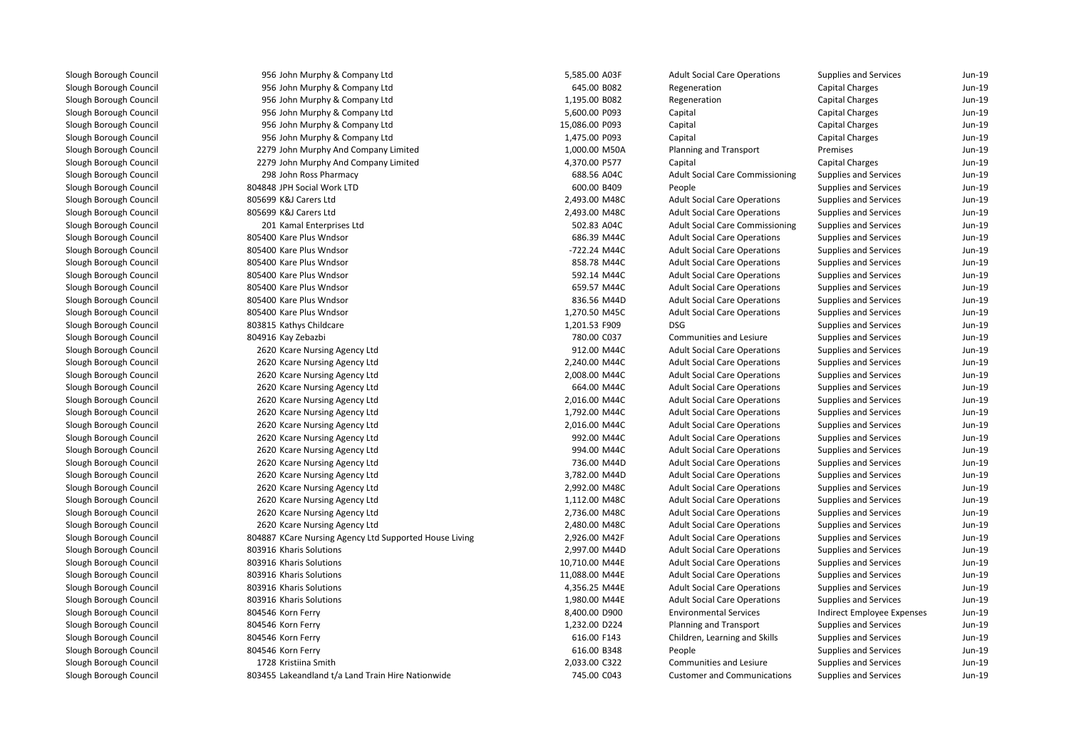| 956 John Murphy & Company Ltd                          | 5,585.00 A03F  | <b>Adult Social Care Operations</b>    | Supplies and Services        | Jun-19   |
|--------------------------------------------------------|----------------|----------------------------------------|------------------------------|----------|
| 956 John Murphy & Company Ltd                          | 645.00 B082    | Regeneration                           | Capital Charges              | Jun-19   |
| 956 John Murphy & Company Ltd                          | 1,195.00 B082  | Regeneration                           | Capital Charges              | Jun-19   |
| 956 John Murphy & Company Ltd                          | 5,600.00 P093  | Capital                                | <b>Capital Charges</b>       | Jun-19   |
| 956 John Murphy & Company Ltd                          | 15,086.00 P093 | Capital                                | <b>Capital Charges</b>       | Jun-19   |
| 956 John Murphy & Company Ltd                          | 1,475.00 P093  | Capital                                | <b>Capital Charges</b>       | Jun-19   |
| 2279 John Murphy And Company Limited                   | 1,000.00 M50A  | Planning and Transport                 | Premises                     | Jun-19   |
| 2279 John Murphy And Company Limited                   | 4,370.00 P577  | Capital                                | Capital Charges              | Jun-19   |
| 298 John Ross Pharmacy                                 | 688.56 A04C    | <b>Adult Social Care Commissioning</b> | <b>Supplies and Services</b> | Jun-19   |
| 804848 JPH Social Work LTD                             | 600.00 B409    | People                                 | Supplies and Services        | Jun-19   |
| 805699 K&J Carers Ltd                                  | 2,493.00 M48C  | <b>Adult Social Care Operations</b>    | Supplies and Services        | Jun-19   |
| 805699 K&J Carers Ltd                                  | 2,493.00 M48C  | <b>Adult Social Care Operations</b>    | Supplies and Services        | Jun-19   |
| 201 Kamal Enterprises Ltd                              | 502.83 A04C    | <b>Adult Social Care Commissioning</b> | Supplies and Services        | Jun-19   |
| 805400 Kare Plus Wndsor                                | 686.39 M44C    | <b>Adult Social Care Operations</b>    | Supplies and Services        | Jun-19   |
| 805400 Kare Plus Wndsor                                | -722.24 M44C   | <b>Adult Social Care Operations</b>    | Supplies and Services        | Jun-19   |
| 805400 Kare Plus Wndsor                                | 858.78 M44C    | <b>Adult Social Care Operations</b>    | Supplies and Services        | Jun-19   |
| 805400 Kare Plus Wndsor                                | 592.14 M44C    | <b>Adult Social Care Operations</b>    | Supplies and Services        | Jun-19   |
| 805400 Kare Plus Wndsor                                | 659.57 M44C    | <b>Adult Social Care Operations</b>    | Supplies and Services        | Jun-19   |
| 805400 Kare Plus Wndsor                                | 836.56 M44D    | <b>Adult Social Care Operations</b>    | Supplies and Services        | Jun-19   |
| 805400 Kare Plus Wndsor                                | 1,270.50 M45C  | <b>Adult Social Care Operations</b>    | Supplies and Services        | $Jun-19$ |
| 803815 Kathys Childcare                                | 1,201.53 F909  | <b>DSG</b>                             | Supplies and Services        | $Jun-19$ |
| 804916 Kay Zebazbi                                     | 780.00 C037    | <b>Communities and Lesiure</b>         | Supplies and Services        | Jun-19   |
| 2620 Kcare Nursing Agency Ltd                          | 912.00 M44C    | <b>Adult Social Care Operations</b>    | Supplies and Services        | Jun-19   |
| 2620 Kcare Nursing Agency Ltd                          | 2,240.00 M44C  | <b>Adult Social Care Operations</b>    | Supplies and Services        | Jun-19   |
| 2620 Kcare Nursing Agency Ltd                          | 2,008.00 M44C  | <b>Adult Social Care Operations</b>    | Supplies and Services        | $Jun-19$ |
| 2620 Kcare Nursing Agency Ltd                          | 664.00 M44C    | <b>Adult Social Care Operations</b>    | Supplies and Services        | Jun-19   |
| 2620 Kcare Nursing Agency Ltd                          | 2,016.00 M44C  | <b>Adult Social Care Operations</b>    | Supplies and Services        | $Jun-19$ |
| 2620 Kcare Nursing Agency Ltd                          | 1,792.00 M44C  | <b>Adult Social Care Operations</b>    | Supplies and Services        | Jun-19   |
| 2620 Kcare Nursing Agency Ltd                          | 2,016.00 M44C  | <b>Adult Social Care Operations</b>    | Supplies and Services        | Jun-19   |
| 2620 Kcare Nursing Agency Ltd                          | 992.00 M44C    | <b>Adult Social Care Operations</b>    | Supplies and Services        | Jun-19   |
| 2620 Kcare Nursing Agency Ltd                          | 994.00 M44C    | <b>Adult Social Care Operations</b>    | Supplies and Services        | Jun-19   |
| 2620 Kcare Nursing Agency Ltd                          | 736.00 M44D    | <b>Adult Social Care Operations</b>    | Supplies and Services        | Jun-19   |
| 2620 Kcare Nursing Agency Ltd                          | 3,782.00 M44D  | <b>Adult Social Care Operations</b>    | Supplies and Services        | Jun-19   |
| 2620 Kcare Nursing Agency Ltd                          | 2,992.00 M48C  | <b>Adult Social Care Operations</b>    | Supplies and Services        | Jun-19   |
| 2620 Kcare Nursing Agency Ltd                          | 1,112.00 M48C  | <b>Adult Social Care Operations</b>    | Supplies and Services        | Jun-19   |
| 2620 Kcare Nursing Agency Ltd                          | 2,736.00 M48C  | <b>Adult Social Care Operations</b>    | Supplies and Services        | $Jun-19$ |
| 2620 Kcare Nursing Agency Ltd                          | 2,480.00 M48C  | <b>Adult Social Care Operations</b>    | Supplies and Services        | Jun-19   |
| 804887 KCare Nursing Agency Ltd Supported House Living | 2,926.00 M42F  | <b>Adult Social Care Operations</b>    | Supplies and Services        | $Jun-19$ |
| 803916 Kharis Solutions                                | 2,997.00 M44D  | <b>Adult Social Care Operations</b>    | Supplies and Services        | Jun-19   |
| 803916 Kharis Solutions                                | 10,710.00 M44E | <b>Adult Social Care Operations</b>    | Supplies and Services        | $Jun-19$ |
| 803916 Kharis Solutions                                | 11,088.00 M44E | <b>Adult Social Care Operations</b>    | Supplies and Services        | Jun-19   |
| 803916 Kharis Solutions                                | 4,356.25 M44E  | <b>Adult Social Care Operations</b>    | Supplies and Services        | Jun-19   |
| 803916 Kharis Solutions                                | 1,980.00 M44E  | <b>Adult Social Care Operations</b>    | Supplies and Services        | Jun-19   |
| 804546 Korn Ferry                                      | 8,400.00 D900  | <b>Environmental Services</b>          | Indirect Employee Expenses   | Jun-19   |
| 804546 Korn Ferry                                      | 1,232.00 D224  | Planning and Transport                 | Supplies and Services        | Jun-19   |
| 804546 Korn Ferry                                      | 616.00 F143    | Children, Learning and Skills          | Supplies and Services        | $Jun-19$ |
| 804546 Korn Ferry                                      | 616.00 B348    | People                                 | Supplies and Services        | Jun-19   |
| 1728 Kristiina Smith                                   | 2,033.00 C322  | Communities and Lesiure                | Supplies and Services        | Jun-19   |
| 803455 Lakeandland t/a Land Train Hire Nationwide      | 745.00 C043    | <b>Customer and Communications</b>     | Supplies and Services        | Jun-19   |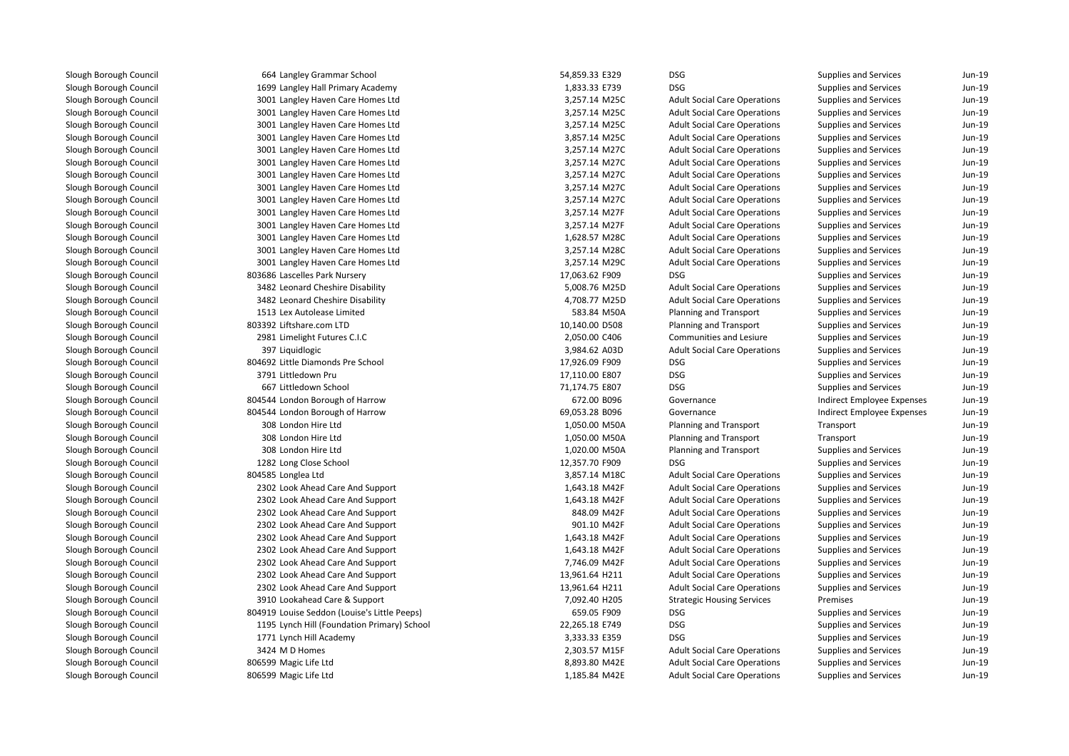| 664 Langley Grammar School                   | 54,859.33 E329 | <b>DSG</b>                          | Supplies and Services        | Jun-19   |
|----------------------------------------------|----------------|-------------------------------------|------------------------------|----------|
| 1699 Langley Hall Primary Academy            | 1,833.33 E739  | <b>DSG</b>                          | Supplies and Services        | Jun-19   |
| 3001 Langley Haven Care Homes Ltd            | 3,257.14 M25C  | <b>Adult Social Care Operations</b> | Supplies and Services        | Jun-19   |
| 3001 Langley Haven Care Homes Ltd            | 3,257.14 M25C  | <b>Adult Social Care Operations</b> | Supplies and Services        | Jun-19   |
| 3001 Langley Haven Care Homes Ltd            | 3,257.14 M25C  | <b>Adult Social Care Operations</b> | Supplies and Services        | Jun-19   |
| 3001 Langley Haven Care Homes Ltd            | 3,857.14 M25C  | <b>Adult Social Care Operations</b> | Supplies and Services        | $Jun-19$ |
| 3001 Langley Haven Care Homes Ltd            | 3,257.14 M27C  | <b>Adult Social Care Operations</b> | Supplies and Services        | Jun-19   |
| 3001 Langley Haven Care Homes Ltd            | 3,257.14 M27C  | <b>Adult Social Care Operations</b> | Supplies and Services        | Jun-19   |
| 3001 Langley Haven Care Homes Ltd            | 3,257.14 M27C  | <b>Adult Social Care Operations</b> | Supplies and Services        | Jun-19   |
| 3001 Langley Haven Care Homes Ltd            | 3,257.14 M27C  | <b>Adult Social Care Operations</b> | Supplies and Services        | Jun-19   |
| 3001 Langley Haven Care Homes Ltd            | 3,257.14 M27C  | <b>Adult Social Care Operations</b> | Supplies and Services        | Jun-19   |
| 3001 Langley Haven Care Homes Ltd            | 3,257.14 M27F  | <b>Adult Social Care Operations</b> | Supplies and Services        | Jun-19   |
| 3001 Langley Haven Care Homes Ltd            | 3,257.14 M27F  | <b>Adult Social Care Operations</b> | Supplies and Services        | Jun-19   |
| 3001 Langley Haven Care Homes Ltd            | 1,628.57 M28C  | <b>Adult Social Care Operations</b> | Supplies and Services        | Jun-19   |
| 3001 Langley Haven Care Homes Ltd            | 3,257.14 M28C  | <b>Adult Social Care Operations</b> | Supplies and Services        | $Jun-19$ |
| 3001 Langley Haven Care Homes Ltd            | 3,257.14 M29C  | <b>Adult Social Care Operations</b> | Supplies and Services        | Jun-19   |
| 803686 Lascelles Park Nursery                | 17,063.62 F909 | <b>DSG</b>                          | Supplies and Services        | Jun-19   |
| 3482 Leonard Cheshire Disability             | 5,008.76 M25D  | <b>Adult Social Care Operations</b> | Supplies and Services        | Jun-19   |
| 3482 Leonard Cheshire Disability             | 4,708.77 M25D  | <b>Adult Social Care Operations</b> | Supplies and Services        | $Jun-19$ |
| 1513 Lex Autolease Limited                   | 583.84 M50A    | Planning and Transport              | Supplies and Services        | $Jun-19$ |
| 803392 Liftshare.com LTD                     | 10,140.00 D508 | Planning and Transport              | Supplies and Services        | Jun-19   |
| 2981 Limelight Futures C.I.C                 | 2,050.00 C406  | <b>Communities and Lesiure</b>      | Supplies and Services        | Jun-19   |
| 397 Liquidlogic                              | 3,984.62 A03D  | <b>Adult Social Care Operations</b> | Supplies and Services        | Jun-19   |
| 804692 Little Diamonds Pre School            | 17,926.09 F909 | <b>DSG</b>                          | Supplies and Services        | Jun-19   |
| 3791 Littledown Pru                          | 17,110.00 E807 | <b>DSG</b>                          | Supplies and Services        | $Jun-19$ |
| 667 Littledown School                        | 71,174.75 E807 | <b>DSG</b>                          | Supplies and Services        | Jun-19   |
| 804544 London Borough of Harrow              | 672.00 B096    | Governance                          | Indirect Employee Expenses   | Jun-19   |
| 804544 London Borough of Harrow              | 69,053.28 B096 | Governance                          | Indirect Employee Expenses   | Jun-19   |
| 308 London Hire Ltd                          | 1,050.00 M50A  | Planning and Transport              | Transport                    | Jun-19   |
| 308 London Hire Ltd                          | 1,050.00 M50A  | Planning and Transport              | Transport                    | Jun-19   |
| 308 London Hire Ltd                          | 1,020.00 M50A  | Planning and Transport              | Supplies and Services        | Jun-19   |
| 1282 Long Close School                       | 12,357.70 F909 | <b>DSG</b>                          | Supplies and Services        | Jun-19   |
| 804585 Longlea Ltd                           | 3,857.14 M18C  | <b>Adult Social Care Operations</b> | Supplies and Services        | Jun-19   |
| 2302 Look Ahead Care And Support             | 1,643.18 M42F  | <b>Adult Social Care Operations</b> | Supplies and Services        | Jun-19   |
| 2302 Look Ahead Care And Support             | 1,643.18 M42F  | <b>Adult Social Care Operations</b> | <b>Supplies and Services</b> | Jun-19   |
| 2302 Look Ahead Care And Support             | 848.09 M42F    | <b>Adult Social Care Operations</b> | Supplies and Services        | Jun-19   |
| 2302 Look Ahead Care And Support             | 901.10 M42F    | <b>Adult Social Care Operations</b> | Supplies and Services        | Jun-19   |
| 2302 Look Ahead Care And Support             | 1,643.18 M42F  | <b>Adult Social Care Operations</b> | Supplies and Services        | $Jun-19$ |
| 2302 Look Ahead Care And Support             | 1,643.18 M42F  | <b>Adult Social Care Operations</b> | Supplies and Services        | Jun-19   |
| 2302 Look Ahead Care And Support             | 7,746.09 M42F  | <b>Adult Social Care Operations</b> | Supplies and Services        | Jun-19   |
| 2302 Look Ahead Care And Support             | 13,961.64 H211 | <b>Adult Social Care Operations</b> | Supplies and Services        | Jun-19   |
| 2302 Look Ahead Care And Support             | 13,961.64 H211 | <b>Adult Social Care Operations</b> | Supplies and Services        | $Jun-19$ |
| 3910 Lookahead Care & Support                | 7,092.40 H205  | <b>Strategic Housing Services</b>   | Premises                     | Jun-19   |
| 804919 Louise Seddon (Louise's Little Peeps) | 659.05 F909    | <b>DSG</b>                          | Supplies and Services        | Jun-19   |
| 1195 Lynch Hill (Foundation Primary) School  | 22,265.18 E749 | <b>DSG</b>                          | Supplies and Services        | Jun-19   |
| 1771 Lynch Hill Academy                      | 3,333.33 E359  | <b>DSG</b>                          | Supplies and Services        | Jun-19   |
| 3424 M D Homes                               | 2,303.57 M15F  | <b>Adult Social Care Operations</b> | Supplies and Services        | Jun-19   |
| 806599 Magic Life Ltd                        | 8,893.80 M42E  | <b>Adult Social Care Operations</b> | Supplies and Services        | Jun-19   |
| 806599 Magic Life Ltd                        | 1,185.84 M42E  | <b>Adult Social Care Operations</b> | Supplies and Services        | Jun-19   |
|                                              |                |                                     |                              |          |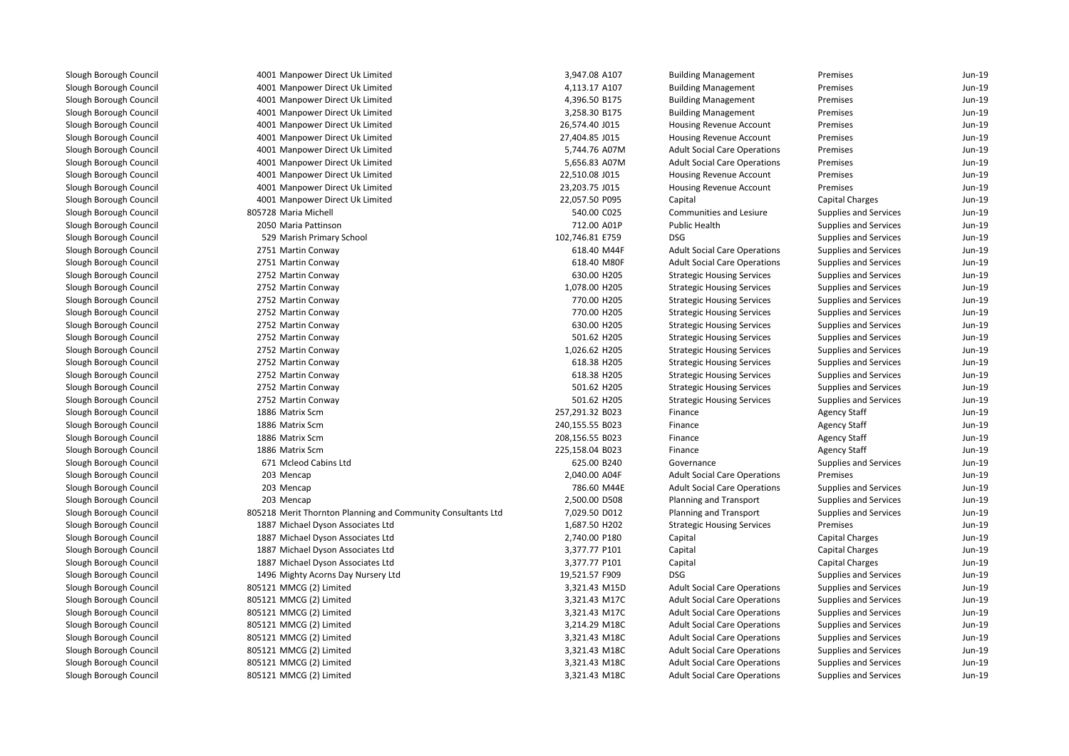4001 Manpower Direct Uk Limited 4001 Manpower Direct Uk Limited 4001 Manpower Direct Uk Limited 4001 Manpower Direct Uk Limited 4001 Manpower Direct Uk Limited 4001 Manpower Direct Uk Limited 4001 Manpower Direct Uk Limited 5,744.76 A07M 4001 Manpower Direct Uk Limited 5,656.83 A07M 4001 Manpower Direct Uk Limited 4001 Manpower Direct Uk Limited 4001 Manpower Direct Uk Limited805728 Maria Michell 2050 Maria Pattinson 529 Marish Primary School 102,746.81 E759 DSG2751 Martin Conway 2751 Martin Conway 2752 Martin Conway 2752 Martin Conway 2752 Martin Conway 2752 Martin Conway 2752 Martin Conway 2752 Martin Conway 2752 Martin Conway 2752 Martin Conway 2752 Martin Conway 2752 Martin Conway 2752 Martin Conway 1886 Matrix Scm 1886 Matrix Scm 1886 Matrix Scm 1886 Matrix Scm 671 Mcleod Cabins Ltd 203 Mencap 203 Mencap 203 Mencap 805218 Merit Thornton Planning and Community Consultants Ltd 1887 Michael Dyson Associates Ltd 1887 Michael Dyson Associates Ltd 1887 Michael Dyson Associates Ltd 1887 Michael Dyson Associates Ltd 1496 Mighty Acorns Day Nursery Ltd 805121 MMCG (2) Limited 3,321.43 M15D 805121 MMCG (2) Limitedd 3,321.43 M17C 805121 MMCG (2) Limitedd 3,321.43 M17C 805121 MMCG (2) Limitedd 3,214.29 M18C 805121 MMCG (2) Limitedd 3,321.43 M18C 805121 MMCG (2) Limited 3,321.43 M18C 805121 MMCG (2) Limitedd 3,321.43 M18C 805121 MMCG (2) Limited

| 1 Manpower Direct Uk Limited                            | 3,947.08 A107   | <b>Building Management</b>          | Premises                     | Jun-19 |
|---------------------------------------------------------|-----------------|-------------------------------------|------------------------------|--------|
| 1 Manpower Direct Uk Limited                            | 4,113.17 A107   | <b>Building Management</b>          | Premises                     | Jun-19 |
| 1 Manpower Direct Uk Limited                            | 4,396.50 B175   | <b>Building Management</b>          | Premises                     | Jun-19 |
| 1 Manpower Direct Uk Limited                            | 3,258.30 B175   | <b>Building Management</b>          | Premises                     | Jun-19 |
| 1 Manpower Direct Uk Limited                            | 26,574.40 J015  | Housing Revenue Account             | Premises                     | Jun-19 |
| 1 Manpower Direct Uk Limited                            | 27,404.85 J015  | Housing Revenue Account             | Premises                     | Jun-19 |
| 1 Manpower Direct Uk Limited                            | 5,744.76 A07M   | <b>Adult Social Care Operations</b> | Premises                     | Jun-19 |
| 1 Manpower Direct Uk Limited                            | 5,656.83 A07M   | <b>Adult Social Care Operations</b> | Premises                     | Jun-19 |
| 1 Manpower Direct Uk Limited                            | 22,510.08 J015  | Housing Revenue Account             | Premises                     | Jun-19 |
| 1 Manpower Direct Uk Limited                            | 23,203.75 J015  | <b>Housing Revenue Account</b>      | Premises                     | Jun-19 |
| 1 Manpower Direct Uk Limited                            | 22,057.50 P095  | Capital                             | <b>Capital Charges</b>       | Jun-19 |
| 8 Maria Michell                                         | 540.00 C025     | Communities and Lesiure             | <b>Supplies and Services</b> | Jun-19 |
| 0 Maria Pattinson                                       | 712.00 A01P     | <b>Public Health</b>                | <b>Supplies and Services</b> | Jun-19 |
| 9 Marish Primary School                                 | 102,746.81 E759 | <b>DSG</b>                          | <b>Supplies and Services</b> | Jun-19 |
| 1 Martin Conway                                         | 618.40 M44F     | <b>Adult Social Care Operations</b> | <b>Supplies and Services</b> | Jun-19 |
| 1 Martin Conway                                         | 618.40 M80F     | <b>Adult Social Care Operations</b> | <b>Supplies and Services</b> | Jun-19 |
| 2 Martin Conway                                         | 630.00 H205     | <b>Strategic Housing Services</b>   | <b>Supplies and Services</b> | Jun-19 |
| 2 Martin Conway                                         | 1,078.00 H205   | <b>Strategic Housing Services</b>   | <b>Supplies and Services</b> | Jun-19 |
| 2 Martin Conway                                         | 770.00 H205     | <b>Strategic Housing Services</b>   | <b>Supplies and Services</b> | Jun-19 |
| 2 Martin Conway                                         | 770.00 H205     | <b>Strategic Housing Services</b>   | <b>Supplies and Services</b> | Jun-19 |
| 2 Martin Conway                                         | 630.00 H205     | <b>Strategic Housing Services</b>   | <b>Supplies and Services</b> | Jun-19 |
| 2 Martin Conway                                         | 501.62 H205     | <b>Strategic Housing Services</b>   | <b>Supplies and Services</b> | Jun-19 |
| 2 Martin Conway                                         | 1,026.62 H205   | <b>Strategic Housing Services</b>   | <b>Supplies and Services</b> | Jun-19 |
| 2 Martin Conway                                         | 618.38 H205     | <b>Strategic Housing Services</b>   | Supplies and Services        | Jun-19 |
| 2 Martin Conway                                         | 618.38 H205     | <b>Strategic Housing Services</b>   | <b>Supplies and Services</b> | Jun-19 |
| 2 Martin Conway                                         | 501.62 H205     | <b>Strategic Housing Services</b>   | Supplies and Services        | Jun-19 |
| 2 Martin Conway                                         | 501.62 H205     | <b>Strategic Housing Services</b>   | <b>Supplies and Services</b> | Jun-19 |
| 6 Matrix Scm                                            | 257,291.32 B023 | Finance                             | <b>Agency Staff</b>          | Jun-19 |
| 6 Matrix Scm                                            | 240,155.55 B023 | Finance                             | <b>Agency Staff</b>          | Jun-19 |
| 6 Matrix Scm                                            | 208,156.55 B023 | Finance                             | <b>Agency Staff</b>          | Jun-19 |
| 6 Matrix Scm                                            | 225,158.04 B023 | Finance                             | <b>Agency Staff</b>          | Jun-19 |
| 1 Mcleod Cabins Ltd                                     | 625.00 B240     | Governance                          | <b>Supplies and Services</b> | Jun-19 |
| 3 Mencap                                                | 2,040.00 A04F   | <b>Adult Social Care Operations</b> | Premises                     | Jun-19 |
| 3 Mencap                                                | 786.60 M44E     | <b>Adult Social Care Operations</b> | <b>Supplies and Services</b> | Jun-19 |
| 3 Mencap                                                | 2,500.00 D508   | Planning and Transport              | Supplies and Services        | Jun-19 |
| 8 Merit Thornton Planning and Community Consultants Ltd | 7,029.50 D012   | Planning and Transport              | <b>Supplies and Services</b> | Jun-19 |
| 7 Michael Dyson Associates Ltd                          | 1,687.50 H202   | <b>Strategic Housing Services</b>   | Premises                     | Jun-19 |
| 7 Michael Dyson Associates Ltd                          | 2,740.00 P180   | Capital                             | Capital Charges              | Jun-19 |
| 7 Michael Dyson Associates Ltd                          | 3,377.77 P101   | Capital                             | Capital Charges              | Jun-19 |
| 7 Michael Dyson Associates Ltd                          | 3,377.77 P101   | Capital                             | Capital Charges              | Jun-19 |
| 6 Mighty Acorns Day Nursery Ltd                         | 19,521.57 F909  | <b>DSG</b>                          | Supplies and Services        | Jun-19 |
| 1 MMCG (2) Limited                                      | 3,321.43 M15D   | <b>Adult Social Care Operations</b> | Supplies and Services        | Jun-19 |
| 1 MMCG (2) Limited                                      | 3,321.43 M17C   | <b>Adult Social Care Operations</b> | Supplies and Services        | Jun-19 |
| 1 MMCG (2) Limited                                      | 3,321.43 M17C   | <b>Adult Social Care Operations</b> | <b>Supplies and Services</b> | Jun-19 |
| 1 MMCG (2) Limited                                      | 3,214.29 M18C   | <b>Adult Social Care Operations</b> | <b>Supplies and Services</b> | Jun-19 |
| 1 MMCG (2) Limited                                      | 3,321.43 M18C   | <b>Adult Social Care Operations</b> | Supplies and Services        | Jun-19 |
| 1 MMCG (2) Limited                                      | 3,321.43 M18C   | <b>Adult Social Care Operations</b> | <b>Supplies and Services</b> | Jun-19 |
| 1 MMCG (2) Limited                                      | 3,321.43 M18C   | <b>Adult Social Care Operations</b> | <b>Supplies and Services</b> | Jun-19 |
| 1 MMCG (2) Limited                                      | 3,321.43 M18C   | <b>Adult Social Care Operations</b> | <b>Supplies and Services</b> | Jun-19 |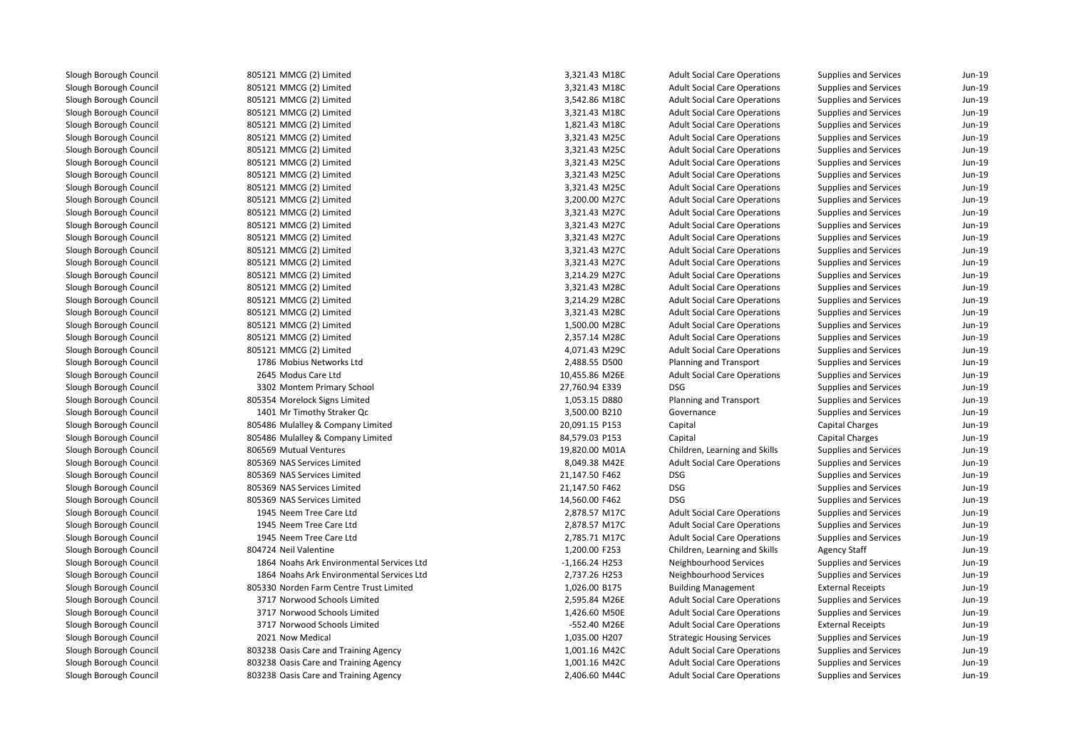805121 MMCG (2) Limited 805121 MMCG (2) Limited 805121 MMCG (2) Limited 805121 MMCG (2) Limited 805121 MMCG (2) Limited 805121 MMCG (2) Limited 805121 MMCG (2) Limited 805121 MMCG (2) Limited 805121 MMCG (2) Limited 805121 MMCG (2) Limited 805121 MMCG (2) Limited 805121 MMCG (2) Limited 805121 MMCG (2) Limited 805121 MMCG (2) Limited 805121 MMCG (2) Limited 805121 MMCG (2) Limited 805121 MMCG (2) Limited 805121 MMCG (2) Limited 805121 MMCG (2) Limited 805121 MMCG (2) Limited 805121 MMCG (2) Limited 805121 MMCG (2) Limited 805121 MMCG (2) Limited 1786 Mobius Networks Ltd 2645 Modus Care Ltd 3302 Montem Primary School 27,760.94 E339 DSG 805354 Morelock Signs Limited1401 Mr Timothy Straker Qc 805486 Mulalley & Company Limited 805486 Mulalley & Company Limited 806569 Mutual Ventures 19,820.00 M01A 805369 NAS Services Limited 805369 NAS Services Limited 805369 NAS Services Limited 805369 NAS Services Limited 1945 Neem Tree Care Ltd 1945 Neem Tree Care Ltd 1945 Neem Tree Care Ltd804724 Neil Valentine 1864 Noahs Ark Environmental Services Ltd 1864 Noahs Ark Environmental Services Ltd 805330 Norden Farm Centre Trust Limited 3717 Norwood Schools Limited 3717 Norwood Schools Limited 3717 Norwood Schools Limited2021 Now Medical 803238 Oasis Care and Training Agency 1,001.16 M42C 1,001.16 M42C 803238 Oasis Care and Training Agency 1,001.16 M42C803238 Oasis Care and Training Agency 2,406.60 M44C

| 1 MMCG (2) Limited                     | 3,321.43 M18C    | <b>Adult Social Care Operations</b> | Supplies and Services        | Jun-19 |
|----------------------------------------|------------------|-------------------------------------|------------------------------|--------|
| 1 MMCG (2) Limited                     | 3,321.43 M18C    | <b>Adult Social Care Operations</b> | <b>Supplies and Services</b> | Jun-19 |
| 1 MMCG (2) Limited                     | 3,542.86 M18C    | <b>Adult Social Care Operations</b> | <b>Supplies and Services</b> | Jun-19 |
| 1 MMCG (2) Limited                     | 3,321.43 M18C    | <b>Adult Social Care Operations</b> | <b>Supplies and Services</b> | Jun-19 |
| 1 MMCG (2) Limited                     | 1,821.43 M18C    | <b>Adult Social Care Operations</b> | Supplies and Services        | Jun-19 |
| 1 MMCG (2) Limited                     | 3,321.43 M25C    | <b>Adult Social Care Operations</b> | Supplies and Services        | Jun-19 |
| 1 MMCG (2) Limited                     | 3,321.43 M25C    | <b>Adult Social Care Operations</b> | Supplies and Services        | Jun-19 |
| 1 MMCG (2) Limited                     | 3,321.43 M25C    | <b>Adult Social Care Operations</b> | Supplies and Services        | Jun-19 |
| 1 MMCG (2) Limited                     | 3,321.43 M25C    | <b>Adult Social Care Operations</b> | Supplies and Services        | Jun-19 |
| 1 MMCG (2) Limited                     | 3,321.43 M25C    | <b>Adult Social Care Operations</b> | Supplies and Services        | Jun-19 |
| 1 MMCG (2) Limited                     | 3,200.00 M27C    | <b>Adult Social Care Operations</b> | <b>Supplies and Services</b> | Jun-19 |
| 1 MMCG (2) Limited                     | 3,321.43 M27C    | <b>Adult Social Care Operations</b> | <b>Supplies and Services</b> | Jun-19 |
| 1 MMCG (2) Limited                     | 3,321.43 M27C    | <b>Adult Social Care Operations</b> | Supplies and Services        | Jun-19 |
| 1 MMCG (2) Limited                     | 3,321.43 M27C    | <b>Adult Social Care Operations</b> | Supplies and Services        | Jun-19 |
| 1 MMCG (2) Limited                     | 3,321.43 M27C    | <b>Adult Social Care Operations</b> | <b>Supplies and Services</b> | Jun-19 |
| 1 MMCG (2) Limited                     | 3,321.43 M27C    | <b>Adult Social Care Operations</b> | Supplies and Services        | Jun-19 |
| 1 MMCG (2) Limited                     | 3,214.29 M27C    | <b>Adult Social Care Operations</b> | <b>Supplies and Services</b> | Jun-19 |
| 1 MMCG (2) Limited                     | 3,321.43 M28C    | <b>Adult Social Care Operations</b> | Supplies and Services        | Jun-19 |
| 1 MMCG (2) Limited                     | 3,214.29 M28C    | <b>Adult Social Care Operations</b> | <b>Supplies and Services</b> | Jun-19 |
| 1 MMCG (2) Limited                     | 3,321.43 M28C    | <b>Adult Social Care Operations</b> | Supplies and Services        | Jun-19 |
| 1 MMCG (2) Limited                     | 1,500.00 M28C    | <b>Adult Social Care Operations</b> | Supplies and Services        | Jun-19 |
| 1 MMCG (2) Limited                     | 2,357.14 M28C    | <b>Adult Social Care Operations</b> | Supplies and Services        | Jun-19 |
| 1 MMCG (2) Limited                     | 4,071.43 M29C    | <b>Adult Social Care Operations</b> | <b>Supplies and Services</b> | Jun-19 |
| 6 Mobius Networks Ltd                  | 2,488.55 D500    | Planning and Transport              | <b>Supplies and Services</b> | Jun-19 |
| 5 Modus Care Ltd                       | 10,455.86 M26E   | <b>Adult Social Care Operations</b> | <b>Supplies and Services</b> | Jun-19 |
| 2 Montem Primary School                | 27,760.94 E339   | <b>DSG</b>                          | Supplies and Services        | Jun-19 |
| 4 Morelock Signs Limited               | 1,053.15 D880    | Planning and Transport              | <b>Supplies and Services</b> | Jun-19 |
| 1 Mr Timothy Straker Qc                | 3,500.00 B210    | Governance                          | Supplies and Services        | Jun-19 |
| 6 Mulalley & Company Limited           | 20,091.15 P153   | Capital                             | Capital Charges              | Jun-19 |
| 6 Mulalley & Company Limited           | 84,579.03 P153   | Capital                             | <b>Capital Charges</b>       | Jun-19 |
| 9 Mutual Ventures                      | 19,820.00 M01A   | Children, Learning and Skills       | Supplies and Services        | Jun-19 |
| 9 NAS Services Limited                 | 8,049.38 M42E    | <b>Adult Social Care Operations</b> | <b>Supplies and Services</b> | Jun-19 |
| 9 NAS Services Limited                 | 21,147.50 F462   | <b>DSG</b>                          | <b>Supplies and Services</b> | Jun-19 |
| 9 NAS Services Limited                 | 21,147.50 F462   | <b>DSG</b>                          | Supplies and Services        | Jun-19 |
| 9 NAS Services Limited                 | 14,560.00 F462   | <b>DSG</b>                          | <b>Supplies and Services</b> | Jun-19 |
| 5 Neem Tree Care Ltd                   | 2,878.57 M17C    | <b>Adult Social Care Operations</b> | Supplies and Services        | Jun-19 |
| 5 Neem Tree Care Ltd                   | 2,878.57 M17C    | <b>Adult Social Care Operations</b> | Supplies and Services        | Jun-19 |
| 5 Neem Tree Care Ltd                   | 2,785.71 M17C    | <b>Adult Social Care Operations</b> | <b>Supplies and Services</b> | Jun-19 |
| 4 Neil Valentine                       | 1,200.00 F253    | Children, Learning and Skills       | <b>Agency Staff</b>          | Jun-19 |
| 4 Noahs Ark Environmental Services Ltd | $-1,166.24$ H253 | Neighbourhood Services              | Supplies and Services        | Jun-19 |
| 4 Noahs Ark Environmental Services Ltd | 2,737.26 H253    | Neighbourhood Services              | Supplies and Services        | Jun-19 |
| 0 Norden Farm Centre Trust Limited     | 1,026.00 B175    | <b>Building Management</b>          | <b>External Receipts</b>     | Jun-19 |
| 7 Norwood Schools Limited              | 2,595.84 M26E    | <b>Adult Social Care Operations</b> | Supplies and Services        | Jun-19 |
| 7 Norwood Schools Limited              | 1,426.60 M50E    | <b>Adult Social Care Operations</b> | <b>Supplies and Services</b> | Jun-19 |
| 7 Norwood Schools Limited              | -552.40 M26E     | <b>Adult Social Care Operations</b> | <b>External Receipts</b>     | Jun-19 |
| 1 Now Medical                          | 1,035.00 H207    | <b>Strategic Housing Services</b>   | <b>Supplies and Services</b> | Jun-19 |
| 8 Oasis Care and Training Agency       | 1,001.16 M42C    | <b>Adult Social Care Operations</b> | <b>Supplies and Services</b> | Jun-19 |
| 8 Oasis Care and Training Agency       | 1,001.16 M42C    | <b>Adult Social Care Operations</b> | <b>Supplies and Services</b> | Jun-19 |
| 8 Oasis Care and Training Agency       | 2,406.60 M44C    | <b>Adult Social Care Operations</b> | <b>Supplies and Services</b> | Jun-19 |
|                                        |                  |                                     |                              |        |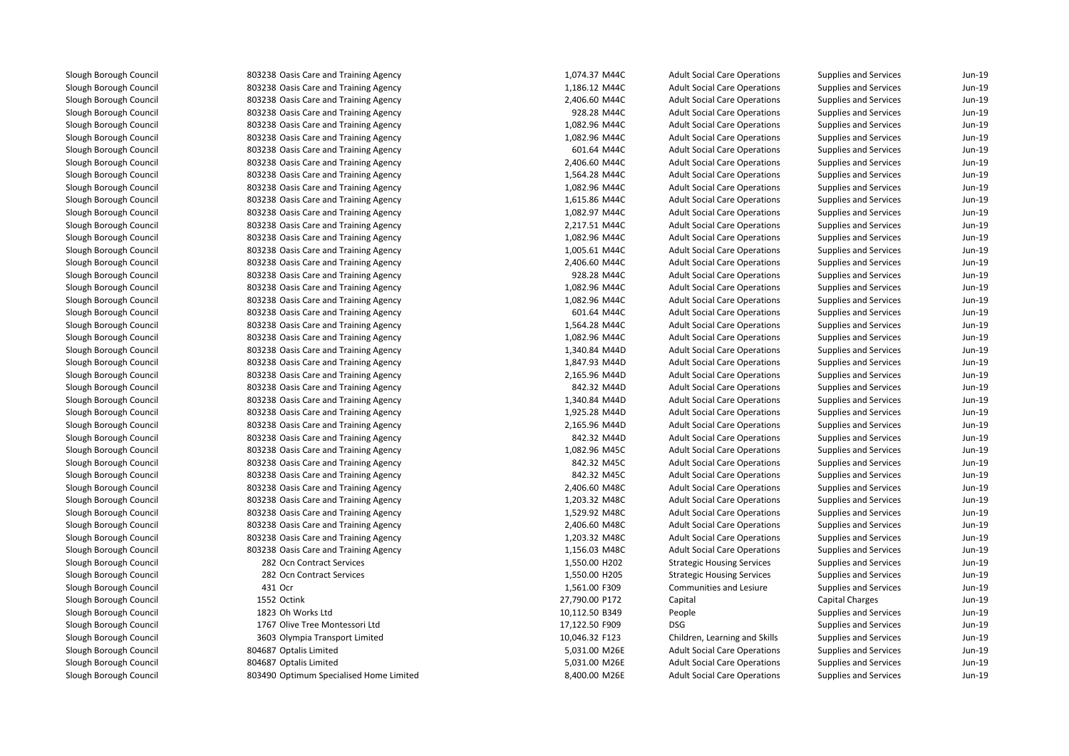**803238 Oasis Care and Training Agency** 1,074.37 M44C 1,074.37 M44C 803238 Oasis Care and Training Agency 1,186.12 M44C 1,186.12 M44C 803238 Oasis Care and Training Agency 2,406.60 M44C 803238 Oasis Care and Training Agency 928.28 M44C**1** 803238 Oasis Care and Training Agency 1,082.96 M44C **1** 803238 Oasis Care and Training Agency 1,082.96 M44C **1** 803238 Oasis Care and Training Agency **601.64 M44C** 601.64 M44C 803238 Oasis Care and Training Agency 2,406.60 M44C**1** 803238 Oasis Care and Training Agency 1,564.28 M44C **1** 803238 Oasis Care and Training Agency 1,082.96 M44C **1** 803238 Oasis Care and Training Agency 1,615.86 M44C **1** 803238 Oasis Care and Training Agency 1,082.97 M44C 803238 Oasis Care and Training Agency 2,217.51 M44C**1** 803238 Oasis Care and Training Agency 1,082.96 M44C 803238 Oasis Care and Training Agency 1,005.61 M44C 1,005.61 M44C 803238 Oasis Care and Training Agency 2,406.60 M44C 803238 Oasis Care and Training Agency 928.28 M44C**1** 803238 Oasis Care and Training Agency 1,082.96 M44C **1** 803238 Oasis Care and Training Agency 1,082.96 M44C **803238 Oasis Care and Training Agency and State and Training Agency** 601.64 M44C **1** 803238 Oasis Care and Training Agency 1,564.28 M44C **1** 803238 Oasis Care and Training Agency 1,082.96 M44C **1** 803238 Oasis Care and Training Agency 1,340.84 M44D **1** 803238 Oasis Care and Training Agency 1,847.93 M44D 803238 Oasis Care and Training Agency 2,165.96 M44D 803238 Oasis Care and Training Agency 842.32 M44D**1** 803238 Oasis Care and Training Agency 1,340.84 M44D **1** 803238 Oasis Care and Training Agency 1,925.28 M44D 803238 Oasis Care and Training Agency 2,165.96 M44D 803238 Oasis Care and Training Agency 842.32 M44D**1** 803238 Oasis Care and Training Agency 1,082.96 M45C **1** 803238 Oasis Care and Training Agency **842.32 M45C 1** 803238 Oasis Care and Training Agency **842.32 M45C**  803238 Oasis Care and Training Agency 2,406.60 M48C**1** 803238 Oasis Care and Training Agency 1,203.32 M48C **1** 803238 Oasis Care and Training Agency 1,529.92 M48C 803238 Oasis Care and Training Agency 2,406.60 M48C**1** 803238 Oasis Care and Training Agency 1,203.32 M48C **1** 803238 Oasis Care and Training Agency 1,156.03 M48C 282 282431 Ocr 1552 Octink 1823 Oh Works Ltd 1767 Olive Tree Montessori Ltd 3603 Olympia Transport Limited 804687 Optalis Limited 804687 Optalis Limited803490 Optimum Specialised Home Limited

| 8 Oasis Care and Training Agency   | 1,074.37 M44C  | <b>Adult Social Care Operations</b> | Supplies and Services        | Jun-19 |
|------------------------------------|----------------|-------------------------------------|------------------------------|--------|
| 8 Oasis Care and Training Agency   | 1,186.12 M44C  | <b>Adult Social Care Operations</b> | Supplies and Services        | Jun-19 |
| 8 Oasis Care and Training Agency   | 2,406.60 M44C  | <b>Adult Social Care Operations</b> | Supplies and Services        | Jun-19 |
| 8 Oasis Care and Training Agency   | 928.28 M44C    | <b>Adult Social Care Operations</b> | Supplies and Services        | Jun-19 |
| 8 Oasis Care and Training Agency   | 1,082.96 M44C  | <b>Adult Social Care Operations</b> | Supplies and Services        | Jun-19 |
| 8 Oasis Care and Training Agency   | 1,082.96 M44C  | <b>Adult Social Care Operations</b> | <b>Supplies and Services</b> | Jun-19 |
| 8 Oasis Care and Training Agency   | 601.64 M44C    | <b>Adult Social Care Operations</b> | <b>Supplies and Services</b> | Jun-19 |
| 8 Oasis Care and Training Agency   | 2,406.60 M44C  | <b>Adult Social Care Operations</b> | <b>Supplies and Services</b> | Jun-19 |
| 8 Oasis Care and Training Agency   | 1,564.28 M44C  | <b>Adult Social Care Operations</b> | Supplies and Services        | Jun-19 |
| 8 Oasis Care and Training Agency   | 1,082.96 M44C  | <b>Adult Social Care Operations</b> | Supplies and Services        | Jun-19 |
| 8 Oasis Care and Training Agency   | 1,615.86 M44C  | <b>Adult Social Care Operations</b> | Supplies and Services        | Jun-19 |
| 8 Oasis Care and Training Agency   | 1,082.97 M44C  | <b>Adult Social Care Operations</b> | Supplies and Services        | Jun-19 |
| 8 Oasis Care and Training Agency   | 2,217.51 M44C  | <b>Adult Social Care Operations</b> | <b>Supplies and Services</b> | Jun-19 |
| 8 Oasis Care and Training Agency   | 1,082.96 M44C  | <b>Adult Social Care Operations</b> | Supplies and Services        | Jun-19 |
| 8 Oasis Care and Training Agency   | 1,005.61 M44C  | <b>Adult Social Care Operations</b> | Supplies and Services        | Jun-19 |
| 8 Oasis Care and Training Agency   | 2,406.60 M44C  | <b>Adult Social Care Operations</b> | Supplies and Services        | Jun-19 |
| 8 Oasis Care and Training Agency   | 928.28 M44C    | <b>Adult Social Care Operations</b> | Supplies and Services        | Jun-19 |
| 8 Oasis Care and Training Agency   | 1,082.96 M44C  | <b>Adult Social Care Operations</b> | Supplies and Services        | Jun-19 |
| 8 Oasis Care and Training Agency   | 1,082.96 M44C  | <b>Adult Social Care Operations</b> | Supplies and Services        | Jun-19 |
| 8 Oasis Care and Training Agency   | 601.64 M44C    | <b>Adult Social Care Operations</b> | Supplies and Services        | Jun-19 |
| 8 Oasis Care and Training Agency   | 1,564.28 M44C  | <b>Adult Social Care Operations</b> | Supplies and Services        | Jun-19 |
| 8 Oasis Care and Training Agency   | 1,082.96 M44C  | <b>Adult Social Care Operations</b> | Supplies and Services        | Jun-19 |
| 8 Oasis Care and Training Agency   | 1,340.84 M44D  | <b>Adult Social Care Operations</b> | <b>Supplies and Services</b> | Jun-19 |
| 8 Oasis Care and Training Agency   | 1,847.93 M44D  | <b>Adult Social Care Operations</b> | Supplies and Services        | Jun-19 |
| 8 Oasis Care and Training Agency   | 2,165.96 M44D  | <b>Adult Social Care Operations</b> | <b>Supplies and Services</b> | Jun-19 |
| 8 Oasis Care and Training Agency   | 842.32 M44D    | <b>Adult Social Care Operations</b> | Supplies and Services        | Jun-19 |
| 8 Oasis Care and Training Agency   | 1,340.84 M44D  | <b>Adult Social Care Operations</b> | <b>Supplies and Services</b> | Jun-19 |
| 8 Oasis Care and Training Agency   | 1,925.28 M44D  | <b>Adult Social Care Operations</b> | Supplies and Services        | Jun-19 |
| 8 Oasis Care and Training Agency   | 2,165.96 M44D  | <b>Adult Social Care Operations</b> | <b>Supplies and Services</b> | Jun-19 |
| 8 Oasis Care and Training Agency   | 842.32 M44D    | <b>Adult Social Care Operations</b> | Supplies and Services        | Jun-19 |
| 8 Oasis Care and Training Agency   | 1,082.96 M45C  | <b>Adult Social Care Operations</b> | Supplies and Services        | Jun-19 |
| 8 Oasis Care and Training Agency   | 842.32 M45C    | <b>Adult Social Care Operations</b> | <b>Supplies and Services</b> | Jun-19 |
| 8 Oasis Care and Training Agency   | 842.32 M45C    | <b>Adult Social Care Operations</b> | Supplies and Services        | Jun-19 |
| 8 Oasis Care and Training Agency   | 2,406.60 M48C  | <b>Adult Social Care Operations</b> | Supplies and Services        | Jun-19 |
| 8 Oasis Care and Training Agency   | 1,203.32 M48C  | <b>Adult Social Care Operations</b> | Supplies and Services        | Jun-19 |
| 8 Oasis Care and Training Agency   | 1,529.92 M48C  | <b>Adult Social Care Operations</b> | Supplies and Services        | Jun-19 |
| 8 Oasis Care and Training Agency   | 2,406.60 M48C  | <b>Adult Social Care Operations</b> | Supplies and Services        | Jun-19 |
| 8 Oasis Care and Training Agency   | 1,203.32 M48C  | <b>Adult Social Care Operations</b> | Supplies and Services        | Jun-19 |
| 8 Oasis Care and Training Agency   | 1,156.03 M48C  | <b>Adult Social Care Operations</b> | Supplies and Services        | Jun-19 |
| 2 Ocn Contract Services            | 1,550.00 H202  | <b>Strategic Housing Services</b>   | Supplies and Services        | Jun-19 |
| 2 Ocn Contract Services            | 1,550.00 H205  | <b>Strategic Housing Services</b>   | Supplies and Services        | Jun-19 |
| 1 Ocr                              | 1,561.00 F309  | Communities and Lesiure             | Supplies and Services        | Jun-19 |
| 2 Octink                           | 27,790.00 P172 | Capital                             | <b>Capital Charges</b>       | Jun-19 |
| 3 Oh Works Ltd                     | 10,112.50 B349 | People                              | <b>Supplies and Services</b> | Jun-19 |
| 7 Olive Tree Montessori Ltd        | 17,122.50 F909 | <b>DSG</b>                          | Supplies and Services        | Jun-19 |
| 3 Olympia Transport Limited        | 10,046.32 F123 | Children, Learning and Skills       | Supplies and Services        | Jun-19 |
| 7 Optalis Limited                  | 5,031.00 M26E  | <b>Adult Social Care Operations</b> | <b>Supplies and Services</b> | Jun-19 |
| 7 Optalis Limited                  | 5,031.00 M26E  | <b>Adult Social Care Operations</b> | <b>Supplies and Services</b> | Jun-19 |
| 0 Optimum Specialised Home Limited | 8,400.00 M26E  | <b>Adult Social Care Operations</b> | <b>Supplies and Services</b> | Jun-19 |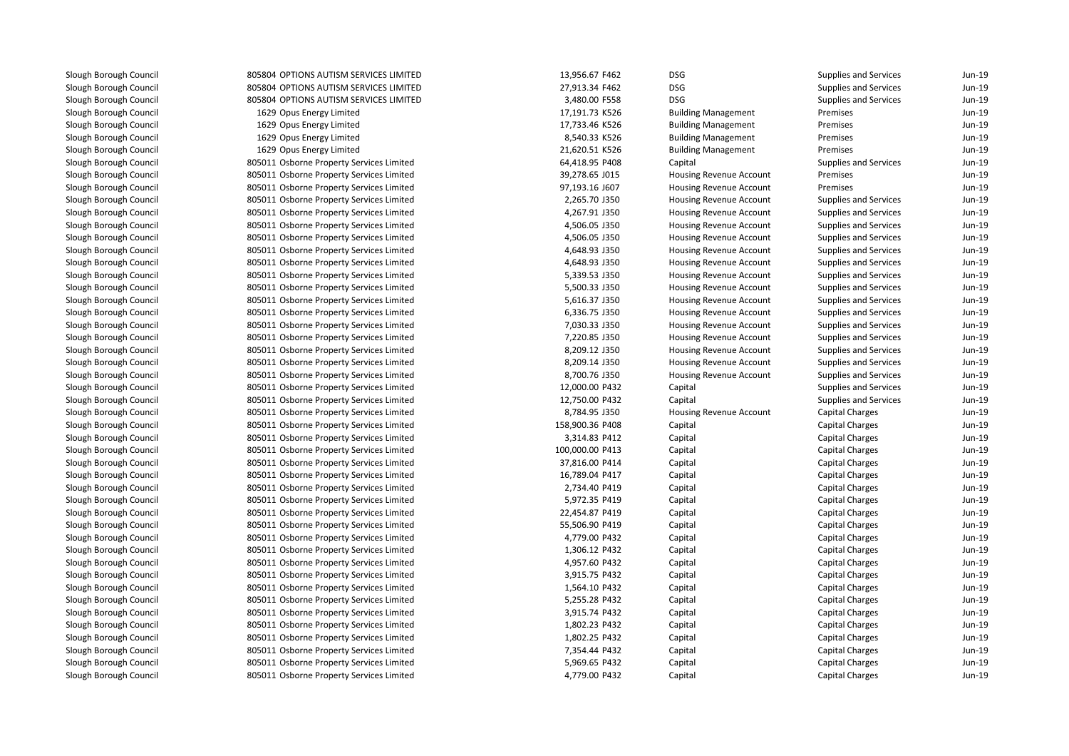805804 OPTIONS AUTISM SERVICES LIMITED 805804 OPTIONS AUTISM SERVICES LIMITED 805804 OPTIONS AUTISM SERVICES LIMITED 1629 Opus Energy Limited 1629 Opus Energy Limited 1629 Opus Energy Limited 1629 Opus Energy Limited 805011 Osborne Property Services Limited 805011 Osborne Property Services Limited 805011 Osborne Property Services Limited 805011 Osborne Property Services Limited 805011 Osborne Property Services Limited 805011 Osborne Property Services Limited 805011 Osborne Property Services Limited 805011 Osborne Property Services Limited 805011 Osborne Property Services Limited 805011 Osborne Property Services Limited 805011 Osborne Property Services Limited 805011 Osborne Property Services Limited 805011 Osborne Property Services Limited 805011 Osborne Property Services Limited 805011 Osborne Property Services Limited 805011 Osborne Property Services Limited 805011 Osborne Property Services Limited 805011 Osborne Property Services Limited 805011 Osborne Property Services Limited 805011 Osborne Property Services Limited 805011 Osborne Property Services Limited 805011 Osborne Property Services Limited 805011 Osborne Property Services Limited 805011 Osborne Property Services Limited 805011 Osborne Property Services Limited 805011 Osborne Property Services Limited 805011 Osborne Property Services Limited 805011 Osborne Property Services Limited 805011 Osborne Property Services Limited 805011 Osborne Property Services Limited 805011 Osborne Property Services Limited 805011 Osborne Property Services Limited 805011 Osborne Property Services Limited 805011 Osborne Property Services Limited 805011 Osborne Property Services Limited 805011 Osborne Property Services Limited 805011 Osborne Property Services Limited 805011 Osborne Property Services Limited 805011 Osborne Property Services Limited 805011 Osborne Property Services Limited 805011 Osborne Property Services Limited805011 Osborne Property Services Limited

| ERVICES LIMITED | 13,956.67 F462  | DSG                            | <b>Supplies and Services</b> | Jun-19 |
|-----------------|-----------------|--------------------------------|------------------------------|--------|
| ERVICES LIMITED | 27,913.34 F462  | DSG                            | <b>Supplies and Services</b> | Jun-19 |
| ERVICES LIMITED | 3,480.00 F558   | <b>DSG</b>                     | <b>Supplies and Services</b> | Jun-19 |
| d               | 17,191.73 K526  | <b>Building Management</b>     | Premises                     | Jun-19 |
| d               | 17,733.46 K526  | <b>Building Management</b>     | Premises                     | Jun-19 |
| d               | 8,540.33 K526   | <b>Building Management</b>     | Premises                     | Jun-19 |
| d               | 21,620.51 K526  | <b>Building Management</b>     | Premises                     | Jun-19 |
| ervices Limited | 64,418.95 P408  | Capital                        | <b>Supplies and Services</b> | Jun-19 |
| ervices Limited | 39,278.65 J015  | Housing Revenue Account        | Premises                     | Jun-19 |
| ervices Limited | 97,193.16 J607  | Housing Revenue Account        | Premises                     | Jun-19 |
| ervices Limited | 2,265.70 J350   | Housing Revenue Account        | Supplies and Services        | Jun-19 |
| ervices Limited | 4,267.91 J350   | <b>Housing Revenue Account</b> | <b>Supplies and Services</b> | Jun-19 |
| ervices Limited | 4,506.05 J350   | <b>Housing Revenue Account</b> | <b>Supplies and Services</b> | Jun-19 |
| ervices Limited | 4,506.05 J350   | Housing Revenue Account        | <b>Supplies and Services</b> | Jun-19 |
| ervices Limited | 4,648.93 J350   | <b>Housing Revenue Account</b> | <b>Supplies and Services</b> | Jun-19 |
| ervices Limited | 4,648.93 J350   | Housing Revenue Account        | Supplies and Services        | Jun-19 |
| ervices Limited | 5,339.53 J350   | Housing Revenue Account        | Supplies and Services        | Jun-19 |
| ervices Limited | 5,500.33 J350   | <b>Housing Revenue Account</b> | Supplies and Services        | Jun-19 |
| ervices Limited | 5,616.37 J350   | <b>Housing Revenue Account</b> | Supplies and Services        | Jun-19 |
| ervices Limited | 6,336.75 J350   | <b>Housing Revenue Account</b> | <b>Supplies and Services</b> | Jun-19 |
| ervices Limited | 7,030.33 J350   | <b>Housing Revenue Account</b> | <b>Supplies and Services</b> | Jun-19 |
| ervices Limited | 7,220.85 J350   | Housing Revenue Account        | Supplies and Services        | Jun-19 |
| ervices Limited | 8,209.12 J350   | <b>Housing Revenue Account</b> | <b>Supplies and Services</b> | Jun-19 |
| ervices Limited | 8,209.14 J350   | Housing Revenue Account        | Supplies and Services        | Jun-19 |
| ervices Limited | 8,700.76 J350   | <b>Housing Revenue Account</b> | Supplies and Services        | Jun-19 |
| ervices Limited | 12,000.00 P432  | Capital                        | <b>Supplies and Services</b> | Jun-19 |
| ervices Limited | 12,750.00 P432  | Capital                        | <b>Supplies and Services</b> | Jun-19 |
| ervices Limited | 8,784.95 J350   | <b>Housing Revenue Account</b> | <b>Capital Charges</b>       | Jun-19 |
| ervices Limited | 158,900.36 P408 | Capital                        | <b>Capital Charges</b>       | Jun-19 |
| ervices Limited | 3,314.83 P412   | Capital                        | <b>Capital Charges</b>       | Jun-19 |
| ervices Limited | 100,000.00 P413 | Capital                        | <b>Capital Charges</b>       | Jun-19 |
| ervices Limited | 37,816.00 P414  | Capital                        | <b>Capital Charges</b>       | Jun-19 |
| ervices Limited | 16,789.04 P417  | Capital                        | <b>Capital Charges</b>       | Jun-19 |
| ervices Limited | 2,734.40 P419   | Capital                        | <b>Capital Charges</b>       | Jun-19 |
| ervices Limited | 5,972.35 P419   | Capital                        | Capital Charges              | Jun-19 |
| ervices Limited | 22,454.87 P419  | Capital                        | Capital Charges              | Jun-19 |
| ervices Limited | 55,506.90 P419  | Capital                        | <b>Capital Charges</b>       | Jun-19 |
| ervices Limited | 4,779.00 P432   | Capital                        | Capital Charges              | Jun-19 |
| ervices Limited | 1,306.12 P432   | Capital                        | <b>Capital Charges</b>       | Jun-19 |
| ervices Limited | 4,957.60 P432   | Capital                        | <b>Capital Charges</b>       | Jun-19 |
| ervices Limited | 3,915.75 P432   | Capital                        | Capital Charges              | Jun-19 |
| ervices Limited | 1,564.10 P432   | Capital                        | <b>Capital Charges</b>       | Jun-19 |
| ervices Limited | 5,255.28 P432   | Capital                        | Capital Charges              | Jun-19 |
| ervices Limited | 3,915.74 P432   | Capital                        | <b>Capital Charges</b>       | Jun-19 |
| ervices Limited | 1,802.23 P432   | Capital                        | <b>Capital Charges</b>       | Jun-19 |
| ervices Limited | 1,802.25 P432   | Capital                        | <b>Capital Charges</b>       | Jun-19 |
| ervices Limited | 7,354.44 P432   | Capital                        | Capital Charges              | Jun-19 |
| ervices Limited | 5,969.65 P432   | Capital                        | <b>Capital Charges</b>       | Jun-19 |
| ervices Limited | 4,779.00 P432   | Capital                        | <b>Capital Charges</b>       | Jun-19 |
|                 |                 |                                |                              |        |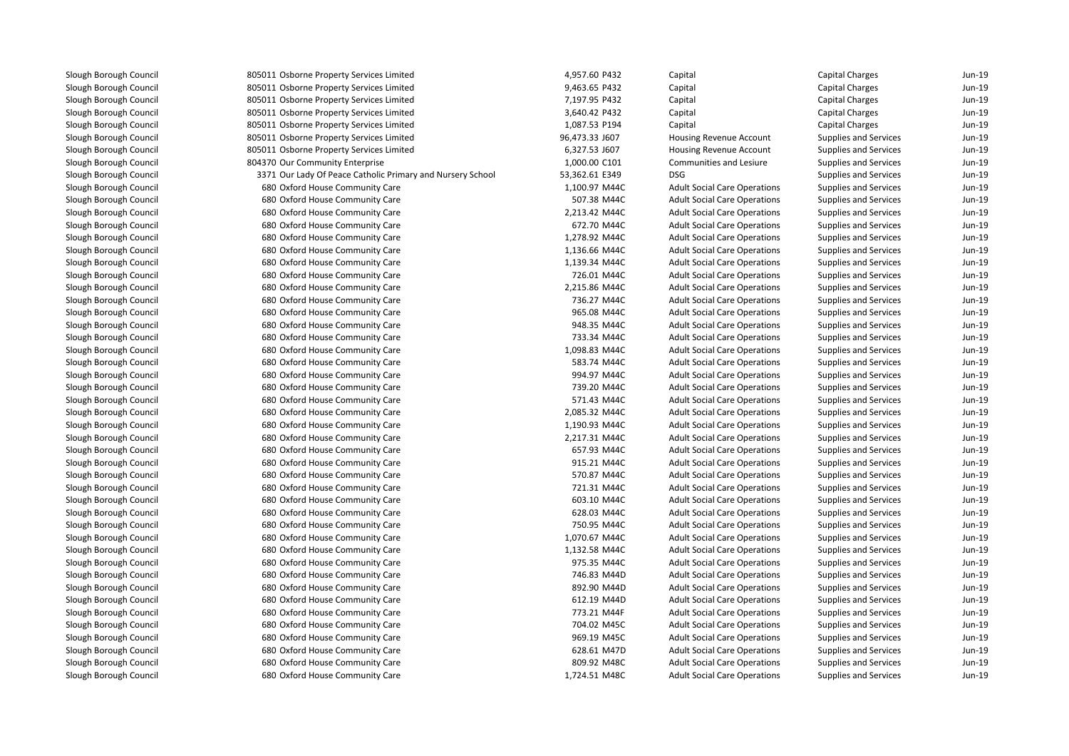| 805011 Osborne Property Services Limited                   | 4,957.60 P432  | Cap        |
|------------------------------------------------------------|----------------|------------|
| 805011 Osborne Property Services Limited                   | 9,463.65 P432  | Cap        |
| 805011 Osborne Property Services Limited                   | 7,197.95 P432  | Cap        |
| 805011 Osborne Property Services Limited                   | 3,640.42 P432  | Cap        |
| 805011 Osborne Property Services Limited                   | 1,087.53 P194  | Cap        |
| 805011 Osborne Property Services Limited                   | 96,473.33 J607 | Hou        |
| 805011 Osborne Property Services Limited                   | 6,327.53 J607  | Hou        |
| 804370 Our Community Enterprise                            | 1,000.00 C101  | Con        |
| 3371 Our Lady Of Peace Catholic Primary and Nursery School | 53,362.61 E349 | <b>DSG</b> |
| 680 Oxford House Community Care                            | 1,100.97 M44C  | Adu        |
| 680 Oxford House Community Care                            | 507.38 M44C    | Adu        |
| 680 Oxford House Community Care                            | 2,213.42 M44C  | Adu        |
| 680 Oxford House Community Care                            | 672.70 M44C    | Adu        |
| 680 Oxford House Community Care                            | 1,278.92 M44C  | Adu        |
| 680 Oxford House Community Care                            | 1,136.66 M44C  | Adu        |
| 680 Oxford House Community Care                            | 1,139.34 M44C  | Adu        |
| 680 Oxford House Community Care                            | 726.01 M44C    | Adu        |
| 680 Oxford House Community Care                            | 2,215.86 M44C  | Adu        |
| 680 Oxford House Community Care                            | 736.27 M44C    | Adu        |
| 680 Oxford House Community Care                            | 965.08 M44C    | Adu        |
| 680 Oxford House Community Care                            | 948.35 M44C    | Adu        |
| 680 Oxford House Community Care                            | 733.34 M44C    | Adu        |
| 680 Oxford House Community Care                            | 1,098.83 M44C  | Adu        |
| 680 Oxford House Community Care                            | 583.74 M44C    | Adu        |
| 680 Oxford House Community Care                            | 994.97 M44C    | Adu        |
| 680 Oxford House Community Care                            | 739.20 M44C    | Adu        |
| 680 Oxford House Community Care                            | 571.43 M44C    | Adu        |
| 680 Oxford House Community Care                            | 2,085.32 M44C  | Adu        |
| 680 Oxford House Community Care                            | 1,190.93 M44C  | Adu        |
| 680 Oxford House Community Care                            | 2,217.31 M44C  | Adu        |
| 680 Oxford House Community Care                            | 657.93 M44C    | Adu        |
| 680 Oxford House Community Care                            | 915.21 M44C    | Adu        |
| 680 Oxford House Community Care                            | 570.87 M44C    | Adu        |
| 680 Oxford House Community Care                            | 721.31 M44C    | Adu        |
| 680 Oxford House Community Care                            | 603.10 M44C    | Adu        |
| 680 Oxford House Community Care                            | 628.03 M44C    | Adu        |
| 680 Oxford House Community Care                            | 750.95 M44C    | Adu        |
| 680 Oxford House Community Care                            | 1,070.67 M44C  | Adu        |
| 680 Oxford House Community Care                            | 1,132.58 M44C  | Adu        |
| 680 Oxford House Community Care                            | 975.35 M44C    | Adu        |
| 680 Oxford House Community Care                            | 746.83 M44D    | Adu        |
| 680 Oxford House Community Care                            | 892.90 M44D    | Adu        |
| 680 Oxford House Community Care                            | 612.19 M44D    | Adu        |
| 680 Oxford House Community Care                            | 773.21 M44F    | Adu        |
| 680 Oxford House Community Care                            | 704.02 M45C    | Adu        |
| 680 Oxford House Community Care                            | 969.19 M45C    | Adu        |
| 680 Oxford House Community Care                            | 628.61 M47D    | Adu        |
| 680 Oxford House Community Care                            | 809.92 M48C    | Adu        |
| 680 Oxford House Community Care                            | 1,724.51 M48C  | Adu        |
|                                                            |                |            |

| 4,957.60 P432  | Capital                             | Capital Charges              | Jun-19 |
|----------------|-------------------------------------|------------------------------|--------|
| 9,463.65 P432  | Capital                             | Capital Charges              | Jun-19 |
| 7,197.95 P432  | Capital                             | Capital Charges              | Jun-19 |
| 3,640.42 P432  | Capital                             | Capital Charges              | Jun-19 |
| 1,087.53 P194  | Capital                             | <b>Capital Charges</b>       | Jun-19 |
| 96,473.33 J607 | Housing Revenue Account             | <b>Supplies and Services</b> | Jun-19 |
| 6,327.53 J607  | Housing Revenue Account             | Supplies and Services        | Jun-19 |
| 1,000.00 C101  | Communities and Lesiure             | Supplies and Services        | Jun-19 |
| 53,362.61 E349 | <b>DSG</b>                          | Supplies and Services        | Jun-19 |
| 1,100.97 M44C  | <b>Adult Social Care Operations</b> | Supplies and Services        | Jun-19 |
| 507.38 M44C    | <b>Adult Social Care Operations</b> | Supplies and Services        | Jun-19 |
| 2,213.42 M44C  | <b>Adult Social Care Operations</b> | Supplies and Services        | Jun-19 |
| 672.70 M44C    | <b>Adult Social Care Operations</b> | Supplies and Services        | Jun-19 |
| 1,278.92 M44C  | <b>Adult Social Care Operations</b> | Supplies and Services        | Jun-19 |
| 1,136.66 M44C  | <b>Adult Social Care Operations</b> | Supplies and Services        | Jun-19 |
| 1,139.34 M44C  | <b>Adult Social Care Operations</b> | Supplies and Services        | Jun-19 |
| 726.01 M44C    | <b>Adult Social Care Operations</b> | Supplies and Services        | Jun-19 |
| 2,215.86 M44C  | <b>Adult Social Care Operations</b> | Supplies and Services        | Jun-19 |
| 736.27 M44C    | <b>Adult Social Care Operations</b> | Supplies and Services        | Jun-19 |
| 965.08 M44C    | <b>Adult Social Care Operations</b> | Supplies and Services        | Jun-19 |
| 948.35 M44C    | <b>Adult Social Care Operations</b> | Supplies and Services        | Jun-19 |
| 733.34 M44C    | <b>Adult Social Care Operations</b> | Supplies and Services        | Jun-19 |
| 1,098.83 M44C  | <b>Adult Social Care Operations</b> | <b>Supplies and Services</b> | Jun-19 |
| 583.74 M44C    | <b>Adult Social Care Operations</b> | Supplies and Services        | Jun-19 |
| 994.97 M44C    | <b>Adult Social Care Operations</b> | Supplies and Services        | Jun-19 |
| 739.20 M44C    | <b>Adult Social Care Operations</b> | Supplies and Services        | Jun-19 |
| 571.43 M44C    | <b>Adult Social Care Operations</b> | Supplies and Services        | Jun-19 |
| 2,085.32 M44C  | <b>Adult Social Care Operations</b> | <b>Supplies and Services</b> | Jun-19 |
| 1,190.93 M44C  | <b>Adult Social Care Operations</b> | Supplies and Services        | Jun-19 |
| 2,217.31 M44C  | <b>Adult Social Care Operations</b> | Supplies and Services        | Jun-19 |
| 657.93 M44C    | <b>Adult Social Care Operations</b> | Supplies and Services        | Jun-19 |
| 915.21 M44C    | <b>Adult Social Care Operations</b> | Supplies and Services        | Jun-19 |
| 570.87 M44C    | <b>Adult Social Care Operations</b> | Supplies and Services        | Jun-19 |
| 721.31 M44C    | <b>Adult Social Care Operations</b> | Supplies and Services        | Jun-19 |
| 603.10 M44C    | <b>Adult Social Care Operations</b> | Supplies and Services        | Jun-19 |
| 628.03 M44C    | <b>Adult Social Care Operations</b> | Supplies and Services        | Jun-19 |
| 750.95 M44C    | <b>Adult Social Care Operations</b> | Supplies and Services        | Jun-19 |
| 1,070.67 M44C  | <b>Adult Social Care Operations</b> | Supplies and Services        | Jun-19 |
| 1,132.58 M44C  | <b>Adult Social Care Operations</b> | Supplies and Services        | Jun-19 |
| 975.35 M44C    | <b>Adult Social Care Operations</b> | Supplies and Services        | Jun-19 |
| 746.83 M44D    | <b>Adult Social Care Operations</b> | Supplies and Services        | Jun-19 |
|                | <b>Adult Social Care Operations</b> | Supplies and Services        | Jun-19 |
| 612.19 M44D    | <b>Adult Social Care Operations</b> | Supplies and Services        | Jun-19 |
| 773.21 M44F    | <b>Adult Social Care Operations</b> | Supplies and Services        | Jun-19 |
| 704.02 M45C    | <b>Adult Social Care Operations</b> | Supplies and Services        | Jun-19 |
| 969.19 M45C    | <b>Adult Social Care Operations</b> | <b>Supplies and Services</b> | Jun-19 |
| 628.61 M47D    | <b>Adult Social Care Operations</b> | Supplies and Services        | Jun-19 |
| 809.92 M48C    | <b>Adult Social Care Operations</b> | Supplies and Services        | Jun-19 |
| 1,724.51 M48C  | <b>Adult Social Care Operations</b> | <b>Supplies and Services</b> | Jun-19 |
|                | 892.90 M44D                         |                              |        |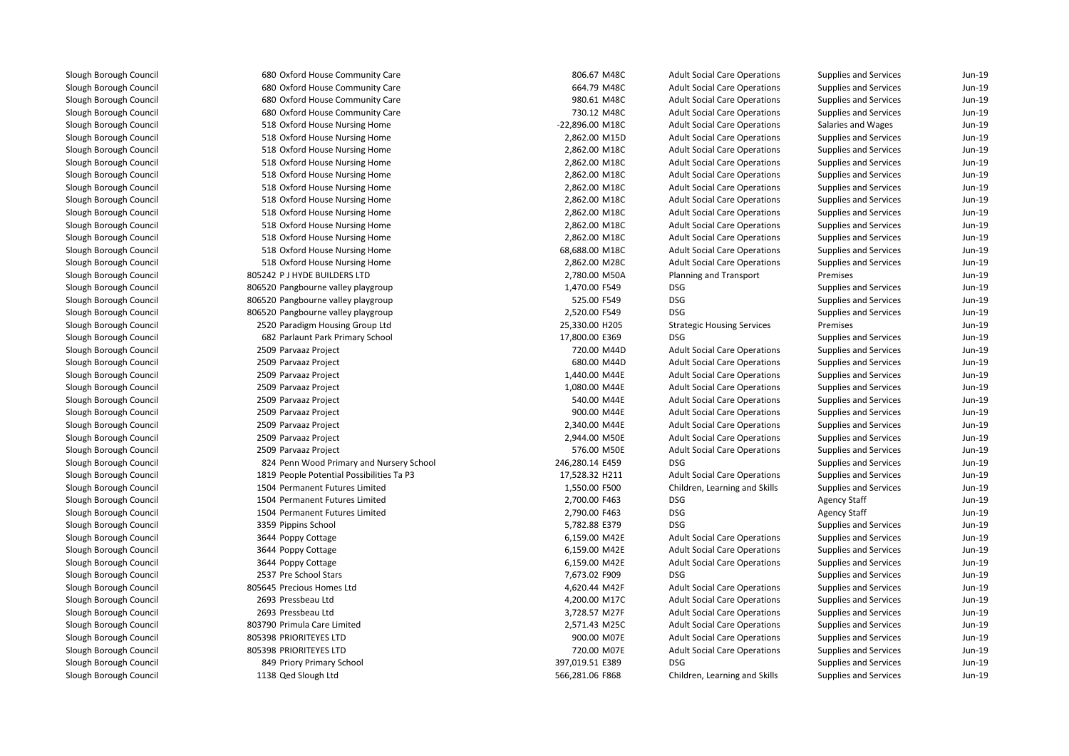| 680 Oxford House Community Care           | 806.67 M48C     | <b>Adult Social Care Operations</b> | Supplies and Services        | Jun-19   |
|-------------------------------------------|-----------------|-------------------------------------|------------------------------|----------|
| 680 Oxford House Community Care           | 664.79 M48C     | <b>Adult Social Care Operations</b> | Supplies and Services        | Jun-19   |
| 680 Oxford House Community Care           | 980.61 M48C     | <b>Adult Social Care Operations</b> | Supplies and Services        | Jun-19   |
| 680 Oxford House Community Care           | 730.12 M48C     | <b>Adult Social Care Operations</b> | Supplies and Services        | Jun-19   |
| 518 Oxford House Nursing Home             | -22,896.00 M18C | <b>Adult Social Care Operations</b> | Salaries and Wages           | Jun-19   |
| 518 Oxford House Nursing Home             | 2,862.00 M15D   | <b>Adult Social Care Operations</b> | Supplies and Services        | Jun-19   |
| 518 Oxford House Nursing Home             | 2,862.00 M18C   | <b>Adult Social Care Operations</b> | Supplies and Services        | Jun-19   |
| 518 Oxford House Nursing Home             | 2,862.00 M18C   | <b>Adult Social Care Operations</b> | Supplies and Services        | Jun-19   |
| 518 Oxford House Nursing Home             | 2,862.00 M18C   | <b>Adult Social Care Operations</b> | Supplies and Services        | Jun-19   |
| 518 Oxford House Nursing Home             | 2,862.00 M18C   | <b>Adult Social Care Operations</b> | Supplies and Services        | Jun-19   |
| 518 Oxford House Nursing Home             | 2,862.00 M18C   | <b>Adult Social Care Operations</b> | <b>Supplies and Services</b> | Jun-19   |
| 518 Oxford House Nursing Home             | 2,862.00 M18C   | <b>Adult Social Care Operations</b> | Supplies and Services        | Jun-19   |
| 518 Oxford House Nursing Home             | 2,862.00 M18C   | <b>Adult Social Care Operations</b> | Supplies and Services        | Jun-19   |
| 518 Oxford House Nursing Home             | 2,862.00 M18C   | <b>Adult Social Care Operations</b> | Supplies and Services        | Jun-19   |
| 518 Oxford House Nursing Home             | 68,688.00 M18C  | <b>Adult Social Care Operations</b> | Supplies and Services        | Jun-19   |
| 518 Oxford House Nursing Home             | 2,862.00 M28C   | <b>Adult Social Care Operations</b> | Supplies and Services        | Jun-19   |
| 805242 P J HYDE BUILDERS LTD              | 2,780.00 M50A   | Planning and Transport              | Premises                     | Jun-19   |
| 806520 Pangbourne valley playgroup        | 1,470.00 F549   | <b>DSG</b>                          | Supplies and Services        | Jun-19   |
| 806520 Pangbourne valley playgroup        | 525.00 F549     | <b>DSG</b>                          | Supplies and Services        | Jun-19   |
| 806520 Pangbourne valley playgroup        | 2,520.00 F549   | <b>DSG</b>                          | Supplies and Services        | Jun-19   |
| 2520 Paradigm Housing Group Ltd           | 25,330.00 H205  | <b>Strategic Housing Services</b>   | Premises                     | $Jun-19$ |
| 682 Parlaunt Park Primary School          | 17,800.00 E369  | <b>DSG</b>                          | Supplies and Services        | Jun-19   |
| 2509 Parvaaz Project                      | 720.00 M44D     | <b>Adult Social Care Operations</b> | Supplies and Services        | Jun-19   |
| 2509 Parvaaz Project                      | 680.00 M44D     | <b>Adult Social Care Operations</b> | Supplies and Services        | Jun-19   |
| 2509 Parvaaz Project                      | 1,440.00 M44E   | <b>Adult Social Care Operations</b> | Supplies and Services        | Jun-19   |
| 2509 Parvaaz Project                      | 1,080.00 M44E   | <b>Adult Social Care Operations</b> | Supplies and Services        | Jun-19   |
| 2509 Parvaaz Project                      | 540.00 M44E     | <b>Adult Social Care Operations</b> | Supplies and Services        | Jun-19   |
| 2509 Parvaaz Project                      | 900.00 M44E     | <b>Adult Social Care Operations</b> | Supplies and Services        | Jun-19   |
| 2509 Parvaaz Project                      | 2,340.00 M44E   | <b>Adult Social Care Operations</b> | Supplies and Services        | Jun-19   |
| 2509 Parvaaz Project                      | 2,944.00 M50E   | <b>Adult Social Care Operations</b> | Supplies and Services        | Jun-19   |
| 2509 Parvaaz Project                      | 576.00 M50E     | <b>Adult Social Care Operations</b> | <b>Supplies and Services</b> | Jun-19   |
| 824 Penn Wood Primary and Nursery School  | 246,280.14 E459 | <b>DSG</b>                          | Supplies and Services        | Jun-19   |
| 1819 People Potential Possibilities Ta P3 | 17,528.32 H211  | <b>Adult Social Care Operations</b> | Supplies and Services        | Jun-19   |
| 1504 Permanent Futures Limited            | 1,550.00 F500   | Children, Learning and Skills       | Supplies and Services        | Jun-19   |
| 1504 Permanent Futures Limited            | 2,700.00 F463   | <b>DSG</b>                          | <b>Agency Staff</b>          | Jun-19   |
| 1504 Permanent Futures Limited            | 2,790.00 F463   | <b>DSG</b>                          | <b>Agency Staff</b>          | $Jun-19$ |
| 3359 Pippins School                       | 5,782.88 E379   | <b>DSG</b>                          | Supplies and Services        | Jun-19   |
| 3644 Poppy Cottage                        | 6,159.00 M42E   | <b>Adult Social Care Operations</b> | Supplies and Services        | Jun-19   |
| 3644 Poppy Cottage                        | 6,159.00 M42E   | <b>Adult Social Care Operations</b> | Supplies and Services        | Jun-19   |
| 3644 Poppy Cottage                        | 6,159.00 M42E   | <b>Adult Social Care Operations</b> | Supplies and Services        | $Jun-19$ |
| 2537 Pre School Stars                     | 7,673.02 F909   | <b>DSG</b>                          | Supplies and Services        | Jun-19   |
| 805645 Precious Homes Ltd                 | 4,620.44 M42F   | <b>Adult Social Care Operations</b> | Supplies and Services        | Jun-19   |
| 2693 Pressbeau Ltd                        | 4,200.00 M17C   | <b>Adult Social Care Operations</b> | Supplies and Services        | Jun-19   |
| 2693 Pressbeau Ltd                        | 3,728.57 M27F   | <b>Adult Social Care Operations</b> | Supplies and Services        | Jun-19   |
| 803790 Primula Care Limited               | 2,571.43 M25C   | <b>Adult Social Care Operations</b> | Supplies and Services        | Jun-19   |
| 805398 PRIORITEYES LTD                    | 900.00 M07E     | <b>Adult Social Care Operations</b> | Supplies and Services        | Jun-19   |
| 805398 PRIORITEYES LTD                    | 720.00 M07E     | <b>Adult Social Care Operations</b> | Supplies and Services        | Jun-19   |
| 849 Priory Primary School                 | 397,019.51 E389 | <b>DSG</b>                          | Supplies and Services        | Jun-19   |
| 1138 Qed Slough Ltd                       | 566,281.06 F868 | Children, Learning and Skills       | Supplies and Services        | Jun-19   |
|                                           |                 |                                     |                              |          |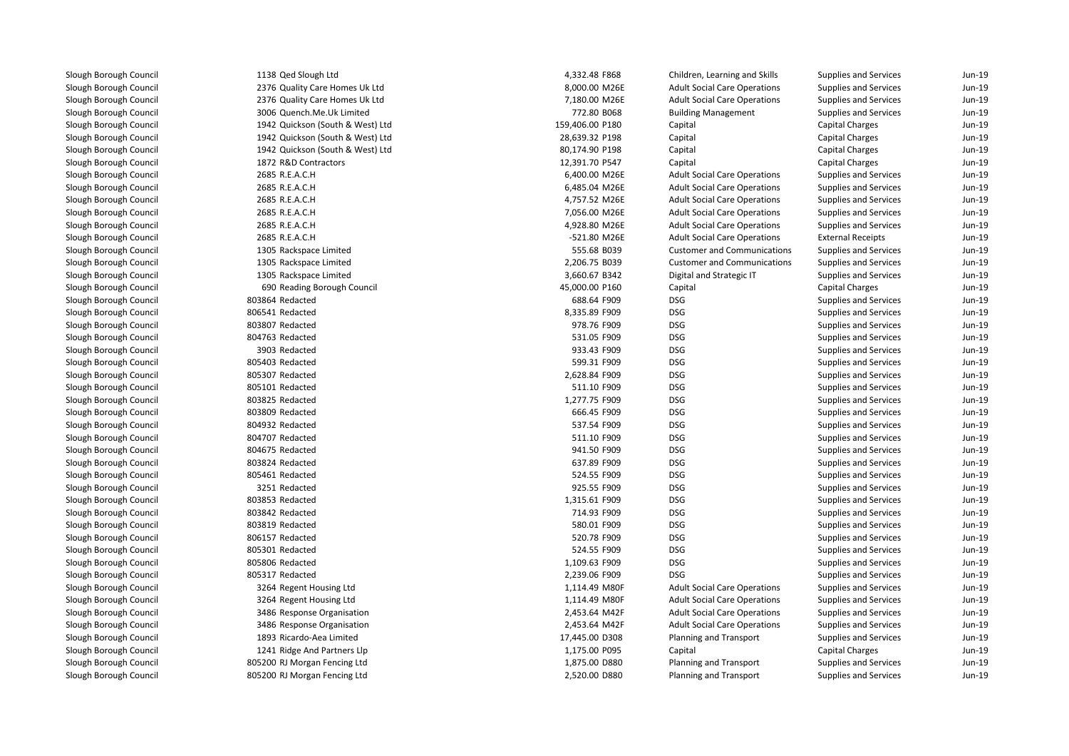1138 Qed Slough Ltd 2376 Quality Care Homes Uk Ltd 2376 Quality Care Homes Uk Ltd 3006 Quench.Me.Uk Limited 1942 Quickson (South & West) Ltd 1942 Quickson (South & West) Ltd 1942 Quickson (South & West) Ltd1872 R&D Contractors 2685 R.E.A.C.H 2685 R.E.A.C.H 2685 R.E.A.C.H 2685 R.E.A.C.H 2685 R.E.A.C.H 2685 R.E.A.C.H 1305 Rackspace Limited 1305 Rackspace Limited 1305 Rackspace Limited690 Reading Borough Council 803864 Redacted 806541 Redacted 803807 Redacted 804763 Redacted 3903 Redacted 805403 Redacted 805307 Redacted 805101 Redacted 803825 Redacted 803809 Redacted 804932 Redacted 804707 Redacted 804675 Redacted 803824 Redacted 805461 Redacted 3251 Redacted 803853 Redacted 803842 Redacted 803819 Redacted 806157 Redacted 805301 Redacted 805806 Redacted 805317 Redacted 3264 Regent Housing Ltd 3264 Regent Housing Ltd 3486 Response Organisation 3486 Response Organisation 1893 Ricardo-Aea Limited 1241 Ridge And Partners Llp 805200 RJ Morgan Fencing Ltd805200 RJ Morgan Fencing Ltd

| 4,332.48 F868   | Children, Learning and Skills       | <b>Supplies and Services</b> | Jun-19 |
|-----------------|-------------------------------------|------------------------------|--------|
| 8,000.00 M26E   | <b>Adult Social Care Operations</b> | Supplies and Services        | Jun-19 |
| 7,180.00 M26E   | <b>Adult Social Care Operations</b> | Supplies and Services        | Jun-19 |
| 772.80 B068     | <b>Building Management</b>          | Supplies and Services        | Jun-19 |
| 159,406.00 P180 | Capital                             | <b>Capital Charges</b>       | Jun-19 |
| 28,639.32 P198  | Capital                             | <b>Capital Charges</b>       | Jun-19 |
| 80,174.90 P198  | Capital                             | Capital Charges              | Jun-19 |
| 12,391.70 P547  | Capital                             | <b>Capital Charges</b>       | Jun-19 |
| 6,400.00 M26E   | <b>Adult Social Care Operations</b> | Supplies and Services        | Jun-19 |
| 6,485.04 M26E   | <b>Adult Social Care Operations</b> | Supplies and Services        | Jun-19 |
| 4,757.52 M26E   | <b>Adult Social Care Operations</b> | <b>Supplies and Services</b> | Jun-19 |
| 7,056.00 M26E   | <b>Adult Social Care Operations</b> | Supplies and Services        | Jun-19 |
| 4,928.80 M26E   | <b>Adult Social Care Operations</b> | Supplies and Services        | Jun-19 |
| -521.80 M26E    | <b>Adult Social Care Operations</b> | <b>External Receipts</b>     | Jun-19 |
| 555.68 B039     | <b>Customer and Communications</b>  | Supplies and Services        | Jun-19 |
| 2,206.75 B039   | <b>Customer and Communications</b>  | Supplies and Services        | Jun-19 |
| 3,660.67 B342   | Digital and Strategic IT            | <b>Supplies and Services</b> | Jun-19 |
| 45,000.00 P160  | Capital                             | Capital Charges              | Jun-19 |
| 688.64 F909     | <b>DSG</b>                          | Supplies and Services        | Jun-19 |
| 8,335.89 F909   | <b>DSG</b>                          | <b>Supplies and Services</b> | Jun-19 |
| 978.76 F909     | <b>DSG</b>                          | Supplies and Services        | Jun-19 |
| 531.05 F909     | <b>DSG</b>                          | Supplies and Services        | Jun-19 |
| 933.43 F909     | <b>DSG</b>                          | Supplies and Services        | Jun-19 |
| 599.31 F909     | <b>DSG</b>                          | Supplies and Services        | Jun-19 |
| 2,628.84 F909   | <b>DSG</b>                          | Supplies and Services        | Jun-19 |
| 511.10 F909     | <b>DSG</b>                          | Supplies and Services        | Jun-19 |
| 1,277.75 F909   | <b>DSG</b>                          | Supplies and Services        | Jun-19 |
| 666.45 F909     | <b>DSG</b>                          | <b>Supplies and Services</b> | Jun-19 |
| 537.54 F909     | <b>DSG</b>                          | Supplies and Services        | Jun-19 |
| 511.10 F909     | <b>DSG</b>                          | Supplies and Services        | Jun-19 |
| 941.50 F909     | <b>DSG</b>                          | Supplies and Services        | Jun-19 |
| 637.89 F909     | <b>DSG</b>                          | <b>Supplies and Services</b> | Jun-19 |
| 524.55 F909     | <b>DSG</b>                          | <b>Supplies and Services</b> | Jun-19 |
| 925.55 F909     | <b>DSG</b>                          | Supplies and Services        | Jun-19 |
| 1,315.61 F909   | <b>DSG</b>                          | Supplies and Services        | Jun-19 |
| 714.93 F909     | <b>DSG</b>                          | <b>Supplies and Services</b> | Jun-19 |
| 580.01 F909     | <b>DSG</b>                          | Supplies and Services        | Jun-19 |
| 520.78 F909     | <b>DSG</b>                          | Supplies and Services        | Jun-19 |
| 524.55 F909     | <b>DSG</b>                          | Supplies and Services        | Jun-19 |
| 1,109.63 F909   | <b>DSG</b>                          | Supplies and Services        | Jun-19 |
| 2,239.06 F909   | <b>DSG</b>                          | Supplies and Services        | Jun-19 |
| 1,114.49 M80F   | <b>Adult Social Care Operations</b> | Supplies and Services        | Jun-19 |
| 1,114.49 M80F   | <b>Adult Social Care Operations</b> | Supplies and Services        | Jun-19 |
| 2,453.64 M42F   | <b>Adult Social Care Operations</b> | Supplies and Services        | Jun-19 |
| 2,453.64 M42F   | <b>Adult Social Care Operations</b> | <b>Supplies and Services</b> | Jun-19 |
| 17,445.00 D308  | Planning and Transport              | Supplies and Services        | Jun-19 |
| 1,175.00 P095   | Capital                             | <b>Capital Charges</b>       | Jun-19 |
| 1,875.00 D880   | Planning and Transport              | <b>Supplies and Services</b> | Jun-19 |
| 2,520.00 D880   | <b>Planning and Transport</b>       | <b>Supplies and Services</b> | Jun-19 |
|                 |                                     |                              |        |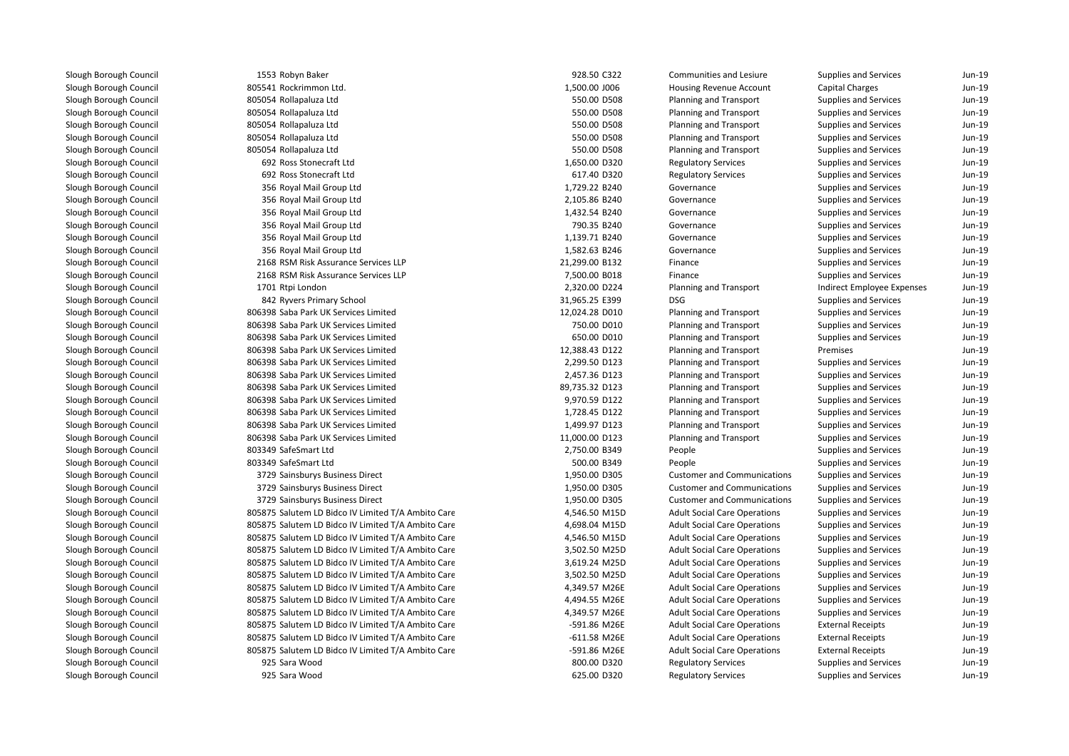| 1553 Robyn Baker                                   | 928.50 C322    | Communities and Lesiure             | Supplies and Services        | Jun-19   |
|----------------------------------------------------|----------------|-------------------------------------|------------------------------|----------|
| 805541 Rockrimmon Ltd.                             | 1,500.00 J006  | Housing Revenue Account             | Capital Charges              | Jun-19   |
| 805054 Rollapaluza Ltd                             | 550.00 D508    | Planning and Transport              | Supplies and Services        | Jun-19   |
| 805054 Rollapaluza Ltd                             | 550.00 D508    | Planning and Transport              | Supplies and Services        | Jun-19   |
| 805054 Rollapaluza Ltd                             | 550.00 D508    | Planning and Transport              | <b>Supplies and Services</b> | Jun-19   |
| 805054 Rollapaluza Ltd                             | 550.00 D508    | Planning and Transport              | Supplies and Services        | Jun-19   |
| 805054 Rollapaluza Ltd                             | 550.00 D508    | Planning and Transport              | Supplies and Services        | Jun-19   |
| 692 Ross Stonecraft Ltd                            | 1,650.00 D320  | <b>Regulatory Services</b>          | Supplies and Services        | Jun-19   |
| 692 Ross Stonecraft Ltd                            | 617.40 D320    | <b>Regulatory Services</b>          | Supplies and Services        | Jun-19   |
| 356 Royal Mail Group Ltd                           | 1,729.22 B240  | Governance                          | Supplies and Services        | Jun-19   |
| 356 Royal Mail Group Ltd                           | 2,105.86 B240  | Governance                          | Supplies and Services        | Jun-19   |
| 356 Royal Mail Group Ltd                           | 1,432.54 B240  | Governance                          | Supplies and Services        | $Jun-19$ |
| 356 Royal Mail Group Ltd                           | 790.35 B240    | Governance                          | Supplies and Services        | Jun-19   |
| 356 Royal Mail Group Ltd                           | 1,139.71 B240  | Governance                          | Supplies and Services        | Jun-19   |
| 356 Royal Mail Group Ltd                           | 1,582.63 B246  | Governance                          | Supplies and Services        | Jun-19   |
| 2168 RSM Risk Assurance Services LLP               | 21,299.00 B132 | Finance                             | Supplies and Services        | Jun-19   |
| 2168 RSM Risk Assurance Services LLP               | 7,500.00 B018  | Finance                             | Supplies and Services        | Jun-19   |
| 1701 Rtpi London                                   | 2,320.00 D224  | Planning and Transport              | Indirect Employee Expenses   | Jun-19   |
| 842 Ryvers Primary School                          | 31,965.25 E399 | <b>DSG</b>                          | Supplies and Services        | Jun-19   |
| 806398 Saba Park UK Services Limited               | 12,024.28 D010 | Planning and Transport              | Supplies and Services        | Jun-19   |
| 806398 Saba Park UK Services Limited               | 750.00 D010    | Planning and Transport              | <b>Supplies and Services</b> | Jun-19   |
| 806398 Saba Park UK Services Limited               | 650.00 D010    | Planning and Transport              | Supplies and Services        | Jun-19   |
| 806398 Saba Park UK Services Limited               | 12,388.43 D122 | Planning and Transport              | Premises                     | Jun-19   |
| 806398 Saba Park UK Services Limited               | 2,299.50 D123  | Planning and Transport              | Supplies and Services        | Jun-19   |
| 806398 Saba Park UK Services Limited               | 2,457.36 D123  | Planning and Transport              | Supplies and Services        | Jun-19   |
| 806398 Saba Park UK Services Limited               | 89,735.32 D123 | Planning and Transport              | Supplies and Services        | Jun-19   |
| 806398 Saba Park UK Services Limited               | 9,970.59 D122  | Planning and Transport              | Supplies and Services        | $Jun-19$ |
| 806398 Saba Park UK Services Limited               | 1,728.45 D122  | Planning and Transport              | Supplies and Services        | Jun-19   |
| 806398 Saba Park UK Services Limited               | 1,499.97 D123  | Planning and Transport              | Supplies and Services        | Jun-19   |
| 806398 Saba Park UK Services Limited               | 11,000.00 D123 | Planning and Transport              | Supplies and Services        | Jun-19   |
| 803349 SafeSmart Ltd                               | 2,750.00 B349  | People                              | Supplies and Services        | Jun-19   |
| 803349 SafeSmart Ltd                               | 500.00 B349    | People                              | Supplies and Services        | Jun-19   |
| 3729 Sainsburys Business Direct                    | 1,950.00 D305  | <b>Customer and Communications</b>  | Supplies and Services        | Jun-19   |
| 3729 Sainsburys Business Direct                    | 1,950.00 D305  | <b>Customer and Communications</b>  | Supplies and Services        | Jun-19   |
| 3729 Sainsburys Business Direct                    | 1,950.00 D305  | <b>Customer and Communications</b>  | Supplies and Services        | Jun-19   |
| 805875 Salutem LD Bidco IV Limited T/A Ambito Care | 4,546.50 M15D  | <b>Adult Social Care Operations</b> | Supplies and Services        | Jun-19   |
| 805875 Salutem LD Bidco IV Limited T/A Ambito Care | 4,698.04 M15D  | <b>Adult Social Care Operations</b> | Supplies and Services        | Jun-19   |
| 805875 Salutem LD Bidco IV Limited T/A Ambito Care | 4,546.50 M15D  | <b>Adult Social Care Operations</b> | Supplies and Services        | Jun-19   |
| 805875 Salutem LD Bidco IV Limited T/A Ambito Care | 3,502.50 M25D  | <b>Adult Social Care Operations</b> | Supplies and Services        | Jun-19   |
| 805875 Salutem LD Bidco IV Limited T/A Ambito Care | 3,619.24 M25D  | <b>Adult Social Care Operations</b> | Supplies and Services        | $Jun-19$ |
| 805875 Salutem LD Bidco IV Limited T/A Ambito Care | 3,502.50 M25D  | <b>Adult Social Care Operations</b> | Supplies and Services        | Jun-19   |
| 805875 Salutem LD Bidco IV Limited T/A Ambito Care | 4,349.57 M26E  | <b>Adult Social Care Operations</b> | Supplies and Services        | $Jun-19$ |
| 805875 Salutem LD Bidco IV Limited T/A Ambito Care | 4,494.55 M26E  | <b>Adult Social Care Operations</b> | <b>Supplies and Services</b> | Jun-19   |
| 805875 Salutem LD Bidco IV Limited T/A Ambito Care | 4,349.57 M26E  | <b>Adult Social Care Operations</b> | Supplies and Services        | Jun-19   |
| 805875 Salutem LD Bidco IV Limited T/A Ambito Care | -591.86 M26E   | <b>Adult Social Care Operations</b> | <b>External Receipts</b>     | Jun-19   |
| 805875 Salutem LD Bidco IV Limited T/A Ambito Care | -611.58 M26E   | <b>Adult Social Care Operations</b> | <b>External Receipts</b>     | Jun-19   |
| 805875 Salutem LD Bidco IV Limited T/A Ambito Care | -591.86 M26E   | <b>Adult Social Care Operations</b> | <b>External Receipts</b>     | Jun-19   |
| 925 Sara Wood                                      | 800.00 D320    | <b>Regulatory Services</b>          | Supplies and Services        | Jun-19   |
| 925 Sara Wood                                      | 625.00 D320    | <b>Regulatory Services</b>          | Supplies and Services        | Jun-19   |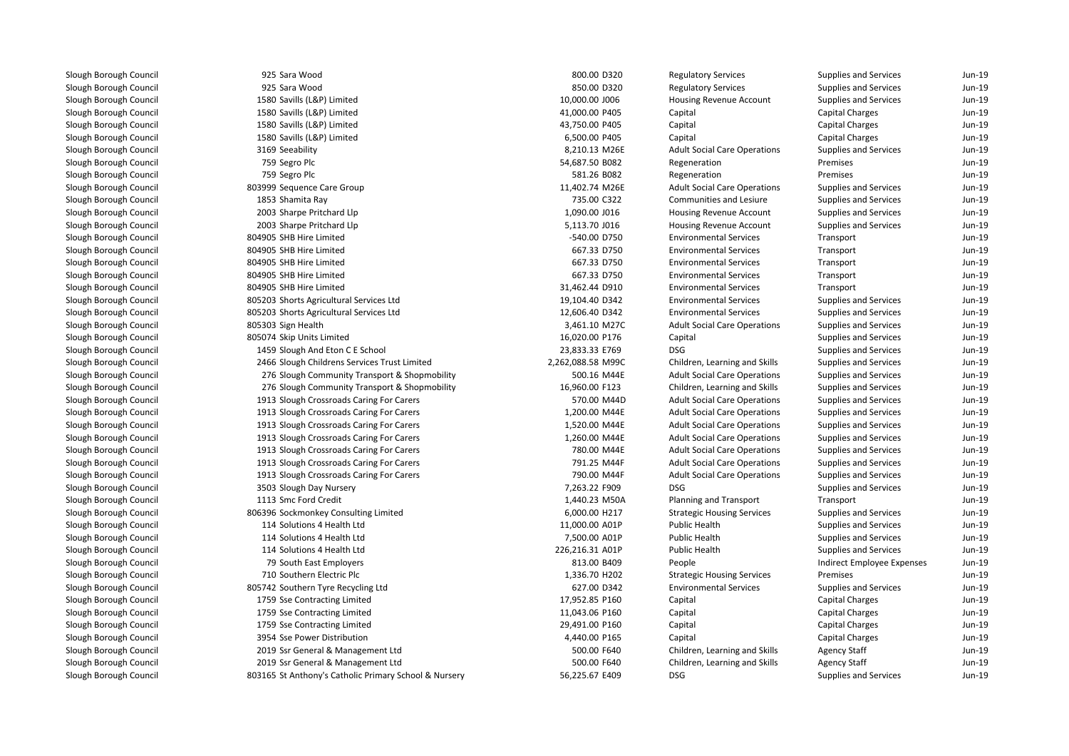| 925 Sara Wood                                         | 800.00 D320       | <b>Regulatory Services</b>          | Supplies and Services      | Jun-19   |
|-------------------------------------------------------|-------------------|-------------------------------------|----------------------------|----------|
| 925 Sara Wood                                         | 850.00 D320       | <b>Regulatory Services</b>          | Supplies and Services      | Jun-19   |
| 1580 Savills (L&P) Limited                            | 10,000.00 J006    | Housing Revenue Account             | Supplies and Services      | Jun-19   |
| 1580 Savills (L&P) Limited                            | 41,000.00 P405    | Capital                             | Capital Charges            | Jun-19   |
| 1580 Savills (L&P) Limited                            | 43,750.00 P405    | Capital                             | <b>Capital Charges</b>     | Jun-19   |
| 1580 Savills (L&P) Limited                            | 6,500.00 P405     | Capital                             | Capital Charges            | Jun-19   |
| 3169 Seeability                                       | 8,210.13 M26E     | <b>Adult Social Care Operations</b> | Supplies and Services      | Jun-19   |
| 759 Segro Plc                                         | 54,687.50 B082    | Regeneration                        | Premises                   | Jun-19   |
| 759 Segro Plc                                         | 581.26 B082       | Regeneration                        | Premises                   | Jun-19   |
| 803999 Sequence Care Group                            | 11,402.74 M26E    | <b>Adult Social Care Operations</b> | Supplies and Services      | $Jun-19$ |
| 1853 Shamita Ray                                      | 735.00 C322       | <b>Communities and Lesiure</b>      | Supplies and Services      | $Jun-19$ |
| 2003 Sharpe Pritchard Llp                             | 1,090.00 J016     | Housing Revenue Account             | Supplies and Services      | $Jun-19$ |
| 2003 Sharpe Pritchard Llp                             | 5,113.70 J016     | <b>Housing Revenue Account</b>      | Supplies and Services      | $Jun-19$ |
| 804905 SHB Hire Limited                               | -540.00 D750      | <b>Environmental Services</b>       | Transport                  | $Jun-19$ |
| 804905 SHB Hire Limited                               | 667.33 D750       | <b>Environmental Services</b>       | Transport                  | $Jun-19$ |
| 804905 SHB Hire Limited                               | 667.33 D750       | <b>Environmental Services</b>       | Transport                  | $Jun-19$ |
| 804905 SHB Hire Limited                               | 667.33 D750       | <b>Environmental Services</b>       | Transport                  | Jun-19   |
| 804905 SHB Hire Limited                               | 31,462.44 D910    | <b>Environmental Services</b>       | Transport                  | $Jun-19$ |
| 805203 Shorts Agricultural Services Ltd               | 19,104.40 D342    | <b>Environmental Services</b>       | Supplies and Services      | Jun-19   |
| 805203 Shorts Agricultural Services Ltd               | 12,606.40 D342    | <b>Environmental Services</b>       | Supplies and Services      | $Jun-19$ |
| 805303 Sign Health                                    | 3,461.10 M27C     | <b>Adult Social Care Operations</b> | Supplies and Services      | Jun-19   |
| 805074 Skip Units Limited                             | 16,020.00 P176    | Capital                             | Supplies and Services      | Jun-19   |
| 1459 Slough And Eton C E School                       | 23,833.33 E769    | <b>DSG</b>                          | Supplies and Services      | Jun-19   |
| 2466 Slough Childrens Services Trust Limited          | 2,262,088.58 M99C | Children, Learning and Skills       | Supplies and Services      | Jun-19   |
| 276 Slough Community Transport & Shopmobility         | 500.16 M44E       | <b>Adult Social Care Operations</b> | Supplies and Services      | Jun-19   |
| 276 Slough Community Transport & Shopmobility         | 16,960.00 F123    | Children, Learning and Skills       | Supplies and Services      | Jun-19   |
| 1913 Slough Crossroads Caring For Carers              | 570.00 M44D       | <b>Adult Social Care Operations</b> | Supplies and Services      | Jun-19   |
| 1913 Slough Crossroads Caring For Carers              | 1,200.00 M44E     | <b>Adult Social Care Operations</b> | Supplies and Services      | Jun-19   |
| 1913 Slough Crossroads Caring For Carers              | 1,520.00 M44E     | <b>Adult Social Care Operations</b> | Supplies and Services      | Jun-19   |
| 1913 Slough Crossroads Caring For Carers              | 1,260.00 M44E     | <b>Adult Social Care Operations</b> | Supplies and Services      | Jun-19   |
| 1913 Slough Crossroads Caring For Carers              | 780.00 M44E       | <b>Adult Social Care Operations</b> | Supplies and Services      | Jun-19   |
| 1913 Slough Crossroads Caring For Carers              | 791.25 M44F       | <b>Adult Social Care Operations</b> | Supplies and Services      | Jun-19   |
| 1913 Slough Crossroads Caring For Carers              | 790.00 M44F       | <b>Adult Social Care Operations</b> | Supplies and Services      | Jun-19   |
| 3503 Slough Day Nursery                               | 7,263.22 F909     | <b>DSG</b>                          | Supplies and Services      | Jun-19   |
| 1113 Smc Ford Credit                                  | 1,440.23 M50A     | Planning and Transport              | Transport                  | Jun-19   |
| 806396 Sockmonkey Consulting Limited                  | 6,000.00 H217     | <b>Strategic Housing Services</b>   | Supplies and Services      | Jun-19   |
| 114 Solutions 4 Health Ltd                            | 11,000.00 A01P    | Public Health                       | Supplies and Services      | $Jun-19$ |
| 114 Solutions 4 Health Ltd                            | 7,500.00 A01P     | Public Health                       | Supplies and Services      | $Jun-19$ |
| 114 Solutions 4 Health Ltd                            | 226,216.31 A01P   | Public Health                       | Supplies and Services      | Jun-19   |
| 79 South East Employers                               | 813.00 B409       | People                              | Indirect Employee Expenses | Jun-19   |
| 710 Southern Electric Plc                             | 1,336.70 H202     | <b>Strategic Housing Services</b>   | Premises                   | Jun-19   |
| 805742 Southern Tyre Recycling Ltd                    | 627.00 D342       | <b>Environmental Services</b>       | Supplies and Services      | Jun-19   |
| 1759 Sse Contracting Limited                          | 17,952.85 P160    | Capital                             | Capital Charges            | $Jun-19$ |
| 1759 Sse Contracting Limited                          | 11,043.06 P160    | Capital                             | Capital Charges            | $Jun-19$ |
| 1759 Sse Contracting Limited                          | 29,491.00 P160    | Capital                             | <b>Capital Charges</b>     | $Jun-19$ |
| 3954 Sse Power Distribution                           | 4,440.00 P165     | Capital                             | Capital Charges            | $Jun-19$ |
| 2019 Ssr General & Management Ltd                     | 500.00 F640       | Children, Learning and Skills       | <b>Agency Staff</b>        | $Jun-19$ |
| 2019 Ssr General & Management Ltd                     | 500.00 F640       | Children, Learning and Skills       | <b>Agency Staff</b>        | Jun-19   |
| 803165 St Anthony's Catholic Primary School & Nursery | 56,225.67 E409    | <b>DSG</b>                          | Supplies and Services      | Jun-19   |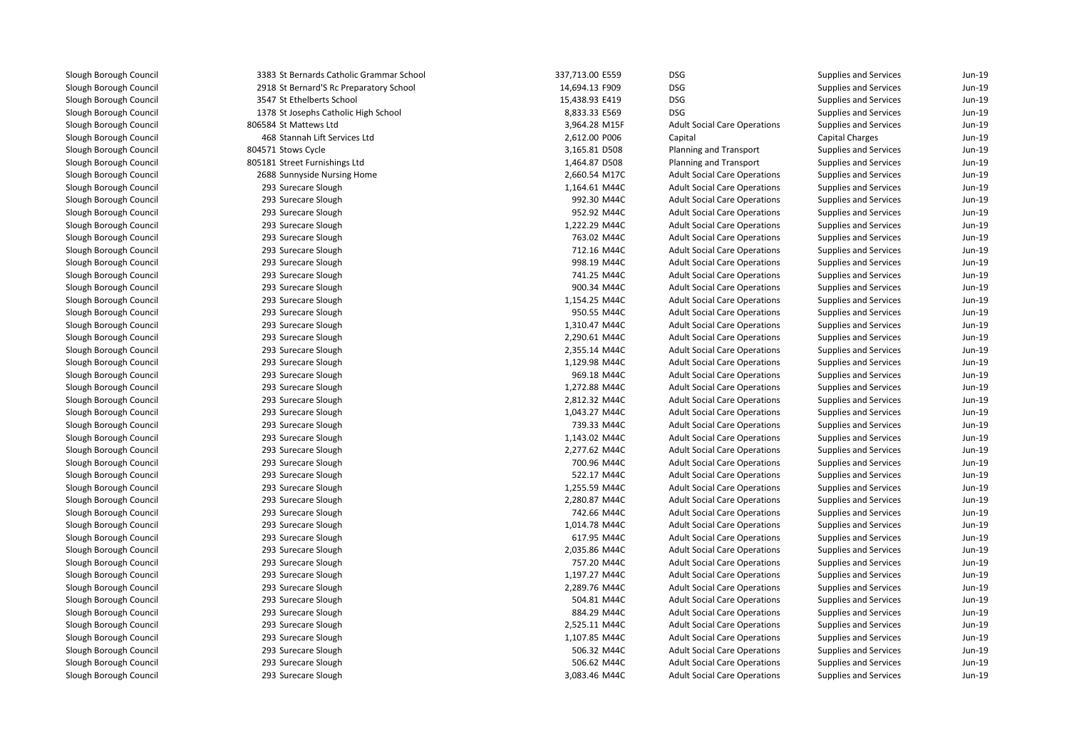| 3383 St Bernards Catholic Grammar School | 337,713.00 E559 | <b>DSG</b>                          | Supplies and Services        | Jun-19   |
|------------------------------------------|-----------------|-------------------------------------|------------------------------|----------|
| 2918 St Bernard'S Rc Preparatory School  | 14,694.13 F909  | <b>DSG</b>                          | Supplies and Services        | Jun-19   |
| 3547 St Ethelberts School                | 15,438.93 E419  | <b>DSG</b>                          | Supplies and Services        | Jun-19   |
| 1378 St Josephs Catholic High School     | 8,833.33 E569   | <b>DSG</b>                          | Supplies and Services        | Jun-19   |
| 806584 St Mattews Ltd                    | 3,964.28 M15F   | <b>Adult Social Care Operations</b> | Supplies and Services        | Jun-19   |
| 468 Stannah Lift Services Ltd            | 2,612.00 P006   | Capital                             | <b>Capital Charges</b>       | Jun-19   |
| 804571 Stows Cycle                       | 3,165.81 D508   | Planning and Transport              | Supplies and Services        | Jun-19   |
| 805181 Street Furnishings Ltd            | 1,464.87 D508   | Planning and Transport              | <b>Supplies and Services</b> | Jun-19   |
| 2688 Sunnyside Nursing Home              | 2,660.54 M17C   | <b>Adult Social Care Operations</b> | Supplies and Services        | Jun-19   |
| 293 Surecare Slough                      | 1,164.61 M44C   | <b>Adult Social Care Operations</b> | Supplies and Services        | Jun-19   |
| 293 Surecare Slough                      | 992.30 M44C     | <b>Adult Social Care Operations</b> | Supplies and Services        | Jun-19   |
| 293 Surecare Slough                      | 952.92 M44C     | <b>Adult Social Care Operations</b> | Supplies and Services        | Jun-19   |
| 293 Surecare Slough                      | 1,222.29 M44C   | <b>Adult Social Care Operations</b> | Supplies and Services        | Jun-19   |
| 293 Surecare Slough                      | 763.02 M44C     | <b>Adult Social Care Operations</b> | Supplies and Services        | Jun-19   |
| 293 Surecare Slough                      | 712.16 M44C     | <b>Adult Social Care Operations</b> | Supplies and Services        | Jun-19   |
| 293 Surecare Slough                      | 998.19 M44C     | <b>Adult Social Care Operations</b> | Supplies and Services        | Jun-19   |
| 293 Surecare Slough                      | 741.25 M44C     | <b>Adult Social Care Operations</b> | Supplies and Services        | Jun-19   |
| 293 Surecare Slough                      | 900.34 M44C     | <b>Adult Social Care Operations</b> | Supplies and Services        | Jun-19   |
| 293 Surecare Slough                      | 1,154.25 M44C   | <b>Adult Social Care Operations</b> | Supplies and Services        | Jun-19   |
| 293 Surecare Slough                      | 950.55 M44C     | <b>Adult Social Care Operations</b> | Supplies and Services        | Jun-19   |
| 293 Surecare Slough                      | 1,310.47 M44C   | <b>Adult Social Care Operations</b> | Supplies and Services        | $Jun-19$ |
| 293 Surecare Slough                      | 2,290.61 M44C   | <b>Adult Social Care Operations</b> | Supplies and Services        | Jun-19   |
| 293 Surecare Slough                      | 2,355.14 M44C   | <b>Adult Social Care Operations</b> | Supplies and Services        | Jun-19   |
| 293 Surecare Slough                      | 1,129.98 M44C   | <b>Adult Social Care Operations</b> | <b>Supplies and Services</b> | Jun-19   |
| 293 Surecare Slough                      | 969.18 M44C     | <b>Adult Social Care Operations</b> | Supplies and Services        | Jun-19   |
| 293 Surecare Slough                      | 1,272.88 M44C   | <b>Adult Social Care Operations</b> | Supplies and Services        | Jun-19   |
| 293 Surecare Slough                      | 2,812.32 M44C   | <b>Adult Social Care Operations</b> | Supplies and Services        | Jun-19   |
| 293 Surecare Slough                      | 1,043.27 M44C   | <b>Adult Social Care Operations</b> | Supplies and Services        | Jun-19   |
| 293 Surecare Slough                      | 739.33 M44C     | <b>Adult Social Care Operations</b> | Supplies and Services        | Jun-19   |
| 293 Surecare Slough                      | 1,143.02 M44C   | <b>Adult Social Care Operations</b> | Supplies and Services        | Jun-19   |
| 293 Surecare Slough                      | 2,277.62 M44C   | <b>Adult Social Care Operations</b> | Supplies and Services        | Jun-19   |
| 293 Surecare Slough                      | 700.96 M44C     | <b>Adult Social Care Operations</b> | Supplies and Services        | Jun-19   |
| 293 Surecare Slough                      | 522.17 M44C     | <b>Adult Social Care Operations</b> | Supplies and Services        | Jun-19   |
| 293 Surecare Slough                      | 1,255.59 M44C   | <b>Adult Social Care Operations</b> | Supplies and Services        | Jun-19   |
| 293 Surecare Slough                      | 2,280.87 M44C   | <b>Adult Social Care Operations</b> | <b>Supplies and Services</b> | Jun-19   |
| 293 Surecare Slough                      | 742.66 M44C     | <b>Adult Social Care Operations</b> | Supplies and Services        | Jun-19   |
| 293 Surecare Slough                      | 1,014.78 M44C   | <b>Adult Social Care Operations</b> | <b>Supplies and Services</b> | Jun-19   |
| 293 Surecare Slough                      | 617.95 M44C     | <b>Adult Social Care Operations</b> | Supplies and Services        | $Jun-19$ |
| 293 Surecare Slough                      | 2,035.86 M44C   | <b>Adult Social Care Operations</b> | Supplies and Services        | Jun-19   |
| 293 Surecare Slough                      | 757.20 M44C     | <b>Adult Social Care Operations</b> | Supplies and Services        | Jun-19   |
| 293 Surecare Slough                      | 1,197.27 M44C   | <b>Adult Social Care Operations</b> | Supplies and Services        | Jun-19   |
| 293 Surecare Slough                      | 2,289.76 M44C   | <b>Adult Social Care Operations</b> | Supplies and Services        | $Jun-19$ |
| 293 Surecare Slough                      | 504.81 M44C     | <b>Adult Social Care Operations</b> | Supplies and Services        | Jun-19   |
| 293 Surecare Slough                      | 884.29 M44C     | <b>Adult Social Care Operations</b> | Supplies and Services        | Jun-19   |
| 293 Surecare Slough                      | 2,525.11 M44C   | <b>Adult Social Care Operations</b> | Supplies and Services        | Jun-19   |
| 293 Surecare Slough                      | 1,107.85 M44C   | <b>Adult Social Care Operations</b> | Supplies and Services        | Jun-19   |
| 293 Surecare Slough                      | 506.32 M44C     | <b>Adult Social Care Operations</b> | <b>Supplies and Services</b> | Jun-19   |
| 293 Surecare Slough                      | 506.62 M44C     | <b>Adult Social Care Operations</b> | Supplies and Services        | Jun-19   |
| 293 Surecare Slough                      | 3,083.46 M44C   | <b>Adult Social Care Operations</b> | <b>Supplies and Services</b> | Jun-19   |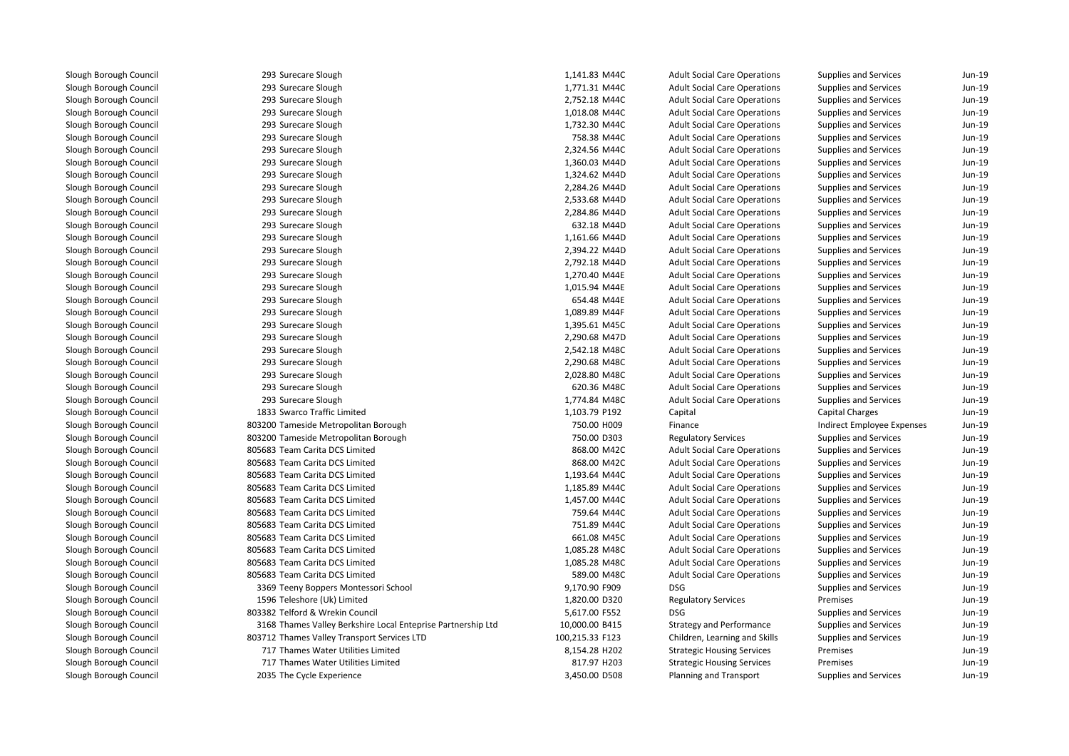293 Surecare Slough 293 Surecare Slough 293 Surecare Slough 293 Surecare Slough 293 Surecare Slough 293 Surecare Slough 293 Surecare Slough 293 Surecare Slough 293 Surecare Slough 293 Surecare Slough 293 Surecare Slough 293 Surecare Slough 293 Surecare Slough 293 Surecare Slough 293 Surecare Slough 293 Surecare Slough 293 Surecare Slough 293 Surecare Slough 293 Surecare Slough 293 Surecare Slough 293 Surecare Slough 293 Surecare Slough 293 Surecare Slough 293 Surecare Slough 293 Surecare Slough 293 Surecare Slough 293 Surecare Slough 1833 Swarco Traffic Limited 803200 Tameside Metropolitan Borough 803200 Tameside Metropolitan Borough 805683 Team Carita DCS Limited 805683 Team Carita DCS Limited 805683 Team Carita DCS Limited 805683 Team Carita DCS Limited 805683 Team Carita DCS Limited 805683 Team Carita DCS Limited 805683 Team Carita DCS Limited 805683 Team Carita DCS Limited 805683 Team Carita DCS Limited 805683 Team Carita DCS Limited 805683 Team Carita DCS Limited 3369 Teeny Boppers Montessori School 9,170.90 F909 DSG 1596 Teleshore (Uk) Limited 803382 Telford & Wrekin Council 5,617.00 F552 DSG 3168 Thames Valley Berkshire Local Enteprise Partnership Ltd 803712 Thames Valley Transport Services LTD 717 Thames Water Utilities LimitedThames Water Utilities Limited

2035 The Cycle Experience

| 3 Surecare Slough                                         | 1,141.83 M44C   | <b>Adult Social Care Operations</b> | Supplies and Services        | Jun-19 |
|-----------------------------------------------------------|-----------------|-------------------------------------|------------------------------|--------|
| 3 Surecare Slough                                         | 1,771.31 M44C   | <b>Adult Social Care Operations</b> | Supplies and Services        | Jun-19 |
| 3 Surecare Slough                                         | 2,752.18 M44C   | <b>Adult Social Care Operations</b> | Supplies and Services        | Jun-19 |
| 3 Surecare Slough                                         | 1,018.08 M44C   | <b>Adult Social Care Operations</b> | Supplies and Services        | Jun-19 |
| 3 Surecare Slough                                         | 1,732.30 M44C   | <b>Adult Social Care Operations</b> | Supplies and Services        | Jun-19 |
| 3 Surecare Slough                                         | 758.38 M44C     | <b>Adult Social Care Operations</b> | Supplies and Services        | Jun-19 |
| 3 Surecare Slough                                         | 2,324.56 M44C   | <b>Adult Social Care Operations</b> | Supplies and Services        | Jun-19 |
| 3 Surecare Slough                                         | 1,360.03 M44D   | <b>Adult Social Care Operations</b> | Supplies and Services        | Jun-19 |
| 3 Surecare Slough                                         | 1,324.62 M44D   | <b>Adult Social Care Operations</b> | Supplies and Services        | Jun-19 |
| 3 Surecare Slough                                         | 2,284.26 M44D   | <b>Adult Social Care Operations</b> | Supplies and Services        | Jun-19 |
| 3 Surecare Slough                                         | 2,533.68 M44D   | <b>Adult Social Care Operations</b> | Supplies and Services        | Jun-19 |
| 3 Surecare Slough                                         | 2,284.86 M44D   | <b>Adult Social Care Operations</b> | Supplies and Services        | Jun-19 |
| 3 Surecare Slough                                         | 632.18 M44D     | <b>Adult Social Care Operations</b> | Supplies and Services        | Jun-19 |
| 3 Surecare Slough                                         | 1,161.66 M44D   | <b>Adult Social Care Operations</b> | Supplies and Services        | Jun-19 |
| 3 Surecare Slough                                         | 2,394.22 M44D   | <b>Adult Social Care Operations</b> | Supplies and Services        | Jun-19 |
| 3 Surecare Slough                                         | 2,792.18 M44D   | <b>Adult Social Care Operations</b> | Supplies and Services        | Jun-19 |
| 3 Surecare Slough                                         | 1,270.40 M44E   | <b>Adult Social Care Operations</b> | Supplies and Services        | Jun-19 |
| 3 Surecare Slough                                         | 1,015.94 M44E   | <b>Adult Social Care Operations</b> | Supplies and Services        | Jun-19 |
| 3 Surecare Slough                                         | 654.48 M44E     | <b>Adult Social Care Operations</b> | Supplies and Services        | Jun-19 |
| 3 Surecare Slough                                         | 1,089.89 M44F   | <b>Adult Social Care Operations</b> | Supplies and Services        | Jun-19 |
| 3 Surecare Slough                                         | 1,395.61 M45C   | <b>Adult Social Care Operations</b> | Supplies and Services        | Jun-19 |
| 3 Surecare Slough                                         | 2,290.68 M47D   | <b>Adult Social Care Operations</b> | Supplies and Services        | Jun-19 |
| 3 Surecare Slough                                         | 2,542.18 M48C   | <b>Adult Social Care Operations</b> | Supplies and Services        | Jun-19 |
| 3 Surecare Slough                                         | 2,290.68 M48C   | <b>Adult Social Care Operations</b> | Supplies and Services        | Jun-19 |
| 3 Surecare Slough                                         | 2,028.80 M48C   | <b>Adult Social Care Operations</b> | Supplies and Services        | Jun-19 |
| 3 Surecare Slough                                         | 620.36 M48C     | <b>Adult Social Care Operations</b> | Supplies and Services        | Jun-19 |
| 3 Surecare Slough                                         | 1,774.84 M48C   | <b>Adult Social Care Operations</b> | Supplies and Services        | Jun-19 |
| 3 Swarco Traffic Limited                                  | 1,103.79 P192   | Capital                             | <b>Capital Charges</b>       | Jun-19 |
| 0 Tameside Metropolitan Borough                           | 750.00 H009     | Finance                             | Indirect Employee Expenses   | Jun-19 |
| 0 Tameside Metropolitan Borough                           | 750.00 D303     | <b>Regulatory Services</b>          | Supplies and Services        | Jun-19 |
| 3 Team Carita DCS Limited                                 | 868.00 M42C     | <b>Adult Social Care Operations</b> | Supplies and Services        | Jun-19 |
| 3 Team Carita DCS Limited                                 | 868.00 M42C     | <b>Adult Social Care Operations</b> | <b>Supplies and Services</b> | Jun-19 |
| 3 Team Carita DCS Limited                                 | 1,193.64 M44C   | <b>Adult Social Care Operations</b> | Supplies and Services        | Jun-19 |
| 3 Team Carita DCS Limited                                 | 1,185.89 M44C   | <b>Adult Social Care Operations</b> | Supplies and Services        | Jun-19 |
| 3 Team Carita DCS Limited                                 | 1,457.00 M44C   | <b>Adult Social Care Operations</b> | Supplies and Services        | Jun-19 |
| 3 Team Carita DCS Limited                                 | 759.64 M44C     | <b>Adult Social Care Operations</b> | Supplies and Services        | Jun-19 |
| 3 Team Carita DCS Limited                                 | 751.89 M44C     | <b>Adult Social Care Operations</b> | Supplies and Services        | Jun-19 |
| 3 Team Carita DCS Limited                                 | 661.08 M45C     | <b>Adult Social Care Operations</b> | Supplies and Services        | Jun-19 |
| 3 Team Carita DCS Limited                                 | 1,085.28 M48C   | <b>Adult Social Care Operations</b> | Supplies and Services        | Jun-19 |
| 3 Team Carita DCS Limited                                 | 1,085.28 M48C   | <b>Adult Social Care Operations</b> | Supplies and Services        | Jun-19 |
| 3 Team Carita DCS Limited                                 | 589.00 M48C     | <b>Adult Social Care Operations</b> | Supplies and Services        | Jun-19 |
| 9 Teeny Boppers Montessori School                         | 9,170.90 F909   | <b>DSG</b>                          | Supplies and Services        | Jun-19 |
| 6 Teleshore (Uk) Limited                                  | 1,820.00 D320   | <b>Regulatory Services</b>          | Premises                     | Jun-19 |
| 2 Telford & Wrekin Council                                | 5,617.00 F552   | <b>DSG</b>                          | Supplies and Services        | Jun-19 |
| 8 Thames Valley Berkshire Local Enteprise Partnership Ltd | 10,000.00 B415  | <b>Strategy and Performance</b>     | Supplies and Services        | Jun-19 |
| 2 Thames Valley Transport Services LTD                    | 100,215.33 F123 | Children, Learning and Skills       | <b>Supplies and Services</b> | Jun-19 |
| 7 Thames Water Utilities Limited                          | 8,154.28 H202   | <b>Strategic Housing Services</b>   | Premises                     | Jun-19 |
| 7 Thames Water Utilities Limited                          | 817.97 H203     | <b>Strategic Housing Services</b>   | Premises                     | Jun-19 |
| 5 The Cycle Experience                                    | 3,450.00 D508   | Planning and Transport              | <b>Supplies and Services</b> | Jun-19 |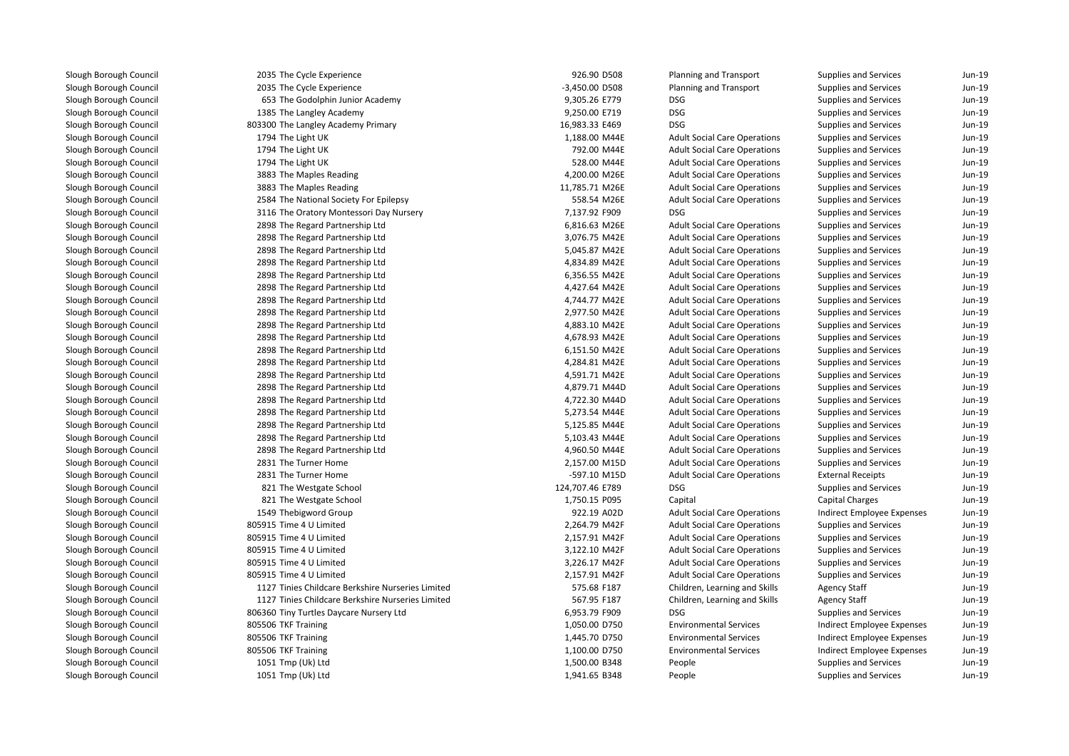| 2035 The Cycle Experience                         | 926.90 D508     | Planning and Transport              | Supplies and Services        | Jun-19   |
|---------------------------------------------------|-----------------|-------------------------------------|------------------------------|----------|
| 2035 The Cycle Experience                         | -3,450.00 D508  | Planning and Transport              | Supplies and Services        | Jun-19   |
| 653 The Godolphin Junior Academy                  | 9,305.26 E779   | <b>DSG</b>                          | Supplies and Services        | Jun-19   |
| 1385 The Langley Academy                          | 9,250.00 E719   | <b>DSG</b>                          | Supplies and Services        | Jun-19   |
| 803300 The Langley Academy Primary                | 16,983.33 E469  | <b>DSG</b>                          | Supplies and Services        | Jun-19   |
| 1794 The Light UK                                 | 1,188.00 M44E   | <b>Adult Social Care Operations</b> | Supplies and Services        | Jun-19   |
| 1794 The Light UK                                 | 792.00 M44E     | <b>Adult Social Care Operations</b> | Supplies and Services        | Jun-19   |
| 1794 The Light UK                                 | 528.00 M44E     | <b>Adult Social Care Operations</b> | Supplies and Services        | Jun-19   |
| 3883 The Maples Reading                           | 4,200.00 M26E   | <b>Adult Social Care Operations</b> | Supplies and Services        | Jun-19   |
| 3883 The Maples Reading                           | 11,785.71 M26E  | <b>Adult Social Care Operations</b> | Supplies and Services        | Jun-19   |
| 2584 The National Society For Epilepsy            | 558.54 M26E     | <b>Adult Social Care Operations</b> | Supplies and Services        | $Jun-19$ |
| 3116 The Oratory Montessori Day Nursery           | 7,137.92 F909   | <b>DSG</b>                          | Supplies and Services        | $Jun-19$ |
| 2898 The Regard Partnership Ltd                   | 6,816.63 M26E   | <b>Adult Social Care Operations</b> | Supplies and Services        | $Jun-19$ |
| 2898 The Regard Partnership Ltd                   | 3,076.75 M42E   | <b>Adult Social Care Operations</b> | Supplies and Services        | $Jun-19$ |
| 2898 The Regard Partnership Ltd                   | 5,045.87 M42E   | <b>Adult Social Care Operations</b> | Supplies and Services        | $Jun-19$ |
| 2898 The Regard Partnership Ltd                   | 4,834.89 M42E   | <b>Adult Social Care Operations</b> | Supplies and Services        | $Jun-19$ |
| 2898 The Regard Partnership Ltd                   | 6,356.55 M42E   | <b>Adult Social Care Operations</b> | Supplies and Services        | Jun-19   |
| 2898 The Regard Partnership Ltd                   | 4,427.64 M42E   | <b>Adult Social Care Operations</b> | Supplies and Services        | Jun-19   |
| 2898 The Regard Partnership Ltd                   | 4,744.77 M42E   | <b>Adult Social Care Operations</b> | Supplies and Services        | Jun-19   |
| 2898 The Regard Partnership Ltd                   | 2,977.50 M42E   | <b>Adult Social Care Operations</b> | Supplies and Services        | Jun-19   |
| 2898 The Regard Partnership Ltd                   | 4,883.10 M42E   | <b>Adult Social Care Operations</b> | Supplies and Services        | Jun-19   |
| 2898 The Regard Partnership Ltd                   | 4,678.93 M42E   | <b>Adult Social Care Operations</b> | Supplies and Services        | Jun-19   |
| 2898 The Regard Partnership Ltd                   | 6,151.50 M42E   | <b>Adult Social Care Operations</b> | Supplies and Services        | $Jun-19$ |
| 2898 The Regard Partnership Ltd                   | 4,284.81 M42E   | <b>Adult Social Care Operations</b> | Supplies and Services        | $Jun-19$ |
| 2898 The Regard Partnership Ltd                   | 4,591.71 M42E   | <b>Adult Social Care Operations</b> | Supplies and Services        | $Jun-19$ |
| 2898 The Regard Partnership Ltd                   | 4,879.71 M44D   | <b>Adult Social Care Operations</b> | Supplies and Services        | $Jun-19$ |
| 2898 The Regard Partnership Ltd                   | 4,722.30 M44D   | <b>Adult Social Care Operations</b> | Supplies and Services        | Jun-19   |
| 2898 The Regard Partnership Ltd                   | 5,273.54 M44E   | <b>Adult Social Care Operations</b> | Supplies and Services        | Jun-19   |
| 2898 The Regard Partnership Ltd                   | 5,125.85 M44E   | <b>Adult Social Care Operations</b> | Supplies and Services        | Jun-19   |
| 2898 The Regard Partnership Ltd                   | 5,103.43 M44E   | <b>Adult Social Care Operations</b> | Supplies and Services        | Jun-19   |
| 2898 The Regard Partnership Ltd                   | 4,960.50 M44E   | <b>Adult Social Care Operations</b> | Supplies and Services        | Jun-19   |
| 2831 The Turner Home                              | 2,157.00 M15D   | <b>Adult Social Care Operations</b> | Supplies and Services        | Jun-19   |
| 2831 The Turner Home                              | -597.10 M15D    | <b>Adult Social Care Operations</b> | <b>External Receipts</b>     | Jun-19   |
| 821 The Westgate School                           | 124,707.46 E789 | <b>DSG</b>                          | Supplies and Services        | Jun-19   |
| 821 The Westgate School                           | 1,750.15 P095   | Capital                             | <b>Capital Charges</b>       | Jun-19   |
| 1549 Thebigword Group                             | 922.19 A02D     | <b>Adult Social Care Operations</b> | Indirect Employee Expenses   | Jun-19   |
| 805915 Time 4 U Limited                           | 2,264.79 M42F   | <b>Adult Social Care Operations</b> | Supplies and Services        | Jun-19   |
| 805915 Time 4 U Limited                           | 2,157.91 M42F   | <b>Adult Social Care Operations</b> | Supplies and Services        | $Jun-19$ |
| 805915 Time 4 U Limited                           | 3,122.10 M42F   | <b>Adult Social Care Operations</b> | Supplies and Services        | Jun-19   |
| 805915 Time 4 U Limited                           | 3,226.17 M42F   | <b>Adult Social Care Operations</b> | Supplies and Services        | $Jun-19$ |
| 805915 Time 4 U Limited                           | 2,157.91 M42F   | <b>Adult Social Care Operations</b> | Supplies and Services        | $Jun-19$ |
| 1127 Tinies Childcare Berkshire Nurseries Limited | 575.68 F187     | Children, Learning and Skills       | <b>Agency Staff</b>          | $Jun-19$ |
| 1127 Tinies Childcare Berkshire Nurseries Limited | 567.95 F187     | Children, Learning and Skills       | <b>Agency Staff</b>          | Jun-19   |
| 806360 Tiny Turtles Daycare Nursery Ltd           | 6,953.79 F909   | <b>DSG</b>                          | Supplies and Services        | $Jun-19$ |
| 805506 TKF Training                               | 1,050.00 D750   | <b>Environmental Services</b>       | Indirect Employee Expenses   | Jun-19   |
| 805506 TKF Training                               | 1,445.70 D750   | <b>Environmental Services</b>       | Indirect Employee Expenses   | Jun-19   |
| 805506 TKF Training                               | 1,100.00 D750   | <b>Environmental Services</b>       | Indirect Employee Expenses   | Jun-19   |
| 1051 Tmp (Uk) Ltd                                 | 1,500.00 B348   | People                              | Supplies and Services        | Jun-19   |
| 1051 Tmp (Uk) Ltd                                 | 1,941.65 B348   | People                              | <b>Supplies and Services</b> | Jun-19   |
|                                                   |                 |                                     |                              |          |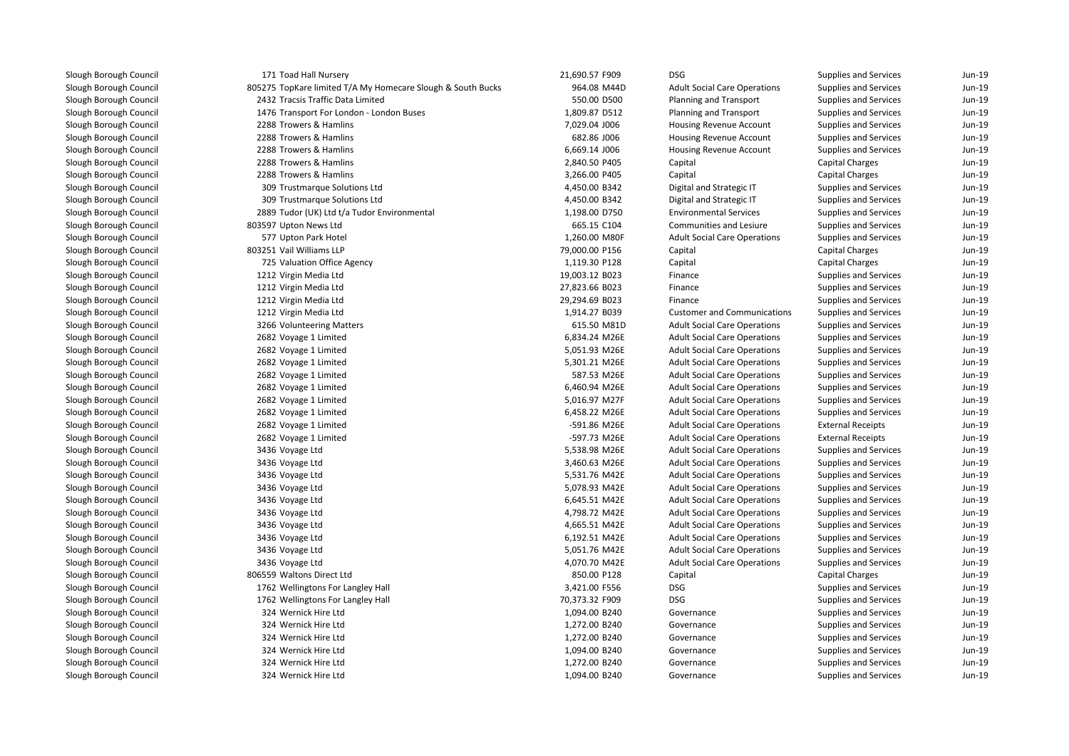| 171 Toad Hall Nursery                                       | 21,690.57 F909 | <b>DSG</b>                          | Supplies and Services    | Jun-19   |
|-------------------------------------------------------------|----------------|-------------------------------------|--------------------------|----------|
| 805275 TopKare limited T/A My Homecare Slough & South Bucks | 964.08 M44D    | <b>Adult Social Care Operations</b> | Supplies and Services    | Jun-19   |
| 2432 Tracsis Traffic Data Limited                           | 550.00 D500    | Planning and Transport              | Supplies and Services    | Jun-19   |
| 1476 Transport For London - London Buses                    | 1,809.87 D512  | Planning and Transport              | Supplies and Services    | Jun-19   |
| 2288 Trowers & Hamlins                                      | 7,029.04 J006  | Housing Revenue Account             | Supplies and Services    | Jun-19   |
| 2288 Trowers & Hamlins                                      | 682.86 J006    | Housing Revenue Account             | Supplies and Services    | Jun-19   |
| 2288 Trowers & Hamlins                                      | 6,669.14 J006  | Housing Revenue Account             | Supplies and Services    | Jun-19   |
| 2288 Trowers & Hamlins                                      | 2,840.50 P405  | Capital                             | Capital Charges          | $Jun-19$ |
| 2288 Trowers & Hamlins                                      | 3,266.00 P405  | Capital                             | <b>Capital Charges</b>   | Jun-19   |
| 309 Trustmarque Solutions Ltd                               | 4,450.00 B342  | Digital and Strategic IT            | Supplies and Services    | Jun-19   |
| 309 Trustmarque Solutions Ltd                               | 4,450.00 B342  | Digital and Strategic IT            | Supplies and Services    | Jun-19   |
| 2889 Tudor (UK) Ltd t/a Tudor Environmental                 | 1,198.00 D750  | <b>Environmental Services</b>       | Supplies and Services    | Jun-19   |
| 803597 Upton News Ltd                                       | 665.15 C104    | <b>Communities and Lesiure</b>      | Supplies and Services    | Jun-19   |
| 577 Upton Park Hotel                                        | 1,260.00 M80F  | <b>Adult Social Care Operations</b> | Supplies and Services    | Jun-19   |
| 803251 Vail Williams LLP                                    | 79,000.00 P156 | Capital                             | Capital Charges          | Jun-19   |
| 725 Valuation Office Agency                                 | 1,119.30 P128  | Capital                             | Capital Charges          | Jun-19   |
| 1212 Virgin Media Ltd                                       | 19,003.12 B023 | Finance                             | Supplies and Services    | $Jun-19$ |
| 1212 Virgin Media Ltd                                       | 27,823.66 B023 | Finance                             | Supplies and Services    | Jun-19   |
| 1212 Virgin Media Ltd                                       | 29,294.69 B023 | Finance                             | Supplies and Services    | $Jun-19$ |
| 1212 Virgin Media Ltd                                       | 1,914.27 B039  | <b>Customer and Communications</b>  | Supplies and Services    | Jun-19   |
| 3266 Volunteering Matters                                   | 615.50 M81D    | <b>Adult Social Care Operations</b> | Supplies and Services    | $Jun-19$ |
| 2682 Voyage 1 Limited                                       | 6,834.24 M26E  | <b>Adult Social Care Operations</b> | Supplies and Services    | Jun-19   |
| 2682 Voyage 1 Limited                                       | 5,051.93 M26E  | <b>Adult Social Care Operations</b> | Supplies and Services    | $Jun-19$ |
| 2682 Voyage 1 Limited                                       | 5,301.21 M26E  | <b>Adult Social Care Operations</b> | Supplies and Services    | Jun-19   |
| 2682 Voyage 1 Limited                                       | 587.53 M26E    | <b>Adult Social Care Operations</b> | Supplies and Services    | $Jun-19$ |
| 2682 Voyage 1 Limited                                       | 6,460.94 M26E  | <b>Adult Social Care Operations</b> | Supplies and Services    | Jun-19   |
| 2682 Voyage 1 Limited                                       | 5,016.97 M27F  | <b>Adult Social Care Operations</b> | Supplies and Services    | Jun-19   |
| 2682 Voyage 1 Limited                                       | 6,458.22 M26E  | <b>Adult Social Care Operations</b> | Supplies and Services    | Jun-19   |
| 2682 Voyage 1 Limited                                       | -591.86 M26E   | <b>Adult Social Care Operations</b> | <b>External Receipts</b> | Jun-19   |
| 2682 Voyage 1 Limited                                       | -597.73 M26E   | <b>Adult Social Care Operations</b> | <b>External Receipts</b> | Jun-19   |
| 3436 Voyage Ltd                                             | 5,538.98 M26E  | <b>Adult Social Care Operations</b> | Supplies and Services    | Jun-19   |
| 3436 Voyage Ltd                                             | 3,460.63 M26E  | <b>Adult Social Care Operations</b> | Supplies and Services    | Jun-19   |
| 3436 Voyage Ltd                                             | 5,531.76 M42E  | <b>Adult Social Care Operations</b> | Supplies and Services    | Jun-19   |
| 3436 Voyage Ltd                                             | 5,078.93 M42E  | <b>Adult Social Care Operations</b> | Supplies and Services    | Jun-19   |
| 3436 Voyage Ltd                                             | 6,645.51 M42E  | <b>Adult Social Care Operations</b> | Supplies and Services    | Jun-19   |
| 3436 Voyage Ltd                                             | 4,798.72 M42E  | <b>Adult Social Care Operations</b> | Supplies and Services    | $Jun-19$ |
| 3436 Voyage Ltd                                             | 4,665.51 M42E  | <b>Adult Social Care Operations</b> | Supplies and Services    | $Jun-19$ |
| 3436 Voyage Ltd                                             | 6,192.51 M42E  | <b>Adult Social Care Operations</b> | Supplies and Services    | Jun-19   |
| 3436 Voyage Ltd                                             | 5,051.76 M42E  | <b>Adult Social Care Operations</b> | Supplies and Services    | Jun-19   |
| 3436 Voyage Ltd                                             | 4,070.70 M42E  | <b>Adult Social Care Operations</b> | Supplies and Services    | $Jun-19$ |
| 806559 Waltons Direct Ltd                                   | 850.00 P128    | Capital                             | Capital Charges          | Jun-19   |
| 1762 Wellingtons For Langley Hall                           | 3,421.00 F556  | <b>DSG</b>                          | Supplies and Services    | Jun-19   |
| 1762 Wellingtons For Langley Hall                           | 70,373.32 F909 | <b>DSG</b>                          | Supplies and Services    | Jun-19   |
| 324 Wernick Hire Ltd                                        | 1,094.00 B240  | Governance                          | Supplies and Services    | $Jun-19$ |
| 324 Wernick Hire Ltd                                        | 1,272.00 B240  | Governance                          | Supplies and Services    | $Jun-19$ |
| 324 Wernick Hire Ltd                                        | 1,272.00 B240  | Governance                          | Supplies and Services    | $Jun-19$ |
| 324 Wernick Hire Ltd                                        | 1,094.00 B240  | Governance                          | Supplies and Services    | Jun-19   |
| 324 Wernick Hire Ltd                                        | 1,272.00 B240  | Governance                          | Supplies and Services    | Jun-19   |
| 324 Wernick Hire Ltd                                        | 1,094.00 B240  | Governance                          | Supplies and Services    | Jun-19   |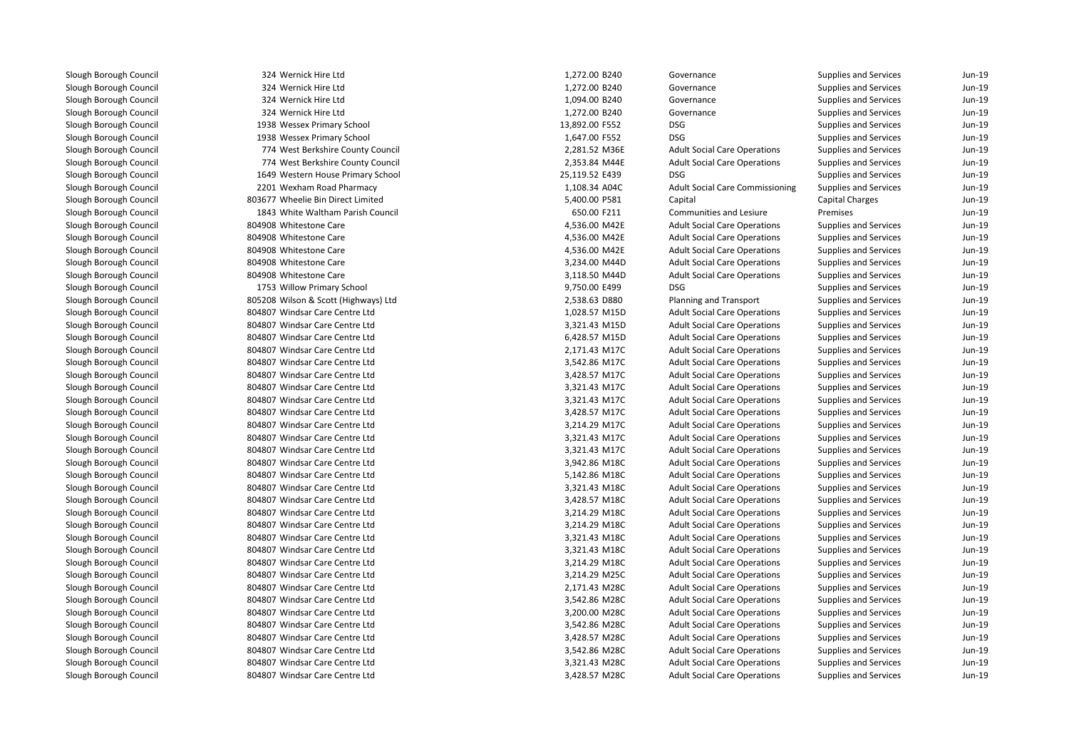| 324 Wernick Hire Ltd<br>1,272.00 B240<br>Supplies and Services<br>Governance<br>324 Wernick Hire Ltd<br>1,272.00 B240<br>Governance<br>Supplies and Services<br>324 Wernick Hire Ltd<br>1,094.00 B240<br>Governance<br>Supplies and Services<br>324 Wernick Hire Ltd<br>1,272.00 B240<br>Governance<br>Supplies and Services<br><b>DSG</b><br>1938 Wessex Primary School<br>13,892.00 F552<br>Supplies and Services<br><b>DSG</b><br>1938 Wessex Primary School<br>1,647.00 F552<br>Supplies and Services<br><b>Adult Social Care Operations</b><br>774 West Berkshire County Council<br>2,281.52 M36E<br>Supplies and Services<br>774 West Berkshire County Council<br>2,353.84 M44E<br><b>Adult Social Care Operations</b><br>Supplies and Services<br>1649 Western House Primary School<br>25,119.52 E439<br><b>DSG</b><br>Supplies and Services<br>1,108.34 A04C<br><b>Adult Social Care Commissioning</b><br>2201 Wexham Road Pharmacy<br>Supplies and Services<br>803677 Wheelie Bin Direct Limited<br>5,400.00 P581<br>Capital<br>Capital Charges<br>1843 White Waltham Parish Council<br>Communities and Lesiure<br>Premises<br>650.00 F211<br>Supplies and Services<br>804908 Whitestone Care<br>4,536.00 M42E<br><b>Adult Social Care Operations</b><br>804908 Whitestone Care<br>4,536.00 M42E<br><b>Adult Social Care Operations</b><br>Supplies and Services<br>804908 Whitestone Care<br>4,536.00 M42E<br><b>Adult Social Care Operations</b><br>Supplies and Services<br><b>Adult Social Care Operations</b><br>804908 Whitestone Care<br>3,234.00 M44D<br>Supplies and Services<br>804908 Whitestone Care<br>3,118.50 M44D<br><b>Adult Social Care Operations</b><br>Supplies and Services<br><b>DSG</b><br>1753 Willow Primary School<br>9,750.00 E499<br>Supplies and Services<br>805208 Wilson & Scott (Highways) Ltd<br>2,538.63 D880<br>Planning and Transport<br>Supplies and Services<br>804807 Windsar Care Centre Ltd<br>1,028.57 M15D<br><b>Adult Social Care Operations</b><br>Supplies and Services<br>804807 Windsar Care Centre Ltd<br>3,321.43 M15D<br><b>Adult Social Care Operations</b><br>Supplies and Services<br>804807 Windsar Care Centre Ltd<br>6,428.57 M15D<br><b>Adult Social Care Operations</b><br>Supplies and Services<br>804807 Windsar Care Centre Ltd<br>2,171.43 M17C<br><b>Adult Social Care Operations</b><br>Supplies and Services<br>804807 Windsar Care Centre Ltd<br>3,542.86 M17C<br><b>Adult Social Care Operations</b><br>Supplies and Services<br>804807 Windsar Care Centre Ltd<br>3,428.57 M17C<br><b>Adult Social Care Operations</b><br>Supplies and Services<br>804807 Windsar Care Centre Ltd<br>3,321.43 M17C<br><b>Adult Social Care Operations</b><br>Supplies and Services<br>804807 Windsar Care Centre Ltd<br>3,321.43 M17C<br><b>Adult Social Care Operations</b><br><b>Supplies and Services</b><br>804807 Windsar Care Centre Ltd<br>3,428.57 M17C<br><b>Adult Social Care Operations</b><br>Supplies and Services<br>804807 Windsar Care Centre Ltd<br>3,214.29 M17C<br><b>Adult Social Care Operations</b><br>Supplies and Services<br>804807 Windsar Care Centre Ltd<br>3,321.43 M17C<br><b>Adult Social Care Operations</b><br>Supplies and Services<br>804807 Windsar Care Centre Ltd<br><b>Adult Social Care Operations</b><br>3,321.43 M17C<br>Supplies and Services<br>804807 Windsar Care Centre Ltd<br>3,942.86 M18C<br><b>Adult Social Care Operations</b><br><b>Supplies and Services</b><br>804807 Windsar Care Centre Ltd<br>5,142.86 M18C<br><b>Adult Social Care Operations</b><br>Supplies and Services<br>804807 Windsar Care Centre Ltd<br>3,321.43 M18C<br><b>Adult Social Care Operations</b><br>Supplies and Services<br>804807 Windsar Care Centre Ltd<br>3,428.57 M18C<br><b>Adult Social Care Operations</b><br>Supplies and Services<br>804807 Windsar Care Centre Ltd<br>3,214.29 M18C<br><b>Adult Social Care Operations</b><br>Supplies and Services<br>804807 Windsar Care Centre Ltd<br>3,214.29 M18C<br><b>Adult Social Care Operations</b><br>Supplies and Services<br>804807 Windsar Care Centre Ltd<br>3,321.43 M18C<br><b>Adult Social Care Operations</b><br>Supplies and Services<br>804807 Windsar Care Centre Ltd<br>3,321.43 M18C<br><b>Adult Social Care Operations</b><br><b>Supplies and Services</b><br>804807 Windsar Care Centre Ltd<br>3,214.29 M18C<br><b>Adult Social Care Operations</b><br>Supplies and Services<br>804807 Windsar Care Centre Ltd<br>3,214.29 M25C<br><b>Adult Social Care Operations</b><br>Supplies and Services<br>804807 Windsar Care Centre Ltd<br>2,171.43 M28C<br><b>Adult Social Care Operations</b><br>Supplies and Services<br>804807 Windsar Care Centre Ltd<br>3,542.86 M28C<br><b>Adult Social Care Operations</b><br>Supplies and Services<br>804807 Windsar Care Centre Ltd<br>3,200.00 M28C<br><b>Adult Social Care Operations</b><br>Supplies and Services<br>804807 Windsar Care Centre Ltd<br>3,542.86 M28C<br><b>Adult Social Care Operations</b><br><b>Supplies and Services</b><br>804807 Windsar Care Centre Ltd<br>3,428.57 M28C<br><b>Adult Social Care Operations</b><br>Supplies and Services<br>804807 Windsar Care Centre Ltd<br>3,542.86 M28C<br><b>Adult Social Care Operations</b><br><b>Supplies and Services</b><br>804807 Windsar Care Centre Ltd<br>3,321.43 M28C<br><b>Adult Social Care Operations</b><br>Supplies and Services<br>804807 Windsar Care Centre Ltd<br>3,428.57 M28C<br><b>Adult Social Care Operations</b><br><b>Supplies and Services</b> |  |  |          |
|--------------------------------------------------------------------------------------------------------------------------------------------------------------------------------------------------------------------------------------------------------------------------------------------------------------------------------------------------------------------------------------------------------------------------------------------------------------------------------------------------------------------------------------------------------------------------------------------------------------------------------------------------------------------------------------------------------------------------------------------------------------------------------------------------------------------------------------------------------------------------------------------------------------------------------------------------------------------------------------------------------------------------------------------------------------------------------------------------------------------------------------------------------------------------------------------------------------------------------------------------------------------------------------------------------------------------------------------------------------------------------------------------------------------------------------------------------------------------------------------------------------------------------------------------------------------------------------------------------------------------------------------------------------------------------------------------------------------------------------------------------------------------------------------------------------------------------------------------------------------------------------------------------------------------------------------------------------------------------------------------------------------------------------------------------------------------------------------------------------------------------------------------------------------------------------------------------------------------------------------------------------------------------------------------------------------------------------------------------------------------------------------------------------------------------------------------------------------------------------------------------------------------------------------------------------------------------------------------------------------------------------------------------------------------------------------------------------------------------------------------------------------------------------------------------------------------------------------------------------------------------------------------------------------------------------------------------------------------------------------------------------------------------------------------------------------------------------------------------------------------------------------------------------------------------------------------------------------------------------------------------------------------------------------------------------------------------------------------------------------------------------------------------------------------------------------------------------------------------------------------------------------------------------------------------------------------------------------------------------------------------------------------------------------------------------------------------------------------------------------------------------------------------------------------------------------------------------------------------------------------------------------------------------------------------------------------------------------------------------------------------------------------------------------------------------------------------------------------------------------------------------------------------------------------------------------------------------------------------------------------------------------------------------------------------------------------------------------------------------------------------------------------------------------------------------------------------------------------------------------------------------------------------------------------------------------------------------------------------------------------------------------------------------------------------------------------------------------------------------------------------------------------------------------------------------------------------------------------------------------------------------------------------------------------------------------------------------------------------------------------------------------------------------------------------------------------------------------------------------------------------------------------------------------------------------------------------------------------------------------------------------------------------------------------------------------------------------------------------------------------------------------------------------------------------------------------------------------------------------------------------------------------------------------------|--|--|----------|
|                                                                                                                                                                                                                                                                                                                                                                                                                                                                                                                                                                                                                                                                                                                                                                                                                                                                                                                                                                                                                                                                                                                                                                                                                                                                                                                                                                                                                                                                                                                                                                                                                                                                                                                                                                                                                                                                                                                                                                                                                                                                                                                                                                                                                                                                                                                                                                                                                                                                                                                                                                                                                                                                                                                                                                                                                                                                                                                                                                                                                                                                                                                                                                                                                                                                                                                                                                                                                                                                                                                                                                                                                                                                                                                                                                                                                                                                                                                                                                                                                                                                                                                                                                                                                                                                                                                                                                                                                                                                                                                                                                                                                                                                                                                                                                                                                                                                                                                                                                                                                                                                                                                                                                                                                                                                                                                                                                                                                                                                                                                                                  |  |  | Jun-19   |
|                                                                                                                                                                                                                                                                                                                                                                                                                                                                                                                                                                                                                                                                                                                                                                                                                                                                                                                                                                                                                                                                                                                                                                                                                                                                                                                                                                                                                                                                                                                                                                                                                                                                                                                                                                                                                                                                                                                                                                                                                                                                                                                                                                                                                                                                                                                                                                                                                                                                                                                                                                                                                                                                                                                                                                                                                                                                                                                                                                                                                                                                                                                                                                                                                                                                                                                                                                                                                                                                                                                                                                                                                                                                                                                                                                                                                                                                                                                                                                                                                                                                                                                                                                                                                                                                                                                                                                                                                                                                                                                                                                                                                                                                                                                                                                                                                                                                                                                                                                                                                                                                                                                                                                                                                                                                                                                                                                                                                                                                                                                                                  |  |  | Jun-19   |
|                                                                                                                                                                                                                                                                                                                                                                                                                                                                                                                                                                                                                                                                                                                                                                                                                                                                                                                                                                                                                                                                                                                                                                                                                                                                                                                                                                                                                                                                                                                                                                                                                                                                                                                                                                                                                                                                                                                                                                                                                                                                                                                                                                                                                                                                                                                                                                                                                                                                                                                                                                                                                                                                                                                                                                                                                                                                                                                                                                                                                                                                                                                                                                                                                                                                                                                                                                                                                                                                                                                                                                                                                                                                                                                                                                                                                                                                                                                                                                                                                                                                                                                                                                                                                                                                                                                                                                                                                                                                                                                                                                                                                                                                                                                                                                                                                                                                                                                                                                                                                                                                                                                                                                                                                                                                                                                                                                                                                                                                                                                                                  |  |  | Jun-19   |
|                                                                                                                                                                                                                                                                                                                                                                                                                                                                                                                                                                                                                                                                                                                                                                                                                                                                                                                                                                                                                                                                                                                                                                                                                                                                                                                                                                                                                                                                                                                                                                                                                                                                                                                                                                                                                                                                                                                                                                                                                                                                                                                                                                                                                                                                                                                                                                                                                                                                                                                                                                                                                                                                                                                                                                                                                                                                                                                                                                                                                                                                                                                                                                                                                                                                                                                                                                                                                                                                                                                                                                                                                                                                                                                                                                                                                                                                                                                                                                                                                                                                                                                                                                                                                                                                                                                                                                                                                                                                                                                                                                                                                                                                                                                                                                                                                                                                                                                                                                                                                                                                                                                                                                                                                                                                                                                                                                                                                                                                                                                                                  |  |  | Jun-19   |
|                                                                                                                                                                                                                                                                                                                                                                                                                                                                                                                                                                                                                                                                                                                                                                                                                                                                                                                                                                                                                                                                                                                                                                                                                                                                                                                                                                                                                                                                                                                                                                                                                                                                                                                                                                                                                                                                                                                                                                                                                                                                                                                                                                                                                                                                                                                                                                                                                                                                                                                                                                                                                                                                                                                                                                                                                                                                                                                                                                                                                                                                                                                                                                                                                                                                                                                                                                                                                                                                                                                                                                                                                                                                                                                                                                                                                                                                                                                                                                                                                                                                                                                                                                                                                                                                                                                                                                                                                                                                                                                                                                                                                                                                                                                                                                                                                                                                                                                                                                                                                                                                                                                                                                                                                                                                                                                                                                                                                                                                                                                                                  |  |  | Jun-19   |
|                                                                                                                                                                                                                                                                                                                                                                                                                                                                                                                                                                                                                                                                                                                                                                                                                                                                                                                                                                                                                                                                                                                                                                                                                                                                                                                                                                                                                                                                                                                                                                                                                                                                                                                                                                                                                                                                                                                                                                                                                                                                                                                                                                                                                                                                                                                                                                                                                                                                                                                                                                                                                                                                                                                                                                                                                                                                                                                                                                                                                                                                                                                                                                                                                                                                                                                                                                                                                                                                                                                                                                                                                                                                                                                                                                                                                                                                                                                                                                                                                                                                                                                                                                                                                                                                                                                                                                                                                                                                                                                                                                                                                                                                                                                                                                                                                                                                                                                                                                                                                                                                                                                                                                                                                                                                                                                                                                                                                                                                                                                                                  |  |  | Jun-19   |
|                                                                                                                                                                                                                                                                                                                                                                                                                                                                                                                                                                                                                                                                                                                                                                                                                                                                                                                                                                                                                                                                                                                                                                                                                                                                                                                                                                                                                                                                                                                                                                                                                                                                                                                                                                                                                                                                                                                                                                                                                                                                                                                                                                                                                                                                                                                                                                                                                                                                                                                                                                                                                                                                                                                                                                                                                                                                                                                                                                                                                                                                                                                                                                                                                                                                                                                                                                                                                                                                                                                                                                                                                                                                                                                                                                                                                                                                                                                                                                                                                                                                                                                                                                                                                                                                                                                                                                                                                                                                                                                                                                                                                                                                                                                                                                                                                                                                                                                                                                                                                                                                                                                                                                                                                                                                                                                                                                                                                                                                                                                                                  |  |  | Jun-19   |
|                                                                                                                                                                                                                                                                                                                                                                                                                                                                                                                                                                                                                                                                                                                                                                                                                                                                                                                                                                                                                                                                                                                                                                                                                                                                                                                                                                                                                                                                                                                                                                                                                                                                                                                                                                                                                                                                                                                                                                                                                                                                                                                                                                                                                                                                                                                                                                                                                                                                                                                                                                                                                                                                                                                                                                                                                                                                                                                                                                                                                                                                                                                                                                                                                                                                                                                                                                                                                                                                                                                                                                                                                                                                                                                                                                                                                                                                                                                                                                                                                                                                                                                                                                                                                                                                                                                                                                                                                                                                                                                                                                                                                                                                                                                                                                                                                                                                                                                                                                                                                                                                                                                                                                                                                                                                                                                                                                                                                                                                                                                                                  |  |  | Jun-19   |
|                                                                                                                                                                                                                                                                                                                                                                                                                                                                                                                                                                                                                                                                                                                                                                                                                                                                                                                                                                                                                                                                                                                                                                                                                                                                                                                                                                                                                                                                                                                                                                                                                                                                                                                                                                                                                                                                                                                                                                                                                                                                                                                                                                                                                                                                                                                                                                                                                                                                                                                                                                                                                                                                                                                                                                                                                                                                                                                                                                                                                                                                                                                                                                                                                                                                                                                                                                                                                                                                                                                                                                                                                                                                                                                                                                                                                                                                                                                                                                                                                                                                                                                                                                                                                                                                                                                                                                                                                                                                                                                                                                                                                                                                                                                                                                                                                                                                                                                                                                                                                                                                                                                                                                                                                                                                                                                                                                                                                                                                                                                                                  |  |  | Jun-19   |
|                                                                                                                                                                                                                                                                                                                                                                                                                                                                                                                                                                                                                                                                                                                                                                                                                                                                                                                                                                                                                                                                                                                                                                                                                                                                                                                                                                                                                                                                                                                                                                                                                                                                                                                                                                                                                                                                                                                                                                                                                                                                                                                                                                                                                                                                                                                                                                                                                                                                                                                                                                                                                                                                                                                                                                                                                                                                                                                                                                                                                                                                                                                                                                                                                                                                                                                                                                                                                                                                                                                                                                                                                                                                                                                                                                                                                                                                                                                                                                                                                                                                                                                                                                                                                                                                                                                                                                                                                                                                                                                                                                                                                                                                                                                                                                                                                                                                                                                                                                                                                                                                                                                                                                                                                                                                                                                                                                                                                                                                                                                                                  |  |  | $Jun-19$ |
|                                                                                                                                                                                                                                                                                                                                                                                                                                                                                                                                                                                                                                                                                                                                                                                                                                                                                                                                                                                                                                                                                                                                                                                                                                                                                                                                                                                                                                                                                                                                                                                                                                                                                                                                                                                                                                                                                                                                                                                                                                                                                                                                                                                                                                                                                                                                                                                                                                                                                                                                                                                                                                                                                                                                                                                                                                                                                                                                                                                                                                                                                                                                                                                                                                                                                                                                                                                                                                                                                                                                                                                                                                                                                                                                                                                                                                                                                                                                                                                                                                                                                                                                                                                                                                                                                                                                                                                                                                                                                                                                                                                                                                                                                                                                                                                                                                                                                                                                                                                                                                                                                                                                                                                                                                                                                                                                                                                                                                                                                                                                                  |  |  | $Jun-19$ |
|                                                                                                                                                                                                                                                                                                                                                                                                                                                                                                                                                                                                                                                                                                                                                                                                                                                                                                                                                                                                                                                                                                                                                                                                                                                                                                                                                                                                                                                                                                                                                                                                                                                                                                                                                                                                                                                                                                                                                                                                                                                                                                                                                                                                                                                                                                                                                                                                                                                                                                                                                                                                                                                                                                                                                                                                                                                                                                                                                                                                                                                                                                                                                                                                                                                                                                                                                                                                                                                                                                                                                                                                                                                                                                                                                                                                                                                                                                                                                                                                                                                                                                                                                                                                                                                                                                                                                                                                                                                                                                                                                                                                                                                                                                                                                                                                                                                                                                                                                                                                                                                                                                                                                                                                                                                                                                                                                                                                                                                                                                                                                  |  |  | Jun-19   |
|                                                                                                                                                                                                                                                                                                                                                                                                                                                                                                                                                                                                                                                                                                                                                                                                                                                                                                                                                                                                                                                                                                                                                                                                                                                                                                                                                                                                                                                                                                                                                                                                                                                                                                                                                                                                                                                                                                                                                                                                                                                                                                                                                                                                                                                                                                                                                                                                                                                                                                                                                                                                                                                                                                                                                                                                                                                                                                                                                                                                                                                                                                                                                                                                                                                                                                                                                                                                                                                                                                                                                                                                                                                                                                                                                                                                                                                                                                                                                                                                                                                                                                                                                                                                                                                                                                                                                                                                                                                                                                                                                                                                                                                                                                                                                                                                                                                                                                                                                                                                                                                                                                                                                                                                                                                                                                                                                                                                                                                                                                                                                  |  |  | $Jun-19$ |
|                                                                                                                                                                                                                                                                                                                                                                                                                                                                                                                                                                                                                                                                                                                                                                                                                                                                                                                                                                                                                                                                                                                                                                                                                                                                                                                                                                                                                                                                                                                                                                                                                                                                                                                                                                                                                                                                                                                                                                                                                                                                                                                                                                                                                                                                                                                                                                                                                                                                                                                                                                                                                                                                                                                                                                                                                                                                                                                                                                                                                                                                                                                                                                                                                                                                                                                                                                                                                                                                                                                                                                                                                                                                                                                                                                                                                                                                                                                                                                                                                                                                                                                                                                                                                                                                                                                                                                                                                                                                                                                                                                                                                                                                                                                                                                                                                                                                                                                                                                                                                                                                                                                                                                                                                                                                                                                                                                                                                                                                                                                                                  |  |  | Jun-19   |
|                                                                                                                                                                                                                                                                                                                                                                                                                                                                                                                                                                                                                                                                                                                                                                                                                                                                                                                                                                                                                                                                                                                                                                                                                                                                                                                                                                                                                                                                                                                                                                                                                                                                                                                                                                                                                                                                                                                                                                                                                                                                                                                                                                                                                                                                                                                                                                                                                                                                                                                                                                                                                                                                                                                                                                                                                                                                                                                                                                                                                                                                                                                                                                                                                                                                                                                                                                                                                                                                                                                                                                                                                                                                                                                                                                                                                                                                                                                                                                                                                                                                                                                                                                                                                                                                                                                                                                                                                                                                                                                                                                                                                                                                                                                                                                                                                                                                                                                                                                                                                                                                                                                                                                                                                                                                                                                                                                                                                                                                                                                                                  |  |  | Jun-19   |
|                                                                                                                                                                                                                                                                                                                                                                                                                                                                                                                                                                                                                                                                                                                                                                                                                                                                                                                                                                                                                                                                                                                                                                                                                                                                                                                                                                                                                                                                                                                                                                                                                                                                                                                                                                                                                                                                                                                                                                                                                                                                                                                                                                                                                                                                                                                                                                                                                                                                                                                                                                                                                                                                                                                                                                                                                                                                                                                                                                                                                                                                                                                                                                                                                                                                                                                                                                                                                                                                                                                                                                                                                                                                                                                                                                                                                                                                                                                                                                                                                                                                                                                                                                                                                                                                                                                                                                                                                                                                                                                                                                                                                                                                                                                                                                                                                                                                                                                                                                                                                                                                                                                                                                                                                                                                                                                                                                                                                                                                                                                                                  |  |  | Jun-19   |
|                                                                                                                                                                                                                                                                                                                                                                                                                                                                                                                                                                                                                                                                                                                                                                                                                                                                                                                                                                                                                                                                                                                                                                                                                                                                                                                                                                                                                                                                                                                                                                                                                                                                                                                                                                                                                                                                                                                                                                                                                                                                                                                                                                                                                                                                                                                                                                                                                                                                                                                                                                                                                                                                                                                                                                                                                                                                                                                                                                                                                                                                                                                                                                                                                                                                                                                                                                                                                                                                                                                                                                                                                                                                                                                                                                                                                                                                                                                                                                                                                                                                                                                                                                                                                                                                                                                                                                                                                                                                                                                                                                                                                                                                                                                                                                                                                                                                                                                                                                                                                                                                                                                                                                                                                                                                                                                                                                                                                                                                                                                                                  |  |  | Jun-19   |
|                                                                                                                                                                                                                                                                                                                                                                                                                                                                                                                                                                                                                                                                                                                                                                                                                                                                                                                                                                                                                                                                                                                                                                                                                                                                                                                                                                                                                                                                                                                                                                                                                                                                                                                                                                                                                                                                                                                                                                                                                                                                                                                                                                                                                                                                                                                                                                                                                                                                                                                                                                                                                                                                                                                                                                                                                                                                                                                                                                                                                                                                                                                                                                                                                                                                                                                                                                                                                                                                                                                                                                                                                                                                                                                                                                                                                                                                                                                                                                                                                                                                                                                                                                                                                                                                                                                                                                                                                                                                                                                                                                                                                                                                                                                                                                                                                                                                                                                                                                                                                                                                                                                                                                                                                                                                                                                                                                                                                                                                                                                                                  |  |  | Jun-19   |
|                                                                                                                                                                                                                                                                                                                                                                                                                                                                                                                                                                                                                                                                                                                                                                                                                                                                                                                                                                                                                                                                                                                                                                                                                                                                                                                                                                                                                                                                                                                                                                                                                                                                                                                                                                                                                                                                                                                                                                                                                                                                                                                                                                                                                                                                                                                                                                                                                                                                                                                                                                                                                                                                                                                                                                                                                                                                                                                                                                                                                                                                                                                                                                                                                                                                                                                                                                                                                                                                                                                                                                                                                                                                                                                                                                                                                                                                                                                                                                                                                                                                                                                                                                                                                                                                                                                                                                                                                                                                                                                                                                                                                                                                                                                                                                                                                                                                                                                                                                                                                                                                                                                                                                                                                                                                                                                                                                                                                                                                                                                                                  |  |  | Jun-19   |
|                                                                                                                                                                                                                                                                                                                                                                                                                                                                                                                                                                                                                                                                                                                                                                                                                                                                                                                                                                                                                                                                                                                                                                                                                                                                                                                                                                                                                                                                                                                                                                                                                                                                                                                                                                                                                                                                                                                                                                                                                                                                                                                                                                                                                                                                                                                                                                                                                                                                                                                                                                                                                                                                                                                                                                                                                                                                                                                                                                                                                                                                                                                                                                                                                                                                                                                                                                                                                                                                                                                                                                                                                                                                                                                                                                                                                                                                                                                                                                                                                                                                                                                                                                                                                                                                                                                                                                                                                                                                                                                                                                                                                                                                                                                                                                                                                                                                                                                                                                                                                                                                                                                                                                                                                                                                                                                                                                                                                                                                                                                                                  |  |  | Jun-19   |
|                                                                                                                                                                                                                                                                                                                                                                                                                                                                                                                                                                                                                                                                                                                                                                                                                                                                                                                                                                                                                                                                                                                                                                                                                                                                                                                                                                                                                                                                                                                                                                                                                                                                                                                                                                                                                                                                                                                                                                                                                                                                                                                                                                                                                                                                                                                                                                                                                                                                                                                                                                                                                                                                                                                                                                                                                                                                                                                                                                                                                                                                                                                                                                                                                                                                                                                                                                                                                                                                                                                                                                                                                                                                                                                                                                                                                                                                                                                                                                                                                                                                                                                                                                                                                                                                                                                                                                                                                                                                                                                                                                                                                                                                                                                                                                                                                                                                                                                                                                                                                                                                                                                                                                                                                                                                                                                                                                                                                                                                                                                                                  |  |  | Jun-19   |
|                                                                                                                                                                                                                                                                                                                                                                                                                                                                                                                                                                                                                                                                                                                                                                                                                                                                                                                                                                                                                                                                                                                                                                                                                                                                                                                                                                                                                                                                                                                                                                                                                                                                                                                                                                                                                                                                                                                                                                                                                                                                                                                                                                                                                                                                                                                                                                                                                                                                                                                                                                                                                                                                                                                                                                                                                                                                                                                                                                                                                                                                                                                                                                                                                                                                                                                                                                                                                                                                                                                                                                                                                                                                                                                                                                                                                                                                                                                                                                                                                                                                                                                                                                                                                                                                                                                                                                                                                                                                                                                                                                                                                                                                                                                                                                                                                                                                                                                                                                                                                                                                                                                                                                                                                                                                                                                                                                                                                                                                                                                                                  |  |  | Jun-19   |
|                                                                                                                                                                                                                                                                                                                                                                                                                                                                                                                                                                                                                                                                                                                                                                                                                                                                                                                                                                                                                                                                                                                                                                                                                                                                                                                                                                                                                                                                                                                                                                                                                                                                                                                                                                                                                                                                                                                                                                                                                                                                                                                                                                                                                                                                                                                                                                                                                                                                                                                                                                                                                                                                                                                                                                                                                                                                                                                                                                                                                                                                                                                                                                                                                                                                                                                                                                                                                                                                                                                                                                                                                                                                                                                                                                                                                                                                                                                                                                                                                                                                                                                                                                                                                                                                                                                                                                                                                                                                                                                                                                                                                                                                                                                                                                                                                                                                                                                                                                                                                                                                                                                                                                                                                                                                                                                                                                                                                                                                                                                                                  |  |  | Jun-19   |
|                                                                                                                                                                                                                                                                                                                                                                                                                                                                                                                                                                                                                                                                                                                                                                                                                                                                                                                                                                                                                                                                                                                                                                                                                                                                                                                                                                                                                                                                                                                                                                                                                                                                                                                                                                                                                                                                                                                                                                                                                                                                                                                                                                                                                                                                                                                                                                                                                                                                                                                                                                                                                                                                                                                                                                                                                                                                                                                                                                                                                                                                                                                                                                                                                                                                                                                                                                                                                                                                                                                                                                                                                                                                                                                                                                                                                                                                                                                                                                                                                                                                                                                                                                                                                                                                                                                                                                                                                                                                                                                                                                                                                                                                                                                                                                                                                                                                                                                                                                                                                                                                                                                                                                                                                                                                                                                                                                                                                                                                                                                                                  |  |  | Jun-19   |
|                                                                                                                                                                                                                                                                                                                                                                                                                                                                                                                                                                                                                                                                                                                                                                                                                                                                                                                                                                                                                                                                                                                                                                                                                                                                                                                                                                                                                                                                                                                                                                                                                                                                                                                                                                                                                                                                                                                                                                                                                                                                                                                                                                                                                                                                                                                                                                                                                                                                                                                                                                                                                                                                                                                                                                                                                                                                                                                                                                                                                                                                                                                                                                                                                                                                                                                                                                                                                                                                                                                                                                                                                                                                                                                                                                                                                                                                                                                                                                                                                                                                                                                                                                                                                                                                                                                                                                                                                                                                                                                                                                                                                                                                                                                                                                                                                                                                                                                                                                                                                                                                                                                                                                                                                                                                                                                                                                                                                                                                                                                                                  |  |  | Jun-19   |
|                                                                                                                                                                                                                                                                                                                                                                                                                                                                                                                                                                                                                                                                                                                                                                                                                                                                                                                                                                                                                                                                                                                                                                                                                                                                                                                                                                                                                                                                                                                                                                                                                                                                                                                                                                                                                                                                                                                                                                                                                                                                                                                                                                                                                                                                                                                                                                                                                                                                                                                                                                                                                                                                                                                                                                                                                                                                                                                                                                                                                                                                                                                                                                                                                                                                                                                                                                                                                                                                                                                                                                                                                                                                                                                                                                                                                                                                                                                                                                                                                                                                                                                                                                                                                                                                                                                                                                                                                                                                                                                                                                                                                                                                                                                                                                                                                                                                                                                                                                                                                                                                                                                                                                                                                                                                                                                                                                                                                                                                                                                                                  |  |  | Jun-19   |
|                                                                                                                                                                                                                                                                                                                                                                                                                                                                                                                                                                                                                                                                                                                                                                                                                                                                                                                                                                                                                                                                                                                                                                                                                                                                                                                                                                                                                                                                                                                                                                                                                                                                                                                                                                                                                                                                                                                                                                                                                                                                                                                                                                                                                                                                                                                                                                                                                                                                                                                                                                                                                                                                                                                                                                                                                                                                                                                                                                                                                                                                                                                                                                                                                                                                                                                                                                                                                                                                                                                                                                                                                                                                                                                                                                                                                                                                                                                                                                                                                                                                                                                                                                                                                                                                                                                                                                                                                                                                                                                                                                                                                                                                                                                                                                                                                                                                                                                                                                                                                                                                                                                                                                                                                                                                                                                                                                                                                                                                                                                                                  |  |  | $Jun-19$ |
|                                                                                                                                                                                                                                                                                                                                                                                                                                                                                                                                                                                                                                                                                                                                                                                                                                                                                                                                                                                                                                                                                                                                                                                                                                                                                                                                                                                                                                                                                                                                                                                                                                                                                                                                                                                                                                                                                                                                                                                                                                                                                                                                                                                                                                                                                                                                                                                                                                                                                                                                                                                                                                                                                                                                                                                                                                                                                                                                                                                                                                                                                                                                                                                                                                                                                                                                                                                                                                                                                                                                                                                                                                                                                                                                                                                                                                                                                                                                                                                                                                                                                                                                                                                                                                                                                                                                                                                                                                                                                                                                                                                                                                                                                                                                                                                                                                                                                                                                                                                                                                                                                                                                                                                                                                                                                                                                                                                                                                                                                                                                                  |  |  | Jun-19   |
|                                                                                                                                                                                                                                                                                                                                                                                                                                                                                                                                                                                                                                                                                                                                                                                                                                                                                                                                                                                                                                                                                                                                                                                                                                                                                                                                                                                                                                                                                                                                                                                                                                                                                                                                                                                                                                                                                                                                                                                                                                                                                                                                                                                                                                                                                                                                                                                                                                                                                                                                                                                                                                                                                                                                                                                                                                                                                                                                                                                                                                                                                                                                                                                                                                                                                                                                                                                                                                                                                                                                                                                                                                                                                                                                                                                                                                                                                                                                                                                                                                                                                                                                                                                                                                                                                                                                                                                                                                                                                                                                                                                                                                                                                                                                                                                                                                                                                                                                                                                                                                                                                                                                                                                                                                                                                                                                                                                                                                                                                                                                                  |  |  | Jun-19   |
|                                                                                                                                                                                                                                                                                                                                                                                                                                                                                                                                                                                                                                                                                                                                                                                                                                                                                                                                                                                                                                                                                                                                                                                                                                                                                                                                                                                                                                                                                                                                                                                                                                                                                                                                                                                                                                                                                                                                                                                                                                                                                                                                                                                                                                                                                                                                                                                                                                                                                                                                                                                                                                                                                                                                                                                                                                                                                                                                                                                                                                                                                                                                                                                                                                                                                                                                                                                                                                                                                                                                                                                                                                                                                                                                                                                                                                                                                                                                                                                                                                                                                                                                                                                                                                                                                                                                                                                                                                                                                                                                                                                                                                                                                                                                                                                                                                                                                                                                                                                                                                                                                                                                                                                                                                                                                                                                                                                                                                                                                                                                                  |  |  | Jun-19   |
|                                                                                                                                                                                                                                                                                                                                                                                                                                                                                                                                                                                                                                                                                                                                                                                                                                                                                                                                                                                                                                                                                                                                                                                                                                                                                                                                                                                                                                                                                                                                                                                                                                                                                                                                                                                                                                                                                                                                                                                                                                                                                                                                                                                                                                                                                                                                                                                                                                                                                                                                                                                                                                                                                                                                                                                                                                                                                                                                                                                                                                                                                                                                                                                                                                                                                                                                                                                                                                                                                                                                                                                                                                                                                                                                                                                                                                                                                                                                                                                                                                                                                                                                                                                                                                                                                                                                                                                                                                                                                                                                                                                                                                                                                                                                                                                                                                                                                                                                                                                                                                                                                                                                                                                                                                                                                                                                                                                                                                                                                                                                                  |  |  | Jun-19   |
|                                                                                                                                                                                                                                                                                                                                                                                                                                                                                                                                                                                                                                                                                                                                                                                                                                                                                                                                                                                                                                                                                                                                                                                                                                                                                                                                                                                                                                                                                                                                                                                                                                                                                                                                                                                                                                                                                                                                                                                                                                                                                                                                                                                                                                                                                                                                                                                                                                                                                                                                                                                                                                                                                                                                                                                                                                                                                                                                                                                                                                                                                                                                                                                                                                                                                                                                                                                                                                                                                                                                                                                                                                                                                                                                                                                                                                                                                                                                                                                                                                                                                                                                                                                                                                                                                                                                                                                                                                                                                                                                                                                                                                                                                                                                                                                                                                                                                                                                                                                                                                                                                                                                                                                                                                                                                                                                                                                                                                                                                                                                                  |  |  | Jun-19   |
|                                                                                                                                                                                                                                                                                                                                                                                                                                                                                                                                                                                                                                                                                                                                                                                                                                                                                                                                                                                                                                                                                                                                                                                                                                                                                                                                                                                                                                                                                                                                                                                                                                                                                                                                                                                                                                                                                                                                                                                                                                                                                                                                                                                                                                                                                                                                                                                                                                                                                                                                                                                                                                                                                                                                                                                                                                                                                                                                                                                                                                                                                                                                                                                                                                                                                                                                                                                                                                                                                                                                                                                                                                                                                                                                                                                                                                                                                                                                                                                                                                                                                                                                                                                                                                                                                                                                                                                                                                                                                                                                                                                                                                                                                                                                                                                                                                                                                                                                                                                                                                                                                                                                                                                                                                                                                                                                                                                                                                                                                                                                                  |  |  | Jun-19   |
|                                                                                                                                                                                                                                                                                                                                                                                                                                                                                                                                                                                                                                                                                                                                                                                                                                                                                                                                                                                                                                                                                                                                                                                                                                                                                                                                                                                                                                                                                                                                                                                                                                                                                                                                                                                                                                                                                                                                                                                                                                                                                                                                                                                                                                                                                                                                                                                                                                                                                                                                                                                                                                                                                                                                                                                                                                                                                                                                                                                                                                                                                                                                                                                                                                                                                                                                                                                                                                                                                                                                                                                                                                                                                                                                                                                                                                                                                                                                                                                                                                                                                                                                                                                                                                                                                                                                                                                                                                                                                                                                                                                                                                                                                                                                                                                                                                                                                                                                                                                                                                                                                                                                                                                                                                                                                                                                                                                                                                                                                                                                                  |  |  | Jun-19   |
|                                                                                                                                                                                                                                                                                                                                                                                                                                                                                                                                                                                                                                                                                                                                                                                                                                                                                                                                                                                                                                                                                                                                                                                                                                                                                                                                                                                                                                                                                                                                                                                                                                                                                                                                                                                                                                                                                                                                                                                                                                                                                                                                                                                                                                                                                                                                                                                                                                                                                                                                                                                                                                                                                                                                                                                                                                                                                                                                                                                                                                                                                                                                                                                                                                                                                                                                                                                                                                                                                                                                                                                                                                                                                                                                                                                                                                                                                                                                                                                                                                                                                                                                                                                                                                                                                                                                                                                                                                                                                                                                                                                                                                                                                                                                                                                                                                                                                                                                                                                                                                                                                                                                                                                                                                                                                                                                                                                                                                                                                                                                                  |  |  | Jun-19   |
|                                                                                                                                                                                                                                                                                                                                                                                                                                                                                                                                                                                                                                                                                                                                                                                                                                                                                                                                                                                                                                                                                                                                                                                                                                                                                                                                                                                                                                                                                                                                                                                                                                                                                                                                                                                                                                                                                                                                                                                                                                                                                                                                                                                                                                                                                                                                                                                                                                                                                                                                                                                                                                                                                                                                                                                                                                                                                                                                                                                                                                                                                                                                                                                                                                                                                                                                                                                                                                                                                                                                                                                                                                                                                                                                                                                                                                                                                                                                                                                                                                                                                                                                                                                                                                                                                                                                                                                                                                                                                                                                                                                                                                                                                                                                                                                                                                                                                                                                                                                                                                                                                                                                                                                                                                                                                                                                                                                                                                                                                                                                                  |  |  | $Jun-19$ |
|                                                                                                                                                                                                                                                                                                                                                                                                                                                                                                                                                                                                                                                                                                                                                                                                                                                                                                                                                                                                                                                                                                                                                                                                                                                                                                                                                                                                                                                                                                                                                                                                                                                                                                                                                                                                                                                                                                                                                                                                                                                                                                                                                                                                                                                                                                                                                                                                                                                                                                                                                                                                                                                                                                                                                                                                                                                                                                                                                                                                                                                                                                                                                                                                                                                                                                                                                                                                                                                                                                                                                                                                                                                                                                                                                                                                                                                                                                                                                                                                                                                                                                                                                                                                                                                                                                                                                                                                                                                                                                                                                                                                                                                                                                                                                                                                                                                                                                                                                                                                                                                                                                                                                                                                                                                                                                                                                                                                                                                                                                                                                  |  |  | $Jun-19$ |
|                                                                                                                                                                                                                                                                                                                                                                                                                                                                                                                                                                                                                                                                                                                                                                                                                                                                                                                                                                                                                                                                                                                                                                                                                                                                                                                                                                                                                                                                                                                                                                                                                                                                                                                                                                                                                                                                                                                                                                                                                                                                                                                                                                                                                                                                                                                                                                                                                                                                                                                                                                                                                                                                                                                                                                                                                                                                                                                                                                                                                                                                                                                                                                                                                                                                                                                                                                                                                                                                                                                                                                                                                                                                                                                                                                                                                                                                                                                                                                                                                                                                                                                                                                                                                                                                                                                                                                                                                                                                                                                                                                                                                                                                                                                                                                                                                                                                                                                                                                                                                                                                                                                                                                                                                                                                                                                                                                                                                                                                                                                                                  |  |  | Jun-19   |
|                                                                                                                                                                                                                                                                                                                                                                                                                                                                                                                                                                                                                                                                                                                                                                                                                                                                                                                                                                                                                                                                                                                                                                                                                                                                                                                                                                                                                                                                                                                                                                                                                                                                                                                                                                                                                                                                                                                                                                                                                                                                                                                                                                                                                                                                                                                                                                                                                                                                                                                                                                                                                                                                                                                                                                                                                                                                                                                                                                                                                                                                                                                                                                                                                                                                                                                                                                                                                                                                                                                                                                                                                                                                                                                                                                                                                                                                                                                                                                                                                                                                                                                                                                                                                                                                                                                                                                                                                                                                                                                                                                                                                                                                                                                                                                                                                                                                                                                                                                                                                                                                                                                                                                                                                                                                                                                                                                                                                                                                                                                                                  |  |  | Jun-19   |
|                                                                                                                                                                                                                                                                                                                                                                                                                                                                                                                                                                                                                                                                                                                                                                                                                                                                                                                                                                                                                                                                                                                                                                                                                                                                                                                                                                                                                                                                                                                                                                                                                                                                                                                                                                                                                                                                                                                                                                                                                                                                                                                                                                                                                                                                                                                                                                                                                                                                                                                                                                                                                                                                                                                                                                                                                                                                                                                                                                                                                                                                                                                                                                                                                                                                                                                                                                                                                                                                                                                                                                                                                                                                                                                                                                                                                                                                                                                                                                                                                                                                                                                                                                                                                                                                                                                                                                                                                                                                                                                                                                                                                                                                                                                                                                                                                                                                                                                                                                                                                                                                                                                                                                                                                                                                                                                                                                                                                                                                                                                                                  |  |  | Jun-19   |
|                                                                                                                                                                                                                                                                                                                                                                                                                                                                                                                                                                                                                                                                                                                                                                                                                                                                                                                                                                                                                                                                                                                                                                                                                                                                                                                                                                                                                                                                                                                                                                                                                                                                                                                                                                                                                                                                                                                                                                                                                                                                                                                                                                                                                                                                                                                                                                                                                                                                                                                                                                                                                                                                                                                                                                                                                                                                                                                                                                                                                                                                                                                                                                                                                                                                                                                                                                                                                                                                                                                                                                                                                                                                                                                                                                                                                                                                                                                                                                                                                                                                                                                                                                                                                                                                                                                                                                                                                                                                                                                                                                                                                                                                                                                                                                                                                                                                                                                                                                                                                                                                                                                                                                                                                                                                                                                                                                                                                                                                                                                                                  |  |  | Jun-19   |
|                                                                                                                                                                                                                                                                                                                                                                                                                                                                                                                                                                                                                                                                                                                                                                                                                                                                                                                                                                                                                                                                                                                                                                                                                                                                                                                                                                                                                                                                                                                                                                                                                                                                                                                                                                                                                                                                                                                                                                                                                                                                                                                                                                                                                                                                                                                                                                                                                                                                                                                                                                                                                                                                                                                                                                                                                                                                                                                                                                                                                                                                                                                                                                                                                                                                                                                                                                                                                                                                                                                                                                                                                                                                                                                                                                                                                                                                                                                                                                                                                                                                                                                                                                                                                                                                                                                                                                                                                                                                                                                                                                                                                                                                                                                                                                                                                                                                                                                                                                                                                                                                                                                                                                                                                                                                                                                                                                                                                                                                                                                                                  |  |  | Jun-19   |
|                                                                                                                                                                                                                                                                                                                                                                                                                                                                                                                                                                                                                                                                                                                                                                                                                                                                                                                                                                                                                                                                                                                                                                                                                                                                                                                                                                                                                                                                                                                                                                                                                                                                                                                                                                                                                                                                                                                                                                                                                                                                                                                                                                                                                                                                                                                                                                                                                                                                                                                                                                                                                                                                                                                                                                                                                                                                                                                                                                                                                                                                                                                                                                                                                                                                                                                                                                                                                                                                                                                                                                                                                                                                                                                                                                                                                                                                                                                                                                                                                                                                                                                                                                                                                                                                                                                                                                                                                                                                                                                                                                                                                                                                                                                                                                                                                                                                                                                                                                                                                                                                                                                                                                                                                                                                                                                                                                                                                                                                                                                                                  |  |  | Jun-19   |
|                                                                                                                                                                                                                                                                                                                                                                                                                                                                                                                                                                                                                                                                                                                                                                                                                                                                                                                                                                                                                                                                                                                                                                                                                                                                                                                                                                                                                                                                                                                                                                                                                                                                                                                                                                                                                                                                                                                                                                                                                                                                                                                                                                                                                                                                                                                                                                                                                                                                                                                                                                                                                                                                                                                                                                                                                                                                                                                                                                                                                                                                                                                                                                                                                                                                                                                                                                                                                                                                                                                                                                                                                                                                                                                                                                                                                                                                                                                                                                                                                                                                                                                                                                                                                                                                                                                                                                                                                                                                                                                                                                                                                                                                                                                                                                                                                                                                                                                                                                                                                                                                                                                                                                                                                                                                                                                                                                                                                                                                                                                                                  |  |  | Jun-19   |
|                                                                                                                                                                                                                                                                                                                                                                                                                                                                                                                                                                                                                                                                                                                                                                                                                                                                                                                                                                                                                                                                                                                                                                                                                                                                                                                                                                                                                                                                                                                                                                                                                                                                                                                                                                                                                                                                                                                                                                                                                                                                                                                                                                                                                                                                                                                                                                                                                                                                                                                                                                                                                                                                                                                                                                                                                                                                                                                                                                                                                                                                                                                                                                                                                                                                                                                                                                                                                                                                                                                                                                                                                                                                                                                                                                                                                                                                                                                                                                                                                                                                                                                                                                                                                                                                                                                                                                                                                                                                                                                                                                                                                                                                                                                                                                                                                                                                                                                                                                                                                                                                                                                                                                                                                                                                                                                                                                                                                                                                                                                                                  |  |  | Jun-19   |
|                                                                                                                                                                                                                                                                                                                                                                                                                                                                                                                                                                                                                                                                                                                                                                                                                                                                                                                                                                                                                                                                                                                                                                                                                                                                                                                                                                                                                                                                                                                                                                                                                                                                                                                                                                                                                                                                                                                                                                                                                                                                                                                                                                                                                                                                                                                                                                                                                                                                                                                                                                                                                                                                                                                                                                                                                                                                                                                                                                                                                                                                                                                                                                                                                                                                                                                                                                                                                                                                                                                                                                                                                                                                                                                                                                                                                                                                                                                                                                                                                                                                                                                                                                                                                                                                                                                                                                                                                                                                                                                                                                                                                                                                                                                                                                                                                                                                                                                                                                                                                                                                                                                                                                                                                                                                                                                                                                                                                                                                                                                                                  |  |  | Jun-19   |
|                                                                                                                                                                                                                                                                                                                                                                                                                                                                                                                                                                                                                                                                                                                                                                                                                                                                                                                                                                                                                                                                                                                                                                                                                                                                                                                                                                                                                                                                                                                                                                                                                                                                                                                                                                                                                                                                                                                                                                                                                                                                                                                                                                                                                                                                                                                                                                                                                                                                                                                                                                                                                                                                                                                                                                                                                                                                                                                                                                                                                                                                                                                                                                                                                                                                                                                                                                                                                                                                                                                                                                                                                                                                                                                                                                                                                                                                                                                                                                                                                                                                                                                                                                                                                                                                                                                                                                                                                                                                                                                                                                                                                                                                                                                                                                                                                                                                                                                                                                                                                                                                                                                                                                                                                                                                                                                                                                                                                                                                                                                                                  |  |  | Jun-19   |
|                                                                                                                                                                                                                                                                                                                                                                                                                                                                                                                                                                                                                                                                                                                                                                                                                                                                                                                                                                                                                                                                                                                                                                                                                                                                                                                                                                                                                                                                                                                                                                                                                                                                                                                                                                                                                                                                                                                                                                                                                                                                                                                                                                                                                                                                                                                                                                                                                                                                                                                                                                                                                                                                                                                                                                                                                                                                                                                                                                                                                                                                                                                                                                                                                                                                                                                                                                                                                                                                                                                                                                                                                                                                                                                                                                                                                                                                                                                                                                                                                                                                                                                                                                                                                                                                                                                                                                                                                                                                                                                                                                                                                                                                                                                                                                                                                                                                                                                                                                                                                                                                                                                                                                                                                                                                                                                                                                                                                                                                                                                                                  |  |  | Jun-19   |
|                                                                                                                                                                                                                                                                                                                                                                                                                                                                                                                                                                                                                                                                                                                                                                                                                                                                                                                                                                                                                                                                                                                                                                                                                                                                                                                                                                                                                                                                                                                                                                                                                                                                                                                                                                                                                                                                                                                                                                                                                                                                                                                                                                                                                                                                                                                                                                                                                                                                                                                                                                                                                                                                                                                                                                                                                                                                                                                                                                                                                                                                                                                                                                                                                                                                                                                                                                                                                                                                                                                                                                                                                                                                                                                                                                                                                                                                                                                                                                                                                                                                                                                                                                                                                                                                                                                                                                                                                                                                                                                                                                                                                                                                                                                                                                                                                                                                                                                                                                                                                                                                                                                                                                                                                                                                                                                                                                                                                                                                                                                                                  |  |  | Jun-19   |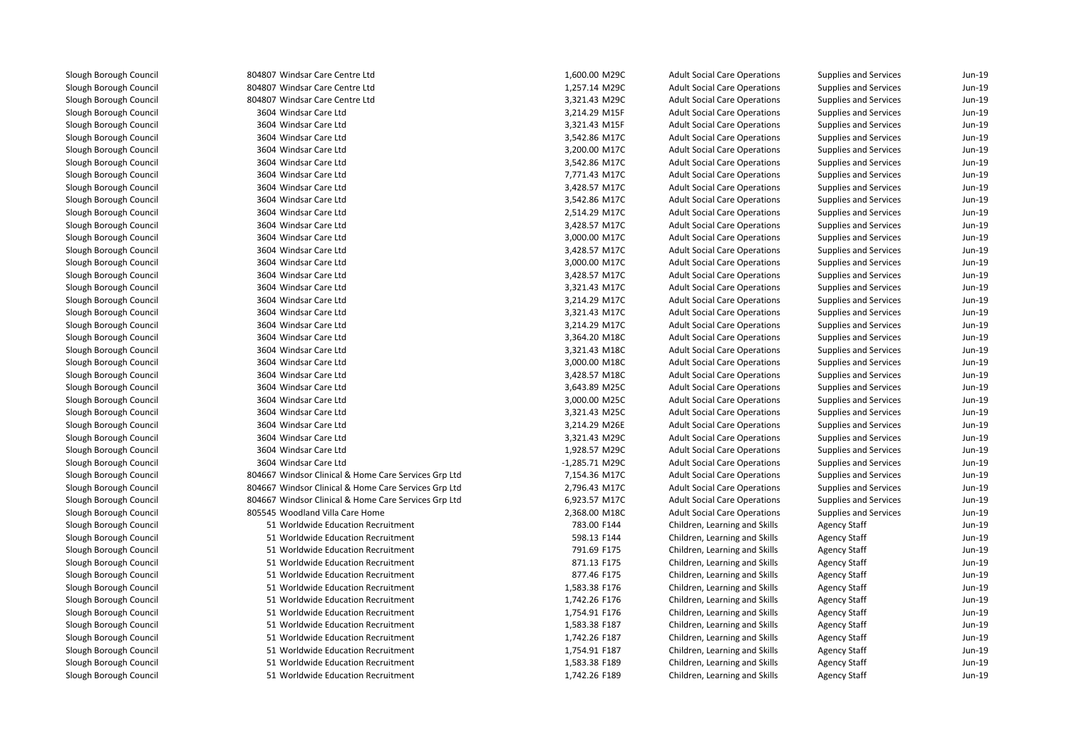804807 Windsar Care Centre Ltd 804807 Windsar Care Centre Ltd 804807 Windsar Care Centre Ltd 3604 Windsar Care Ltd 3604 Windsar Care Ltd 3604 Windsar Care Ltdd 3,542.86 M17C 3604 Windsar Care Ltdd 3,200.00 M17C 3604 Windsar Care Ltdd 3,542.86 M17C 3604 Windsar Care Ltdd 7,771.43 M17C 3604 Windsar Care Ltdd 3,428.57 M17C 3604 Windsar Care Ltdd 3,542.86 M17C 3604 Windsar Care Ltdd 2,514.29 M17C 3604 Windsar Care Ltdd 3,428.57 M17C 3604 Windsar Care Ltdd 3,000.00 M17C 3604 Windsar Care Ltdd 3,428.57 M17C 3604 Windsar Care Ltdd 3,000.00 M17C 3604 Windsar Care Ltdd 3,428.57 M17C 3604 Windsar Care Ltdd  $3,321.43 \text{ M}$ 17C 3604 Windsar Care Ltdd 3,214.29 M17C 3604 Windsar Care Ltdd 3,321.43 M17C 3604 Windsar Care Ltdd  $3,214.29$  M17C 3604 Windsar Care Ltdd 3,364.20 M18C 3604 Windsar Care Ltdd 3,321.43 M18C 3604 Windsar Care Ltdd 3,000.00 M18C 3604 Windsar Care Ltdd 3,428.57 M18C 3604 Windsar Care Ltd 3,643.89 M25C 3604 Windsar Care Ltd 3,000.00 M25C 3604 Windsar Care Ltd 3,321.43 M25C 3604 Windsar Care Ltd 3604 Windsar Care Ltd 3,321.43 M29C 3604 Windsar Care Ltd 1,928.57 M29C 3604 Windsar Care Ltd -1,285.71 M29C 804667 Windsor Clinical & Home Care Services Grp Ltd 804667 Windsor Clinical & Home Care Services Grp Ltd 804667 Windsor Clinical & Home Care Services Grp Ltd 805545 Woodland Villa Care Home 2,368.00 M18C $\sim$  51  $\sim$  51  $\sim$  51  $\sim$  51  $\sim$  51  $\sim$  51  $\sim$  51  $\sim$  51  $\sim$  51  $\sim$  51  $\sim$  51  $\sim$  51 51 Worldwide Education Recruitment

| 307 Windsar Care Centre Ltd                       | 1,600.00 M29C  | <b>Adult Social Care Operations</b> | Supplies and Services        | Jun-19 |
|---------------------------------------------------|----------------|-------------------------------------|------------------------------|--------|
| 307 Windsar Care Centre Ltd                       | 1,257.14 M29C  | <b>Adult Social Care Operations</b> | <b>Supplies and Services</b> | Jun-19 |
| 307 Windsar Care Centre Ltd                       | 3,321.43 M29C  | <b>Adult Social Care Operations</b> | <b>Supplies and Services</b> | Jun-19 |
| 504 Windsar Care Ltd                              | 3,214.29 M15F  | <b>Adult Social Care Operations</b> | <b>Supplies and Services</b> | Jun-19 |
| 504 Windsar Care Ltd                              | 3,321.43 M15F  | <b>Adult Social Care Operations</b> | Supplies and Services        | Jun-19 |
| 504 Windsar Care Ltd                              | 3,542.86 M17C  | <b>Adult Social Care Operations</b> | Supplies and Services        | Jun-19 |
| 504 Windsar Care Ltd                              | 3,200.00 M17C  | <b>Adult Social Care Operations</b> | Supplies and Services        | Jun-19 |
| 504 Windsar Care Ltd                              | 3,542.86 M17C  | <b>Adult Social Care Operations</b> | <b>Supplies and Services</b> | Jun-19 |
| 504 Windsar Care Ltd                              | 7,771.43 M17C  | <b>Adult Social Care Operations</b> | <b>Supplies and Services</b> | Jun-19 |
| 504 Windsar Care Ltd                              | 3,428.57 M17C  | <b>Adult Social Care Operations</b> | Supplies and Services        | Jun-19 |
| 504 Windsar Care Ltd                              | 3,542.86 M17C  | <b>Adult Social Care Operations</b> | <b>Supplies and Services</b> | Jun-19 |
| 504 Windsar Care Ltd                              | 2,514.29 M17C  | <b>Adult Social Care Operations</b> | <b>Supplies and Services</b> | Jun-19 |
| 504 Windsar Care Ltd                              | 3,428.57 M17C  | <b>Adult Social Care Operations</b> | <b>Supplies and Services</b> | Jun-19 |
| 504 Windsar Care Ltd                              | 3,000.00 M17C  | <b>Adult Social Care Operations</b> | <b>Supplies and Services</b> | Jun-19 |
| 504 Windsar Care Ltd                              | 3,428.57 M17C  | <b>Adult Social Care Operations</b> | Supplies and Services        | Jun-19 |
| 504 Windsar Care Ltd                              | 3,000.00 M17C  | <b>Adult Social Care Operations</b> | Supplies and Services        | Jun-19 |
| 504 Windsar Care Ltd                              | 3,428.57 M17C  | <b>Adult Social Care Operations</b> | Supplies and Services        | Jun-19 |
| 504 Windsar Care Ltd                              | 3,321.43 M17C  | <b>Adult Social Care Operations</b> | Supplies and Services        | Jun-19 |
| 504 Windsar Care Ltd                              | 3,214.29 M17C  | <b>Adult Social Care Operations</b> | <b>Supplies and Services</b> | Jun-19 |
| 504 Windsar Care Ltd                              | 3,321.43 M17C  | <b>Adult Social Care Operations</b> | Supplies and Services        | Jun-19 |
| 504 Windsar Care Ltd                              | 3,214.29 M17C  | <b>Adult Social Care Operations</b> | <b>Supplies and Services</b> | Jun-19 |
| 504 Windsar Care Ltd                              | 3,364.20 M18C  | <b>Adult Social Care Operations</b> | Supplies and Services        | Jun-19 |
| 504 Windsar Care Ltd                              | 3,321.43 M18C  | <b>Adult Social Care Operations</b> | Supplies and Services        | Jun-19 |
| 504 Windsar Care Ltd                              | 3,000.00 M18C  | <b>Adult Social Care Operations</b> | <b>Supplies and Services</b> | Jun-19 |
| 504 Windsar Care Ltd                              | 3,428.57 M18C  | <b>Adult Social Care Operations</b> | Supplies and Services        | Jun-19 |
| 504 Windsar Care Ltd                              | 3,643.89 M25C  | <b>Adult Social Care Operations</b> | <b>Supplies and Services</b> | Jun-19 |
| 504 Windsar Care Ltd                              | 3,000.00 M25C  | <b>Adult Social Care Operations</b> | Supplies and Services        | Jun-19 |
| 504 Windsar Care Ltd                              | 3,321.43 M25C  | <b>Adult Social Care Operations</b> | Supplies and Services        | Jun-19 |
| 504 Windsar Care Ltd                              | 3,214.29 M26E  | <b>Adult Social Care Operations</b> | Supplies and Services        | Jun-19 |
| 504 Windsar Care Ltd                              | 3,321.43 M29C  | <b>Adult Social Care Operations</b> | Supplies and Services        | Jun-19 |
| 504 Windsar Care Ltd                              | 1,928.57 M29C  | <b>Adult Social Care Operations</b> | <b>Supplies and Services</b> | Jun-19 |
| 504 Windsar Care Ltd                              | -1,285.71 M29C | <b>Adult Social Care Operations</b> | <b>Supplies and Services</b> | Jun-19 |
| 567 Windsor Clinical & Home Care Services Grp Ltd | 7,154.36 M17C  | <b>Adult Social Care Operations</b> | Supplies and Services        | Jun-19 |
| 567 Windsor Clinical & Home Care Services Grp Ltd | 2,796.43 M17C  | <b>Adult Social Care Operations</b> | <b>Supplies and Services</b> | Jun-19 |
| 667 Windsor Clinical & Home Care Services Grp Ltd | 6,923.57 M17C  | <b>Adult Social Care Operations</b> | <b>Supplies and Services</b> | Jun-19 |
| 545 Woodland Villa Care Home                      | 2,368.00 M18C  | <b>Adult Social Care Operations</b> | <b>Supplies and Services</b> | Jun-19 |
| 51 Worldwide Education Recruitment                | 783.00 F144    | Children, Learning and Skills       | <b>Agency Staff</b>          | Jun-19 |
| 51 Worldwide Education Recruitment                | 598.13 F144    | Children, Learning and Skills       | <b>Agency Staff</b>          | Jun-19 |
| 51 Worldwide Education Recruitment                | 791.69 F175    | Children, Learning and Skills       | <b>Agency Staff</b>          | Jun-19 |
| 51 Worldwide Education Recruitment                | 871.13 F175    | Children, Learning and Skills       | <b>Agency Staff</b>          | Jun-19 |
| 51 Worldwide Education Recruitment                | 877.46 F175    | Children, Learning and Skills       | <b>Agency Staff</b>          | Jun-19 |
| 51 Worldwide Education Recruitment                | 1,583.38 F176  | Children, Learning and Skills       | <b>Agency Staff</b>          | Jun-19 |
| 51 Worldwide Education Recruitment                | 1,742.26 F176  | Children, Learning and Skills       | <b>Agency Staff</b>          | Jun-19 |
| 51 Worldwide Education Recruitment                | 1,754.91 F176  | Children, Learning and Skills       | <b>Agency Staff</b>          | Jun-19 |
| 51 Worldwide Education Recruitment                | 1,583.38 F187  | Children, Learning and Skills       | <b>Agency Staff</b>          | Jun-19 |
| 51 Worldwide Education Recruitment                | 1,742.26 F187  | Children, Learning and Skills       | <b>Agency Staff</b>          | Jun-19 |
| 51 Worldwide Education Recruitment                | 1,754.91 F187  | Children, Learning and Skills       | <b>Agency Staff</b>          | Jun-19 |
| 51 Worldwide Education Recruitment                | 1,583.38 F189  | Children, Learning and Skills       | <b>Agency Staff</b>          | Jun-19 |
| 51 Worldwide Education Recruitment                | 1,742.26 F189  | Children, Learning and Skills       | <b>Agency Staff</b>          | Jun-19 |